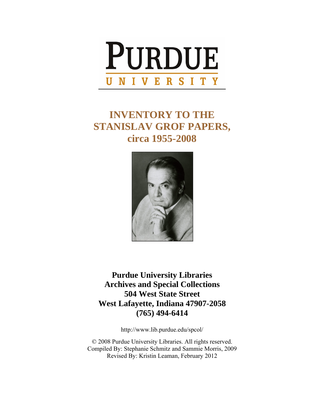

# **INVENTORY TO THE STANISLAV GROF PAPERS, circa 1955-2008**



**Purdue University Libraries Archives and Special Collections 504 West State Street West Lafayette, Indiana 47907-2058 (765) 494-6414** 

http://www.lib.purdue.edu/spcol/

© 2008 Purdue University Libraries. All rights reserved. Compiled By: Stephanie Schmitz and Sammie Morris, 2009 Revised By: Kristin Leaman, February 2012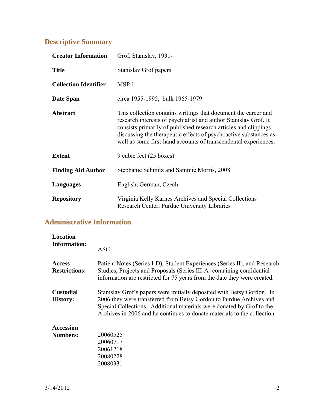## **Descriptive Summary**

| <b>Creator Information</b>   | Grof, Stanislav, 1931-                                                                                                                                                                                                                                                                                                                       |
|------------------------------|----------------------------------------------------------------------------------------------------------------------------------------------------------------------------------------------------------------------------------------------------------------------------------------------------------------------------------------------|
| <b>Title</b>                 | Stanislav Grof papers                                                                                                                                                                                                                                                                                                                        |
| <b>Collection Identifier</b> | MSP <sub>1</sub>                                                                                                                                                                                                                                                                                                                             |
| Date Span                    | circa 1955-1995, bulk 1965-1979                                                                                                                                                                                                                                                                                                              |
| <b>Abstract</b>              | This collection contains writings that document the career and<br>research interests of psychiatrist and author Stanislav Grof. It<br>consists primarily of published research articles and clippings<br>discussing the therapeutic effects of psychoactive substances as<br>well as some first-hand accounts of transcendental experiences. |
| <b>Extent</b>                | 9 cubic feet (25 boxes)                                                                                                                                                                                                                                                                                                                      |
| <b>Finding Aid Author</b>    | Stephanie Schmitz and Sammie Morris, 2008                                                                                                                                                                                                                                                                                                    |
| Languages                    | English, German, Czech                                                                                                                                                                                                                                                                                                                       |
| <b>Repository</b>            | Virginia Kelly Karnes Archives and Special Collections<br>Research Center, Purdue University Libraries                                                                                                                                                                                                                                       |

## **Administrative Information**

| <b>Location</b>                       |                                                                                                                                                                                                                                                                                                    |
|---------------------------------------|----------------------------------------------------------------------------------------------------------------------------------------------------------------------------------------------------------------------------------------------------------------------------------------------------|
| <b>Information:</b>                   | <b>ASC</b>                                                                                                                                                                                                                                                                                         |
| <b>Access</b><br><b>Restrictions:</b> | Patient Notes (Series I-D), Student Experiences (Series II), and Research<br>Studies, Projects and Proposals (Series III-A) containing confidential<br>information are restricted for 75 years from the date they were created.                                                                    |
| <b>Custodial</b><br><b>History:</b>   | Stanislav Grof's papers were initially deposited with Betsy Gordon. In<br>2006 they were transferred from Betsy Gordon to Purdue Archives and<br>Special Collections. Additional materials were donated by Grof to the<br>Archives in 2006 and he continues to donate materials to the collection. |
| <b>Accession</b>                      |                                                                                                                                                                                                                                                                                                    |
| <b>Numbers:</b>                       | 20060525                                                                                                                                                                                                                                                                                           |
|                                       | 20060717                                                                                                                                                                                                                                                                                           |
|                                       | 20061218                                                                                                                                                                                                                                                                                           |
|                                       | 20080228                                                                                                                                                                                                                                                                                           |
|                                       | 20080331                                                                                                                                                                                                                                                                                           |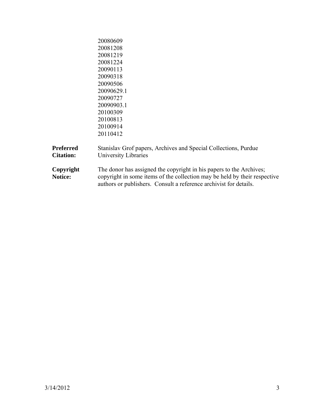|                                      | 20080609<br>20081208                                                                                                                                                                                                  |
|--------------------------------------|-----------------------------------------------------------------------------------------------------------------------------------------------------------------------------------------------------------------------|
|                                      | 20081219                                                                                                                                                                                                              |
|                                      | 20081224                                                                                                                                                                                                              |
|                                      | 20090113                                                                                                                                                                                                              |
|                                      | 20090318                                                                                                                                                                                                              |
|                                      | 20090506                                                                                                                                                                                                              |
|                                      | 20090629.1                                                                                                                                                                                                            |
|                                      | 20090727                                                                                                                                                                                                              |
|                                      | 20090903.1                                                                                                                                                                                                            |
|                                      | 20100309                                                                                                                                                                                                              |
|                                      | 20100813                                                                                                                                                                                                              |
|                                      | 20100914                                                                                                                                                                                                              |
|                                      | 20110412                                                                                                                                                                                                              |
| <b>Preferred</b><br><b>Citation:</b> | Stanislav Grof papers, Archives and Special Collections, Purdue<br>University Libraries                                                                                                                               |
| Copyright<br>Notice:                 | The donor has assigned the copyright in his papers to the Archives;<br>copyright in some items of the collection may be held by their respective<br>authors or publishers. Consult a reference archivist for details. |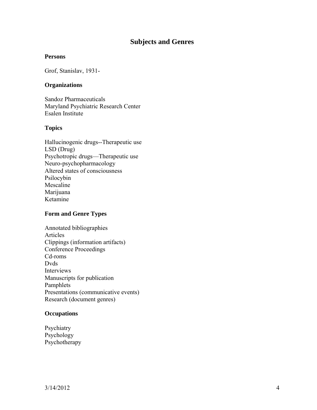## **Subjects and Genres**

#### **Persons**

Grof, Stanislav, 1931-

#### **Organizations**

Sandoz Pharmaceuticals Maryland Psychiatric Research Center Esalen Institute

#### **Topics**

Hallucinogenic drugs--Therapeutic use LSD (Drug) Psychotropic drugs—Therapeutic use Neuro-psychopharmacology Altered states of consciousness Psilocybin Mescaline Marijuana Ketamine

#### **Form and Genre Types**

Annotated bibliographies Articles Clippings (information artifacts) Conference Proceedings Cd-roms Dvds Interviews Manuscripts for publication Pamphlets Presentations (communicative events) Research (document genres)

#### **Occupations**

Psychiatry Psychology Psychotherapy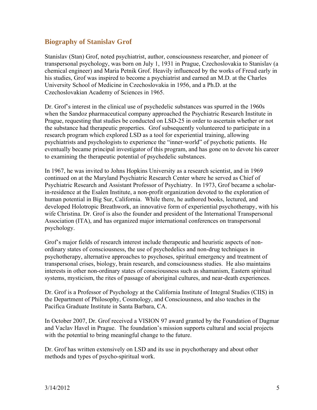## **Biography of Stanislav Grof**

Stanislav (Stan) Grof, noted psychiatrist, author, consciousness researcher, and pioneer of transpersonal psychology, was born on July 1, 1931 in Prague, Czechoslovakia to Stanislav (a chemical engineer) and Maria Petnik Grof. Heavily influenced by the works of Freud early in his studies, Grof was inspired to become a psychiatrist and earned an M.D. at the Charles University School of Medicine in Czechoslovakia in 1956, and a Ph.D. at the Czechoslovakian Academy of Sciences in 1965.

Dr. Grof's interest in the clinical use of psychedelic substances was spurred in the 1960s when the Sandoz pharmaceutical company approached the Psychiatric Research Institute in Prague, requesting that studies be conducted on LSD-25 in order to ascertain whether or not the substance had therapeutic properties. Grof subsequently volunteered to participate in a research program which explored LSD as a tool for experiential training, allowing psychiatrists and psychologists to experience the "inner-world" of psychotic patients. He eventually became principal investigator of this program, and has gone on to devote his career to examining the therapeutic potential of psychedelic substances.

In 1967, he was invited to Johns Hopkins University as a research scientist, and in 1969 continued on at the Maryland Psychiatric Research Center where he served as Chief of Psychiatric Research and Assistant Professor of Psychiatry. In 1973, Grof became a scholarin-residence at the Esalen Institute, a non-profit organization devoted to the exploration of human potential in Big Sur, California. While there, he authored books, lectured, and developed Holotropic Breathwork, an innovative form of experiential psychotherapy, with his wife Christina. Dr. Grof is also the founder and president of the International Transpersonal Association (ITA), and has organized major international conferences on transpersonal psychology.

Grof's major fields of research interest include therapeutic and heuristic aspects of nonordinary states of consciousness, the use of psychedelics and non-drug techniques in psychotherapy, alternative approaches to psychoses, spiritual emergency and treatment of transpersonal crises, biology, brain research, and consciousness studies. He also maintains interests in other non-ordinary states of consciousness such as shamanism, Eastern spiritual systems, mysticism, the rites of passage of aboriginal cultures, and near-death experiences.

Dr. Grof is a Professor of Psychology at the California Institute of Integral Studies (CIIS) in the Department of Philosophy, Cosmology, and Consciousness, and also teaches in the Pacifica Graduate Institute in Santa Barbara, CA.

In October 2007, Dr. Grof received a VISION 97 award granted by the Foundation of Dagmar and Vaclav Havel in Prague. The foundation's mission supports cultural and social projects with the potential to bring meaningful change to the future.

Dr. Grof has written extensively on LSD and its use in psychotherapy and about other methods and types of psycho-spiritual work.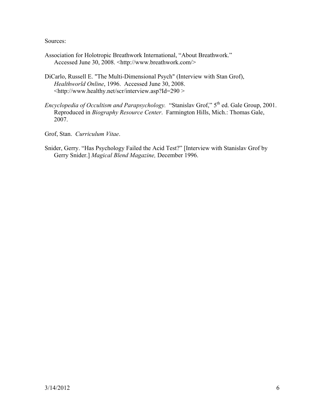Sources:

- Association for Holotropic Breathwork International, "About Breathwork." Accessed June 30, 2008. <http://www.breathwork.com/>
- DiCarlo, Russell E. "The Multi-Dimensional Psych" (Interview with Stan Grof), *Healthworld Online*, 1996. Accessed June 30, 2008. <http://www.healthy.net/scr/interview.asp?Id=290 >
- *Encyclopedia of Occultism and Parapsychology.* "Stanislav Grof," 5<sup>th</sup> ed. Gale Group, 2001. Reproduced in *Biography Resource Center*. Farmington Hills, Mich.: Thomas Gale, 2007.
- Grof, Stan. *Curriculum Vitae*.
- Snider, Gerry. "Has Psychology Failed the Acid Test?" [Interview with Stanislav Grof by Gerry Snider.] *Magical Blend Magazine,* December 1996.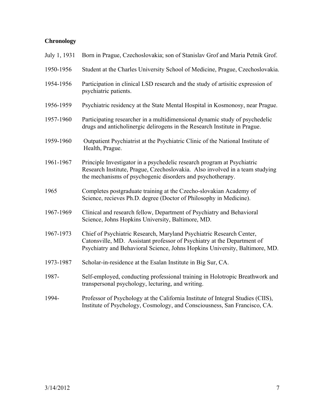## **Chronology**

| July 1, 1931 | Born in Prague, Czechoslovakia; son of Stanislav Grof and Maria Petnik Grof.                                                                                                                                                   |
|--------------|--------------------------------------------------------------------------------------------------------------------------------------------------------------------------------------------------------------------------------|
| 1950-1956    | Student at the Charles University School of Medicine, Prague, Czechoslovakia.                                                                                                                                                  |
| 1954-1956    | Participation in clinical LSD research and the study of artisitic expression of<br>psychiatric patients.                                                                                                                       |
| 1956-1959    | Psychiatric residency at the State Mental Hospital in Kosmonosy, near Prague.                                                                                                                                                  |
| 1957-1960    | Participating researcher in a multidimensional dynamic study of psychedelic<br>drugs and anticholinergic delirogens in the Research Institute in Prague.                                                                       |
| 1959-1960    | Outpatient Psychiatrist at the Psychiatric Clinic of the National Institute of<br>Health, Prague.                                                                                                                              |
| 1961-1967    | Principle Investigator in a psychedelic research program at Psychiatric<br>Research Institute, Prague, Czechoslovakia. Also involved in a team studying<br>the mechanisms of psychogenic disorders and psychotherapy.          |
| 1965         | Completes postgraduate training at the Czecho-slovakian Academy of<br>Science, recieves Ph.D. degree (Doctor of Philosophy in Medicine).                                                                                       |
| 1967-1969    | Clinical and research fellow, Department of Psychiatry and Behavioral<br>Science, Johns Hopkins University, Baltimore, MD.                                                                                                     |
| 1967-1973    | Chief of Psychiatric Research, Maryland Psychiatric Research Center,<br>Catonsville, MD. Assistant professor of Psychiatry at the Department of<br>Psychiatry and Behavioral Science, Johns Hopkins University, Baltimore, MD. |
| 1973-1987    | Scholar-in-residence at the Esalan Institute in Big Sur, CA.                                                                                                                                                                   |
| 1987-        | Self-employed, conducting professional training in Holotropic Breathwork and<br>transpersonal psychology, lecturing, and writing.                                                                                              |
| 1994-        | Professor of Psychology at the California Institute of Integral Studies (CIIS),<br>Institute of Psychology, Cosmology, and Consciousness, San Francisco, CA.                                                                   |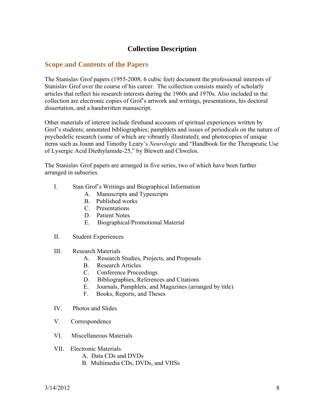## **Collection Description**

#### **Scope and Contents of the Papers**

The Stanislav Grof papers (1955-2008; 6 cubic feet) document the professional interests of Stanislav Grof over the course of his career. The collection consists mainly of scholarly articles that reflect his research interests during the 1960s and 1970s. Also included in the collection are electronic copies of Grof's artwork and writings, presentations, his doctoral dissertation, and a handwritten manuscript.

Other materials of interest include firsthand accounts of spiritual experiences written by Grof's students; annotated bibliographies; pamphlets and issues of periodicals on the nature of psychedelic research (some of which are vibrantly illustrated); and photocopies of unique items such as Joann and Timothy Leary's *Neurologic* and "Handbook for the Therapeutic Use of Lysergic Acid Diethylamide-25," by Blewett and Chwelos.

The Stanislav Grof papers are arranged in five series, two of which have been further arranged in subseries.

- I. Stan Grof's Writings and Biographical Information
	- A. Manuscripts and Typescripts
	- B. Published works
	- C. Presentations
	- D. Patient Notes
	- E. Biographical/Promotional Material
- II. Student Experiences
- III. Research Materials
	- A. Research Studies, Projects, and Proposals
	- B. Research Articles
	- C. Conference Proceedings
	- D. Bibliographies, References and Citations
	- E. Journals, Pamphlets, and Magazines (arranged by title)
	- F. Books, Reports, and Theses
- IV. Photos and Slides
- V. Correspondence
- VI. Miscellaneous Materials
- VII. Electronic Materials
	- A. Data CDs and DVDs
	- B. Multimedia CDs, DVDs, and VHSs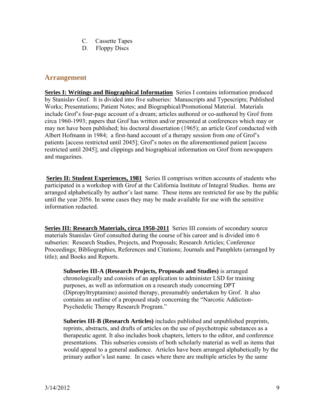- C. Cassette Tapes
- D. Floppy Discs

## **Arrangement**

**Series I: Writings and Biographical Information** Series I contains information produced by Stanislav Grof. It is divided into five subseries: Manuscripts and Typescripts; Published Works; Presentations; Patient Notes; and Biographical/Promotional Material. Materials include Grof's four-page account of a dream; articles authored or co-authored by Grof from circa 1960-1993; papers that Grof has written and/or presented at conferences which may or may not have been published; his doctoral dissertation (1965); an article Grof conducted with Albert Hofmann in 1984; a first-hand account of a therapy session from one of Grof's patients [access restricted until 2045]; Grof's notes on the aforementioned patient [access restricted until 2045]; and clippings and biographical information on Grof from newspapers and magazines.

**Series II: Student Experiences, 1981** Series II comprises written accounts of students who participated in a workshop with Grof at the California Institute of Integral Studies. Items are arranged alphabetically by author's last name. These items are restricted for use by the public until the year 2056. In some cases they may be made available for use with the sensitive information redacted.

**Series III: Research Materials, circa 1950-2011** Series III consists of secondary source materials Stanislav Grof consulted during the course of his career and is divided into 6 subseries: Research Studies, Projects, and Proposals; Research Articles; Conference Proceedings; Bibliographies, References and Citations; Journals and Pamphlets (arranged by title); and Books and Reports.

**Subseries III-A (Research Projects, Proposals and Studies)** is arranged chronologically and consists of an application to administer LSD for training purposes, as well as information on a research study concerning DPT (Dipropyltryptamine) assisted therapy, presumably undertaken by Grof. It also contains an outline of a proposed study concerning the "Narcotic Addiction-Psychedelic Therapy Research Program."

**Suberies III-B (Research Articles)** includes published and unpublished preprints, reprints, abstracts, and drafts of articles on the use of psychotropic substances as a therapeutic agent. It also includes book chapters, letters to the editor, and conference presentations. This subseries consists of both scholarly material as well as items that would appeal to a general audience. Articles have been arranged alphabetically by the primary author's last name. In cases where there are multiple articles by the same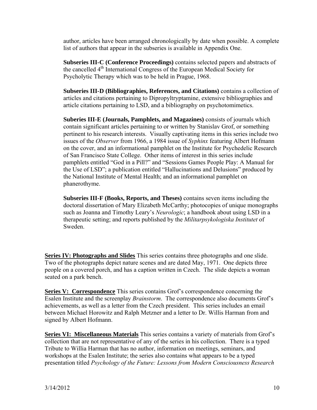author, articles have been arranged chronologically by date when possible. A complete list of authors that appear in the subseries is available in Appendix One.

**Subseries III-C (Conference Proceedings)** contains selected papers and abstracts of the cancelled 4th International Congress of the European Medical Society for Psycholytic Therapy which was to be held in Prague, 1968.

**Subseries III-D (Bibliographies, References, and Citations)** contains a collection of articles and citations pertaining to Dipropyltryptamine, extensive bibliographies and article citations pertaining to LSD, and a bibliography on psychotomimetics.

**Suberies III-E (Journals, Pamphlets, and Magazines)** consists of journals which contain significant articles pertaining to or written by Stanislav Grof, or something pertinent to his research interests. Visually captivating items in this series include two issues of the *Observer* from 1966, a 1984 issue of *Syphinx* featuring Albert Hofmann on the cover, and an informational pamphlet on the Institute for Psychedelic Research of San Francisco State College. Other items of interest in this series include pamphlets entitled "God in a Pill?" and "Sessions Games People Play: A Manual for the Use of LSD"; a publication entitled "Hallucinations and Delusions" produced by the National Institute of Mental Health; and an informational pamphlet on phanerothyme.

**Subseries III-F (Books, Reports, and Theses)** contains seven items including the doctoral dissertation of Mary Elizabeth McCarthy; photocopies of unique monographs such as Joanna and Timothy Leary's *Neurologic*; a handbook about using LSD in a therapeutic setting; and reports published by the *Militarpsykologiska Institutet* of Sweden.

**Series IV: Photographs and Slides** This series contains three photographs and one slide. Two of the photographs depict nature scenes and are dated May, 1971. One depicts three people on a covered porch, and has a caption written in Czech. The slide depicts a woman seated on a park bench.

**Series V: Correspondence** This series contains Grof's correspondence concerning the Esalen Institute and the screenplay *Brainstorm*. The correspondence also documents Grof's achievements, as well as a letter from the Czech president. This series includes an email between Michael Horowitz and Ralph Metzner and a letter to Dr. Willis Harman from and signed by Albert Hofmann.

**Series VI: Miscellaneous Materials** This series contains a variety of materials from Grof's collection that are not representative of any of the series in his collection. There is a typed Tribute to Willia Harman that has no author, information on meetings, seminars, and workshops at the Esalen Institute; the series also contains what appears to be a typed presentation titled *Psychology of the Future: Lessons from Modern Consciousness Research*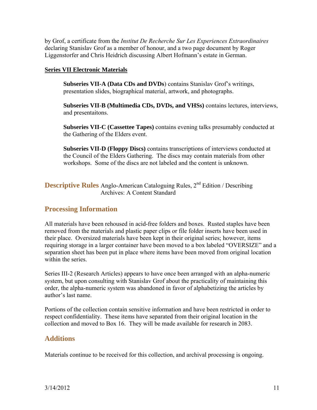by Grof, a certificate from the *Institut De Recherche Sur Les Experiences Extraordinaires* declaring Stanislav Grof as a member of honour, and a two page document by Roger Liggenstorfer and Chris Heidrich discussing Albert Hofmann's estate in German.

#### **Series VII Electronic Materials**

**Subseries VII-A (Data CDs and DVDs**) contains Stanislav Grof's writings, presentation slides, biographical material, artwork, and photographs.

**Subseries VII-B (Multimedia CDs, DVDs, and VHSs)** contains lectures, interviews, and presentaitons.

**Subseries VII-C (Cassettee Tapes)** contains evening talks presumably conducted at the Gathering of the Elders event.

**Subseries VII-D (Floppy Discs)** contains transcriptions of interviews conducted at the Council of the Elders Gathering. The discs may contain materials from other workshops. Some of the discs are not labeled and the content is unknown.

**Descriptive Rules** Anglo-American Cataloguing Rules, 2<sup>nd</sup> Edition / Describing Archives: A Content Standard

## **Processing Information**

All materials have been rehoused in acid-free folders and boxes. Rusted staples have been removed from the materials and plastic paper clips or file folder inserts have been used in their place. Oversized materials have been kept in their original series; however, items requiring storage in a larger container have been moved to a box labeled "OVERSIZE" and a separation sheet has been put in place where items have been moved from original location within the series.

Series III-2 (Research Articles) appears to have once been arranged with an alpha-numeric system, but upon consulting with Stanislav Grof about the practicality of maintaining this order, the alpha-numeric system was abandoned in favor of alphabetizing the articles by author's last name.

Portions of the collection contain sensitive information and have been restricted in order to respect confidentiality. These items have separated from their original location in the collection and moved to Box 16. They will be made available for research in 2083.

## **Additions**

Materials continue to be received for this collection, and archival processing is ongoing.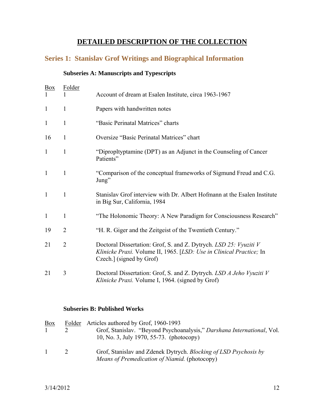## **DETAILED DESCRIPTION OF THE COLLECTION**

## **Series 1: Stanislav Grof Writings and Biographical Information**

## **Subseries A: Manuscripts and Typescripts**

| <b>Box</b><br>$\mathbf{1}$ | <b>Folder</b>  | Account of dream at Esalen Institute, circa 1963-1967                                                                                                                |
|----------------------------|----------------|----------------------------------------------------------------------------------------------------------------------------------------------------------------------|
| $\mathbf{1}$               | $\mathbf{1}$   | Papers with handwritten notes                                                                                                                                        |
| $\mathbf{1}$               | $\mathbf{1}$   | "Basic Perinatal Matrices" charts                                                                                                                                    |
| 16                         | $\mathbf{1}$   | Oversize "Basic Perinatal Matrices" chart                                                                                                                            |
| $\mathbf{1}$               | $\mathbf{1}$   | "Dipropltyptamine (DPT) as an Adjunct in the Counseling of Cancer<br>Patients"                                                                                       |
| $\mathbf{1}$               | $\mathbf{1}$   | "Comparison of the conceptual frameworks of Sigmund Freud and C.G.<br>Jung"                                                                                          |
| $\mathbf{1}$               | 1              | Stanislav Grof interview with Dr. Albert Hofmann at the Esalen Institute<br>in Big Sur, California, 1984                                                             |
| $\mathbf{1}$               | 1              | "The Holonomic Theory: A New Paradigm for Consciousness Research"                                                                                                    |
| 19                         | $\overline{2}$ | "H. R. Giger and the Zeitgeist of the Twentieth Century."                                                                                                            |
| 21                         | $\overline{2}$ | Doctoral Dissertation: Grof, S. and Z. Dytrych. LSD 25: Vyuziti V<br>Klinicke Praxi. Volume II, 1965. [LSD: Use in Clinical Practice; In<br>Czech.] (signed by Grof) |
| 21                         | 3              | Doctoral Dissertation: Grof, S. and Z. Dytrych. LSD A Jeho Vyuziti V<br>Klinicke Praxi. Volume I, 1964. (signed by Grof)                                             |

## **Subseries B: Published Works**

| <b>Box</b>   | Folder | Articles authored by Grof, 1960-1993                                                                               |
|--------------|--------|--------------------------------------------------------------------------------------------------------------------|
|              |        | Grof, Stanislav. "Beyond Psychoanalysis," Darshana International, Vol.<br>10, No. 3, July 1970, 55-73. (photocopy) |
| $\mathbf{1}$ | 2      | Grof, Stanislav and Zdenek Dytrych. Blocking of LSD Psychosis by<br>Means of Premedication of Niamid. (photocopy)  |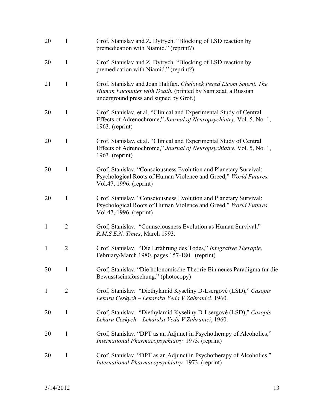| 20           | 1              | Grof, Stanislav and Z. Dytrych. "Blocking of LSD reaction by<br>premedication with Niamid." (reprint?)                                                                      |
|--------------|----------------|-----------------------------------------------------------------------------------------------------------------------------------------------------------------------------|
| 20           | 1              | Grof, Stanislav and Z. Dytrych. "Blocking of LSD reaction by<br>premedication with Niamid." (reprint?)                                                                      |
| 21           | $\mathbf{1}$   | Grof, Stanislav and Joan Halifax. Chelovek Pered Licom Smerti. The<br>Human Encounter with Death. (printed by Samizdat, a Russian<br>underground press and signed by Grof.) |
| 20           | $\mathbf{1}$   | Grof, Stanislav, et al. "Clinical and Experimental Study of Central<br>Effects of Adrenochrome," Journal of Neuropsychiatry. Vol. 5, No. 1,<br>1963. (reprint)              |
| 20           | $\mathbf{1}$   | Grof, Stanislav, et al. "Clinical and Experimental Study of Central<br>Effects of Adrenochrome," Journal of Neuropsychiatry. Vol. 5, No. 1,<br>$1963.$ (reprint)            |
| 20           | $\mathbf{1}$   | Grof, Stanislav. "Consciousness Evolution and Planetary Survival:<br>Psychological Roots of Human Violence and Greed," World Futures.<br>Vol.47, 1996. (reprint)            |
| 20           | $\mathbf{1}$   | Grof, Stanislav. "Consciousness Evolution and Planetary Survival:<br>Psychological Roots of Human Violence and Greed," World Futures.<br>Vol.47, 1996. (reprint)            |
| $\mathbf{1}$ | $\overline{2}$ | Grof, Stanislav. "Counsciousness Evolution as Human Survival,"<br>R.M.S.E.N. Times, March 1993.                                                                             |
| $\mathbf{1}$ | $\overline{2}$ | Grof, Stanislav. "Die Erfahrung des Todes," Integrative Therapie,<br>February/March 1980, pages 157-180. (reprint)                                                          |
| 20           | $\mathbf{1}$   | Grof, Stanislav. "Die holonomische Theorie Ein neues Paradigma fur die<br>Bewusstseinsforschung." (photocopy)                                                               |
| $\mathbf{1}$ | $\overline{2}$ | Grof, Stanislav. "Diethylamid Kyseliny D-Lsergové (LSD)," Casopis<br>Lekaru Ceskych – Lekarska Veda V Zahranici, 1960.                                                      |
| 20           | 1              | Grof, Stanislav. "Diethylamid Kyseliny D-Lsergové (LSD)," Casopis<br>Lekaru Ceskych – Lekarska Veda V Zahranici, 1960.                                                      |
| 20           | $\mathbf{1}$   | Grof, Stanislav. "DPT as an Adjunct in Psychotherapy of Alcoholics,"<br>International Pharmacopsychiatry. 1973. (reprint)                                                   |
| 20           | $\mathbf{1}$   | Grof, Stanislav. "DPT as an Adjunct in Psychotherapy of Alcoholics,"<br>International Pharmacopsychiatry. 1973. (reprint)                                                   |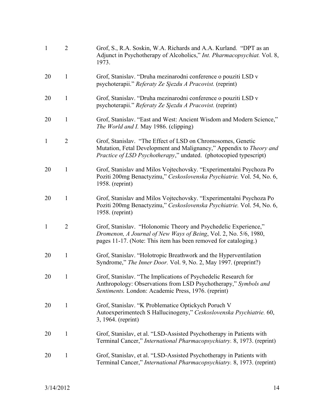| $\mathbf{1}$ | $\overline{2}$ | Grof, S., R.A. Soskin, W.A. Richards and A.A. Kurland. "DPT as an<br>Adjunct in Psychotherapy of Alcoholics," <i>Int. Pharmacopsychiat.</i> Vol. 8,<br>1973.                                                   |
|--------------|----------------|----------------------------------------------------------------------------------------------------------------------------------------------------------------------------------------------------------------|
| 20           | $\mathbf{1}$   | Grof, Stanislav. "Druha mezinarodni conference o pouziti LSD v<br>psychoterapii." Referaty Ze Sjezdu A Pracovist. (reprint)                                                                                    |
| 20           | $\mathbf{1}$   | Grof, Stanislav. "Druha mezinarodni conference o pouziti LSD v<br>psychoterapii." Referaty Ze Sjezdu A Pracovist. (reprint)                                                                                    |
| 20           | $\mathbf{1}$   | Grof, Stanislav. "East and West: Ancient Wisdom and Modern Science,"<br><i>The World and I. May 1986. (clipping)</i>                                                                                           |
| $\mathbf{1}$ | $\overline{2}$ | Grof, Stanislav. "The Effect of LSD on Chromosomes, Genetic<br>Mutation, Fetal Development and Malignancy," Appendix to Theory and<br><i>Practice of LSD Psychotherapy,"</i> undated. (photocopied typescript) |
| 20           | $\mathbf{1}$   | Grof, Stanislav and Milos Vojtechovsky. "Experimentalni Psychoza Po<br>Poziti 200mg Benactyzinu," Ceskoslovenska Psychiatrie. Vol. 54, No. 6,<br>1958. (reprint)                                               |
| 20           | $\mathbf{1}$   | Grof, Stanislav and Milos Vojtechovsky. "Experimentalni Psychoza Po<br>Poziti 200mg Benactyzinu," Ceskoslovenska Psychiatrie. Vol. 54, No. 6,<br>1958. (reprint)                                               |
| $\mathbf{1}$ | $\overline{2}$ | Grof, Stanislav. "Holonomic Theory and Psychedelic Experience,"<br>Dromenon, A Journal of New Ways of Being, Vol. 2, No. 5/6, 1980,<br>pages 11-17. (Note: This item has been removed for cataloging.)         |
| 20           | $\mathbf{1}$   | Grof, Stanislav. "Holotropic Breathwork and the Hyperventilation<br>Syndrome," The Inner Door. Vol. 9, No. 2, May 1997. (preprint?)                                                                            |
| 20           | 1              | Grof, Stanislav. "The Implications of Psychedelic Research for<br>Anthropology: Observations from LSD Psychotherapy," Symbols and<br>Sentiments. London: Academic Press, 1976. (reprint)                       |
| 20           | $\mathbf{1}$   | Grof, Stanislav. "K Problematice Optickych Poruch V<br>Autoexperimentech S Hallucinogeny," Ceskoslovenska Psychiatrie. 60,<br>3, 1964. (reprint)                                                               |
| 20           | $\mathbf{1}$   | Grof, Stanislav, et al. "LSD-Assisted Psychotherapy in Patients with<br>Terminal Cancer," International Pharmacopsychiatry. 8, 1973. (reprint)                                                                 |
| 20           | $\mathbf{1}$   | Grof, Stanislav, et al. "LSD-Assisted Psychotherapy in Patients with<br>Terminal Cancer," International Pharmacopsychiatry. 8, 1973. (reprint)                                                                 |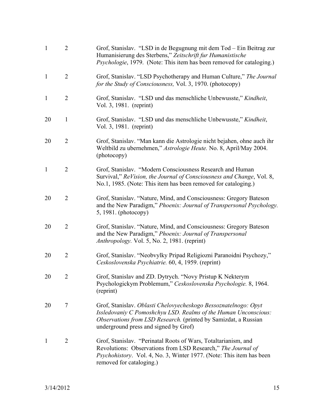| $\mathbf{1}$ | $\overline{2}$ | Grof, Stanislav. "LSD in de Begugnung mit dem Tod – Ein Beitrag zur<br>Humanisierung des Sterbens," Zeitschrift fur Humanistische<br><i>Psychologie</i> , 1979. (Note: This item has been removed for cataloging.)                             |
|--------------|----------------|------------------------------------------------------------------------------------------------------------------------------------------------------------------------------------------------------------------------------------------------|
| $\mathbf{1}$ | $\overline{2}$ | Grof, Stanislav. "LSD Psychotherapy and Human Culture," The Journal<br>for the Study of Consciousness, Vol. 3, 1970. (photocopy)                                                                                                               |
| $\mathbf{1}$ | $\overline{2}$ | Grof, Stanislav. "LSD und das menschliche Unbewusste," Kindheit,<br>Vol. 3, 1981. (reprint)                                                                                                                                                    |
| 20           | 1              | Grof, Stanislav. "LSD und das menschliche Unbewusste," Kindheit,<br>Vol. 3, 1981. (reprint)                                                                                                                                                    |
| 20           | $\overline{2}$ | Grof, Stanislav. "Man kann die Astrologie nicht bejahen, ohne auch ihr<br>Weltbild zu ubernehmen," Astrologie Heute. No. 8, April/May 2004.<br>(photocopy)                                                                                     |
| $\mathbf{1}$ | $\overline{2}$ | Grof, Stanislav. "Modern Consciousness Research and Human<br>Survival," ReVision, the Journal of Consciousness and Change, Vol. 8,<br>No.1, 1985. (Note: This item has been removed for cataloging.)                                           |
| 20           | $\overline{2}$ | Grof, Stanislav. "Nature, Mind, and Consciousness: Gregory Bateson<br>and the New Paradigm," Phoenix: Journal of Transpersonal Psychology.<br>$5, 1981.$ (photocopy)                                                                           |
| 20           | $\overline{2}$ | Grof, Stanislav. "Nature, Mind, and Consciousness: Gregory Bateson<br>and the New Paradigm," Phoenix: Journal of Transpersonal<br><i>Anthropology.</i> Vol. 5, No. 2, 1981. (reprint)                                                          |
| 20           | $\overline{2}$ | Grof, Stanislav. "Neobvylky Pripad Religiozni Paranoidni Psychozy,"<br>Ceskoslovenska Psychiatrie. 60, 4, 1959. (reprint)                                                                                                                      |
| 20           | 2              | Grof, Stanislav and ZD. Dytrych. "Novy Pristup K Nekterym<br>Psychologickym Problemum," Ceskoslovenska Psychologie. 8, 1964.<br>(reprint)                                                                                                      |
| 20           | 7              | Grof, Stanislav. Oblasti Chelovyecheskogo Bessoznatelnogo: Opyt<br>Issledovaniy C Pomoshchyu LSD. Realms of the Human Unconscious:<br>Observations from LSD Research. (printed by Samizdat, a Russian<br>underground press and signed by Grof) |
| $\mathbf{1}$ | 2              | Grof, Stanislav. "Perinatal Roots of Wars, Totaltarianism, and<br>Revolutions: Observations from LSD Research," The Journal of<br>Psychohistory. Vol. 4, No. 3, Winter 1977. (Note: This item has been<br>removed for cataloging.)             |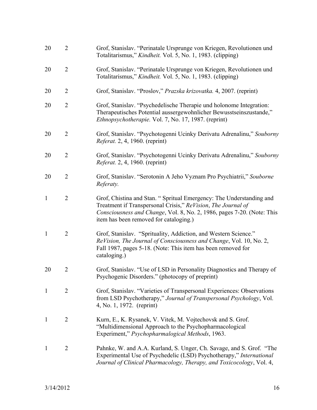| 20           | $\overline{2}$ | Grof, Stanislav. "Perinatale Ursprunge von Kriegen, Revolutionen und<br>Totalitarismus," Kindheit. Vol. 5, No. 1, 1983. (clipping)                                                                                                                      |
|--------------|----------------|---------------------------------------------------------------------------------------------------------------------------------------------------------------------------------------------------------------------------------------------------------|
| 20           | $\overline{2}$ | Grof, Stanislav. "Perinatale Ursprunge von Kriegen, Revolutionen und<br>Totalitarismus," <i>Kindheit.</i> Vol. 5, No. 1, 1983. (clipping)                                                                                                               |
| 20           | $\overline{2}$ | Grof, Stanislav. "Proslov," Prazska krizovatka. 4, 2007. (reprint)                                                                                                                                                                                      |
| 20           | $\overline{2}$ | Grof, Stanislav. "Psychedelische Therapie und holonome Integration:<br>Therapeutisches Potential aussergewohnlicher Bewusstseinszustande,"<br>Ethnopsychotherapie. Vol. 7, No. 17, 1987. (reprint)                                                      |
| 20           | $\overline{2}$ | Grof, Stanislav. "Psychotogenni Ucinky Derivatu Adrenalinu," Souborny<br>Referat. 2, 4, 1960. (reprint)                                                                                                                                                 |
| 20           | $\overline{2}$ | Grof, Stanislav. "Psychotogenni Ucinky Derivatu Adrenalinu," Souborny<br><i>Referat.</i> 2, 4, 1960. (reprint)                                                                                                                                          |
| 20           | $\overline{2}$ | Grof, Stanislav. "Serotonin A Jeho Vyznam Pro Psychiatrii," Souborne<br>Referaty.                                                                                                                                                                       |
| $\mathbf{1}$ | $\overline{2}$ | Grof, Chistina and Stan. "Spritual Emergency: The Understanding and<br>Treatment if Transpersonal Crisis," ReVision, The Journal of<br>Consciousness and Change, Vol. 8, No. 2, 1986, pages 7-20. (Note: This<br>item has been removed for cataloging.) |
| $\mathbf{1}$ | $\overline{2}$ | Grof, Stanislav. "Sprituality, Addiction, and Western Science."<br>ReVision, The Journal of Consciousness and Change, Vol. 10, No. 2,<br>Fall 1987, pages 5-18. (Note: This item has been removed for<br>cataloging.)                                   |
| 20           | $\overline{2}$ | Grof, Stanislav. "Use of LSD in Personality Diagnostics and Therapy of<br>Psychogenic Disorders." (photocopy of preprint)                                                                                                                               |
| $\mathbf{1}$ | $\overline{2}$ | Grof, Stanislav. "Varieties of Transpersonal Experiences: Observations<br>from LSD Psychotherapy," Journal of Transpersonal Psychology, Vol.<br>4, No. 1, 1972. (reprint)                                                                               |
| $\mathbf{1}$ | $\overline{2}$ | Kurn, E., K. Rysanek, V. Vitek, M. Vojtechovsk and S. Grof.<br>"Multidimensional Approach to the Psychopharmacological<br>Experiment," Psychopharmalogical Methods, 1963.                                                                               |
| 1            | $\overline{2}$ | Pahnke, W. and A.A. Kurland, S. Unger, Ch. Savage, and S. Grof. "The<br>Experimental Use of Psychedelic (LSD) Psychotherapy," International<br>Journal of Clinical Pharmacology, Therapy, and Toxicocology, Vol. 4,                                     |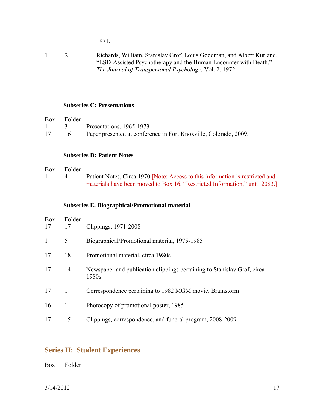1971.

1 2 Richards, William, Stanislav Grof, Louis Goodman, and Albert Kurland. "LSD-Assisted Psychotherapy and the Human Encounter with Death," *The Journal of Transpersonal Psychology*, Vol. 2, 1972.

#### **Subseries C: Presentations**

| $\frac{Box}{}$ | Folder   |                                                                  |
|----------------|----------|------------------------------------------------------------------|
| $\mathbf{1}$   | $\sim$ 3 | Presentations, 1965-1973                                         |
| 17             | 16       | Paper presented at conference in Fort Knoxville, Colorado, 2009. |

#### **Subseries D: Patient Notes**

#### Box Folder

1 4 Patient Notes, Circa 1970 [Note: Access to this information is restricted and materials have been moved to Box 16, "Restricted Information," until 2083.]

#### **Subseries E, Biographical/Promotional material**

| Box<br>17 | Folder<br>17 | Clippings, 1971-2008                                                             |
|-----------|--------------|----------------------------------------------------------------------------------|
| 1         | 5            | Biographical/Promotional material, 1975-1985                                     |
| 17        | 18           | Promotional material, circa 1980s                                                |
| 17        | 14           | Newspaper and publication clippings pertaining to Stanislay Grof, circa<br>1980s |
| 17        | $\mathbf{1}$ | Correspondence pertaining to 1982 MGM movie, Brainstorm                          |
| 16        | 1            | Photocopy of promotional poster, 1985                                            |
| 17        | 15           | Clippings, correspondence, and funeral program, 2008-2009                        |

## **Series II: Student Experiences**

#### Box Folder

3/14/2012 17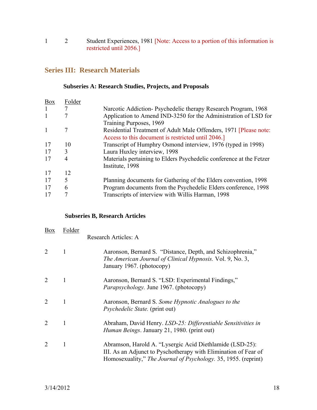1 2 Student Experiences, 1981 [Note: Access to a portion of this information is restricted until 2056.]

## **Series III: Research Materials**

#### **Subseries A: Research Studies, Projects, and Proposals**

| Box | Folder |                                                                     |
|-----|--------|---------------------------------------------------------------------|
|     |        | Narcotic Addiction-Psychedelic therapy Research Program, 1968       |
| 1   |        | Application to Amend IND-3250 for the Administration of LSD for     |
|     |        | Training Purposes, 1969                                             |
|     |        | Residential Treatment of Adult Male Offenders, 1971 [Please note:   |
|     |        | Access to this document is restricted until 2046.]                  |
| 17  | 10     | Transcript of Humphry Osmond interview, 1976 (typed in 1998)        |
| 17  | 3      | Laura Huxley interview, 1998                                        |
| 17  | 4      | Materials pertaining to Elders Psychedelic conference at the Fetzer |
|     |        | Institute, 1998                                                     |
| 17  | 12     |                                                                     |
| 17  | 5      | Planning documents for Gathering of the Elders convention, 1998     |
| 17  | 6      | Program documents from the Psychedelic Elders conference, 1998      |
| 17  |        | Transcripts of interview with Willis Harman, 1998                   |
|     |        |                                                                     |

#### **Subseries B, Research Articles**

| <b>Box</b>     | Folder | Research Articles: A                                                                                                                                                                          |
|----------------|--------|-----------------------------------------------------------------------------------------------------------------------------------------------------------------------------------------------|
| $\mathcal{L}$  |        | Aaronson, Bernard S. "Distance, Depth, and Schizophrenia,"<br>The American Journal of Clinical Hypnosis. Vol. 9, No. 3,<br>January 1967. (photocopy)                                          |
| 2              |        | Aaronson, Bernard S. "LSD: Experimental Findings,"<br><i>Parapsychology.</i> June 1967. (photocopy)                                                                                           |
| $\overline{2}$ |        | Aaronson, Bernard S. Some Hypnotic Analogues to the<br><i>Psychedelic State.</i> (print out)                                                                                                  |
| $\overline{2}$ |        | Abraham, David Henry. LSD-25: Differentiable Sensitivities in<br><i>Human Beings. January 21, 1980. (print out)</i>                                                                           |
| $\overline{2}$ |        | Abramson, Harold A. "Lysergic Acid Diethlamide (LSD-25):<br>III. As an Adjunct to Pyschotherapy with Elimination of Fear of<br>Homosexuality," The Journal of Psychology. 35, 1955. (reprint) |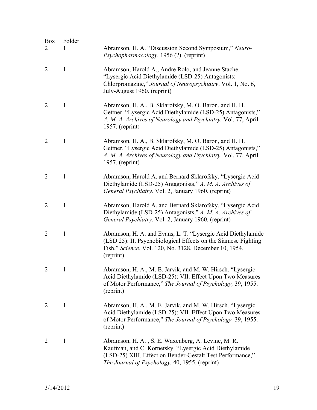| <u>Box</u>     | Folder       |                                                                                                                                                                                                                              |
|----------------|--------------|------------------------------------------------------------------------------------------------------------------------------------------------------------------------------------------------------------------------------|
|                |              | Abramson, H. A. "Discussion Second Symposium," Neuro-<br>Psychopharmacology. 1956 (?). (reprint)                                                                                                                             |
| $\overline{2}$ | $\mathbf{1}$ | Abramson, Harold A., Andre Rolo, and Jeanne Stache.<br>"Lysergic Acid Diethylamide (LSD-25) Antagonists:<br>Chlorpromazine," Journal of Neuropsychiatry. Vol. 1, No. 6,<br>July-August 1960. (reprint)                       |
| $\overline{2}$ | $\mathbf{1}$ | Abramson, H. A., B. Sklarofsky, M. O. Baron, and H. H.<br>Gettner. "Lysergic Acid Diethylamide (LSD-25) Antagonists,"<br>A. M. A. Archives of Neurology and Psychiatry. Vol. 77, April<br>1957. (reprint)                    |
| $\overline{2}$ | $\mathbf{1}$ | Abramson, H. A., B. Sklarofsky, M. O. Baron, and H. H.<br>Gettner. "Lysergic Acid Diethylamide (LSD-25) Antagonists,"<br>A. M. A. Archives of Neurology and Psychiatry. Vol. 77, April<br>1957. (reprint)                    |
| $\overline{2}$ | $\mathbf{1}$ | Abramson, Harold A. and Bernard Sklarofsky. "Lysergic Acid<br>Diethylamide (LSD-25) Antagonists," A. M. A. Archives of<br>General Psychiatry. Vol. 2, January 1960. (reprint)                                                |
| $\overline{2}$ | $\mathbf{1}$ | Abramson, Harold A. and Bernard Sklarofsky. "Lysergic Acid<br>Diethylamide (LSD-25) Antagonists," A. M. A. Archives of<br>General Psychiatry. Vol. 2, January 1960. (reprint)                                                |
| $\overline{2}$ | $\mathbf{1}$ | Abramson, H. A. and Evans, L. T. "Lysergic Acid Diethylamide<br>(LSD 25): II. Psychobiological Effects on the Siamese Fighting<br>Fish," Science. Vol. 120, No. 3128, December 10, 1954.<br>(reprint)                        |
|                |              | Abramson, H. A., M. E. Jarvik, and M. W. Hirsch. "Lysergic<br>Acid Diethylamide (LSD-25): VII. Effect Upon Two Measures<br>of Motor Performance," The Journal of Psychology, 39, 1955.<br>(reprint)                          |
| $\overline{2}$ | $\mathbf{1}$ | Abramson, H. A., M. E. Jarvik, and M. W. Hirsch. "Lysergic<br>Acid Diethylamide (LSD-25): VII. Effect Upon Two Measures<br>of Motor Performance," The Journal of Psychology, 39, 1955.<br>(reprint)                          |
| $\overline{2}$ | $\mathbf{1}$ | Abramson, H. A., S. E. Waxenberg, A. Levine, M. R.<br>Kaufman, and C. Kornetsky. "Lysergic Acid Diethylamide<br>(LSD-25) XIII. Effect on Bender-Gestalt Test Performance,"<br>The Journal of Psychology. 40, 1955. (reprint) |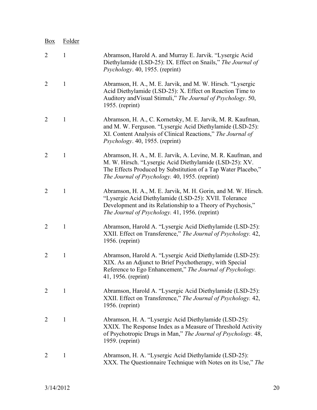| <b>Box</b>     | Folder       |                                                                                                                                                                                                                                            |
|----------------|--------------|--------------------------------------------------------------------------------------------------------------------------------------------------------------------------------------------------------------------------------------------|
| 2              | $\mathbf{1}$ | Abramson, Harold A. and Murray E. Jarvik. "Lysergic Acid<br>Diethylamide (LSD-25): IX. Effect on Snails," The Journal of<br><i>Psychology.</i> 40, 1955. (reprint)                                                                         |
| $\overline{2}$ | $\mathbf{1}$ | Abramson, H. A., M. E. Jarvik, and M. W. Hirsch. "Lysergic<br>Acid Diethylamide (LSD-25): X. Effect on Reaction Time to<br>Auditory and Visual Stimuli," The Journal of Psychology. 50,<br>1955. (reprint)                                 |
| $\overline{2}$ | $\mathbf{1}$ | Abramson, H. A., C. Kornetsky, M. E. Jarvik, M. R. Kaufman,<br>and M. W. Ferguson. "Lysergic Acid Diethylamide (LSD-25):<br>XI. Content Analysis of Clinical Reactions," The Journal of<br><i>Psychology.</i> 40, 1955. (reprint)          |
| $\overline{2}$ | $\mathbf{1}$ | Abramson, H. A., M. E. Jarvik, A. Levine, M. R. Kaufman, and<br>M. W. Hirsch. "Lysergic Acid Diethylamide (LSD-25): XV.<br>The Effects Produced by Substitution of a Tap Water Placebo,"<br>The Journal of Psychology. 40, 1955. (reprint) |
| $\overline{2}$ | $\mathbf{1}$ | Abramson, H. A., M. E. Jarvik, M. H. Gorin, and M. W. Hirsch.<br>"Lysergic Acid Diethylamide (LSD-25): XVII. Tolerance<br>Development and its Relationship to a Theory of Psychosis,"<br>The Journal of Psychology. 41, 1956. (reprint)    |
| $\overline{2}$ | $\mathbf{1}$ | Abramson, Harold A. "Lysergic Acid Diethylamide (LSD-25):<br>XXII. Effect on Transference," The Journal of Psychology. 42,<br>$1956.$ (reprint)                                                                                            |
| $\overline{2}$ | $\mathbf{1}$ | Abramson, Harold A. "Lysergic Acid Diethylamide (LSD-25):<br>XIX. As an Adjunct to Brief Psychotherapy, with Special<br>Reference to Ego Enhancement," The Journal of Psychology.<br>41, 1956. (reprint)                                   |
| $\overline{2}$ | 1            | Abramson, Harold A. "Lysergic Acid Diethylamide (LSD-25):<br>XXII. Effect on Transference," The Journal of Psychology. 42,<br>1956. (reprint)                                                                                              |
| 2              | $\mathbf{1}$ | Abramson, H. A. "Lysergic Acid Diethylamide (LSD-25):<br>XXIX. The Response Index as a Measure of Threshold Activity<br>of Psychotropic Drugs in Man," The Journal of Psychology. 48,<br>$1959.$ (reprint)                                 |
| $\overline{2}$ | $\mathbf{1}$ | Abramson, H. A. "Lysergic Acid Diethylamide (LSD-25):<br>XXX. The Questionnaire Technique with Notes on its Use," The                                                                                                                      |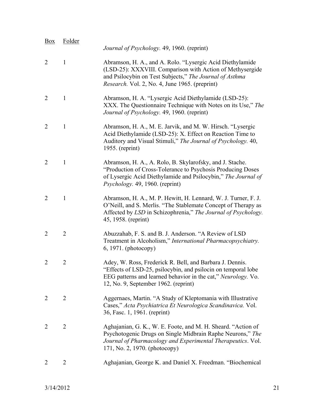| <b>Box</b>     | Folder         | Journal of Psychology. 49, 1960. (reprint)                                                                                                                                                                                                 |
|----------------|----------------|--------------------------------------------------------------------------------------------------------------------------------------------------------------------------------------------------------------------------------------------|
| $\overline{2}$ | $\mathbf{1}$   | Abramson, H. A., and A. Rolo. "Lysergic Acid Diethylamide<br>(LSD-25): XXXVIII. Comparison with Action of Methysergide<br>and Psilocybin on Test Subjects," The Journal of Asthma<br><i>Research.</i> Vol. 2, No. 4, June 1965. (preprint) |
| $\overline{2}$ | $\mathbf{1}$   | Abramson, H. A. "Lysergic Acid Diethylamide (LSD-25):<br>XXX. The Questionnaire Technique with Notes on its Use," The<br>Journal of Psychology. 49, 1960. (reprint)                                                                        |
| $\overline{2}$ | $\mathbf{1}$   | Abramson, H. A., M. E. Jarvik, and M. W. Hirsch. "Lysergic<br>Acid Diethylamide (LSD-25): X. Effect on Reaction Time to<br>Auditory and Visual Stimuli," The Journal of Psychology. 40,<br>1955. (reprint)                                 |
| $\overline{2}$ | $\mathbf{1}$   | Abramson, H. A., A. Rolo, B. Skylarofsky, and J. Stache.<br>"Production of Cross-Tolerance to Psychosis Producing Doses"<br>of Lysergic Acid Diethylamide and Psilocybin," The Journal of<br>Psychology. 49, 1960. (reprint)               |
| $\overline{2}$ | $\mathbf{1}$   | Abramson, H. A., M. P. Hewitt, H. Lennard, W. J. Turner, F. J.<br>O'Neill, and S. Merlis. "The Stablemate Concept of Therapy as<br>Affected by LSD in Schizophrenia," The Journal of Psychology.<br>45, 1958. (reprint)                    |
| 2              | $\overline{2}$ | Abuzzahab, F. S. and B. J. Anderson. "A Review of LSD<br>Treatment in Alcoholism," International Pharmacopsychiatry.<br>$6, 1971.$ (photocopy)                                                                                             |
| $\overline{2}$ | $\overline{2}$ | Adey, W. Ross, Frederick R. Bell, and Barbara J. Dennis.<br>"Effects of LSD-25, psilocybin, and psilocin on temporal lobe<br>EEG patterns and learned behavior in the cat," Neurology. Vo.<br>12, No. 9, September 1962. (reprint)         |
| $\overline{2}$ | $\overline{2}$ | Aggernaes, Martin. "A Study of Kleptomania with Illustrative<br>Cases," Acta Psychiatrica Et Neurologica Scandinavica. Vol.<br>36, Fasc. 1, 1961. (reprint)                                                                                |
| $\overline{2}$ | $\overline{2}$ | Aghajanian, G. K., W. E. Foote, and M. H. Sheard. "Action of<br>Psychotogenic Drugs on Single Midbrain Raphe Neurons," The<br>Journal of Pharmacology and Experimental Therapeutics. Vol.<br>171, No. 2, 1970. (photocopy)                 |
| 2              | 2              | Aghajanian, George K. and Daniel X. Freedman. "Biochemical                                                                                                                                                                                 |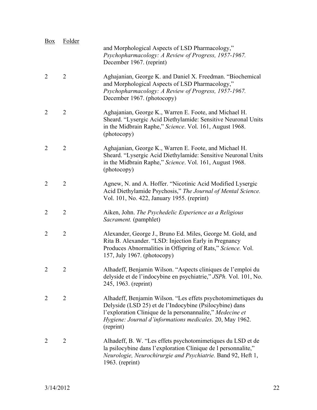| Box            | Folder         | and Morphological Aspects of LSD Pharmacology,"<br>Psychopharmacology: A Review of Progress, 1957-1967.<br>December 1967. (reprint)                                                                                                                           |
|----------------|----------------|---------------------------------------------------------------------------------------------------------------------------------------------------------------------------------------------------------------------------------------------------------------|
| $\overline{2}$ | $\overline{2}$ | Aghajanian, George K. and Daniel X. Freedman. "Biochemical<br>and Morphological Aspects of LSD Pharmacology,"<br>Psychopharmacology: A Review of Progress, 1957-1967.<br>December 1967. (photocopy)                                                           |
| $\overline{2}$ | $\overline{2}$ | Aghajanian, George K., Warren E. Foote, and Michael H.<br>Sheard. "Lysergic Acid Diethylamide: Sensitive Neuronal Units<br>in the Midbrain Raphe," Science. Vol. 161, August 1968.<br>(photocopy)                                                             |
| $\overline{2}$ | $\overline{2}$ | Aghajanian, George K., Warren E. Foote, and Michael H.<br>Sheard. "Lysergic Acid Diethylamide: Sensitive Neuronal Units<br>in the Midbrain Raphe," Science. Vol. 161, August 1968.<br>(photocopy)                                                             |
| $\overline{2}$ | $\overline{2}$ | Agnew, N. and A. Hoffer. "Nicotinic Acid Modified Lysergic<br>Acid Diethylamide Psychosis," The Journal of Mental Science.<br>Vol. 101, No. 422, January 1955. (reprint)                                                                                      |
| $\overline{2}$ | $\overline{2}$ | Aiken, John. The Psychedelic Experience as a Religious<br><i>Sacrament.</i> (pamphlet)                                                                                                                                                                        |
| $\overline{2}$ | $\overline{2}$ | Alexander, George J., Bruno Ed. Miles, George M. Gold, and<br>Rita B. Alexander. "LSD: Injection Early in Pregnancy<br>Produces Abnormalities in Offspring of Rats," Science. Vol.<br>157, July 1967. (photocopy)                                             |
| 2              | 2              | Alhadeff, Benjamin Wilson. "Aspects cliniques de l'emploi du<br>delyside et de l'indocybine en psychiatrie," JSPh. Vol. 101, No.<br>245, 1963. (reprint)                                                                                                      |
| $\overline{2}$ | $\overline{2}$ | Alhadeff, Benjamin Wilson. "Les effets psychotomimetiques du<br>Delyside (LSD 25) et de l'Indocybine (Psilocybine) dans<br>l'exploration Clinique de la personannalite," Medecine et<br>Hygiene: Journal d'informations medicales. 20, May 1962.<br>(reprint) |
| $\overline{2}$ | 2              | Alhadeff, B. W. "Les effets psychotomimetiques du LSD et de<br>la psilocybine dans l'exploration Clinique de l'ersonnalite,"<br>Neurologie, Neurochirurgie and Psychiatrie. Band 92, Heft 1,<br>$1963.$ (reprint)                                             |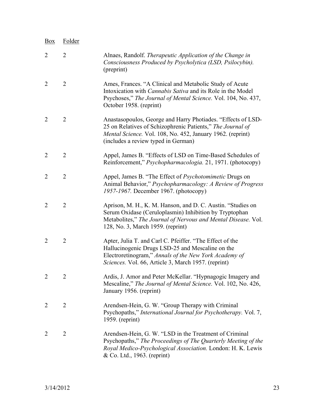| Box            | Folder         |                                                                                                                                                                                                                                 |
|----------------|----------------|---------------------------------------------------------------------------------------------------------------------------------------------------------------------------------------------------------------------------------|
| $\overline{2}$ | $\overline{2}$ | Alnaes, Randolf. Therapeutic Application of the Change in<br>Consciousness Produced by Psycholytica (LSD, Psilocybin).<br>(preprint)                                                                                            |
| $\overline{2}$ | $\overline{2}$ | Ames, Frances. "A Clinical and Metabolic Study of Acute<br>Intoxication with <i>Cannabis Sativa</i> and its Role in the Model<br>Psychoses," The Journal of Mental Science. Vol. 104, No. 437,<br>October 1958. (reprint)       |
| $\overline{2}$ | $\overline{2}$ | Anastasopoulos, George and Harry Photiades. "Effects of LSD-<br>25 on Relatives of Schizophrenic Patients," The Journal of<br>Mental Science. Vol. 108, No. 452, January 1962. (reprint)<br>(includes a review typed in German) |
| $\overline{2}$ | $\overline{2}$ | Appel, James B. "Effects of LSD on Time-Based Schedules of<br>Reinforcement," <i>Psychopharmacologia</i> . 21, 1971. (photocopy)                                                                                                |
| $\overline{2}$ | $\overline{2}$ | Appel, James B. "The Effect of Psychotomimetic Drugs on<br>Animal Behavior," Psychopharmacology: A Review of Progress<br>1957-1967. December 1967. (photocopy)                                                                  |
| $\overline{2}$ | $\overline{2}$ | Aprison, M. H., K. M. Hanson, and D. C. Austin. "Studies on<br>Serum Oxidase (Ceruloplasmin) Inhibition by Tryptophan<br>Metabolites," The Journal of Nervous and Mental Disease. Vol.<br>128, No. 3, March 1959. (reprint)     |
| $\overline{2}$ | 2              | Apter, Julia T. and Carl C. Pfeiffer. "The Effect of the<br>Hallucinogenic Drugs LSD-25 and Mescaline on the<br>Electroretinogram," Annals of the New York Academy of<br>Sciences. Vol. 66, Article 3, March 1957. (reprint)    |
| $\overline{2}$ | 2              | Ardis, J. Amor and Peter McKellar. "Hypnagogic Imagery and<br>Mescaline," The Journal of Mental Science. Vol. 102, No. 426,<br>January 1956. (reprint)                                                                          |
| 2              | $\overline{2}$ | Arendsen-Hein, G. W. "Group Therapy with Criminal<br>Psychopaths," International Journal for Psychotherapy. Vol. 7,<br>$1959.$ (reprint)                                                                                        |
| $\overline{2}$ | 2              | Arendsen-Hein, G. W. "LSD in the Treatment of Criminal<br>Psychopaths," The Proceedings of The Quarterly Meeting of the<br>Royal Medico-Psychological Association. London: H. K. Lewis<br>& Co. Ltd., 1963. (reprint)           |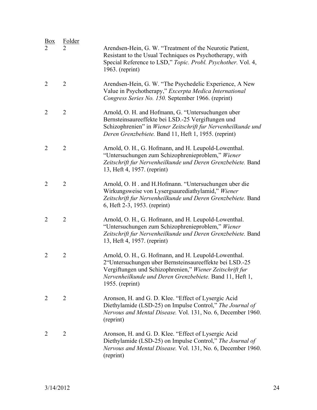| Box            | Folder         | Arendsen-Hein, G. W. "Treatment of the Neurotic Patient,<br>Resistant to the Usual Techniques os Psychotherapy, with<br>Special Reference to LSD," Topic. Probl. Psychother. Vol. 4,<br>$1963.$ (reprint)                                                    |
|----------------|----------------|--------------------------------------------------------------------------------------------------------------------------------------------------------------------------------------------------------------------------------------------------------------|
| $\overline{2}$ | $\overline{2}$ | Arendsen-Hein, G. W. "The Psychedelic Experience, A New<br>Value in Psychotherapy," Excerpta Medica International<br>Congress Series No. 150. September 1966. (reprint)                                                                                      |
| $\overline{2}$ | $\overline{2}$ | Arnold, O. H. and Hofmann, G. "Untersuchungen uber<br>Bernsteinsaureeffekte bei LSD.-25 Vergiftungen und<br>Schizophrenien" in Wiener Zeitschrift fur Nervenheilkunde und<br>Deren Grenzbebiete. Band 11, Heft 1, 1955. (reprint)                            |
| $\overline{2}$ | $\overline{2}$ | Arnold, O. H., G. Hofmann, and H. Leupold-Lowenthal.<br>"Untersuchungen zum Schizophrenieproblem," Wiener<br>Zeitschrift fur Nervenheilkunde und Deren Grenzbebiete. Band<br>13, Heft 4, 1957. (reprint)                                                     |
| $\overline{2}$ | $\overline{2}$ | Arnold, O. H. and H.Hofmann. "Untersuchungen uber die<br>Wirkungsweise von Lysergsaurediathylamid," Wiener<br>Zeitschrift fur Nervenheilkunde und Deren Grenzbebiete. Band<br>6, Heft 2-3, 1953. (reprint)                                                   |
| $\overline{2}$ | $\overline{2}$ | Arnold, O. H., G. Hofmann, and H. Leupold-Lowenthal.<br>"Untersuchungen zum Schizophrenieproblem," Wiener<br>Zeitschrift fur Nervenheilkunde und Deren Grenzbebiete. Band<br>13, Heft 4, 1957. (reprint)                                                     |
| $\overline{2}$ | $\overline{2}$ | Arnold, O. H., G. Hofmann, and H. Leupold-Lowenthal.<br>2"Untersuchungen uber Bernsteinsaureeffekte bei LSD.-25<br>Vergiftungen und Schizophrenien," Wiener Zeitschrift fur<br>Nervenheilkunde und Deren Grenzbebiete. Band 11, Heft 1,<br>$1955.$ (reprint) |
| 2              | 2              | Aronson, H. and G. D. Klee. "Effect of Lysergic Acid<br>Diethylamide (LSD-25) on Impulse Control," The Journal of<br>Nervous and Mental Disease. Vol. 131, No. 6, December 1960.<br>(reprint)                                                                |
| 2              | $\overline{2}$ | Aronson, H. and G. D. Klee. "Effect of Lysergic Acid<br>Diethylamide (LSD-25) on Impulse Control," The Journal of<br>Nervous and Mental Disease. Vol. 131, No. 6, December 1960.<br>(reprint)                                                                |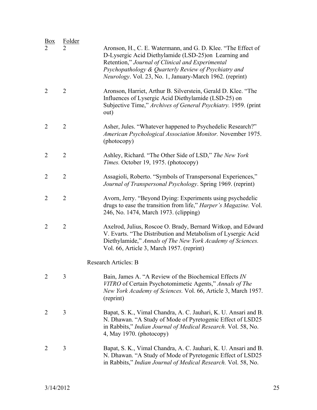| <u>Box</u>     | Folder         | Aronson, H., C. E. Watermann, and G. D. Klee. "The Effect of                                                                                                                                                                            |
|----------------|----------------|-----------------------------------------------------------------------------------------------------------------------------------------------------------------------------------------------------------------------------------------|
|                |                | D-Lysergic Acid Diethylamide (LSD-25)on Learning and<br>Retention," Journal of Clinical and Experimental<br>Psychopathology & Quarterly Review of Psychiatry and<br>Neurology. Vol. 23, No. 1, January-March 1962. (reprint)            |
| $\overline{2}$ | $\overline{2}$ | Aronson, Harriet, Arthur B. Silverstein, Gerald D. Klee. "The<br>Influences of Lysergic Acid Diethylamide (LSD-25) on<br>Subjective Time," Archives of General Psychiatry. 1959. (print<br>out)                                         |
| $\overline{2}$ | $\overline{2}$ | Asher, Jules. "Whatever happened to Psychedelic Research?"<br>American Psychological Association Monitor. November 1975.<br>(photocopy)                                                                                                 |
| $\overline{2}$ | $\overline{2}$ | Ashley, Richard. "The Other Side of LSD," The New York<br>Times. October 19, 1975. (photocopy)                                                                                                                                          |
| $\overline{2}$ | $\overline{2}$ | Assagioli, Roberto. "Symbols of Transpersonal Experiences,"<br>Journal of Transpersonal Psychology. Spring 1969. (reprint)                                                                                                              |
| $\overline{2}$ | $\overline{2}$ | Avorn, Jerry. "Beyond Dying: Experiments using psychedelic<br>drugs to ease the transition from life," Harper's Magazine. Vol.<br>246, No. 1474, March 1973. (clipping)                                                                 |
| $\overline{2}$ | $\overline{2}$ | Axelrod, Julius, Roscoe O. Brady, Bernard Witkop, and Edward<br>V. Evarts. "The Distribution and Metabolism of Lysergic Acid<br>Diethylamide," Annals of The New York Academy of Sciences.<br>Vol. 66, Article 3, March 1957. (reprint) |
|                |                | <b>Research Articles: B</b>                                                                                                                                                                                                             |
| $\overline{2}$ | 3              | Bain, James A. "A Review of the Biochemical Effects IN<br>VITRO of Certain Psychotomimetic Agents," Annals of The<br>New York Academy of Sciences. Vol. 66, Article 3, March 1957.<br>(reprint)                                         |
| 2              | 3              | Bapat, S. K., Vimal Chandra, A. C. Jauhari, K. U. Ansari and B.<br>N. Dhawan. "A Study of Mode of Pyretogenic Effect of LSD25<br>in Rabbits," Indian Journal of Medical Research. Vol. 58, No.<br>4, May 1970. (photocopy)              |
| $\overline{2}$ | 3              | Bapat, S. K., Vimal Chandra, A. C. Jauhari, K. U. Ansari and B.<br>N. Dhawan. "A Study of Mode of Pyretogenic Effect of LSD25<br>in Rabbits," Indian Journal of Medical Research. Vol. 58, No.                                          |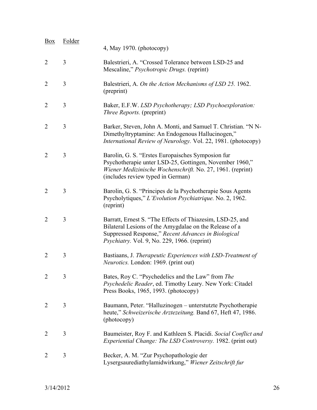| <b>Box</b>     | Folder | 4, May 1970. (photocopy)                                                                                                                                                                                                   |
|----------------|--------|----------------------------------------------------------------------------------------------------------------------------------------------------------------------------------------------------------------------------|
| $\overline{2}$ | 3      | Balestrieri, A. "Crossed Tolerance between LSD-25 and<br>Mescaline," <i>Psychotropic Drugs.</i> (reprint)                                                                                                                  |
| $\overline{2}$ | 3      | Balestrieri, A. On the Action Mechanisms of LSD 25. 1962.<br>(preprint)                                                                                                                                                    |
| $\overline{2}$ | 3      | Baker, E.F.W. LSD Psychotherapy; LSD Psychoexploration:<br><i>Three Reports.</i> (preprint)                                                                                                                                |
| $\overline{2}$ | 3      | Barker, Steven, John A. Monti, and Samuel T. Christian. "N N-<br>Dimethyltryptamine: An Endogenous Hallucinogen,"<br>International Review of Neurology. Vol. 22, 1981. (photocopy)                                         |
| $\overline{2}$ | 3      | Barolin, G. S. "Erstes Europaisches Symposion fur<br>Psychotherapie unter LSD-25, Gottingen, November 1960,"<br>Wiener Medizinische Wochenschrift. No. 27, 1961. (reprint)<br>(includes review typed in German)            |
| $\overline{2}$ | 3      | Barolin, G. S. "Principes de la Psychotherapie Sous Agents"<br>Psycholytiques," L'Evolution Psychiatrique. No. 2, 1962.<br>(reprint)                                                                                       |
| $\overline{2}$ | 3      | Barratt, Ernest S. "The Effects of Thiazesim, LSD-25, and<br>Bilateral Lesions of the Amygdalae on the Release of a<br>Suppressed Response," Recent Advances in Biological<br>Psychiatry. Vol. 9, No. 229, 1966. (reprint) |
| $\overline{2}$ | 3      | Bastiaans, J. Therapeutic Experiences with LSD-Treatment of<br>Neurotics. London: 1969. (print out)                                                                                                                        |
| $\overline{2}$ | 3      | Bates, Roy C. "Psychedelics and the Law" from The<br>Psychedelic Reader, ed. Timothy Leary. New York: Citadel<br>Press Books, 1965, 1993. (photocopy)                                                                      |
| $\overline{2}$ | 3      | Baumann, Peter. "Halluzinogen – unterstutzte Psychotherapie<br>heute," Schweizerische Arztezeitung. Band 67, Heft 47, 1986.<br>(photocopy)                                                                                 |
| $\overline{2}$ | 3      | Baumeister, Roy F. and Kathleen S. Placidi. Social Conflict and<br><i>Experiential Change: The LSD Controversy.</i> 1982. (print out)                                                                                      |
| $\overline{2}$ | 3      | Becker, A. M. "Zur Psychopathologie der<br>Lysergsaurediathylamidwirkung," Wiener Zeitschrift fur                                                                                                                          |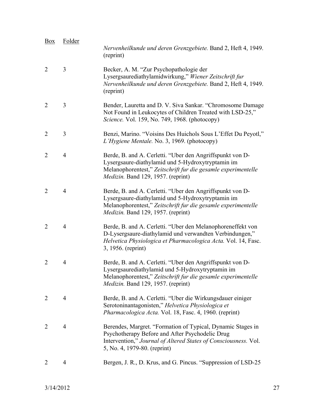| <b>Box</b>     | Folder         | Nervenheilkunde und deren Grenzgebiete. Band 2, Heft 4, 1949.<br>(reprint)                                                                                                                                                   |
|----------------|----------------|------------------------------------------------------------------------------------------------------------------------------------------------------------------------------------------------------------------------------|
| $\overline{2}$ | 3              | Becker, A. M. "Zur Psychopathologie der<br>Lysergsaurediathylamidwirkung," Wiener Zeitschrift fur<br>Nervenheilkunde und deren Grenzgebiete. Band 2, Heft 4, 1949.<br>(reprint)                                              |
| $\overline{2}$ | 3              | Bender, Lauretta and D. V. Siva Sankar. "Chromosome Damage<br>Not Found in Leukocytes of Children Treated with LSD-25,"<br>Science. Vol. 159, No. 749, 1968. (photocopy)                                                     |
| $\overline{2}$ | 3              | Benzi, Marino. "Voisins Des Huichols Sous L'Effet Du Peyotl,"<br>L'Hygiene Mentale. No. 3, 1969. (photocopy)                                                                                                                 |
| $\overline{2}$ | 4              | Berde, B. and A. Cerletti. "Uber den Angriffspunkt von D-<br>Lysergsaure-diathylamid und 5-Hydroxytryptamin im<br>Melanophorentest," Zeitschrift fur die gesamle experimentelle<br>Medizin. Band 129, 1957. (reprint)        |
| $\overline{2}$ | $\overline{4}$ | Berde, B. and A. Cerletti. "Uber den Angriffspunkt von D-<br>Lysergsaure-diathylamid und 5-Hydroxytryptamin im<br>Melanophorentest," Zeitschrift fur die gesamle experimentelle<br><i>Medizin.</i> Band 129, 1957. (reprint) |
| 2              | 4              | Berde, B. and A. Cerletti. "Uber den Melanophoreneffekt von<br>D-Lysergsaure-diathylamid und verwandten Verbindungen,"<br>Helvetica Physiologica et Pharmacologica Acta. Vol. 14, Fasc.<br>3, 1956. (reprint)                |
| $\overline{2}$ | 4              | Berde, B. and A. Cerletti. "Uber den Angriffspunkt von D-<br>Lysergsaurediathylamid und 5-Hydroxytryptamin im<br>Melanophorentest," Zeitschrift fur die gesamle experimentelle<br>Medizin. Band 129, 1957. (reprint)         |
| 2              | 4              | Berde, B. and A. Cerletti. "Uber die Wirkungsdauer einiger<br>Serotoninantagonisten," Helvetica Physiologica et<br>Pharmacologica Acta. Vol. 18, Fasc. 4, 1960. (reprint)                                                    |
| 2              | 4              | Berendes, Margret. "Formation of Typical, Dynamic Stages in<br>Psychotherapy Before and After Psychodelic Drug<br>Intervention," Journal of Altered States of Consciousness. Vol.<br>5, No. 4, 1979-80. (reprint)            |
| 2              | 4              | Bergen, J. R., D. Krus, and G. Pincus. "Suppression of LSD-25"                                                                                                                                                               |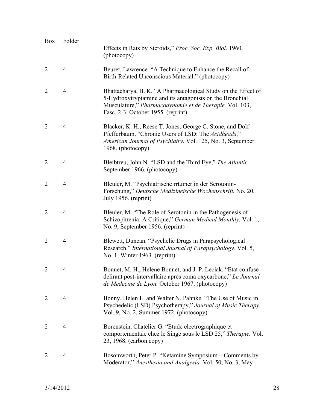| Box            | Folder         | Effects in Rats by Steroids," Proc. Soc. Exp. Biol. 1960.<br>(photocopy)                                                                                                                                                   |
|----------------|----------------|----------------------------------------------------------------------------------------------------------------------------------------------------------------------------------------------------------------------------|
| $\overline{2}$ | $\overline{4}$ | Beuret, Lawrence. "A Technique to Enhance the Recall of<br>Birth-Related Unconscious Material." (photocopy)                                                                                                                |
| $\overline{2}$ | $\overline{4}$ | Bhattacharya, B. K. "A Pharmacological Study on the Effect of<br>5-Hydroxytryptamine and its antagonists on the Bronchial<br>Musculature," Pharmacodynamie et de Therapie. Vol. 103,<br>Fasc. 2-3, October 1955. (reprint) |
| $\overline{2}$ | $\overline{4}$ | Blacker, K. H., Reese T. Jones, George C. Stone, and Dolf<br>Pfefferbaum. "Chronic Users of LSD: The Acidheads,"<br>American Journal of Psychiatry. Vol. 125, No. 3, September<br>1968. (photocopy)                        |
| $\overline{2}$ | $\overline{4}$ | Bleibtreu, John N. "LSD and the Third Eye," The Atlantic.<br>September 1966. (photocopy)                                                                                                                                   |
| $\overline{2}$ | $\overline{4}$ | Bleuler, M. "Psychiatrische rrtumer in der Serotonin-<br>Forschung," Deutsche Medizineische Wochenschrift. No. 20,<br>July 1956. (reprint)                                                                                 |
| $\overline{2}$ | $\overline{4}$ | Bleuler, M. "The Role of Serotonin in the Pathogenesis of<br>Schizophrenia: A Critique," German Medical Monthly. Vol. 1,<br>No. 9, September 1956. (reprint)                                                               |
| $\overline{2}$ | $\overline{4}$ | Blewett, Duncan. "Psychelic Drugs in Parapsychological<br>Research," International Journal of Parapsychology. Vol. 5,<br>No. 1, Winter 1963. (reprint)                                                                     |
| 2              | 4              | Bonnet, M. H., Helene Bonnet, and J. P. Leciak. "Etat confuse-<br>delirant post-intervallaire après coma oxycarbone," Le Journal<br>de Medecine de Lyon. October 1967. (photocopy)                                         |
| $\overline{2}$ | 4              | Bonny, Helen L. and Walter N. Pahnke. "The Use of Music in<br>Psychedelic (LSD) Psychotherapy," Journal of Music Therapy.<br>Vol. 9, No. 2, Summer 1972. (photocopy)                                                       |
| 2              | 4              | Borenstein, Chatelier G. "Etude electrographique et<br>comportementale chez le Singe sous le LSD 25," Therapie. Vol.<br>23, 1968. (carbon copy)                                                                            |
| 2              | $\overline{4}$ | Bosomworth, Peter P. "Ketamine Symposium – Comments by<br>Moderator," Anesthesia and Analgesia. Vol. 50, No. 3, May-                                                                                                       |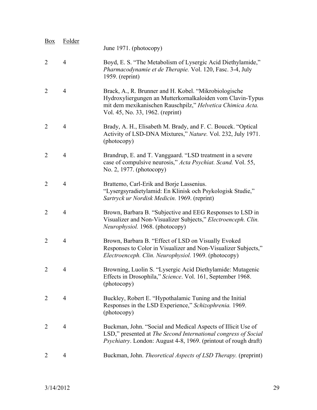| <b>Box</b>     | Folder         | June 1971. (photocopy)                                                                                                                                                                                                |
|----------------|----------------|-----------------------------------------------------------------------------------------------------------------------------------------------------------------------------------------------------------------------|
| $\overline{2}$ | 4              | Boyd, E. S. "The Metabolism of Lysergic Acid Diethylamide,"<br>Pharmacodynamie et de Therapie. Vol. 120, Fasc. 3-4, July<br>$1959.$ (reprint)                                                                         |
| $\overline{2}$ | $\overline{4}$ | Brack, A., R. Brunner and H. Kobel. "Mikrobiologische<br>Hydroxyliergungen an Mutterkornalkaloiden vom Clavin-Typus<br>mit dem mexikanischen Rauschpilz," Helvetica Chimica Acta.<br>Vol. 45, No. 33, 1962. (reprint) |
| $\overline{2}$ | 4              | Brady, A. H., Elisabeth M. Brady, and F. C. Boucek. "Optical<br>Activity of LSD-DNA Mixtures," Nature. Vol. 232, July 1971.<br>(photocopy)                                                                            |
| $\overline{2}$ | 4              | Brandrup, E. and T. Vanggaard. "LSD treatment in a severe<br>case of compulsive neurosis," Acta Psychiat. Scand. Vol. 55,<br>No. 2, 1977. (photocopy)                                                                 |
| $\overline{2}$ | $\overline{4}$ | Brattemo, Carl-Erik and Borje Lassenius.<br>"Lysergsyradietylamid: En Klinisk och Psykologisk Studie,"<br>Sartryck ur Nordisk Medicin. 1969. (reprint)                                                                |
| $\overline{2}$ | 4              | Brown, Barbara B. "Subjective and EEG Responses to LSD in<br>Visualizer and Non-Visualizer Subjects," Electroenceph. Clin.<br>Neurophysiol. 1968. (photocopy)                                                         |
| $\overline{2}$ | $\overline{4}$ | Brown, Barbara B. "Effect of LSD on Visually Evoked<br>Responses to Color in Visualizer and Non-Visualizer Subjects,"<br>Electroenceph. Clin. Neurophysiol. 1969. (photocopy)                                         |
|                | 4              | Browning, Luolin S. "Lysergic Acid Diethylamide: Mutagenic<br>Effects in Drosophila," Science. Vol. 161, September 1968.<br>(photocopy)                                                                               |
| $\overline{2}$ | $\overline{4}$ | Buckley, Robert E. "Hypothalamic Tuning and the Initial<br>Responses in the LSD Experience," Schizophrenia. 1969.<br>(photocopy)                                                                                      |
| $\overline{2}$ | $\overline{4}$ | Buckman, John. "Social and Medical Aspects of Illicit Use of<br>LSD," presented at The Second International congress of Social<br><i>Psychiatry.</i> London: August 4-8, 1969. (printout of rough draft)              |
| 2              | 4              | Buckman, John. Theoretical Aspects of LSD Therapy. (preprint)                                                                                                                                                         |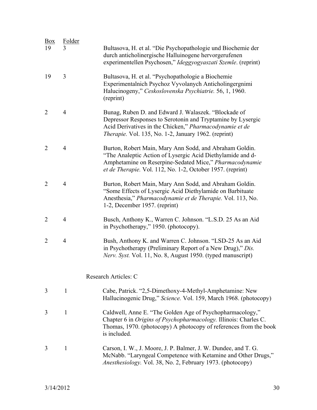| Box<br>19      | Folder<br>3    | Bultasova, H. et al. "Die Psychopathologie und Biochemie der<br>durch anticholinergische Halluinogene hervorgerufenen<br>experimentellen Psychosen," Ideggyogyaszati Szemle. (reprint)                                                         |
|----------------|----------------|------------------------------------------------------------------------------------------------------------------------------------------------------------------------------------------------------------------------------------------------|
| 19             | $\overline{3}$ | Bultasova, H. et al. "Psychopathologie a Biochemie<br>Experimentalnich Psychoz Vyvolanych Anticholingergnimi<br>Halucinogeny," Ceskoslovenska Psychiatrie. 56, 1, 1960.<br>(reprint)                                                           |
| $\overline{2}$ | $\overline{4}$ | Bunag, Ruben D. and Edward J. Walaszek. "Blockade of<br>Depressor Responses to Serotonin and Tryptamine by Lysergic<br>Acid Derivatives in the Chicken," Pharmacodynamie et de<br>Therapie. Vol. 135, No. 1-2, January 1962. (reprint)         |
| $\overline{2}$ | $\overline{4}$ | Burton, Robert Main, Mary Ann Sodd, and Abraham Goldin.<br>"The Analeptic Action of Lysergic Acid Diethylamide and d-<br>Amphetamine on Reserpine-Sedated Mice," Pharmacodynamie<br>et de Therapie. Vol. 112, No. 1-2, October 1957. (reprint) |
| $\overline{2}$ | $\overline{4}$ | Burton, Robert Main, Mary Ann Sodd, and Abraham Goldin.<br>"Some Effects of Lysergic Acid Diethylamide on Barbituate<br>Anesthesia," Pharmacodynamie et de Therapie. Vol. 113, No.<br>1-2, December 1957. (reprint)                            |
| $\overline{2}$ | 4              | Busch, Anthony K., Warren C. Johnson. "L.S.D. 25 As an Aid<br>in Psychotherapy," 1950. (photocopy).                                                                                                                                            |
| $\overline{2}$ | $\overline{4}$ | Bush, Anthony K. and Warren C. Johnson. "LSD-25 As an Aid<br>in Psychotherapy (Preliminary Report of a New Drug)," Dis.<br>Nerv. Syst. Vol. 11, No. 8, August 1950. (typed manuscript)                                                         |
|                |                | Research Articles: C                                                                                                                                                                                                                           |
| 3              | $\mathbf{1}$   | Cabe, Patrick. "2,5-Dimethoxy-4-Methyl-Amphetamine: New<br>Hallucinogenic Drug," Science. Vol. 159, March 1968. (photocopy)                                                                                                                    |
| 3              | 1              | Caldwell, Anne E. "The Golden Age of Psychopharmacology,"<br>Chapter 6 in Origins of Psychopharmacology. Illinois: Charles C.<br>Thomas, 1970. (photocopy) A photocopy of references from the book<br>is included.                             |
| 3              | $\mathbf{1}$   | Carson, I. W., J. Moore, J. P. Balmer, J. W. Dundee, and T. G.<br>McNabb. "Laryngeal Competence with Ketamine and Other Drugs,"<br>Anesthesiology. Vol. 38, No. 2, February 1973. (photocopy)                                                  |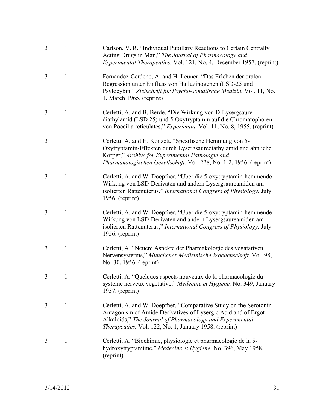| 3 | 1            | Carlson, V. R. "Individual Pupillary Reactions to Certain Centrally<br>Acting Drugs in Man," The Journal of Pharmacology and<br><i>Experimental Therapeutics. Vol. 121, No. 4, December 1957. (reprint)</i>                                              |
|---|--------------|----------------------------------------------------------------------------------------------------------------------------------------------------------------------------------------------------------------------------------------------------------|
| 3 | 1            | Fernandez-Cerdeno, A. and H. Leuner. "Das Erleben der oralen<br>Regression unter Einfluss von Halluzinogenen (LSD-25 und<br>Psylocybin," Zietschrift fur Psycho-somatische Medizin. Vol. 11, No.<br>1, March 1965. (reprint)                             |
| 3 | 1            | Cerletti, A. and B. Berde. "Die Wirkung von D-Lysergsaure-<br>diathylamid (LSD 25) und 5-Oxytryptamin auf die Chromatophoren<br>von Poecilia reticulates," Experientia. Vol. 11, No. 8, 1955. (reprint)                                                  |
| 3 |              | Cerletti, A. and H. Konzett. "Spezifische Hemmung von 5-<br>Oxytryptamin-Effekten durch Lysergsaurediathylamid and ahnliche<br>Korper," Archive for Experimental Pathologie and<br>Pharmakologischen Gesellschaft. Vol. 228, No. 1-2, 1956. (reprint)    |
| 3 | $\mathbf{1}$ | Cerletti, A. and W. Doepfner. "Uber die 5-oxytryptamin-hemmende<br>Wirkung von LSD-Derivaten and andern Lysergsaureamiden am<br>isolierten Rattenuterus," International Congress of Physiology. July<br>$1956.$ (reprint)                                |
| 3 | 1            | Cerletti, A. and W. Doepfner. "Uber die 5-oxytryptamin-hemmende<br>Wirkung von LSD-Derivaten and andern Lysergsaureamiden am<br>isolierten Rattenuterus," International Congress of Physiology. July<br>$1956.$ (reprint)                                |
| 3 | $\mathbf{1}$ | Cerletti, A. "Neuere Aspekte der Pharmakologie des vegatativen<br>Nervensysterms," Munchener Medizinische Wochenschrift. Vol. 98,<br>No. 30, 1956. (reprint)                                                                                             |
|   |              | Cerletti, A. "Quelques aspects nouveaux de la pharmacologie du<br>systeme nerveux vegetative," Medecine et Hygiene. No. 349, January<br>$1957.$ (reprint)                                                                                                |
| 3 | $\mathbf{1}$ | Cerletti, A. and W. Doepfner. "Comparative Study on the Serotonin<br>Antagonism of Amide Derivatives of Lysergic Acid and of Ergot<br>Alkaloids," The Journal of Pharmacology and Experimental<br>Therapeutics. Vol. 122, No. 1, January 1958. (reprint) |
| 3 | 1            | Cerletti, A. "Biochimie, physiologie et pharmacologie de la 5-<br>hydroxytryptamime," Medecine et Hygiene. No. 396, May 1958.<br>(reprint)                                                                                                               |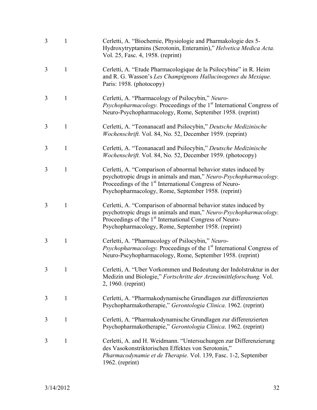| 3 | 1            | Cerletti, A. "Biochemie, Physiologie and Pharmakologie des 5-<br>Hydroxytryptamins (Serotonin, Enteramin)," Helvetica Medica Acta.<br>Vol. 25, Fasc. 4, 1958. (reprint)                                                                                            |
|---|--------------|--------------------------------------------------------------------------------------------------------------------------------------------------------------------------------------------------------------------------------------------------------------------|
| 3 | $\mathbf{1}$ | Cerletti, A. "Etude Pharmacologique de la Psilocybine" in R. Heim<br>and R. G. Wasson's Les Champignons Hallucinogenes du Mexique.<br>Paris: 1958. (photocopy)                                                                                                     |
| 3 | 1            | Cerletti, A. "Pharmacology of Psilocybin," Neuro-<br><i>Psychopharmacology</i> . Proceedings of the 1 <sup>st</sup> International Congress of<br>Neuro-Psychopharmacology, Rome, September 1958. (reprint)                                                         |
| 3 | 1            | Cerletti, A. "Teonanacatl and Psilocybin," Deutsche Medizinische<br>Wochenschrift. Vol. 84, No. 52, December 1959. (reprint)                                                                                                                                       |
| 3 | 1            | Cerletti, A. "Teonanacatl and Psilocybin," Deutsche Medizinische<br>Wochenschrift. Vol. 84, No. 52, December 1959. (photocopy)                                                                                                                                     |
| 3 | 1            | Cerletti, A. "Comparison of abnormal behavior states induced by<br>psychotropic drugs in animals and man," Neuro-Psychopharmacology.<br>Proceedings of the 1 <sup>st</sup> International Congress of Neuro-<br>Psychopharmacology, Rome, September 1958. (reprint) |
| 3 | 1            | Cerletti, A. "Comparison of abnormal behavior states induced by<br>psychotropic drugs in animals and man," Neuro-Psychopharmacology.<br>Proceedings of the 1 <sup>st</sup> International Congress of Neuro-<br>Psychopharmacology, Rome, September 1958. (reprint) |
| 3 | 1            | Cerletti, A. "Pharmacology of Psilocybin," Neuro-<br><i>Psychopharmacology</i> . Proceedings of the 1 <sup>st</sup> International Congress of<br>Neuro-Pscyhopharmacology, Rome, September 1958. (reprint)                                                         |
| 3 |              | Cerletti, A. "Uber Vorkommen und Bedeutung der Indolstruktur in der<br>Medizin und Biologie," Fortschritte der Arzneimittleforschung. Vol.<br>2, 1960. (reprint)                                                                                                   |
| 3 | 1            | Cerletti, A. "Pharmakodynamische Grundlagen zur differenzierten<br>Psychopharmakotherapie," Gerontologia Clinica. 1962. (reprint)                                                                                                                                  |
| 3 | 1            | Cerletti, A. "Pharmakodynamische Grundlagen zur differenzierten<br>Psychopharmakotherapie," Gerontologia Clinica. 1962. (reprint)                                                                                                                                  |
| 3 | 1            | Cerletti, A. and H. Weidmann. "Untersuchungen zur Differenzierung<br>des Vasokonstriktorischen Effektes von Serotonin,"<br>Pharmacodynamie et de Therapie. Vol. 139, Fasc. 1-2, September<br>1962. (reprint)                                                       |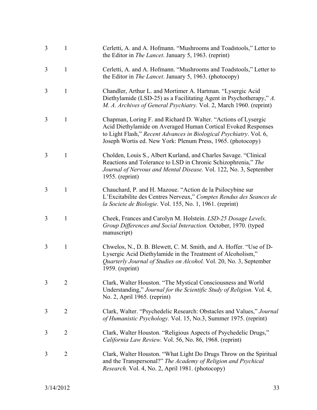| 3 | $\mathbf{1}$   | Cerletti, A. and A. Hofmann. "Mushrooms and Toadstools," Letter to<br>the Editor in <i>The Lancet</i> . January 5, 1963. (reprint)                                                                                                                                   |
|---|----------------|----------------------------------------------------------------------------------------------------------------------------------------------------------------------------------------------------------------------------------------------------------------------|
| 3 | $\mathbf{1}$   | Cerletti, A. and A. Hofmann. "Mushrooms and Toadstools," Letter to<br>the Editor in <i>The Lancet</i> . January 5, 1963. (photocopy)                                                                                                                                 |
| 3 | $\mathbf{1}$   | Chandler, Arthur L. and Mortimer A. Hartman. "Lysergic Acid<br>Diethylamide (LSD-25) as a Facilitating Agent in Psychotherapy," A.<br>M. A. Archives of General Psychiatry. Vol. 2, March 1960. (reprint)                                                            |
| 3 | $\mathbf{1}$   | Chapman, Loring F. and Richard D. Walter. "Actions of Lysergic<br>Acid Diethylamide on Averaged Human Cortical Evoked Responses<br>to Light Flash," Recent Advances in Biological Psychiatry. Vol. 6,<br>Joseph Wortis ed. New York: Plenum Press, 1965. (photocopy) |
| 3 | $\mathbf{1}$   | Cholden, Louis S., Albert Kurland, and Charles Savage. "Clinical<br>Reactions and Tolerance to LSD in Chronic Schizophrenia," The<br>Journal of Nervous and Mental Disease. Vol. 122, No. 3, September<br>1955. (reprint)                                            |
| 3 | $\mathbf{1}$   | Chauchard, P. and H. Mazoue. "Action de la Psilocybine sur<br>L'Excitabilite des Centres Nerveux," Comptes Rendus des Seances de<br>la Societe de Biologie. Vol. 155, No. 1, 1961. (reprint)                                                                         |
| 3 | $\mathbf{1}$   | Cheek, Frances and Carolyn M. Holstein. LSD-25 Dosage Levels,<br>Group Differences and Social Interaction. October, 1970. (typed<br>manuscript)                                                                                                                      |
| 3 | $\mathbf{1}$   | Chwelos, N., D. B. Blewett, C. M. Smith, and A. Hoffer. "Use of D-<br>Lysergic Acid Diethylamide in the Treatment of Alcoholism,"<br>Quarterly Journal of Studies on Alcohol. Vol. 20, No. 3, September<br>$1959.$ (reprint)                                         |
| 3 | $\overline{2}$ | Clark, Walter Houston. "The Mystical Consciousness and World<br>Understanding," Journal for the Scientific Study of Religion. Vol. 4,<br>No. 2, April 1965. (reprint)                                                                                                |
| 3 | $\overline{2}$ | Clark, Walter. "Psychedelic Research: Obstacles and Values," Journal<br>of Humanistic Psychology. Vol. 15, No.3, Summer 1975. (reprint)                                                                                                                              |
| 3 | $\overline{2}$ | Clark, Walter Houston. "Religious Aspects of Psychedelic Drugs,"<br>California Law Review. Vol. 56, No. 86, 1968. (reprint)                                                                                                                                          |
| 3 | $\overline{2}$ | Clark, Walter Houston. "What Light Do Drugs Throw on the Spiritual<br>and the Transpersonal?" The Academy of Religion and Psychical<br>Research. Vol. 4, No. 2, April 1981. (photocopy)                                                                              |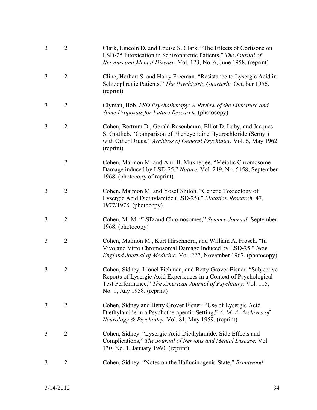| 3 | $\overline{2}$ | Clark, Lincoln D. and Louise S. Clark. "The Effects of Cortisone on<br>LSD-25 Intoxication in Schizophrenic Patients," The Journal of<br>Nervous and Mental Disease. Vol. 123, No. 6, June 1958. (reprint)                                   |
|---|----------------|----------------------------------------------------------------------------------------------------------------------------------------------------------------------------------------------------------------------------------------------|
| 3 | $\overline{2}$ | Cline, Herbert S. and Harry Freeman. "Resistance to Lysergic Acid in<br>Schizophrenic Patients," The Psychiatric Quarterly. October 1956.<br>(reprint)                                                                                       |
| 3 | $\overline{2}$ | Clyman, Bob. LSD Psychotherapy: A Review of the Literature and<br>Some Proposals for Future Research. (photocopy)                                                                                                                            |
| 3 | $\overline{2}$ | Cohen, Bertram D., Gerald Rosenbaum, Elliot D. Luby, and Jacques<br>S. Gottlieb. "Comparison of Phencyclidine Hydrochloride (Sernyl)<br>with Other Drugs," Archives of General Psychiatry. Vol. 6, May 1962.<br>(reprint)                    |
|   | $\overline{2}$ | Cohen, Maimon M. and Anil B. Mukherjee. "Meiotic Chromosome<br>Damage induced by LSD-25," Nature. Vol. 219, No. 5158, September<br>1968. (photocopy of reprint)                                                                              |
| 3 | $\overline{2}$ | Cohen, Maimon M. and Yosef Shiloh. "Genetic Toxicology of<br>Lysergic Acid Diethylamide (LSD-25)," Mutation Research. 47,<br>1977/1978. (photocopy)                                                                                          |
| 3 | $\overline{2}$ | Cohen, M. M. "LSD and Chromosomes," Science Journal. September<br>1968. (photocopy)                                                                                                                                                          |
| 3 | $\overline{2}$ | Cohen, Maimon M., Kurt Hirschhorn, and William A. Frosch. "In<br>Vivo and Vitro Chromosomal Damage Induced by LSD-25," New<br>England Journal of Medicine. Vol. 227, November 1967. (photocopy)                                              |
| 3 | 2              | Cohen, Sidney, Lionel Fichman, and Betty Grover Eisner. "Subjective<br>Reports of Lysergic Acid Experiences in a Context of Psychological<br>Test Performance," The American Journal of Psychiatry. Vol. 115,<br>No. 1, July 1958. (reprint) |
| 3 | $\overline{2}$ | Cohen, Sidney and Betty Grover Eisner. "Use of Lysergic Acid"<br>Diethylamide in a Psychotherapeutic Setting," A. M. A. Archives of<br>Neurology & Psychiatry. Vol. 81, May 1959. (reprint)                                                  |
| 3 | $\overline{2}$ | Cohen, Sidney. "Lysergic Acid Diethylamide: Side Effects and<br>Complications," The Journal of Nervous and Mental Disease. Vol.<br>130, No. 1, January 1960. (reprint)                                                                       |
| 3 | $\overline{2}$ | Cohen, Sidney. "Notes on the Hallucinogenic State," Brentwood                                                                                                                                                                                |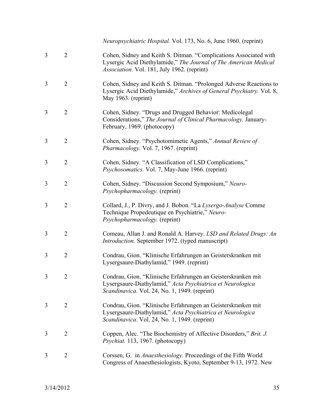*Neuropsychiatric Hospital.* Vol. 173, No. 6, June 1960. (reprint)

- 3 2 Cohen, Sidney and Keith S. Ditman. "Complications Associated with Lysergic Acid Diethylamide," *The Journal of The American Medical Association.* Vol. 181, July 1962. (reprint)
- 3 2 Cohen, Sidney and Keith S. Ditman. "Prolonged Adverse Reactions to Lysergic Acid Diethylamide," *Archives of General Psychiatry.* Vol. 8, May 1963. (reprint)
- 3 2 Cohen, Sidney. "Drugs and Drugged Behavior: Medicolegal Considerations," *The Journal of Clinical Pharmacology.* January-February, 1969. (photocopy)
- 3 2 Cohen, Sidney. "Psychotomimetic Agents," *Annual Review of Pharmacology.* Vol. 7, 1967. (reprint)
- 3 2 Cohen, Sidney. "A Classification of LSD Complications," *Psychosomatics.* Vol. 7, May-June 1966. (reprint)
- 3 2 Cohen, Sidney. "Discussion Second Symposium," *Neuro-Psychopharmacology.* (reprint)
- 3 2 Collard, J., P. Divry, and J. Bobon. "La *Lysergo-Analyse* Comme Technique Propedeutique en Psychiatrie," *Neuro-Psychopharmacology.* (reprint)
- 3 2 Comeau, Allan J. and Ronald A. Harvey. *LSD and Related Drugs: An Introduction.* September 1972. (typed manuscript)
- 3 2 Condrau, Gion. "Klinische Erfahrungen an Geisterskranken mit Lysergsaure-Diathylamid," 1949. (reprint)
- 3 2 Condrau, Gion. "Klinische Erfahrungen an Geisterskranken mit Lysergsaure-Diathylamid," *Acta Psychiatrica et Neurologica Scandinavica*. Vol. 24, No. 1, 1949. (reprint)
- 3 2 Condrau, Gion. "Klinische Erfahrungen an Geisterskranken mit Lysergsaure-Diathylamid," *Acta Psychiatrica et Neurologica Scandinavica*. Vol. 24, No. 1, 1949. (reprint)
- 3 2 Coppen, Alec. "The Biochemistry of Affective Disorders," *Brit. J. Psychiat.* 113, 1967. (photocopy)
- 3 2 Corssen, G. in *Anaesthesiology.* Proceedings of the Fifth World Congress of Anaesthesiologists, Kyoto, September 9-13, 1972. New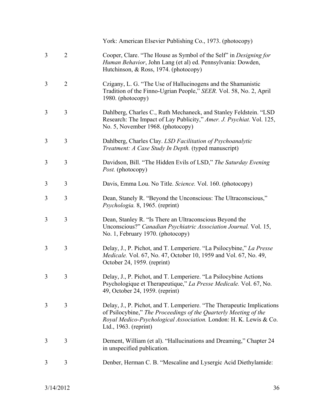|   |                | York: American Elsevier Publishing Co., 1973. (photocopy)                                                                                                                                                                                |
|---|----------------|------------------------------------------------------------------------------------------------------------------------------------------------------------------------------------------------------------------------------------------|
| 3 | $\overline{2}$ | Cooper, Clare. "The House as Symbol of the Self" in <i>Designing for</i><br>Human Behavior, John Lang (et al) ed. Pennsylvania: Dowden,<br>Hutchinson, & Ross, 1974. (photocopy)                                                         |
| 3 | $\overline{2}$ | Czigany, L. G. "The Use of Hallucinogens and the Shamanistic<br>Tradition of the Finno-Ugrian People," SEER. Vol. 58, No. 2, April<br>1980. (photocopy)                                                                                  |
| 3 | 3              | Dahlberg, Charles C., Ruth Mechaneck, and Stanley Feldstein. "LSD<br>Research: The Impact of Lay Publicity," Amer. J. Psychiat. Vol. 125,<br>No. 5, November 1968. (photocopy)                                                           |
| 3 | 3              | Dahlberg, Charles Clay. LSD Facilitation of Psychoanalytic<br><i>Treatment: A Case Study In Depth.</i> (typed manuscript)                                                                                                                |
| 3 | 3              | Davidson, Bill. "The Hidden Evils of LSD," The Saturday Evening<br>Post. (photocopy)                                                                                                                                                     |
| 3 | 3              | Davis, Emma Lou. No Title. Science. Vol. 160. (photocopy)                                                                                                                                                                                |
| 3 | 3              | Dean, Stanely R. "Beyond the Unconscious: The Ultraconscious,"<br>Psychologia. 8, 1965. (reprint)                                                                                                                                        |
| 3 | 3              | Dean, Stanley R. "Is There an Ultraconscious Beyond the<br>Unconscious?" Canadian Psychiatric Association Journal. Vol. 15,<br>No. 1, February 1970. (photocopy)                                                                         |
| 3 | 3              | Delay, J., P. Pichot, and T. Lemperiere. "La Psilocybine," La Presse<br>Medicale. Vol. 67, No. 47, October 10, 1959 and Vol. 67, No. 49,<br>October 24, 1959. (reprint)                                                                  |
| 3 | 3              | Delay, J., P. Pichot, and T. Lemperiere. "La Psilocybine Actions<br>Psychologique et Therapeutique," La Presse Medicale. Vol. 67, No.<br>49, October 24, 1959. (reprint)                                                                 |
| 3 | 3              | Delay, J., P. Pichot, and T. Lemperiere. "The Therapeutic Implications<br>of Psilocybine," The Proceedings of the Quarterly Meeting of the<br>Royal Medico-Psychological Association. London: H. K. Lewis & Co.<br>Ltd., 1963. (reprint) |
| 3 | 3              | Dement, William (et al). "Hallucinations and Dreaming," Chapter 24<br>in unspecified publication.                                                                                                                                        |
| 3 | 3              | Denber, Herman C. B. "Mescaline and Lysergic Acid Diethylamide:                                                                                                                                                                          |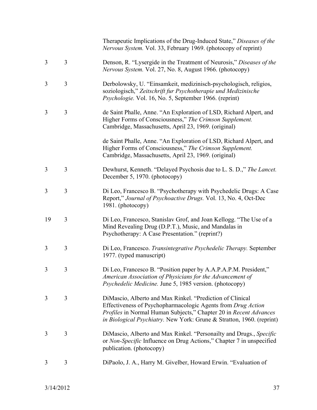|    |                | Therapeutic Implications of the Drug-Induced State," Diseases of the<br>Nervous System. Vol. 33, February 1969. (photocopy of reprint)                                                                                                                                  |
|----|----------------|-------------------------------------------------------------------------------------------------------------------------------------------------------------------------------------------------------------------------------------------------------------------------|
| 3  | 3              | Denson, R. "Lysergide in the Treatment of Neurosis," Diseases of the<br>Nervous System. Vol. 27, No. 8, August 1966. (photocopy)                                                                                                                                        |
| 3  | $\overline{3}$ | Derbolowsky, U. "Einsamkeit, medizinisch-psychologisch, religios,<br>soziologisch," Zeitschrift fur Psychotherapie und Medizinische<br>Psychologie. Vol. 16, No. 5, September 1966. (reprint)                                                                           |
| 3  | 3              | de Saint Phalle, Anne. "An Exploration of LSD, Richard Alpert, and<br>Higher Forms of Consciousness," The Crimson Supplement.<br>Cambridge, Massachusetts, April 23, 1969. (original)                                                                                   |
|    |                | de Saint Phalle, Anne. "An Exploration of LSD, Richard Alpert, and<br>Higher Forms of Consciousness," The Crimson Supplement.<br>Cambridge, Massachusetts, April 23, 1969. (original)                                                                                   |
| 3  | 3              | Dewhurst, Kenneth. "Delayed Psychosis due to L. S. D.," The Lancet.<br>December 5, 1970. (photocopy)                                                                                                                                                                    |
| 3  | 3              | Di Leo, Francesco B. "Psychotherapy with Psychedelic Drugs: A Case<br>Report," Journal of Psychoactive Drugs. Vol. 13, No. 4, Oct-Dec<br>1981. (photocopy)                                                                                                              |
| 19 | $\overline{3}$ | Di Leo, Francesco, Stanislav Grof, and Joan Kellogg. "The Use of a<br>Mind Revealing Drug (D.P.T.), Music, and Mandalas in<br>Psychotherapy: A Case Presentation." (reprint?)                                                                                           |
| 3  | 3              | Di Leo, Francesco. Transintegrative Psychedelic Therapy. September<br>1977. (typed manuscript)                                                                                                                                                                          |
| 3  | 3              | Di Leo, Francesco B. "Position paper by A.A.P.A.P.M. President,"<br>American Association of Physicians for the Advancement of<br><i>Psychedelic Medicine.</i> June 5, 1985 version. (photocopy)                                                                         |
| 3  | 3              | DiMascio, Alberto and Max Rinkel. "Prediction of Clinical<br>Effectiveness of Psychopharmacologic Agents from Drug Action<br>Profiles in Normal Human Subjects," Chapter 20 in Recent Advances<br>in Biological Psychiatry. New York: Grune & Stratton, 1960. (reprint) |
| 3  | 3              | DiMascio, Alberto and Max Rinkel. "Personailty and Drugs., Specific<br>or Non-Specific Influence on Drug Actions," Chapter 7 in unspecified<br>publication. (photocopy)                                                                                                 |
| 3  | 3              | DiPaolo, J. A., Harry M. Givelber, Howard Erwin. "Evaluation of                                                                                                                                                                                                         |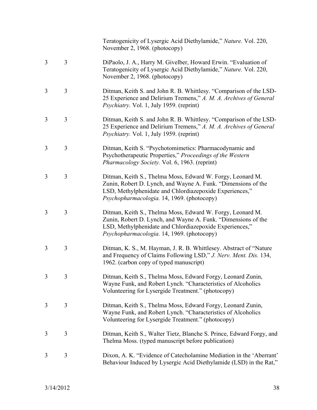|   |   | Teratogenicity of Lysergic Acid Diethylamide," Nature. Vol. 220,<br>November 2, 1968. (photocopy)                                                                                                                                    |
|---|---|--------------------------------------------------------------------------------------------------------------------------------------------------------------------------------------------------------------------------------------|
| 3 | 3 | DiPaolo, J. A., Harry M. Givelber, Howard Erwin. "Evaluation of<br>Teratogenicity of Lysergic Acid Diethylamide," Nature. Vol. 220,<br>November 2, 1968. (photocopy)                                                                 |
| 3 | 3 | Ditman, Keith S. and John R. B. Whittlesy. "Comparison of the LSD-<br>25 Experience and Delirium Tremens," A. M. A. Archives of General<br>Psychiatry. Vol. 1, July 1959. (reprint)                                                  |
| 3 | 3 | Ditman, Keith S. and John R. B. Whittlesy. "Comparison of the LSD-<br>25 Experience and Delirium Tremens," A. M. A. Archives of General<br>Psychiatry. Vol. 1, July 1959. (reprint)                                                  |
| 3 | 3 | Ditman, Keith S. "Psychotomimetics: Pharmacodynamic and<br>Psychotherapeutic Properties," Proceedings of the Western<br>Pharmacology Society. Vol. 6, 1963. (reprint)                                                                |
| 3 | 3 | Ditman, Keith S., Thelma Moss, Edward W. Forgy, Leonard M.<br>Zunin, Robert D. Lynch, and Wayne A. Funk. "Dimensions of the<br>LSD, Methylphenidate and Chlordiazepoxide Experiences,"<br>Psychopharmacologia. 14, 1969. (photocopy) |
| 3 | 3 | Ditman, Keith S., Thelma Moss, Edward W. Forgy, Leonard M.<br>Zunin, Robert D. Lynch, and Wayne A. Funk. "Dimensions of the<br>LSD, Methylphenidate and Chlordiazepoxide Experiences,"<br>Psychopharmacologia. 14, 1969. (photocopy) |
| 3 | 3 | Ditman, K. S., M. Hayman, J. R. B. Whittlesey. Abstract of "Nature<br>and Frequency of Claims Following LSD," J. Nerv. Ment. Dis. 134,<br>1962. (carbon copy of typed manuscript)                                                    |
| 3 | 3 | Ditman, Keith S., Thelma Moss, Edward Forgy, Leonard Zunin,<br>Wayne Funk, and Robert Lynch. "Characteristics of Alcoholics<br>Volunteering for Lysergide Treatment." (photocopy)                                                    |
| 3 | 3 | Ditman, Keith S., Thelma Moss, Edward Forgy, Leonard Zunin,<br>Wayne Funk, and Robert Lynch. "Characteristics of Alcoholics<br>Volunteering for Lysergide Treatment." (photocopy)                                                    |
| 3 | 3 | Ditman, Keith S., Walter Tietz, Blanche S. Prince, Edward Forgy, and<br>Thelma Moss. (typed manuscript before publication)                                                                                                           |
| 3 | 3 | Dixon, A. K. "Evidence of Catecholamine Mediation in the 'Aberrant'<br>Behaviour Induced by Lysergic Acid Diethylamide (LSD) in the Rat,"                                                                                            |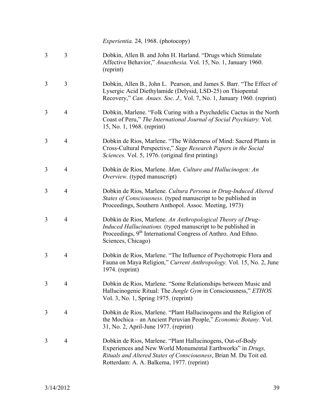*Experientia.* 24, 1968. (photocopy)

- 3 3 Dobkin, Allen B. and John H. Harland. "Drugs which Stimulate Affective Behavior," *Anaesthesia.* Vol. 15, No. 1, January 1960. (reprint)
- 3 3 Dobkin, Allen B., John L. Pearson, and James S. Barr. "The Effect of Lysergic Acid Diethylamide (Delysid, LSD-25) on Thiopental Recovery," *Can. Anaes. Soc. J.,* Vol. 7, No. 1, January 1960. (reprint)
- 3 4 Dobkin, Marlene. "Folk Curing with a Psychedelic Cactus in the North Coast of Peru," *The International Journal of Social Psychiatry.* Vol. 15, No. 1, 1968. (reprint)
- 3 4 Dobkin de Rios, Marlene. "The Wilderness of Mind: Sacred Plants in Cross-Cultural Perspective," *Sage Research Papers in the Social Sciences.* Vol. 5, 1976. (original first printing)
- 3 4 Dobkin de Rios, Marlene. *Man, Culture and Hallucinogen: An Overview.* (typed manuscript)
- 3 4 Dobkin de Rios, Marlene. *Cultura Persona in Drug-Induced Altered States of Consciousness.* (typed manuscript to be published in Proceedings, Southern Anthopol. Assoc. Meeting, 1973)
- 3 4 Dobkin de Rios, Marlene. *An Anthropological Theory of Drug-Induced Hallucinations.* (typed manuscript to be published in Proceedings, 9<sup>th</sup> International Congress of Anthro. And Ethno. Sciences, Chicago)
- 3 4 Dobkin de Rios, Marlene. "The Influence of Psychotropic Flora and Fauna on Maya Religion," *Current Anthropology.* Vol. 15, No. 2, June 1974. (reprint)
- 3 4 Dobkin de Rios, Marlene. "Some Relationships between Music and Hallucinogenic Ritual: The *Jungle Gym* in Consciousness," *ETHOS.*  Vol. 3, No. 1, Spring 1975. (reprint)
- 3 4 Dobkin de Rios, Marlene. "Plant Hallucinogens and the Religion of the Mochica – an Ancient Peruvian People," *Economic Botany.* Vol. 31, No. 2, April-June 1977. (reprint)
- 3 4 Dobkin de Rios, Marlene. "Plant Hallucinogens, Out-of-Body Experiences and New World Monumental Earthworks" in *Drugs, Rituals and Altered States of Consciousness*, Brian M. Du Toit ed. Rotterdam: A. A. Balkema, 1977. (reprint)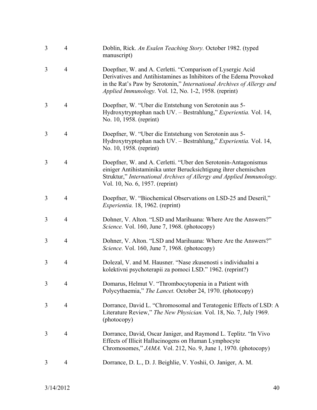| 3 | $\overline{4}$ | Doblin, Rick. An Esalen Teaching Story. October 1982. (typed<br>manuscript)                                                                                                                                                                                        |
|---|----------------|--------------------------------------------------------------------------------------------------------------------------------------------------------------------------------------------------------------------------------------------------------------------|
| 3 | $\overline{4}$ | Doepfner, W. and A. Cerletti. "Comparison of Lysergic Acid<br>Derivatives and Antihistamines as Inhibitors of the Edema Provoked<br>in the Rat's Paw by Serotonin," International Archives of Allergy and<br>Applied Immunology. Vol. 12, No. 1-2, 1958. (reprint) |
| 3 | $\overline{4}$ | Doepfner, W. "Uber die Entstehung von Serotonin aus 5-<br>Hydroxytryptophan nach UV. - Bestrahlung," Experientia. Vol. 14,<br>No. 10, 1958. (reprint)                                                                                                              |
| 3 | $\overline{4}$ | Doepfner, W. "Uber die Entstehung von Serotonin aus 5-<br>Hydroxytryptophan nach UV. - Bestrahlung," Experientia. Vol. 14,<br>No. 10, 1958. (reprint)                                                                                                              |
| 3 | $\overline{4}$ | Doepfner, W. and A. Cerletti. "Uber den Serotonin-Antagonismus<br>einiger Antihistaminika unter Berucksichtigung ihrer chemischen<br>Struktur," International Archives of Allergy and Applied Immunology.<br>Vol. 10, No. 6, 1957. (reprint)                       |
| 3 | 4              | Doepfner, W. "Biochemical Observations on LSD-25 and Deseril,"<br><i>Experientia.</i> 18, 1962. (reprint)                                                                                                                                                          |
| 3 | $\overline{4}$ | Dohner, V. Alton. "LSD and Marihuana: Where Are the Answers?"<br>Science. Vol. 160, June 7, 1968. (photocopy)                                                                                                                                                      |
| 3 | $\overline{4}$ | Dohner, V. Alton. "LSD and Marihuana: Where Are the Answers?"<br>Science. Vol. 160, June 7, 1968. (photocopy)                                                                                                                                                      |
| 3 | $\overline{4}$ | Dolezal, V. and M. Hausner. "Nase zkusenosti s individualni a<br>kolektivni psychoterapii za pomoci LSD." 1962. (reprint?)                                                                                                                                         |
| 3 | 4              | Domarus, Helmut V. "Thrombocytopenia in a Patient with<br>Polycythaemia," The Lancet. October 24, 1970. (photocopy)                                                                                                                                                |
| 3 | $\overline{4}$ | Dorrance, David L. "Chromosomal and Teratogenic Effects of LSD: A<br>Literature Review," The New Physician. Vol. 18, No. 7, July 1969.<br>(photocopy)                                                                                                              |
| 3 | $\overline{4}$ | Dorrance, David, Oscar Janiger, and Raymond L. Teplitz. "In Vivo<br>Effects of Illicit Hallucinogens on Human Lymphocyte<br>Chromosomes," JAMA. Vol. 212, No. 9, June 1, 1970. (photocopy)                                                                         |
| 3 | $\overline{4}$ | Dorrance, D. L., D. J. Beighlie, V. Yoshii, O. Janiger, A. M.                                                                                                                                                                                                      |
|   |                |                                                                                                                                                                                                                                                                    |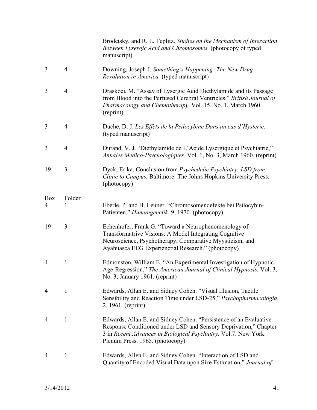Brodetsky, and R. L. Teplitz. *Studies on the Mechanism of Interaction Between Lysergic Acid and Chromosomes.* (photocopy of typed manuscript)

- 3 4 Downing, Joseph J. *Something's Happening: The New Drug Revolution in America.* (typed manuscript)
- 3 4 Draskoci, M. "Assay of Lysergic Acid Diethylamide and its Passage from Blood into the Perfused Cerebral Ventricles," *British Journal of Pharmacology and Chemotherapy.* Vol. 15, No. 1, March 1960. (reprint)
- 3 4 Duche, D. J. *Les Effets de la Psilocybine Dans un cas d'Hysterie.*  (typed manuscript)
- 3 4 Durand, V. J. "Diethylamide de L'Acide Lysergique et Psychiatrie," *Annales Medico-Psychologiques.* Vol. 1, No. 3, March 1960. (reprint)
- 19 3 Dyck, Erika. Conclusion from *Psychedelic Psychiatry: LSD from Clinic to Campus.* Baltimore: The Johns Hopkins University Press. (photocopy)

## Box Folder 4 1 Eberle, P. and H. Leuner. "Chromosomendefekte bei Psilocybin-Patienten," *Humangenetik*. 9, 1970. (photocopy)

- 19 3 Echenhofer, Frank G. "Toward a Neurophenomenology of Transformatrive Visions: A Model Integrating Cognitive Neuroscience, Psychotherapy, Comparative Myysticism, and Ayahuasca EEG Experienctial Research." (photocopy)
- 4 1 Edmonston, William E. "An Experimental Investigation of Hypnotic Age-Regression," *The American Journal of Clinical Hypnosis.* Vol. 3, No. 3, January 1961. (reprint)
- 4 1 Edwards, Allan E. and Sidney Cohen. "Visual Illusion, Tactile Sensibility and Reaction Time under LSD-25," *Psychopharmacologia.*  2, 1961. (reprint)
- 4 1 Edwards, Allan E. and Sidney Cohen. "Persistence of an Evaluative Response Conditioned under LSD and Sensory Deprivation," Chapter 3 in *Recent Advances in Biological Psychiatry.* Vol.7. New York: Plenum Press, 1965. (photocopy)
- 4 1 Edwards, Allen E. and Sidney Cohen. "Interaction of LSD and Quantity of Encoded Visual Data upon Size Estimation," *Journal of*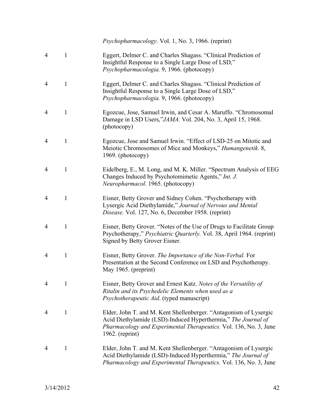*Psychopharmacology.* Vol. 1, No. 3, 1966. (reprint)

- 4 1 Eggert, Delmer C. and Charles Shagass. "Clinical Prediction of Insightful Response to a Single Large Dose of LSD," *Psychopharmacologia.* 9, 1966. (photocopy)
- 4 1 Eggert, Delmer C. and Charles Shagass. "Clinical Prediction of Insightful Response to a Single Large Dose of LSD," *Psychopharmacologia.* 9, 1966. (photocopy)
- 4 1 Egozcue, Jose, Samuel Irwin, and Cesar A. Maruffo. "Chromosomal Damage in LSD Users,"*JAMA.* Vol. 204, No. 3, April 15, 1968. (photocopy)
- 4 1 Egozcue, Jose and Samuel Irwin. "Effect of LSD-25 on Mitotic and Meiotic Chromosomes of Mice and Monkeys," *Humangenetik.* 8, 1969. (photocopy)
- 4 1 Eidelberg, E., M. Long, and M. K. Miller. "Spectrum Analysis of EEG Changes Induced by Psychotomimetic Agents," *Int. J. Neuropharmacol.* 1965. (photocopy)
- 4 1 Eisner, Betty Grover and Sidney Cohen. "Psychotherapy with Lysergic Acid Diethylamide," *Journal of Nervous and Mental Disease.* Vol. 127, No. 6, December 1958. (reprint)
- 4 1 Eisner, Betty Grover. "Notes of the Use of Drugs to Facilitate Group Psychotherapy," *Psychiatric Quarterly.* Vol. 38, April 1964. (reprint) Signed by Betty Grover Eisner.
- 4 1 Eisner, Betty Grover. *The Importance of the Non-Verbal.* For Presentation at the Second Conference on LSD and Psychotherapy. May 1965. (preprint)
- 4 1 Eisner, Betty Grover and Ernest Katz. *Notes of the Versatility of Ritalin and its Psychedelic Elements when used as a Psychotherapeutic Aid*. (typed manuscript)
- 4 1 Elder, John T. and M. Kent Shellenberger. "Antagonism of Lysergic Acid Diethylamide (LSD)-Induced Hyperthermia," *The Journal of Pharmacology and Experimental Therapeutics.* Vol. 136, No. 3, June 1962. (reprint)
- 4 1 Elder, John T. and M. Kent Shellenberger. "Antagonism of Lysergic Acid Diethylamide (LSD)-Induced Hyperthermia," *The Journal of Pharmacology and Experimental Therapeutics.* Vol. 136, No. 3, June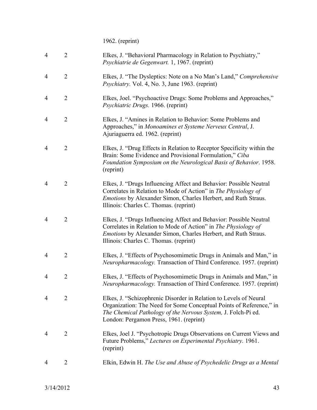1962. (reprint)

| $\overline{4}$ | $\overline{2}$ | Elkes, J. "Behavioral Pharmacology in Relation to Psychiatry,"<br>Psychiatrie de Gegenwart. 1, 1967. (reprint)                                                                                                                                          |
|----------------|----------------|---------------------------------------------------------------------------------------------------------------------------------------------------------------------------------------------------------------------------------------------------------|
| 4              | $\overline{2}$ | Elkes, J. "The Dysleptics: Note on a No Man's Land," Comprehensive<br><i>Psychiatry.</i> Vol. 4, No. 3, June 1963. (reprint)                                                                                                                            |
| $\overline{4}$ | $\overline{2}$ | Elkes, Joel. "Psychoactive Drugs: Some Problems and Approaches,"<br>Psychiatric Drugs. 1966. (reprint)                                                                                                                                                  |
| $\overline{4}$ | $\overline{2}$ | Elkes, J. "Amines in Relation to Behavior: Some Problems and<br>Approaches," in Monoamines et Systeme Nerveux Central, J.<br>Ajuriaguerra ed. 1962. (reprint)                                                                                           |
| 4              | $\overline{2}$ | Elkes, J. "Drug Effects in Relation to Receptor Specificity within the<br>Brain: Some Evidence and Provisional Formulation," Ciba<br>Foundation Symposium on the Neurological Basis of Behavior. 1958.<br>(reprint)                                     |
| 4              | $\overline{2}$ | Elkes, J. "Drugs Influencing Affect and Behavior: Possible Neutral<br>Correlates in Relation to Mode of Action" in The Physiology of<br><i>Emotions</i> by Alexander Simon, Charles Herbert, and Ruth Straus.<br>Illinois: Charles C. Thomas. (reprint) |
| 4              | $\overline{2}$ | Elkes, J. "Drugs Influencing Affect and Behavior: Possible Neutral<br>Correlates in Relation to Mode of Action" in The Physiology of<br><i>Emotions</i> by Alexander Simon, Charles Herbert, and Ruth Straus.<br>Illinois: Charles C. Thomas. (reprint) |
| 4              | $\overline{2}$ | Elkes, J. "Effects of Psychosomimetic Drugs in Animals and Man," in<br>Neuropharmacology. Transaction of Third Conference. 1957. (reprint)                                                                                                              |
| 4              | $\overline{2}$ | Elkes, J. "Effects of Psychosomimetic Drugs in Animals and Man," in<br><i>Neuropharmacology</i> . Transaction of Third Conference. 1957. (reprint)                                                                                                      |
| 4              | $\overline{2}$ | Elkes, J. "Schizophrenic Disorder in Relation to Levels of Neural<br>Organization: The Need for Some Conceptual Points of Reference," in<br>The Chemical Pathology of the Nervous System, J. Folch-Pi ed.<br>London: Pergamon Press, 1961. (reprint)    |
| 4              | $\overline{2}$ | Elkes, Joel J. "Psychotropic Drugs Observations on Current Views and<br>Future Problems," Lectures on Experimental Psychiatry. 1961.<br>(reprint)                                                                                                       |
| 4              | $\overline{2}$ | Elkin, Edwin H. The Use and Abuse of Psychedelic Drugs as a Mental                                                                                                                                                                                      |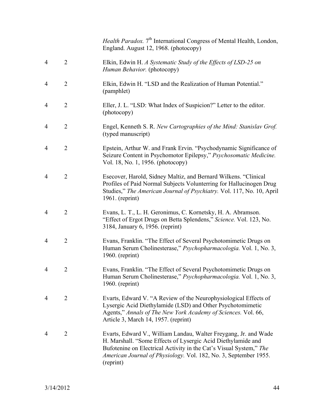|                |                | <i>Health Paradox.</i> 7 <sup>th</sup> International Congress of Mental Health, London,<br>England. August 12, 1968. (photocopy)                                                                                                                                                        |
|----------------|----------------|-----------------------------------------------------------------------------------------------------------------------------------------------------------------------------------------------------------------------------------------------------------------------------------------|
| $\overline{4}$ | $\overline{2}$ | Elkin, Edwin H. A Systematic Study of the Effects of LSD-25 on<br>Human Behavior. (photocopy)                                                                                                                                                                                           |
| 4              | $\overline{2}$ | Elkin, Edwin H. "LSD and the Realization of Human Potential."<br>(pamphlet)                                                                                                                                                                                                             |
| 4              | $\overline{2}$ | Eller, J. L. "LSD: What Index of Suspicion?" Letter to the editor.<br>(photocopy)                                                                                                                                                                                                       |
| 4              | $\overline{2}$ | Engel, Kenneth S. R. New Cartographies of the Mind: Stanislav Grof.<br>(typed manuscript)                                                                                                                                                                                               |
| 4              | $\overline{2}$ | Epstein, Arthur W. and Frank Ervin. "Psychodynamic Significance of<br>Seizure Content in Psychomotor Epilepsy," Psychosomatic Medicine.<br>Vol. 18, No. 1, 1956. (photocopy)                                                                                                            |
| 4              | $\overline{2}$ | Esecover, Harold, Sidney Maltiz, and Bernard Wilkens. "Clinical<br>Profiles of Paid Normal Subjects Volunterring for Hallucinogen Drug<br>Studies," The American Journal of Psychiatry. Vol. 117, No. 10, April<br>$1961.$ (reprint)                                                    |
| 4              | $\overline{2}$ | Evans, L. T., L. H. Geronimus, C. Kornetsky, H. A. Abramson.<br>"Effect of Ergot Drugs on Betta Splendens," Science. Vol. 123, No.<br>3184, January 6, 1956. (reprint)                                                                                                                  |
| 4              | $\overline{2}$ | Evans, Franklin. "The Effect of Several Psychotomimetic Drugs on<br>Human Serum Cholinesterase," Psychopharmacologia. Vol. 1, No. 3,<br>$1960.$ (reprint)                                                                                                                               |
| 4              |                | Evans, Franklin. "The Effect of Several Psychotomimetic Drugs on<br>Human Serum Cholinesterase," Psychopharmacologia. Vol. 1, No. 3,<br>$1960.$ (reprint)                                                                                                                               |
| 4              | $\overline{2}$ | Evarts, Edward V. "A Review of the Neurophysiological Effects of<br>Lysergic Acid Diethylamide (LSD) and Other Psychotomimetic<br>Agents," Annals of The New York Academy of Sciences. Vol. 66,<br>Article 3, March 14, 1957. (reprint)                                                 |
| 4              | $\overline{2}$ | Evarts, Edward V., William Landau, Walter Freygang, Jr. and Wade<br>H. Marshall. "Some Effects of Lysergic Acid Diethylamide and<br>Bufotenine on Electrical Activity in the Cat's Visual System," The<br>American Journal of Physiology. Vol. 182, No. 3, September 1955.<br>(reprint) |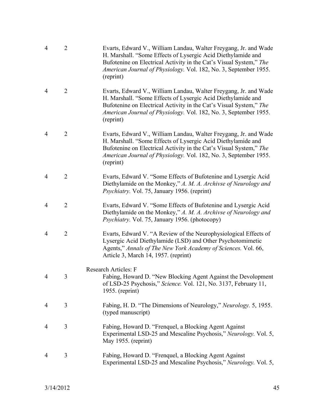| $\overline{4}$ | $\overline{2}$ | Evarts, Edward V., William Landau, Walter Freygang, Jr. and Wade<br>H. Marshall. "Some Effects of Lysergic Acid Diethylamide and<br>Bufotenine on Electrical Activity in the Cat's Visual System," The<br>American Journal of Physiology. Vol. 182, No. 3, September 1955.<br>(reprint) |
|----------------|----------------|-----------------------------------------------------------------------------------------------------------------------------------------------------------------------------------------------------------------------------------------------------------------------------------------|
| $\overline{4}$ | $\overline{2}$ | Evarts, Edward V., William Landau, Walter Freygang, Jr. and Wade<br>H. Marshall. "Some Effects of Lysergic Acid Diethylamide and<br>Bufotenine on Electrical Activity in the Cat's Visual System," The<br>American Journal of Physiology. Vol. 182, No. 3, September 1955.<br>(reprint) |
| 4              | $\overline{2}$ | Evarts, Edward V., William Landau, Walter Freygang, Jr. and Wade<br>H. Marshall. "Some Effects of Lysergic Acid Diethylamide and<br>Bufotenine on Electrical Activity in the Cat's Visual System," The<br>American Journal of Physiology. Vol. 182, No. 3, September 1955.<br>(reprint) |
| 4              | $\overline{2}$ | Evarts, Edward V. "Some Effects of Bufotenine and Lysergic Acid<br>Diethylamide on the Monkey," A. M. A. Archivse of Neurology and<br><i>Psychiatry.</i> Vol. 75, January 1956. (reprint)                                                                                               |
| 4              | $\overline{2}$ | Evarts, Edward V. "Some Effects of Bufotenine and Lysergic Acid<br>Diethylamide on the Monkey," A. M. A. Archivse of Neurology and<br><i>Psychiatry.</i> Vol. 75, January 1956. (photocopy)                                                                                             |
| 4              | $\overline{2}$ | Evarts, Edward V. "A Review of the Neurophysiological Effects of<br>Lysergic Acid Diethylamide (LSD) and Other Psychotomimetic<br>Agents," Annals of The New York Academy of Sciences. Vol. 66,<br>Article 3, March 14, 1957. (reprint)                                                 |
|                | 3              | <b>Research Articles: F</b><br>Fabing, Howard D. "New Blocking Agent Against the Devolopment<br>of LSD-25 Psychosis," Science. Vol. 121, No. 3137, February 11,<br>$1955.$ (reprint)                                                                                                    |
| 4              | 3              | Fabing, H. D. "The Dimensions of Neurology," Neurology. 5, 1955.<br>(typed manuscript)                                                                                                                                                                                                  |
| 4              | 3              | Fabing, Howard D. "Frenquel, a Blocking Agent Against<br>Experimental LSD-25 and Mescaline Psychosis," Neurology. Vol. 5,<br>May 1955. (reprint)                                                                                                                                        |
| 4              | 3              | Fabing, Howard D. "Frenquel, a Blocking Agent Against<br>Experimental LSD-25 and Mescaline Psychosis," Neurology. Vol. 5,                                                                                                                                                               |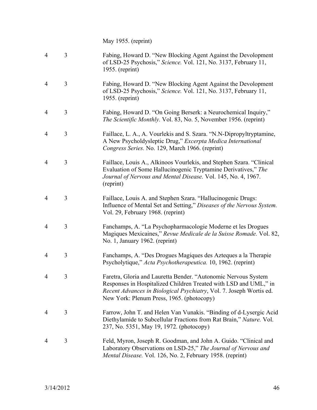May 1955. (reprint)

| $\overline{4}$ | 3 | Fabing, Howard D. "New Blocking Agent Against the Devolopment<br>of LSD-25 Psychosis," Science. Vol. 121, No. 3137, February 11,<br>$1955.$ (reprint)                                                                                                  |
|----------------|---|--------------------------------------------------------------------------------------------------------------------------------------------------------------------------------------------------------------------------------------------------------|
| $\overline{4}$ | 3 | Fabing, Howard D. "New Blocking Agent Against the Devolopment<br>of LSD-25 Psychosis," Science. Vol. 121, No. 3137, February 11,<br>$1955.$ (reprint)                                                                                                  |
| 4              | 3 | Fabing, Howard D. "On Going Berserk: a Neurochemical Inquiry,"<br><i>The Scientific Monthly.</i> Vol. 83, No. 5, November 1956. (reprint)                                                                                                              |
| $\overline{4}$ | 3 | Faillace, L. A., A. Vourlekis and S. Szara. "N.N-Dipropyltryptamine,<br>A New Psycholdysleptic Drug," Excerpta Medica International<br>Congress Series. No. 129, March 1966. (reprint)                                                                 |
| $\overline{4}$ | 3 | Faillace, Louis A., Alkinoos Vourlekis, and Stephen Szara. "Clinical<br>Evaluation of Some Hallucinogenic Tryptamine Derivatives," The<br>Journal of Nervous and Mental Disease. Vol. 145, No. 4, 1967.<br>(reprint)                                   |
| $\overline{4}$ | 3 | Faillace, Louis A. and Stephen Szara. "Hallucinogenic Drugs:<br>Influence of Mental Set and Setting," Diseases of the Nervous System.<br>Vol. 29, February 1968. (reprint)                                                                             |
| $\overline{4}$ | 3 | Fanchamps, A. "La Psychopharmacologie Moderne et les Drogues<br>Magiques Mexicaines," Revue Medicale de la Suisse Romade. Vol. 82,<br>No. 1, January 1962. (reprint)                                                                                   |
| 4              | 3 | Fanchamps, A. "Des Drogues Magiques des Azteques a la Therapie<br>Psycholytique," Acta Psychotherapeutica. 10, 1962. (reprint)                                                                                                                         |
| 4              | 3 | Faretra, Gloria and Lauretta Bender. "Autonomic Nervous System<br>Responses in Hospitalized Children Treated with LSD and UML," in<br>Recent Advances in Biological Psychiatry, Vol. 7. Joseph Wortis ed.<br>New York: Plenum Press, 1965. (photocopy) |
| 4              | 3 | Farrow, John T. and Helen Van Vunakis. "Binding of d-Lysergic Acid<br>Diethylamide to Subcellular Fractions from Rat Brain," Nature. Vol.<br>237, No. 5351, May 19, 1972. (photocopy)                                                                  |
| 4              | 3 | Feld, Myron, Joseph R. Goodman, and John A. Guido. "Clinical and<br>Laboratory Observations on LSD-25," The Journal of Nervous and<br>Mental Disease. Vol. 126, No. 2, February 1958. (reprint)                                                        |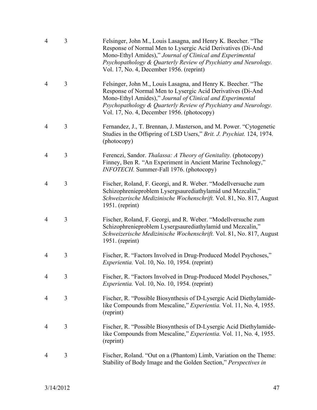| $\overline{4}$ | 3 | Felsinger, John M., Louis Lasagna, and Henry K. Beecher. "The<br>Response of Normal Men to Lysergic Acid Derivatives (Di-And<br>Mono-Ethyl Amides)," Journal of Clinical and Experimental<br>Psychopathology & Quarterly Review of Psychiatry and Neurology.<br>Vol. 17, No. 4, December 1956. (reprint)   |
|----------------|---|------------------------------------------------------------------------------------------------------------------------------------------------------------------------------------------------------------------------------------------------------------------------------------------------------------|
| 4              | 3 | Felsinger, John M., Louis Lasagna, and Henry K. Beecher. "The<br>Response of Normal Men to Lysergic Acid Derivatives (Di-And<br>Mono-Ethyl Amides)," Journal of Clinical and Experimental<br>Psychopathology & Quarterly Review of Psychiatry and Neurology.<br>Vol. 17, No. 4, December 1956. (photocopy) |
| $\overline{4}$ | 3 | Fernandez, J., T. Brennan, J. Masterson, and M. Power. "Cytogenetic<br>Studies in the Offspring of LSD Users," Brit. J. Psychiat. 124, 1974.<br>(photocopy)                                                                                                                                                |
| 4              | 3 | Ferenczi, Sandor. Thalassa: A Theory of Genitality. (photocopy)<br>Finney, Ben R. "An Experiment in Ancient Marine Technology,"<br>INFOTECH. Summer-Fall 1976. (photocopy)                                                                                                                                 |
| $\overline{4}$ | 3 | Fischer, Roland, F. Georgi, and R. Weber. "Modellversuche zum<br>Schizophrenieproblem Lysergsaurediathylamid und Mezcalin,"<br>Schweizerische Medizinische Wochenschrift. Vol. 81, No. 817, August<br>$1951.$ (reprint)                                                                                    |
| 4              | 3 | Fischer, Roland, F. Georgi, and R. Weber. "Modellversuche zum<br>Schizophrenieproblem Lysergsaurediathylamid und Mezcalin,"<br>Schweizerische Medizinische Wochenschrift. Vol. 81, No. 817, August<br>$1951.$ (reprint)                                                                                    |
| 4              | 3 | Fischer, R. "Factors Involved in Drug-Produced Model Psychoses,"<br><i>Experientia.</i> Vol. 10, No. 10, 1954. (reprint)                                                                                                                                                                                   |
| 4              | 3 | Fischer, R. "Factors Involved in Drug-Produced Model Psychoses,"<br>Experientia. Vol. 10, No. 10, 1954. (reprint)                                                                                                                                                                                          |
| 4              | 3 | Fischer, R. "Possible Biosynthesis of D-Lysergic Acid Diethylamide-<br>like Compounds from Mescaline," <i>Experientia</i> . Vol. 11, No. 4, 1955.<br>(reprint)                                                                                                                                             |
| 4              | 3 | Fischer, R. "Possible Biosynthesis of D-Lysergic Acid Diethylamide-<br>like Compounds from Mescaline," Experientia. Vol. 11, No. 4, 1955.<br>(reprint)                                                                                                                                                     |
| 4              | 3 | Fischer, Roland. "Out on a (Phantom) Limb, Variation on the Theme:<br>Stability of Body Image and the Golden Section," Perspectives in                                                                                                                                                                     |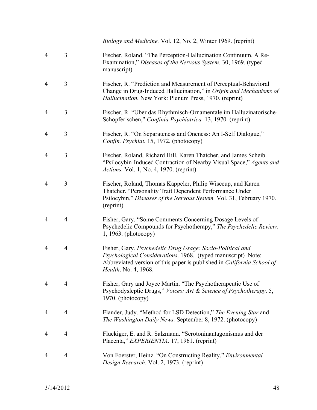*Biology and Medicine.* Vol. 12, No. 2, Winter 1969. (reprint)

| $\overline{4}$ | 3              | Fischer, Roland. "The Perception-Hallucination Continuum, A Re-<br>Examination," Diseases of the Nervous System. 30, 1969. (typed<br>manuscript)                                                                                          |
|----------------|----------------|-------------------------------------------------------------------------------------------------------------------------------------------------------------------------------------------------------------------------------------------|
| $\overline{4}$ | 3              | Fischer, R. "Prediction and Measurement of Perceptual-Behavioral<br>Change in Drug-Induced Hallucination," in Origin and Mechanisms of<br>Hallucination. New York: Plenum Press, 1970. (reprint)                                          |
| 4              | 3              | Fischer, R. "Uber das Rhythmisch-Ornamentale im Halluzinatorische-<br>Schopferischen," Confinia Psychiatrica. 13, 1970. (reprint)                                                                                                         |
| 4              | 3              | Fischer, R. "On Separateness and Oneness: An I-Self Dialogue,"<br>Confin. Psychiat. 15, 1972. (photocopy)                                                                                                                                 |
| 4              | 3              | Fischer, Roland, Richard Hill, Karen Thatcher, and James Scheib.<br>"Psilocybin-Induced Contraction of Nearby Visual Space," Agents and<br><i>Actions.</i> Vol. 1, No. 4, 1970. (reprint)                                                 |
| $\overline{4}$ | 3              | Fischer, Roland, Thomas Kappeler, Philip Wisecup, and Karen<br>Thatcher. "Personality Trait Dependent Performance Under<br>Psilocybin," Diseases of the Nervous System. Vol. 31, February 1970.<br>(reprint)                              |
| 4              | 4              | Fisher, Gary. "Some Comments Concerning Dosage Levels of<br>Psychedelic Compounds for Psychotherapy," The Psychedelic Review.<br>$1, 1963.$ (photocopy)                                                                                   |
| 4              | 4              | Fisher, Gary. Psychedelic Drug Usage: Socio-Political and<br>Psychological Considerations. 1968. (typed manuscript) Note:<br>Abbreviated version of this paper is published in <i>California School of</i><br><i>Health.</i> No. 4, 1968. |
| 4              | 4              | Fisher, Gary and Joyce Martin. "The Psychotherapeutic Use of<br>Psychodysleptic Drugs," Voices: Art & Science of Psychotherapy. 5,<br>1970. (photocopy)                                                                                   |
| 4              | 4              | Flander, Judy. "Method for LSD Detection," The Evening Star and<br>The Washington Daily News. September 8, 1972. (photocopy)                                                                                                              |
| 4              | 4              | Fluckiger, E. and R. Salzmann. "Serotoninantagonismus and der<br>Placenta," EXPERIENTIA. 17, 1961. (reprint)                                                                                                                              |
| 4              | $\overline{4}$ | Von Foerster, Heinz. "On Constructing Reality," Environmental<br>Design Research. Vol. 2, 1973. (reprint)                                                                                                                                 |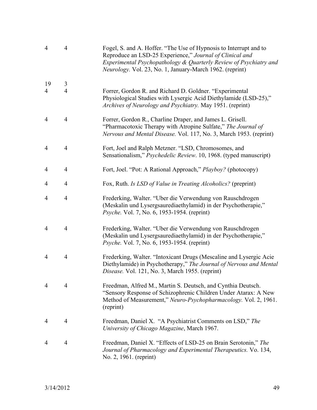| $\overline{4}$ | $\overline{4}$ | Fogel, S. and A. Hoffer. "The Use of Hypnosis to Interrupt and to<br>Reproduce an LSD-25 Experience," Journal of Clinical and<br>Experimental Psychopathology & Quarterly Review of Psychiatry and<br>Neurology. Vol. 23, No. 1, January-March 1962. (reprint) |
|----------------|----------------|----------------------------------------------------------------------------------------------------------------------------------------------------------------------------------------------------------------------------------------------------------------|
| 19             | 3              |                                                                                                                                                                                                                                                                |
| $\overline{4}$ | $\overline{4}$ | Forrer, Gordon R. and Richard D. Goldner. "Experimental<br>Physiological Studies with Lysergic Acid Diethylamide (LSD-25),"<br>Archives of Neurology and Psychiatry. May 1951. (reprint)                                                                       |
| $\overline{4}$ | $\overline{4}$ | Forrer, Gordon R., Charline Draper, and James L. Grisell.<br>"Pharmacotoxic Therapy with Atropine Sulfate," The Journal of<br>Nervous and Mental Disease. Vol. 117, No. 3, March 1953. (reprint)                                                               |
| $\overline{4}$ | $\overline{4}$ | Fort, Joel and Ralph Metzner. "LSD, Chromosomes, and<br>Sensationalism," Psychedelic Review. 10, 1968. (typed manuscript)                                                                                                                                      |
| 4              | $\overline{4}$ | Fort, Joel. "Pot: A Rational Approach," Playboy? (photocopy)                                                                                                                                                                                                   |
| 4              | 4              | Fox, Ruth. Is LSD of Value in Treating Alcoholics? (preprint)                                                                                                                                                                                                  |
| 4              | $\overline{4}$ | Frederking, Walter. "Uber die Verwendung von Rauschdrogen<br>(Meskalin und Lysergsaurediaethylamid) in der Psychotherapie,"<br><i>Psyche.</i> Vol. 7, No. 6, 1953-1954. (reprint)                                                                              |
| $\overline{4}$ | $\overline{4}$ | Frederking, Walter. "Uber die Verwendung von Rauschdrogen<br>(Meskalin und Lysergsaurediaethylamid) in der Psychotherapie,"<br><i>Psyche.</i> Vol. 7, No. 6, 1953-1954. (reprint)                                                                              |
| 4              | $\overline{4}$ | Frederking, Walter. "Intoxicant Drugs (Mescaline and Lysergic Acie<br>Diethylamide) in Psychotherapy," The Journal of Nervous and Mental<br>Disease. Vol. 121, No. 3, March 1955. (reprint)                                                                    |
| 4              | 4              | Freedman, Alfred M., Martin S. Deutsch, and Cynthia Deutsch.<br>"Sensory Response of Schizophrenic Children Under Atarax: A New<br>Method of Measurement," Neuro-Psychopharmacology. Vol. 2, 1961.<br>(reprint)                                                |
| 4              | $\overline{4}$ | Freedman, Daniel X. "A Psychiatrist Comments on LSD," The<br>University of Chicago Magazine, March 1967.                                                                                                                                                       |
| 4              | $\overline{4}$ | Freedman, Daniel X. "Effects of LSD-25 on Brain Serotonin," The<br>Journal of Pharmacology and Experimental Therapeutics. Vo. 134,<br>No. 2, 1961. (reprint)                                                                                                   |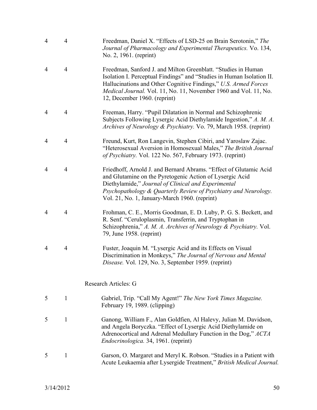| $\overline{4}$ | $\overline{4}$ | Freedman, Daniel X. "Effects of LSD-25 on Brain Serotonin," The<br>Journal of Pharmacology and Experimental Therapeutics. Vo. 134,<br>No. 2, 1961. (reprint)                                                                                                                                                  |
|----------------|----------------|---------------------------------------------------------------------------------------------------------------------------------------------------------------------------------------------------------------------------------------------------------------------------------------------------------------|
| $\overline{4}$ | $\overline{4}$ | Freedman, Sanford J. and Milton Greenblatt. "Studies in Human<br>Isolation I. Perceptual Findings" and "Studies in Human Isolation II.<br>Hallucinations and Other Cognitive Findings," U.S. Armed Forces<br>Medical Journal. Vol. 11, No. 11, November 1960 and Vol. 11, No.<br>12, December 1960. (reprint) |
| $\overline{4}$ | 4              | Freeman, Harry. "Pupil Dilatation in Normal and Schizophrenic<br>Subjects Following Lysergic Acid Diethylamide Ingestion," A. M. A.<br>Archives of Neurology & Psychiatry. Vo. 79, March 1958. (reprint)                                                                                                      |
| $\overline{4}$ | $\overline{4}$ | Freund, Kurt, Ron Langevin, Stephen Cibiri, and Yaroslaw Zajac.<br>"Heterosexual Aversion in Homosexual Males," The British Journal<br>of Psychiatry. Vol. 122 No. 567, February 1973. (reprint)                                                                                                              |
| $\overline{4}$ | $\overline{4}$ | Friedhoff, Arnold J. and Bernard Abrams. "Effect of Glutamic Acid<br>and Glutamine on the Pyretogenic Action of Lysergic Acid<br>Diethylamide," Journal of Clinical and Experimental<br>Psychopathology & Quarterly Review of Psychiatry and Neurology.<br>Vol. 21, No. 1, January-March 1960. (reprint)      |
| $\overline{4}$ | $\overline{4}$ | Frohman, C. E., Morris Goodman, E. D. Luby, P. G. S. Beckett, and<br>R. Senf. "Ceruloplasmin, Transferrin, and Tryptophan in<br>Schizophrenia," A. M. A. Archives of Neurology & Psychiatry. Vol.<br>79, June 1958. (reprint)                                                                                 |
| $\overline{4}$ | $\overline{4}$ | Fuster, Joaquin M. "Lysergic Acid and its Effects on Visual<br>Discrimination in Monkeys," The Journal of Nervous and Mental<br>Disease. Vol. 129, No. 3, September 1959. (reprint)                                                                                                                           |
|                |                | Research Articles: G                                                                                                                                                                                                                                                                                          |
| 5              | 1              | Gabriel, Trip. "Call My Agent!" The New York Times Magazine.<br>February 19, 1989. (clipping)                                                                                                                                                                                                                 |
| 5              | 1              | Ganong, William F., Alan Goldfien, Al Halevy, Julian M. Davidson,<br>and Angela Boryczka. "Effect of Lysergic Acid Diethylamide on<br>Adrenocortical and Adrenal Medullary Function in the Dog," ACTA<br>Endocrinologica. 34, 1961. (reprint)                                                                 |
| 5              | 1              | Garson, O. Margaret and Meryl K. Robson. "Studies in a Patient with<br>Acute Leukaemia after Lysergide Treatment," British Medical Journal.                                                                                                                                                                   |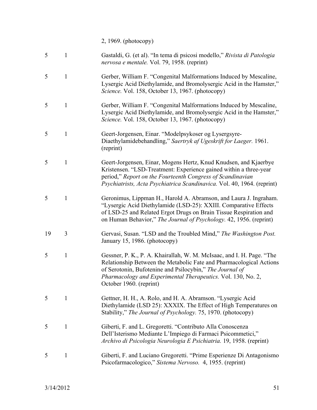2, 1969. (photocopy)

| 5  | $\mathbf{1}$ | Gastaldi, G. (et al). "In tema di psicosi modello," Rivista di Patologia<br>nervosa e mentale. Vol. 79, 1958. (reprint)                                                                                                                                                                             |
|----|--------------|-----------------------------------------------------------------------------------------------------------------------------------------------------------------------------------------------------------------------------------------------------------------------------------------------------|
| 5  | 1            | Gerber, William F. "Congenital Malformations Induced by Mescaline,<br>Lysergic Acid Diethylamide, and Bromolysergic Acid in the Hamster,"<br>Science. Vol. 158, October 13, 1967. (photocopy)                                                                                                       |
| 5  | $\mathbf{1}$ | Gerber, William F. "Congenital Malformations Induced by Mescaline,<br>Lysergic Acid Diethylamide, and Bromolysergic Acid in the Hamster,"<br>Science. Vol. 158, October 13, 1967. (photocopy)                                                                                                       |
| 5  | $\mathbf{1}$ | Geert-Jorgensen, Einar. "Modelpsykoser og Lysergsyre-<br>Diaethylamidebehandling," Saertryk af Ugeskrift for Laeger. 1961.<br>(reprint)                                                                                                                                                             |
| 5  | $\mathbf{1}$ | Geert-Jorgensen, Einar, Mogens Hertz, Knud Knudsen, and Kjaerbye<br>Kristensen. "LSD-Treatment: Experience gained within a three-year<br>period," Report on the Fourteenth Congress of Scandinavian<br>Psychiatrists, Acta Psychiatrica Scandinavica. Vol. 40, 1964. (reprint)                      |
| 5  | $\mathbf{1}$ | Geronimus, Lippman H., Harold A. Abramson, and Laura J. Ingraham.<br>"Lysergic Acid Diethylamide (LSD-25): XXIII. Comparative Effects<br>of LSD-25 and Related Ergot Drugs on Brain Tissue Respiration and<br>on Human Behavior," The Journal of Psychology. 42, 1956. (reprint)                    |
| 19 | 3            | Gervasi, Susan. "LSD and the Troubled Mind," The Washington Post.<br>January 15, 1986. (photocopy)                                                                                                                                                                                                  |
| 5  | 1            | Gessner, P. K., P. A. Khairallah, W. M. McIsaac, and I. H. Page. "The<br>Relationship Between the Metabolic Fate and Pharmacological Actions<br>of Serotonin, Bufotenine and Psilocybin," The Journal of<br>Pharmacology and Experimental Therapeutics. Vol. 130, No. 2,<br>October 1960. (reprint) |
| 5  | 1            | Gettner, H. H., A. Rolo, and H. A. Abramson. "Lysergic Acid<br>Diethylamide (LSD 25): XXXIX. The Effect of High Temperatures on<br>Stability," The Journal of Psychology. 75, 1970. (photocopy)                                                                                                     |
| 5  | 1            | Giberti, F. and L. Gregoretti. "Contributo Alla Conoscenza<br>Dell'Isterismo Mediante L'Impiego di Farmaci Psicommetici,"<br>Archivo di Psicologia Neurologia E Psichiatria. 19, 1958. (reprint)                                                                                                    |
| 5  | 1            | Giberti, F. and Luciano Gregoretti. "Prime Esperienze Di Antagonismo<br>Psicofarmacologico," Sistema Nervoso. 4, 1955. (reprint)                                                                                                                                                                    |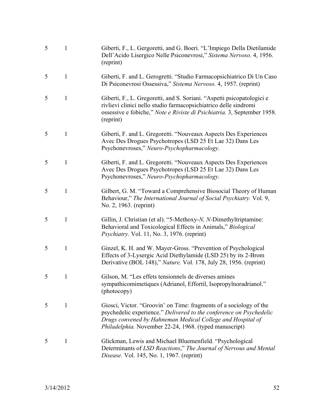| 5 | $\mathbf{1}$ | Giberti, F., L. Gergoretti, and G. Boeri. "L'Impiego Della Dietilamide<br>Dell'Acido Lisergico Nelle Psiconevrosi," Sistema Nervoso. 4, 1956.<br>(reprint)                                                                                                        |
|---|--------------|-------------------------------------------------------------------------------------------------------------------------------------------------------------------------------------------------------------------------------------------------------------------|
| 5 | $\mathbf{1}$ | Giberti, F. and L. Gerogretti. "Studio Farmacopsichiatrico Di Un Caso<br>Di Psiconevrosi Ossessiva," Sistema Nervoso. 4, 1957. (reprint)                                                                                                                          |
| 5 | $\mathbf{1}$ | Giberti, F., L. Gregoretti, and S. Soriani. "Aspetti psicopatologici e<br>rivlievi clinici nello studio farmacopsichiatrico delle sindromi<br>ossessive e fobiche," Note e Riviste di Psichiatria. 3, September 1958.<br>(reprint)                                |
| 5 | $\mathbf{1}$ | Giberti, F. and L. Gregoretti. "Nouveaux Aspects Des Experiences<br>Avec Des Drogues Psychotropes (LSD 25 Et Lae 32) Dans Les<br>Psychonevroses," Neuro-Psychopharmacology.                                                                                       |
| 5 | 1            | Giberti, F. and L. Gregoretti. "Nouveaux Aspects Des Experiences<br>Avec Des Drogues Psychotropes (LSD 25 Et Lae 32) Dans Les<br>Psychonevroses," Neuro-Psychopharmacology.                                                                                       |
| 5 | $\mathbf{1}$ | Gilbert, G. M. "Toward a Comprehensive Biosocial Theory of Human<br>Behaviour," The International Journal of Social Psychiatry. Vol. 9,<br>No. 2, 1963. (reprint)                                                                                                 |
| 5 | 1            | Gillin, J. Christian (et al). "5-Methoxy-N, N-Dimethyltriptamine:<br>Behavioral and Toxicological Effects in Animals," Biological<br><i>Psychiatry.</i> Vol. 11, No. 3, 1976. (reprint)                                                                           |
| 5 | $\mathbf{1}$ | Ginzel, K. H. and W. Mayer-Gross. "Prevention of Psychological<br>Effects of 3-Lysergic Acid Diethylamide (LSD 25) by its 2-Brom<br>Derivative (BOL 148)," Nature. Vol. 178, July 28, 1956. (reprint)                                                             |
|   | $\mathbf{1}$ | Gilson, M. "Les effets tensionnels de diverses amines<br>sympathicomimetiques (Adrianol, Effortil, Isopropylnoradrianol."<br>(photocopy)                                                                                                                          |
| 5 | $\mathbf{1}$ | Giosci, Victor. "Groovin' on Time: fragments of a sociology of the<br>psychedelic experience." Delivered to the conference on Psychedelic<br>Drugs convened by Hahneman Medical College and Hospital of<br>Philadelphia. November 22-24, 1968. (typed manuscript) |
| 5 | 1            | Glickman, Lewis and Michael Bluemenfield. "Psychological<br>Determinants of LSD Reactions," The Journal of Nervous and Mental<br>Disease. Vol. 145, No. 1, 1967. (reprint)                                                                                        |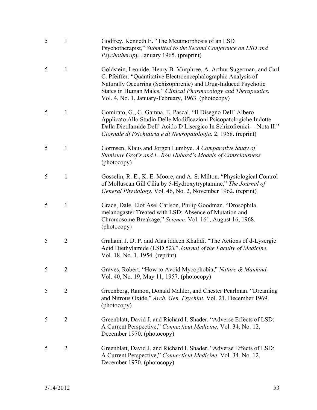| 5 | $\mathbf{1}$   | Godfrey, Kenneth E. "The Metamorphosis of an LSD<br>Psychotherapist," Submitted to the Second Conference on LSD and<br>Psychotherapy. January 1965. (preprint)                                                                                                                                                                   |
|---|----------------|----------------------------------------------------------------------------------------------------------------------------------------------------------------------------------------------------------------------------------------------------------------------------------------------------------------------------------|
| 5 | 1              | Goldstein, Leonide, Henry B. Murphree, A. Arthur Sugerman, and Carl<br>C. Pfeiffer. "Quantitative Electroencephalographic Analysis of<br>Naturally Occurring (Schizophrenic) and Drug-Induced Psychotic<br>States in Human Males," Clinical Pharmacology and Therapeutics.<br>Vol. 4, No. 1, January-February, 1963. (photocopy) |
| 5 | 1              | Gomirato, G., G. Gamna, E. Pascal. "Il Disegno Dell' Albero<br>Applicato Allo Studio Delle Modificazioni Psicopatologiche Indotte<br>Dalla Dietilamide Dell' Acido D Lisergico In Schizofrenici. - Nota II."<br>Giornale di Psichiatria e di Neuropatologia. 2, 1958. (reprint)                                                  |
| 5 | 1              | Gormsen, Klaus and Jorgen Lumbye. A Comparative Study of<br>Stanislav Grof's and L. Ron Hubard's Models of Consciousness.<br>(photocopy)                                                                                                                                                                                         |
| 5 | 1              | Gosselin, R. E., K. E. Moore, and A. S. Milton. "Physiological Control<br>of Molluscan Gill Cilia by 5-Hydroxytryptamine," The Journal of<br>General Physiology. Vol. 46, No. 2, November 1962. (reprint)                                                                                                                        |
| 5 | 1              | Grace, Dale, Elof Asel Carlson, Philip Goodman. "Drosophila<br>melanogaster Treated with LSD: Absence of Mutation and<br>Chromosome Breakage," Science. Vol. 161, August 16, 1968.<br>(photocopy)                                                                                                                                |
| 5 | $\overline{2}$ | Graham, J. D. P. and Alaa iddeen Khalidi. "The Actions of d-Lysergic<br>Acid Diethylamide (LSD 52)," Journal of the Faculty of Medicine.<br>Vol. 18, No. 1, 1954. (reprint)                                                                                                                                                      |
| 5 | 2              | Graves, Robert. "How to Avoid Mycophobia," Nature & Mankind.<br>Vol. 40, No. 19, May 11, 1957. (photocopy)                                                                                                                                                                                                                       |
| 5 | $\overline{2}$ | Greenberg, Ramon, Donald Mahler, and Chester Pearlman. "Dreaming<br>and Nitrous Oxide," Arch. Gen. Psychiat. Vol. 21, December 1969.<br>(photocopy)                                                                                                                                                                              |
| 5 | $\overline{2}$ | Greenblatt, David J. and Richard I. Shader. "Adverse Effects of LSD:<br>A Current Perspective," Connecticut Medicine. Vol. 34, No. 12,<br>December 1970. (photocopy)                                                                                                                                                             |
| 5 | $\overline{2}$ | Greenblatt, David J. and Richard I. Shader. "Adverse Effects of LSD:<br>A Current Perspective," Connecticut Medicine. Vol. 34, No. 12,<br>December 1970. (photocopy)                                                                                                                                                             |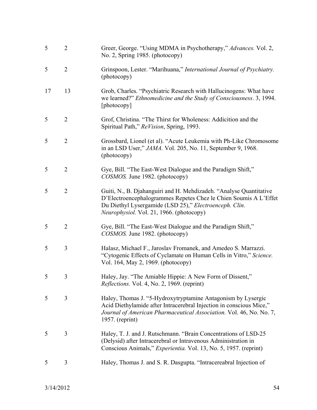| 5  | $\overline{2}$ | Greer, George. "Using MDMA in Psychotherapy," Advances. Vol. 2,<br>No. 2, Spring 1985. (photocopy)                                                                                                                                           |
|----|----------------|----------------------------------------------------------------------------------------------------------------------------------------------------------------------------------------------------------------------------------------------|
| 5  | $\overline{2}$ | Grinspoon, Lester. "Marihuana," International Journal of Psychiatry.<br>(photocopy)                                                                                                                                                          |
| 17 | 13             | Grob, Charles. "Psychiatric Research with Hallucinogens: What have<br>we learned?" <i>Ethnomedicine and the Study of Consciousness.</i> 3, 1994.<br>[photocopy]                                                                              |
| 5  | $\overline{2}$ | Grof, Christina. "The Thirst for Wholeness: Addicition and the<br>Spiritual Path," ReVision, Spring, 1993.                                                                                                                                   |
| 5  | $\overline{2}$ | Grossbard, Lionel (et al). "Acute Leukemia with Ph-Like Chromosome<br>in an LSD User," <i>JAMA</i> . Vol. 205, No. 11, September 9, 1968.<br>(photocopy)                                                                                     |
| 5  | $\overline{2}$ | Gye, Bill. "The East-West Dialogue and the Paradigm Shift,"<br>COSMOS. June 1982. (photocopy)                                                                                                                                                |
| 5  | $\overline{2}$ | Guiti, N., B. Djahanguiri and H. Mehdizadeh. "Analyse Quantitative<br>D'Electroencephalogrammes Repetes Chez le Chien Soumis A L'Effet<br>Du Diethyl Lysergamide (LSD 25)," Electroenceph. Clin.<br>Neurophysiol. Vol. 21, 1966. (photocopy) |
| 5  | $\overline{2}$ | Gye, Bill. "The East-West Dialogue and the Paradigm Shift,"<br>COSMOS. June 1982. (photocopy)                                                                                                                                                |
| 5  | 3              | Halasz, Michael F., Jaroslav Fromanek, and Amedeo S. Marrazzi.<br>"Cytogenic Effects of Cyclamate on Human Cells in Vitro," Science.<br>Vol. 164, May 2, 1969. (photocopy)                                                                   |
| 5  | 3              | Haley, Jay. "The Amiable Hippie: A New Form of Dissent,"<br><i>Reflections.</i> Vol. 4, No. 2, 1969. (reprint)                                                                                                                               |
| 5  | 3              | Haley, Thomas J. "5-Hydroxytryptamine Antagonism by Lysergic<br>Acid Diethylamide after Intracerebral Injection in conscious Mice,"<br>Journal of American Pharmaceutical Association. Vol. 46, No. No. 7,<br>$1957.$ (reprint)              |
| 5  | 3              | Haley, T. J. and J. Rutschmann. "Brain Concentrations of LSD-25<br>(Delysid) after Intracerebral or Intravenous Administration in<br>Conscious Animals," <i>Experientia</i> . Vol. 13, No. 5, 1957. (reprint)                                |
| 5  | 3              | Haley, Thomas J. and S. R. Dasgupta. "Intracereabral Injection of                                                                                                                                                                            |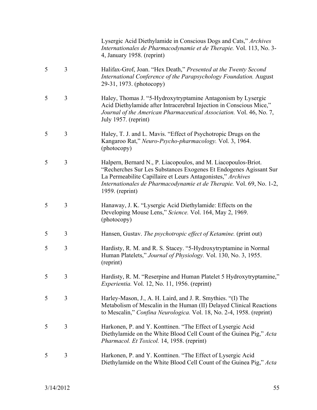Lysergic Acid Diethylamide in Conscious Dogs and Cats," *Archives Internationales de Pharmacodynamie et de Therapie.* Vol. 113, No. 3- 4, January 1958. (reprint)

- 5 3 Halifax-Grof, Joan. "Hex Death," *Presented at the Twenty Second International Conference of the Parapsychology Foundation.* August 29-31, 1973. (photocopy)
- 5 3 Haley, Thomas J. "5-Hydroxytryptamine Antagonism by Lysergic Acid Diethylamide after Intracerebral Injection in Conscious Mice," *Journal of the American Pharmaceutical Association.* Vol. 46, No. 7, July 1957. (reprint)
- 5 3 Haley, T. J. and L. Mavis. "Effect of Psychotropic Drugs on the Kangaroo Rat," *Neuro-Psycho-pharmacology.* Vol. 3, 1964. (photocopy)
- 5 3 Halpern, Bernard N., P. Liacopoulos, and M. Liacopoulos-Briot. "Recherches Sur Les Substances Exogenes Et Endogenes Agissant Sur La Permeabilite Capillaire et Leurs Antagonistes," *Archives Internationales de Pharmacodynamie et de Therapie.* Vol. 69, No. 1-2, 1959. (reprint)
- 5 3 Hanaway, J. K. "Lysergic Acid Diethylamide: Effects on the Developing Mouse Lens," *Science.* Vol. 164, May 2, 1969. (photocopy)
- 5 3 Hansen, Gustav. *The psychotropic effect of Ketamine.* (print out)
- 5 3 Hardisty, R. M. and R. S. Stacey. "5-Hydroxytryptamine in Normal Human Platelets," *Journal of Physiology.* Vol. 130, No. 3, 1955. (reprint)
- 5 3 Hardisty, R. M. "Reserpine and Human Platelet 5 Hydroxytryptamine," *Experientia.* Vol. 12, No. 11, 1956. (reprint)
- 5 3 Harley-Mason, J., A. H. Laird, and J. R. Smythies. "(I) The Metabolism of Mescalin in the Human (II) Delayed Clinical Reactions to Mescalin," *Confina Neurologica.* Vol. 18, No. 2-4, 1958. (reprint)
- 5 3 Harkonen, P. and Y. Konttinen. "The Effect of Lysergic Acid Diethylamide on the White Blood Cell Count of the Guinea Pig," *Acta Pharmacol. Et Toxicol.* 14, 1958. (reprint)
- 5 3 Harkonen, P. and Y. Konttinen. "The Effect of Lysergic Acid Diethylamide on the White Blood Cell Count of the Guinea Pig," *Acta*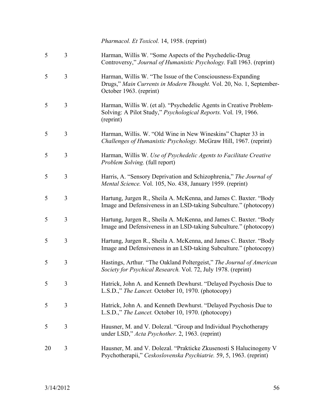*Pharmacol. Et Toxicol.* 14, 1958. (reprint)

| 5  | 3              | Harman, Willis W. "Some Aspects of the Psychedelic-Drug<br>Controversy," Journal of Humanistic Psychology. Fall 1963. (reprint)                               |
|----|----------------|---------------------------------------------------------------------------------------------------------------------------------------------------------------|
| 5  | 3              | Harman, Willis W. "The Issue of the Consciousness-Expanding<br>Drugs," Main Currents in Modern Thought. Vol. 20, No. 1, September-<br>October 1963. (reprint) |
| 5  | 3              | Harman, Willis W. (et al). "Psychedelic Agents in Creative Problem-<br>Solving: A Pilot Study," Psychological Reports. Vol. 19, 1966.<br>(reprint)            |
| 5  | 3              | Harman, Willis. W. "Old Wine in New Wineskins" Chapter 33 in<br>Challenges of Humanistic Psychology. McGraw Hill, 1967. (reprint)                             |
| 5  | 3              | Harman, Willis W. Use of Psychedelic Agents to Facilitate Creative<br>Problem Solving. (full report)                                                          |
| 5  | 3              | Harris, A. "Sensory Deprivation and Schizophrenia," The Journal of<br>Mental Science. Vol. 105, No. 438, January 1959. (reprint)                              |
| 5  | 3              | Hartung, Jurgen R., Sheila A. McKenna, and James C. Baxter. "Body<br>Image and Defensiveness in an LSD-taking Subculture." (photocopy)                        |
| 5  | 3              | Hartung, Jurgen R., Sheila A. McKenna, and James C. Baxter. "Body<br>Image and Defensiveness in an LSD-taking Subculture." (photocopy)                        |
| 5  | 3              | Hartung, Jurgen R., Sheila A. McKenna, and James C. Baxter. "Body<br>Image and Defensiveness in an LSD-taking Subculture." (photocopy)                        |
| 5  | 3              | Hastings, Arthur. "The Oakland Poltergeist," The Journal of American<br>Society for Psychical Research. Vol. 72, July 1978. (reprint)                         |
| 5  | $\overline{3}$ | Hatrick, John A. and Kenneth Dewhurst. "Delayed Psychosis Due to<br>L.S.D.," The Lancet. October 10, 1970. (photocopy)                                        |
| 5  | 3              | Hatrick, John A. and Kenneth Dewhurst. "Delayed Psychosis Due to<br>L.S.D.," The Lancet. October 10, 1970. (photocopy)                                        |
| 5  | 3              | Hausner, M. and V. Dolezal. "Group and Individual Psychotherapy<br>under LSD," Acta Psychother. 2, 1963. (reprint)                                            |
| 20 | 3              | Hausner, M. and V. Dolezal. "Prakticke Zkusenosti S Halucinogeny V<br>Psychotherapii," Ceskoslovenska Psychiatrie. 59, 5, 1963. (reprint)                     |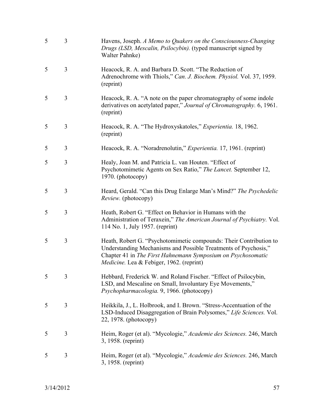| 5 | 3 | Havens, Joseph. A Memo to Quakers on the Consciousness-Changing<br>Drugs (LSD, Mescalin, Psilocybin). (typed manuscript signed by<br>Walter Pahnke)                                                                                               |
|---|---|---------------------------------------------------------------------------------------------------------------------------------------------------------------------------------------------------------------------------------------------------|
| 5 | 3 | Heacock, R. A. and Barbara D. Scott. "The Reduction of<br>Adrenochrome with Thiols," Can. J. Biochem. Physiol. Vol. 37, 1959.<br>(reprint)                                                                                                        |
| 5 | 3 | Heacock, R. A. "A note on the paper chromatography of some indole<br>derivatives on acetylated paper," Journal of Chromatography. 6, 1961.<br>(reprint)                                                                                           |
| 5 | 3 | Heacock, R. A. "The Hydroxyskatoles," Experientia. 18, 1962.<br>(reprint)                                                                                                                                                                         |
| 5 | 3 | Heacock, R. A. "Noradrenolutin," <i>Experientia</i> . 17, 1961. (reprint)                                                                                                                                                                         |
| 5 | 3 | Healy, Joan M. and Patricia L. van Houten. "Effect of<br>Psychotomimetic Agents on Sex Ratio," The Lancet. September 12,<br>1970. (photocopy)                                                                                                     |
| 5 | 3 | Heard, Gerald. "Can this Drug Enlarge Man's Mind?" The Psychedelic<br><i>Review.</i> (photocopy)                                                                                                                                                  |
| 5 | 3 | Heath, Robert G. "Effect on Behavior in Humans with the<br>Administration of Teraxein," The American Journal of Psychiatry. Vol.<br>114 No. 1, July 1957. (reprint)                                                                               |
| 5 | 3 | Heath, Robert G. "Psychotomimetic compounds: Their Contribution to<br>Understanding Mechanisms and Possible Treatments of Psychosis,"<br>Chapter 41 in The First Hahnemann Symposium on Psychosomatic<br>Medicine. Lea & Febiger, 1962. (reprint) |
| 5 | 3 | Hebbard, Frederick W. and Roland Fischer. "Effect of Psilocybin,<br>LSD, and Mescaline on Small, Involuntary Eye Movements,"<br>Psychopharmacologia. 9, 1966. (photocopy)                                                                         |
| 5 | 3 | Heikkila, J., L. Holbrook, and I. Brown. "Stress-Accentuation of the<br>LSD-Induced Disaggregation of Brain Polysomes," Life Sciences. Vol.<br>22, 1978. (photocopy)                                                                              |
| 5 | 3 | Heim, Roger (et al). "Mycologie," Academie des Sciences. 246, March<br>3, 1958. (reprint)                                                                                                                                                         |
| 5 | 3 | Heim, Roger (et al). "Mycologie," Academie des Sciences. 246, March<br>3, 1958. (reprint)                                                                                                                                                         |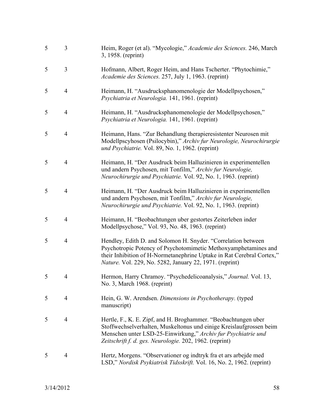| 5 | 3              | Heim, Roger (et al). "Mycologie," Academie des Sciences. 246, March<br>3, 1958. (reprint)                                                                                                                                                                            |
|---|----------------|----------------------------------------------------------------------------------------------------------------------------------------------------------------------------------------------------------------------------------------------------------------------|
| 5 | 3              | Hofmann, Albert, Roger Heim, and Hans Tscherter. "Phytochimie,"<br>Academie des Sciences. 257, July 1, 1963. (reprint)                                                                                                                                               |
| 5 | $\overline{4}$ | Heimann, H. "Ausdrucksphanomenologie der Modellpsychosen,"<br>Psychiatria et Neurologia. 141, 1961. (reprint)                                                                                                                                                        |
| 5 | $\overline{4}$ | Heimann, H. "Ausdrucksphanomenologie der Modellpsychosen,"<br>Psychiatria et Neurologia. 141, 1961. (reprint)                                                                                                                                                        |
| 5 | $\overline{4}$ | Heimann, Hans. "Zur Behandlung therapieresistenter Neurosen mit<br>Modellpscyhosen (Psilocybin)," Archiv fur Neurologie, Neurochirurgie<br>und Psychiatrie. Vol. 89, No. 1, 1962. (reprint)                                                                          |
| 5 | $\overline{4}$ | Heimann, H. "Der Ausdruck beim Halluzinieren in experimentellen<br>und andern Psychosen, mit Tonfilm," Archiv fur Neurologie,<br>Neurochirurgie und Psychiatrie. Vol. 92, No. 1, 1963. (reprint)                                                                     |
| 5 | $\overline{4}$ | Heimann, H. "Der Ausdruck beim Halluzinieren in experimentellen<br>und andern Psychosen, mit Tonfilm," Archiv fur Neurologie,<br>Neurochirurgie und Psychiatrie. Vol. 92, No. 1, 1963. (reprint)                                                                     |
| 5 | $\overline{4}$ | Heimann, H. "Beobachtungen uber gestortes Zeiterleben inder<br>Modellpsychose," Vol. 93, No. 48, 1963. (reprint)                                                                                                                                                     |
| 5 | $\overline{4}$ | Hendley, Edith D. and Solomon H. Snyder. "Correlation between<br>Psychotropic Potency of Psychotomimetic Methoxyamphetamines and<br>their Inhibition of H-Normetanephrine Uptake in Rat Cerebral Cortex,"<br>Nature. Vol. 229, No. 5282, January 22, 1971. (reprint) |
|   |                | Hermon, Harry Chramoy. "Psychedelicoanalysis," Journal. Vol. 13,<br>No. 3, March 1968. (reprint)                                                                                                                                                                     |
| 5 | 4              | Hein, G. W. Arendsen. Dimensions in Psychotherapy. (typed<br>manuscript)                                                                                                                                                                                             |
| 5 | 4              | Hertle, F., K. E. Zipf, and H. Broghammer. "Beobachtungen uber<br>Stoffwechselverhalten, Muskeltonus und einige Kreislaufgrossen beim<br>Menschen unter LSD-25-Einwirkung," Archiv fur Psychiatrie und<br>Zeitschrift f. d. ges. Neurologie. 202, 1962. (reprint)    |
| 5 | 4              | Hertz, Morgens. "Observationer og indtryk fra et ars arbejde med<br>LSD," Nordisk Psykiatrisk Tidsskrift. Vol. 16, No. 2, 1962. (reprint)                                                                                                                            |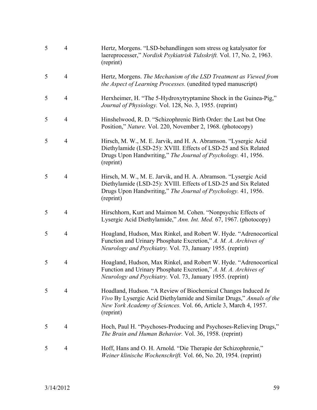| 5 | $\overline{4}$ | Hertz, Morgens. "LSD-behandlingen som stress og katalysator for<br>laereprocesser," Nordisk Psykiatrisk Tidsskrift. Vol. 17, No. 2, 1963.<br>(reprint)                                                                 |
|---|----------------|------------------------------------------------------------------------------------------------------------------------------------------------------------------------------------------------------------------------|
| 5 | $\overline{4}$ | Hertz, Morgens. The Mechanism of the LSD Treatment as Viewed from<br>the Aspect of Learning Processes. (unedited typed manuscript)                                                                                     |
| 5 | $\overline{4}$ | Herxheimer, H. "The 5-Hydroxytryptamine Shock in the Guinea-Pig,"<br>Journal of Physiology. Vol. 128, No. 3, 1955. (reprint)                                                                                           |
| 5 | $\overline{4}$ | Hinshelwood, R. D. "Schizophrenic Birth Order: the Last but One<br>Position," Nature. Vol. 220, November 2, 1968. (photocopy)                                                                                          |
| 5 | $\overline{4}$ | Hirsch, M. W., M. E. Jarvik, and H. A. Abramson. "Lysergic Acid<br>Diethylamide (LSD-25): XVIII. Effects of LSD-25 and Six Related<br>Drugs Upon Handwriting," The Journal of Psychology. 41, 1956.<br>(reprint)       |
| 5 | $\overline{4}$ | Hirsch, M. W., M. E. Jarvik, and H. A. Abramson. "Lysergic Acid<br>Diethylamide (LSD-25): XVIII. Effects of LSD-25 and Six Related<br>Drugs Upon Handwriting," The Journal of Psychology. 41, 1956.<br>(reprint)       |
| 5 | $\overline{4}$ | Hirschhorn, Kurt and Maimon M. Cohen. "Nonpsychic Effects of<br>Lysergic Acid Diethylamide," Ann. Int. Med. 67, 1967. (photocopy)                                                                                      |
| 5 | $\overline{4}$ | Hoagland, Hudson, Max Rinkel, and Robert W. Hyde. "Adrenocortical<br>Function and Urinary Phosphate Excretion," A. M. A. Archives of<br>Neurology and Psychiatry. Vol. 73, January 1955. (reprint)                     |
| 5 | $\overline{4}$ | Hoagland, Hudson, Max Rinkel, and Robert W. Hyde. "Adrenocortical<br>Function and Urinary Phosphate Excretion," A. M. A. Archives of<br>Neurology and Psychiatry. Vol. 73, January 1955. (reprint)                     |
| 5 | 4              | Hoadland, Hudson. "A Review of Biochemical Changes Induced In<br>Vivo By Lysergic Acid Diethylamide and Similar Drugs," Annals of the<br>New York Academy of Sciences. Vol. 66, Article 3, March 4, 1957.<br>(reprint) |
| 5 | 4              | Hoch, Paul H. "Psychoses-Producing and Psychoses-Relieving Drugs,"<br>The Brain and Human Behavior. Vol. 36, 1958. (reprint)                                                                                           |
| 5 | 4              | Hoff, Hans and O. H. Arnold. "Die Therapie der Schizophrenie,"<br>Weiner klinische Wochenschrift. Vol. 66, No. 20, 1954. (reprint)                                                                                     |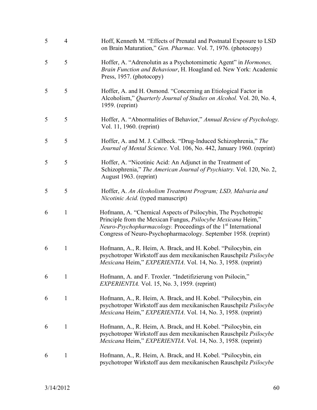| 5 | $\overline{4}$ | Hoff, Kenneth M. "Effects of Prenatal and Postnatal Exposure to LSD<br>on Brain Maturation," Gen. Pharmac. Vol. 7, 1976. (photocopy)                                                                                                                                                         |
|---|----------------|----------------------------------------------------------------------------------------------------------------------------------------------------------------------------------------------------------------------------------------------------------------------------------------------|
| 5 | 5              | Hoffer, A. "Adrenolutin as a Psychotomimetic Agent" in <i>Hormones</i> ,<br>Brain Function and Behaviour, H. Hoagland ed. New York: Academic<br>Press, 1957. (photocopy)                                                                                                                     |
| 5 | 5              | Hoffer, A. and H. Osmond. "Concerning an Etiological Factor in<br>Alcoholism," Quarterly Journal of Studies on Alcohol. Vol. 20, No. 4,<br>1959. (reprint)                                                                                                                                   |
| 5 | 5              | Hoffer, A. "Abnormalities of Behavior," Annual Review of Psychology.<br>Vol. 11, 1960. (reprint)                                                                                                                                                                                             |
| 5 | 5              | Hoffer, A. and M. J. Callbeck. "Drug-Induced Schizophrenia," The<br>Journal of Mental Science. Vol. 106, No. 442, January 1960. (reprint)                                                                                                                                                    |
| 5 | 5              | Hoffer, A. "Nicotinic Acid: An Adjunct in the Treatment of<br>Schizophrenia," The American Journal of Psychiatry. Vol. 120, No. 2,<br>August 1963. (reprint)                                                                                                                                 |
| 5 | 5              | Hoffer, A. An Alcoholism Treatment Program; LSD, Malvaria and<br>Nicotinic Acid. (typed manuscript)                                                                                                                                                                                          |
| 6 | $\mathbf{1}$   | Hofmann, A. "Chemical Aspects of Psilocybin, The Psychotropic<br>Principle from the Mexican Fungus, <i>Psilocybe Mexicana</i> Heim,"<br><i>Neuro-Psychopharmacology.</i> Proceedings of the 1 <sup>st</sup> International<br>Congress of Neuro-Psychopharmacology. September 1958. (reprint) |
| 6 | $\mathbf{1}$   | Hofmann, A., R. Heim, A. Brack, and H. Kobel. "Psilocybin, ein<br>psychotroper Wirkstoff aus dem mexikanischen Rauschpilz Psilocybe<br>Mexicana Heim," EXPERIENTIA. Vol. 14, No. 3, 1958. (reprint)                                                                                          |
| 6 | 1              | Hofmann, A. and F. Troxler. "Indetifizierung von Psilocin,"<br>EXPERIENTIA. Vol. 15, No. 3, 1959. (reprint)                                                                                                                                                                                  |
| 6 | 1              | Hofmann, A., R. Heim, A. Brack, and H. Kobel. "Psilocybin, ein<br>psychotroper Wirkstoff aus dem mexikanischen Rauschpilz Psilocybe<br>Mexicana Heim," EXPERIENTIA. Vol. 14, No. 3, 1958. (reprint)                                                                                          |
| 6 | 1              | Hofmann, A., R. Heim, A. Brack, and H. Kobel. "Psilocybin, ein<br>psychotroper Wirkstoff aus dem mexikanischen Rauschpilz Psilocybe<br>Mexicana Heim," EXPERIENTIA. Vol. 14, No. 3, 1958. (reprint)                                                                                          |
| 6 | 1              | Hofmann, A., R. Heim, A. Brack, and H. Kobel. "Psilocybin, ein<br>psychotroper Wirkstoff aus dem mexikanischen Rauschpilz Psilocybe                                                                                                                                                          |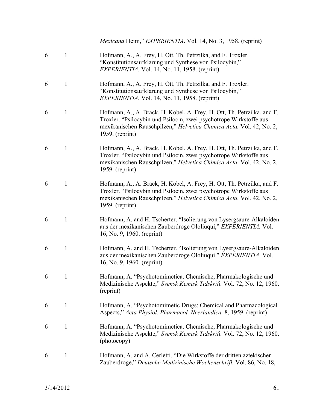*Mexicana* Heim," *EXPERIENTIA*. Vol. 14, No. 3, 1958. (reprint)

- 6 1 Hofmann, A., A. Frey, H. Ott, Th. Petrzilka, and F. Troxler. "Konstitutionsaufklarung und Synthese von Psilocybin," *EXPERIENTIA.* Vol. 14, No. 11, 1958. (reprint)
- 6 1 Hofmann, A., A. Frey, H. Ott, Th. Petrzilka, and F. Troxler. "Konstitutionsaufklarung und Synthese von Psilocybin," *EXPERIENTIA.* Vol. 14, No. 11, 1958. (reprint)
- 6 1 Hofmann, A., A. Brack, H. Kobel, A. Frey, H. Ott, Th. Petrzilka, and F. Troxler. "Psilocybin und Psilocin, zwei psychotrope Wirkstoffe aus mexikanischen Rauschpilzen," *Helvetica Chimica Acta.* Vol. 42, No. 2, 1959. (reprint)
- 6 1 Hofmann, A., A. Brack, H. Kobel, A. Frey, H. Ott, Th. Petrzilka, and F. Troxler. "Psilocybin und Psilocin, zwei psychotrope Wirkstoffe aus mexikanischen Rauschpilzen," *Helvetica Chimica Acta.* Vol. 42, No. 2, 1959. (reprint)
- 6 1 Hofmann, A., A. Brack, H. Kobel, A. Frey, H. Ott, Th. Petrzilka, and F. Troxler. "Psilocybin und Psilocin, zwei psychotrope Wirkstoffe aus mexikanischen Rauschpilzen," *Helvetica Chimica Acta.* Vol. 42, No. 2, 1959. (reprint)
- 6 1 Hofmann, A. and H. Tscherter. "Isolierung von Lysergsaure-Alkaloiden aus der mexikanischen Zauberdroge Ololiuqui," *EXPERIENTIA.* Vol. 16, No. 9, 1960. (reprint)
- 6 1 Hofmann, A. and H. Tscherter. "Isolierung von Lysergsaure-Alkaloiden aus der mexikanischen Zauberdroge Ololiuqui," *EXPERIENTIA.* Vol. 16, No. 9, 1960. (reprint)
- 6 1 Hofmann, A. "Psychotomimetica. Chemische, Pharmakologische und Medizinische Aspekte," *Svensk Kemisk Tidskrift.* Vol. 72, No. 12, 1960. (reprint)
- 6 1 Hofmann, A. "Psychotomimetic Drugs: Chemical and Pharmacological Aspects," *Acta Physiol. Pharmacol. Neerlandica.* 8, 1959. (reprint)
- 6 1 Hofmann, A. "Psychotomimetica. Chemische, Pharmakologische und Medizinische Aspekte," *Svensk Kemisk Tidskrift.* Vol. 72, No. 12, 1960. (photocopy)
- 6 1 Hofmann, A. and A. Cerletti. "Die Wirkstoffe der dritten aztekischen Zauberdroge," *Deutsche Medizinische Wochenschrift.* Vol. 86, No. 18,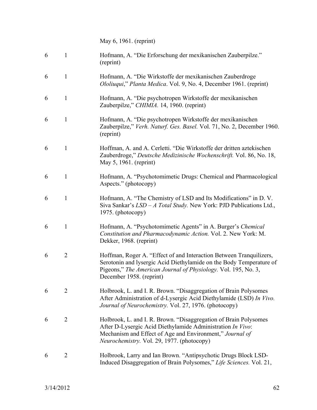May 6, 1961. (reprint)

| 6 | 1              | Hofmann, A. "Die Erforschung der mexikanischen Zauberpilze."<br>(reprint)                                                                                                                                                                |
|---|----------------|------------------------------------------------------------------------------------------------------------------------------------------------------------------------------------------------------------------------------------------|
| 6 | $\mathbf{1}$   | Hofmann, A. "Die Wirkstoffe der mexikanischen Zauberdroge<br>Ololiuqui," Planta Medica. Vol. 9, No. 4, December 1961. (reprint)                                                                                                          |
| 6 | $\mathbf{1}$   | Hofmann, A. "Die psychotropen Wirkstoffe der mexikanischen<br>Zauberpilze," CHIMIA. 14, 1960. (reprint)                                                                                                                                  |
| 6 | $\mathbf{1}$   | Hofmann, A. "Die psychotropen Wirkstoffe der mexikanischen<br>Zauberpilze," Verh. Naturf. Ges. Basel. Vol. 71, No. 2, December 1960.<br>(reprint)                                                                                        |
| 6 | $\mathbf{1}$   | Hoffman, A. and A. Cerletti. "Die Wirkstoffe der dritten aztekischen<br>Zauberdroge," Deutsche Medizinische Wochenschrift. Vol. 86, No. 18,<br>May 5, 1961. (reprint)                                                                    |
| 6 | $\mathbf{1}$   | Hofmann, A. "Psychotomimetic Drugs: Chemical and Pharmacological<br>Aspects." (photocopy)                                                                                                                                                |
| 6 | $\mathbf{1}$   | Hofmann, A. "The Chemistry of LSD and Its Modifications" in D. V.<br>Siva Sankar's $LSD - A$ Total Study. New York: PJD Publications Ltd.,<br>1975. (photocopy)                                                                          |
| 6 | $\mathbf{1}$   | Hofmann, A. "Psychotomimetic Agents" in A. Burger's Chemical<br>Constitution and Pharmacodynamic Action. Vol. 2. New York: M.<br>Dekker, 1968. (reprint)                                                                                 |
| 6 | $\overline{2}$ | Hoffman, Roger A. "Effect of and Interaction Between Tranquilizers,<br>Serotonin and lysergic Acid Diethylamide on the Body Temperature of<br>Pigeons," The American Journal of Physiology. Vol. 195, No. 3,<br>December 1958. (reprint) |
| 6 | $\overline{2}$ | Holbrook, L. and I. R. Brown. "Disaggregation of Brain Polysomes<br>After Administration of d-Lysergic Acid Diethylamide (LSD) In Vivo.<br>Journal of Neurochemistry. Vol. 27, 1976. (photocopy)                                         |
| 6 | $\overline{2}$ | Holbrook, L. and I. R. Brown. "Disaggregation of Brain Polysomes<br>After D-Lysergic Acid Diethylamide Administration In Vivo:<br>Mechanism and Effect of Age and Environment," Journal of<br>Neurochemistry. Vol. 29, 1977. (photocopy) |
| 6 | $\overline{2}$ | Holbrook, Larry and Ian Brown. "Antipsychotic Drugs Block LSD-<br>Induced Disaggregation of Brain Polysomes," Life Sciences. Vol. 21,                                                                                                    |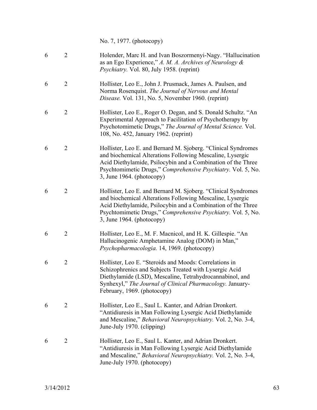No. 7, 1977. (photocopy)

| 6 | $\overline{2}$ | Holender, Marc H. and Ivan Boszormenyi-Nagy. "Hallucination<br>as an Ego Experience," A. M. A. Archives of Neurology $\&$<br>Psychiatry. Vol. 80, July 1958. (reprint)                                                                                                                     |
|---|----------------|--------------------------------------------------------------------------------------------------------------------------------------------------------------------------------------------------------------------------------------------------------------------------------------------|
| 6 | $\overline{2}$ | Hollister, Leo E., John J. Prusmack, James A. Paulsen, and<br>Norma Rosenquist. The Journal of Nervous and Mental<br>Disease. Vol. 131, No. 5, November 1960. (reprint)                                                                                                                    |
| 6 | $\overline{2}$ | Hollister, Leo E., Roger O. Degan, and S. Donald Schultz. "An<br>Experimental Approach to Facilitation of Psychotherapy by<br>Psychotomimetic Drugs," The Journal of Mental Science. Vol.<br>108, No. 452, January 1962. (reprint)                                                         |
| 6 | $\overline{2}$ | Hollister, Leo E. and Bernard M. Sjoberg. "Clinical Syndromes"<br>and biochemical Alterations Following Mescaline, Lysergic<br>Acid Diethylamide, Psilocybin and a Combination of the Three<br>Psychtomimetic Drugs," Comprehensive Psychiatry. Vol. 5, No.<br>3, June $1964.$ (photocopy) |
| 6 | $\overline{2}$ | Hollister, Leo E. and Bernard M. Sjoberg. "Clinical Syndromes"<br>and biochemical Alterations Following Mescaline, Lysergic<br>Acid Diethylamide, Psilocybin and a Combination of the Three<br>Psychtomimetic Drugs," Comprehensive Psychiatry. Vol. 5, No.<br>3, June $1964.$ (photocopy) |
| 6 | $\overline{2}$ | Hollister, Leo E., M. F. Macnicol, and H. K. Gillespie. "An<br>Hallucinogenic Amphetamine Analog (DOM) in Man,"<br>Psychopharmacologia. 14, 1969. (photocopy)                                                                                                                              |
| 6 | $\overline{2}$ | Hollister, Leo E. "Steroids and Moods: Correlations in<br>Schizophrenics and Subjects Treated with Lysergic Acid<br>Diethylamide (LSD), Mescaline, Tetrahydrocannabinol, and<br>Synhexyl," The Journal of Clinical Pharmacology. January-<br>February, 1969. (photocopy)                   |
| 6 | $\overline{2}$ | Hollister, Leo E., Saul L. Kanter, and Adrian Dronkert.<br>"Antidiuresis in Man Following Lysergic Acid Diethylamide<br>and Mescaline," Behavioral Neuropsychiatry. Vol. 2, No. 3-4,<br>June-July 1970. (clipping)                                                                         |
| 6 | $\overline{2}$ | Hollister, Leo E., Saul L. Kanter, and Adrian Dronkert.<br>"Antidiuresis in Man Following Lysergic Acid Diethylamide<br>and Mescaline," Behavioral Neuropsychiatry. Vol. 2, No. 3-4,<br>June-July 1970. (photocopy)                                                                        |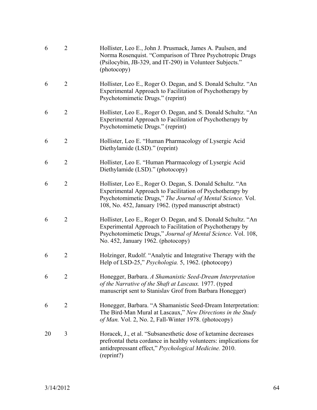| 6  | $\overline{2}$ | Hollister, Leo E., John J. Prusmack, James A. Paulsen, and<br>Norma Rosenquist. "Comparison of Three Psychotropic Drugs<br>(Psilocybin, JB-329, and IT-290) in Volunteer Subjects."<br>(photocopy)                                               |
|----|----------------|--------------------------------------------------------------------------------------------------------------------------------------------------------------------------------------------------------------------------------------------------|
| 6  | $\overline{2}$ | Hollister, Leo E., Roger O. Degan, and S. Donald Schultz. "An<br>Experimental Approach to Facilitation of Psychotherapy by<br>Psychotomimetic Drugs." (reprint)                                                                                  |
| 6  | $\overline{2}$ | Hollister, Leo E., Roger O. Degan, and S. Donald Schultz. "An<br>Experimental Approach to Facilitation of Psychotherapy by<br>Psychotomimetic Drugs." (reprint)                                                                                  |
| 6  | $\overline{2}$ | Hollister, Leo E. "Human Pharmacology of Lysergic Acid<br>Diethylamide (LSD)." (reprint)                                                                                                                                                         |
| 6  | $\overline{2}$ | Hollister, Leo E. "Human Pharmacology of Lysergic Acid<br>Diethylamide (LSD)." (photocopy)                                                                                                                                                       |
| 6  | $\overline{2}$ | Hollister, Leo E., Roger O. Degan, S. Donald Schultz. "An<br>Experimental Approach to Facilitation of Psychotherapy by<br>Psychotomimetic Drugs," The Journal of Mental Science. Vol.<br>108, No. 452, January 1962. (typed manuscript abstract) |
| 6  | $\overline{2}$ | Hollister, Leo E., Roger O. Degan, and S. Donald Schultz. "An<br>Experimental Approach to Facilitation of Psychotherapy by<br>Psychotomimetic Drugs," Journal of Mental Science. Vol. 108,<br>No. 452, January 1962. (photocopy)                 |
| 6  | $\overline{2}$ | Holzinger, Rudolf. "Analytic and Integrative Therapy with the<br>Help of LSD-25," Psychologia. 5, 1962. (photocopy)                                                                                                                              |
| 6  | 2              | Honegger, Barbara. A Shamanistic Seed-Dream Interpretation<br>of the Narrative of the Shaft at Lascaux. 1977. (typed<br>manuscript sent to Stanislav Grof from Barbara Honegger)                                                                 |
| 6  | $\overline{2}$ | Honegger, Barbara. "A Shamanistic Seed-Dream Interpretation:<br>The Bird-Man Mural at Lascaux," New Directions in the Study<br>of Man. Vol. 2, No. 2, Fall-Winter 1978. (photocopy)                                                              |
| 20 | 3              | Horacek, J., et al. "Subsanesthetic dose of ketamine decreases"<br>prefrontal theta cordance in healthy volunteers: implications for<br>antidrepressant effect," Psychological Medicine. 2010.<br>(reprint?)                                     |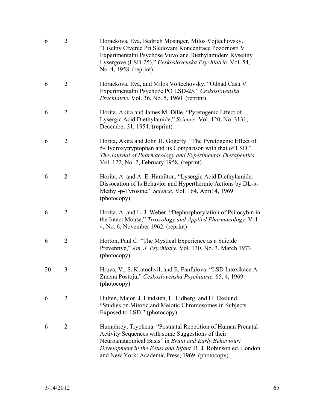| 6  | $\overline{2}$ | Horackova, Eva, Bedrich Mosinger, Milos Vojtechovsky.<br>"Ciselny Ctverec Pri Sledovani Koncentrace Pozornosti V<br>Experimentalni Psychose Vuvolane Diethylamidem Kyseliny<br>Lysergove (LSD-25)," Ceskoslovenska Psychiatrie. Vol. 54,<br>No. 4, 1958. (reprint)                             |
|----|----------------|------------------------------------------------------------------------------------------------------------------------------------------------------------------------------------------------------------------------------------------------------------------------------------------------|
| 6  | $\overline{2}$ | Horackova, Eva, and Milos Vojtechovsky. "Odhad Casu V<br>Experimentalni Psychoze PO LSD-25," Ceskoslovenska<br>Psychiatrie. Vol. 36, No. 5, 1960. (reprint)                                                                                                                                    |
| 6  | $\overline{2}$ | Horita, Akira and James M. Dille. "Pyretogenic Effect of<br>Lysergic Acid Diethylamide," Science. Vol. 120, No. 3131,<br>December 31, 1954. (reprint)                                                                                                                                          |
| 6  | $\overline{2}$ | Horita, Akira and John H. Gogerty. "The Pyretogenic Effect of<br>5-Hydroxytryptophan and its Comparison with that of LSD,"<br>The Journal of Pharmacology and Experimental Therapeutics.<br>Vol. 122, No. 2, February 1958. (reprint)                                                          |
| 6  | $\overline{2}$ | Horita, A. and A. E. Hamilton. "Lysergic Acid Diethylamide:<br>Dissocation of Is Behavior and Hyperthermic Actions by $DL-\alpha$ -<br>Methyl-p-Tyrosine," Science. Vol. 164, April 4, 1969.<br>(photocopy)                                                                                    |
| 6  | $\overline{2}$ | Horita, A. and L. J. Weber. "Dephosphorylation of Psilocybin in<br>the Intact Mouse," Toxicology and Applied Pharmacology. Vol.<br>4, No. 6, November 1962. (reprint)                                                                                                                          |
| 6  | $\overline{2}$ | Horton, Paul C. "The Mystical Experience as a Suicide<br>Preventive," Am. J. Psychiatry. Vol. 130, No. 3, March 1973.<br>(photocopy)                                                                                                                                                           |
| 20 | 3              | Hruza, V., S. Kratochvil, and E. Fanfulova. "LSD Intoxikace A<br>Zmena Postoju," Ceskoslovenska Psychiatrie. 65, 4, 1969.<br>(photocopy)                                                                                                                                                       |
| 6  | $\overline{2}$ | Hulten, Major, J. Lindsten, L. Lidberg, and H. Ekelund.<br>"Studies on Mitotic and Meiotic Chromosomes in Subjects<br>Exposed to LSD." (photocopy)                                                                                                                                             |
| 6  | $\overline{2}$ | Humphrey, Tryphena. "Postnatal Repetition of Human Prenatal<br>Activity Sequences with some Suggestions of their<br>Neuroanataomical Basis" in Brain and Early Behaviour:<br>Development in the Fetus and Infant. R. J. Robinson ed. London<br>and New York: Academic Press, 1969. (photocopy) |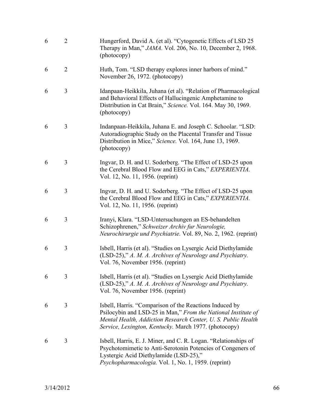| 6 | $\overline{2}$ | Hungerford, David A. (et al). "Cytogenetic Effects of LSD 25<br>Therapy in Man," JAMA. Vol. 206, No. 10, December 2, 1968.<br>(photocopy)                                                                                                          |
|---|----------------|----------------------------------------------------------------------------------------------------------------------------------------------------------------------------------------------------------------------------------------------------|
| 6 | $\overline{2}$ | Huth, Tom. "LSD therapy explores inner harbors of mind."<br>November 26, 1972. (photocopy)                                                                                                                                                         |
| 6 | 3              | Idanpaan-Heikkila, Juhana (et al). "Relation of Pharmacological<br>and Behavioral Effects of Hallucingenic Amphetamine to<br>Distribution in Cat Brain," Science. Vol. 164. May 30, 1969.<br>(photocopy)                                           |
| 6 | 3              | Indanpaan-Heikkila, Juhana E. and Joseph C. Schoolar. "LSD:<br>Autoradiographic Study on the Placental Transfer and Tissue<br>Distribution in Mice," Science. Vol. 164, June 13, 1969.<br>(photocopy)                                              |
| 6 | 3              | Ingvar, D. H. and U. Soderberg. "The Effect of LSD-25 upon<br>the Cerebral Blood Flow and EEG in Cats," EXPERIENTIA.<br>Vol. 12, No. 11, 1956. (reprint)                                                                                           |
| 6 | 3              | Ingvar, D. H. and U. Soderberg. "The Effect of LSD-25 upon<br>the Cerebral Blood Flow and EEG in Cats," EXPERIENTIA.<br>Vol. 12, No. 11, 1956. (reprint)                                                                                           |
| 6 | 3              | Iranyi, Klara. "LSD-Untersuchungen an ES-behandelten<br>Schizophrenen," Schweizer Archiv fur Neurologie,<br>Neurochirurgie und Psychiatrie. Vol. 89, No. 2, 1962. (reprint)                                                                        |
| 6 | 3              | Isbell, Harris (et al). "Studies on Lysergic Acid Diethylamide<br>(LSD-25)," A. M. A. Archives of Neurology and Psychiatry.<br>Vol. 76, November 1956. (reprint)                                                                                   |
| 6 | 3              | Isbell, Harris (et al). "Studies on Lysergic Acid Diethylamide<br>(LSD-25)," A. M. A. Archives of Neurology and Psychiatry.<br>Vol. 76, November 1956. (reprint)                                                                                   |
| 6 | 3              | Isbell, Harris. "Comparison of the Reactions Induced by<br>Psilocybin and LSD-25 in Man," From the National Institute of<br>Mental Health, Addiction Research Center, U. S. Public Health<br>Service, Lexington, Kentucky. March 1977. (photocopy) |
| 6 | 3              | Isbell, Harris, E. J. Miner, and C. R. Logan. "Relationships of<br>Psychotomimetic to Anti-Serotonin Potencies of Congeners of<br>Lystergic Acid Diethylamide (LSD-25),"<br>Psychopharmacologia. Vol. 1, No. 1, 1959. (reprint)                    |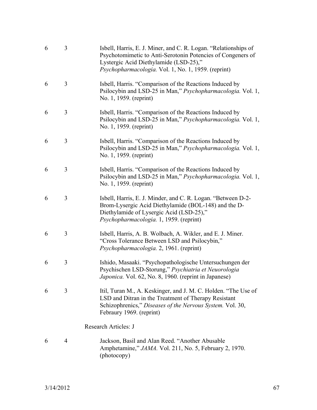| 6 | 3 | Isbell, Harris, E. J. Miner, and C. R. Logan. "Relationships of<br>Psychotomimetic to Anti-Serotonin Potencies of Congeners of<br>Lystergic Acid Diethylamide (LSD-25),"<br>Psychopharmacologia. Vol. 1, No. 1, 1959. (reprint) |
|---|---|---------------------------------------------------------------------------------------------------------------------------------------------------------------------------------------------------------------------------------|
| 6 | 3 | Isbell, Harris. "Comparison of the Reactions Induced by<br>Psilocybin and LSD-25 in Man," Psychopharmacologia. Vol. 1,<br>No. 1, 1959. (reprint)                                                                                |
| 6 | 3 | Isbell, Harris. "Comparison of the Reactions Induced by<br>Psilocybin and LSD-25 in Man," Psychopharmacologia. Vol. 1,<br>No. 1, 1959. (reprint)                                                                                |
| 6 | 3 | Isbell, Harris. "Comparison of the Reactions Induced by<br>Psilocybin and LSD-25 in Man," Psychopharmacologia. Vol. 1,<br>No. 1, 1959. (reprint)                                                                                |
| 6 | 3 | Isbell, Harris. "Comparison of the Reactions Induced by<br>Psilocybin and LSD-25 in Man," Psychopharmacologia. Vol. 1,<br>No. 1, 1959. (reprint)                                                                                |
| 6 | 3 | Isbell, Harris, E. J. Minder, and C. R. Logan. "Between D-2-<br>Brom-Lysergic Acid Diethylamide (BOL-148) and the D-<br>Diethylamide of Lysergic Acid (LSD-25),"<br>Psychopharmacologia. 1, 1959. (reprint)                     |
| 6 | 3 | Isbell, Harris, A. B. Wolbach, A. Wikler, and E. J. Miner.<br>"Cross Tolerance Between LSD and Psilocybin,"<br>Psychopharmacologia. 2, 1961. (reprint)                                                                          |
| 6 | 3 | Ishido, Masaaki. "Psychopathologische Untersuchungen der<br>Psychischen LSD-Storung," Psychiatria et Neuorologia<br>Japonica. Vol. 62, No. 8, 1960. (reprint in Japanese)                                                       |
| 6 | 3 | Itil, Turan M., A. Keskinger, and J. M. C. Holden. "The Use of<br>LSD and Ditran in the Treatment of Therapy Resistant<br>Schizophrenics," Diseases of the Nervous System. Vol. 30,<br>Febraury 1969. (reprint)                 |
|   |   | <b>Research Articles: J</b>                                                                                                                                                                                                     |
| 6 | 4 | Jackson, Basil and Alan Reed. "Another Abusable<br>Amphetamine," JAMA. Vol. 211, No. 5, February 2, 1970.<br>(photocopy)                                                                                                        |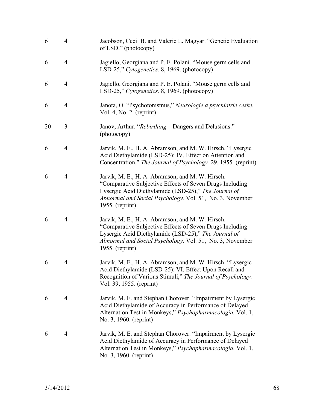| 6  | $\overline{4}$ | Jacobson, Cecil B. and Valerie L. Magyar. "Genetic Evaluation<br>of LSD." (photocopy)                                                                                                                                                               |
|----|----------------|-----------------------------------------------------------------------------------------------------------------------------------------------------------------------------------------------------------------------------------------------------|
| 6  | $\overline{4}$ | Jagiello, Georgiana and P. E. Polani. "Mouse germ cells and<br>LSD-25," Cytogenetics. 8, 1969. (photocopy)                                                                                                                                          |
| 6  | $\overline{4}$ | Jagiello, Georgiana and P. E. Polani. "Mouse germ cells and<br>LSD-25," Cytogenetics. 8, 1969. (photocopy)                                                                                                                                          |
| 6  | $\overline{4}$ | Janota, O. "Psychotonismus," Neurologie a psychiatrie ceske.<br>Vol. 4, No. 2. (reprint)                                                                                                                                                            |
| 20 | 3              | Janov, Arthur. "Rebirthing – Dangers and Delusions."<br>(photocopy)                                                                                                                                                                                 |
| 6  | $\overline{4}$ | Jarvik, M. E., H. A. Abramson, and M. W. Hirsch. "Lysergic<br>Acid Diethylamide (LSD-25): IV. Effect on Attention and<br>Concentration," The Journal of Psychology. 29, 1955. (reprint)                                                             |
| 6  | $\overline{4}$ | Jarvik, M. E., H. A. Abramson, and M. W. Hirsch.<br>"Comparative Subjective Effects of Seven Drugs Including<br>Lysergic Acid Diethylamide (LSD-25)," The Journal of<br>Abnormal and Social Psychology. Vol. 51, No. 3, November<br>1955. (reprint) |
| 6  | 4              | Jarvik, M. E., H. A. Abramson, and M. W. Hirsch.<br>"Comparative Subjective Effects of Seven Drugs Including<br>Lysergic Acid Diethylamide (LSD-25)," The Journal of<br>Abnormal and Social Psychology. Vol. 51, No. 3, November<br>1955. (reprint) |
| 6  | $\overline{4}$ | Jarvik, M. E., H. A. Abramson, and M. W. Hirsch. "Lysergic<br>Acid Diethylamide (LSD-25): VI. Effect Upon Recall and<br>Recognition of Various Stimuli," The Journal of Psychology.<br>Vol. 39, 1955. (reprint)                                     |
| 6  | 4              | Jarvik, M. E. and Stephan Chorover. "Impairment by Lysergic<br>Acid Diethylamide of Accuracy in Performance of Delayed<br>Alternation Test in Monkeys," Psychopharmacologia. Vol. 1,<br>No. 3, 1960. (reprint)                                      |
| 6  | $\overline{4}$ | Jarvik, M. E. and Stephan Chorover. "Impairment by Lysergic<br>Acid Diethylamide of Accuracy in Performance of Delayed<br>Alternation Test in Monkeys," Psychopharmacologia. Vol. 1,<br>No. 3, 1960. (reprint)                                      |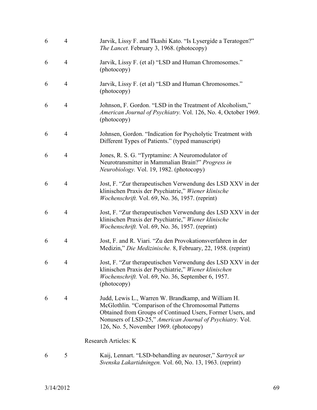| 6 | $\overline{4}$ | Jarvik, Lissy F. and Tkashi Kato. "Is Lysergide a Teratogen?"<br>The Lancet. February 3, 1968. (photocopy)                                                                                                                                                                      |
|---|----------------|---------------------------------------------------------------------------------------------------------------------------------------------------------------------------------------------------------------------------------------------------------------------------------|
| 6 | $\overline{4}$ | Jarvik, Lissy F. (et al) "LSD and Human Chromosomes."<br>(photocopy)                                                                                                                                                                                                            |
| 6 | $\overline{4}$ | Jarvik, Lissy F. (et al) "LSD and Human Chromosomes."<br>(photocopy)                                                                                                                                                                                                            |
| 6 | $\overline{4}$ | Johnson, F. Gordon. "LSD in the Treatment of Alcoholism,"<br>American Journal of Psychiatry. Vol. 126, No. 4, October 1969.<br>(photocopy)                                                                                                                                      |
| 6 | 4              | Johnsen, Gordon. "Indication for Psycholytic Treatment with<br>Different Types of Patients." (typed manuscript)                                                                                                                                                                 |
| 6 | $\overline{4}$ | Jones, R. S. G. "Tyrptamine: A Neuromodulator of<br>Neurotransmitter in Mammalian Brain?" Progress in<br>Neurobiology. Vol. 19, 1982. (photocopy)                                                                                                                               |
| 6 | $\overline{4}$ | Jost, F. "Zur therapeutischen Verwendung des LSD XXV in der<br>klinischen Praxis der Psychiatrie," Wiener klinische<br>Wochenschrift. Vol. 69, No. 36, 1957. (reprint)                                                                                                          |
| 6 | $\overline{4}$ | Jost, F. "Zur therapeutischen Verwendung des LSD XXV in der<br>klinischen Praxis der Psychiatrie," Wiener klinische<br><i>Wochenschrift.</i> Vol. 69, No. 36, 1957. (reprint)                                                                                                   |
| 6 | 4              | Jost, F. and R. Viari. "Zu den Provokationsverfahren in der<br>Medizin," Die Medizinische. 8, February, 22, 1958. (reprint)                                                                                                                                                     |
| 6 | $\overline{4}$ | Jost, F. "Zur therapeutischen Verwendung des LSD XXV in der<br>klinischen Praxis der Psychiatrie," Wiener klinischen<br>Wochenschrift. Vol. 69, No. 36, September 6, 1957.<br>(photocopy)                                                                                       |
| 6 | $\overline{4}$ | Judd, Lewis L., Warren W. Brandkamp, and William H.<br>McGlothlin. "Comparison of the Chromosomal Patterns<br>Obtained from Groups of Continued Users, Former Users, and<br>Nonusers of LSD-25," American Journal of Psychiatry. Vol.<br>126, No. 5, November 1969. (photocopy) |
|   |                | Research Articles: K                                                                                                                                                                                                                                                            |
| 6 | 5              | Kaij, Lennart. "LSD-behandling av neuroser," Sartryck ur<br>Svenska Lakartidningen. Vol. 60, No. 13, 1963. (reprint)                                                                                                                                                            |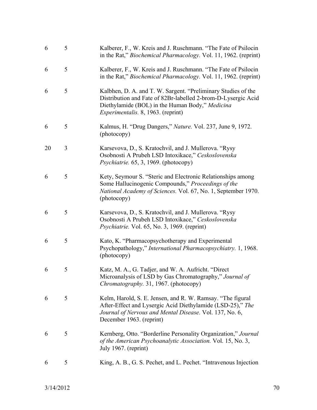| 6  | 5 | Kalberer, F., W. Kreis and J. Ruschmann. "The Fate of Psilocin<br>in the Rat," Biochemical Pharmacology. Vol. 11, 1962. (reprint)                                                                                              |
|----|---|--------------------------------------------------------------------------------------------------------------------------------------------------------------------------------------------------------------------------------|
| 6  | 5 | Kalberer, F., W. Kreis and J. Ruschmann. "The Fate of Psilocin<br>in the Rat," <i>Biochemical Pharmacology</i> . Vol. 11, 1962. (reprint)                                                                                      |
| 6  | 5 | Kalbhen, D. A. and T. W. Sargent. "Preliminary Studies of the<br>Distribution and Fate of 82Br-labelled 2-brom-D-Lysergic Acid<br>Diethylamide (BOL) in the Human Body," Medicina<br><i>Experimentalis.</i> 8, 1963. (reprint) |
| 6  | 5 | Kalmus, H. "Drug Dangers," Nature. Vol. 237, June 9, 1972.<br>(photocopy)                                                                                                                                                      |
| 20 | 3 | Karsevova, D., S. Kratochvil, and J. Mullerova. "Rysy<br>Osobnosti A Prubeh LSD Intoxikace," Ceskoslovenska<br><i>Psychiatrie.</i> 65, 3, 1969. (photocopy)                                                                    |
| 6  | 5 | Kety, Seymour S. "Steric and Electronic Relationships among<br>Some Hallucinogenic Compounds," Proceedings of the<br>National Academy of Sciences. Vol. 67, No. 1, September 1970.<br>(photocopy)                              |
| 6  | 5 | Karsevova, D., S. Kratochvil, and J. Mullerova. "Rysy<br>Osobnosti A Prubeh LSD Intoxikace," Ceskoslovenska<br><i>Psychiatrie.</i> Vol. 65, No. 3, 1969. (reprint)                                                             |
| 6  | 5 | Kato, K. "Pharmacopsychotherapy and Experimental<br>Psychopathology," International Pharmacopsychiatry. 1, 1968.<br>(photocopy)                                                                                                |
| 6  | 5 | Katz, M. A., G. Tadjer, and W. A. Aufricht. "Direct<br>Microanalysis of LSD by Gas Chromatography," Journal of<br>Chromatography. 31, 1967. (photocopy)                                                                        |
| 6  | 5 | Kelm, Harold, S. E. Jensen, and R. W. Ramsay. "The figural<br>After-Effect and Lysergic Acid Diethylamide (LSD-25)," The<br>Journal of Nervous and Mental Disease. Vol. 137, No. 6,<br>December 1963. (reprint)                |
| 6  | 5 | Kernberg, Otto. "Borderline Personality Organization," Journal<br>of the American Psychoanalytic Association. Vol. 15, No. 3,<br>July 1967. (reprint)                                                                          |
| 6  | 5 | King, A. B., G. S. Pechet, and L. Pechet. "Intravenous Injection                                                                                                                                                               |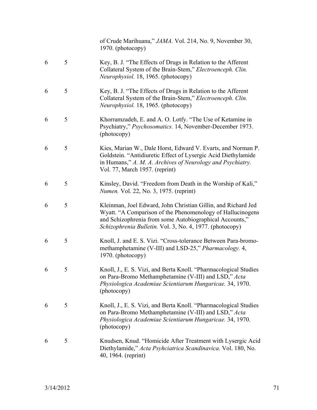|   |   | of Crude Marihuana," JAMA. Vol. 214, No. 9, November 30,<br>1970. (photocopy)                                                                                                                                                                      |
|---|---|----------------------------------------------------------------------------------------------------------------------------------------------------------------------------------------------------------------------------------------------------|
| 6 | 5 | Key, B. J. "The Effects of Drugs in Relation to the Afferent<br>Collateral System of the Brain-Stem," Electroenceph. Clin.<br>Neurophysiol. 18, 1965. (photocopy)                                                                                  |
| 6 | 5 | Key, B. J. "The Effects of Drugs in Relation to the Afferent<br>Collateral System of the Brain-Stem," Electroenceph. Clin.<br>Neurophysiol. 18, 1965. (photocopy)                                                                                  |
| 6 | 5 | Khorramzadeh, E. and A. O. Lotfy. "The Use of Ketamine in<br>Psychiatry," Psychosomatics. 14, November-December 1973.<br>(photocopy)                                                                                                               |
| 6 | 5 | Kies, Marian W., Dale Horst, Edward V. Evarts, and Norman P.<br>Goldstein. "Antidiuretic Effect of Lysergic Acid Diethylamide<br>in Humans," A. M. A. Archives of Neurology and Psychiatry.<br>Vol. 77, March 1957. (reprint)                      |
| 6 | 5 | Kinsley, David. "Freedom from Death in the Worship of Kali,"<br><i>Numen.</i> Vol. 22, No. 3, 1975. (reprint)                                                                                                                                      |
| 6 | 5 | Kleinman, Joel Edward, John Christian Gillin, and Richard Jed<br>Wyatt. "A Comparison of the Phenomenology of Hallucinogens<br>and Schizophrenia from some Autobiographical Accounts,"<br>Schizophrenia Bulletin. Vol. 3, No. 4, 1977. (photocopy) |
| 6 | 5 | Knoll, J. and E. S. Vizi. "Cross-tolerance Between Para-bromo-<br>methamphetamine (V-III) and LSD-25," Pharmacology. 4,<br>1970. (photocopy)                                                                                                       |
| 6 | 5 | Knoll, J., E. S. Vizi, and Berta Knoll. "Pharmacological Studies<br>on Para-Bromo Methamphetamine (V-III) and LSD," Acta<br>Physiologica Academiae Scientiarum Hungaricae. 34, 1970.<br>(photocopy)                                                |
| 6 | 5 | Knoll, J., E. S. Vizi, and Berta Knoll. "Pharmacological Studies"<br>on Para-Bromo Methamphetamine (V-III) and LSD," Acta<br>Physiologica Academiae Scientiarum Hungaricae. 34, 1970.<br>(photocopy)                                               |
| 6 | 5 | Knudsen, Knud. "Homicide After Treatment with Lysergic Acid<br>Diethylamide," Acta Psyhciatrica Scandinavica. Vol. 180, No.<br>40, 1964. (reprint)                                                                                                 |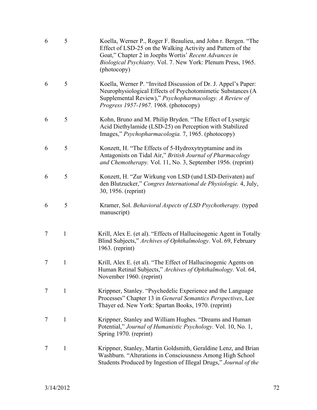| 6 | 5            | Koella, Werner P., Roger F. Beaulieu, and John r. Bergen. "The<br>Effect of LSD-25 on the Walking Activity and Pattern of the<br>Goat," Chapter 2 in Joephs Wortis' Recent Advances in<br><i>Biological Psychiatry.</i> Vol. 7. New York: Plenum Press, 1965.<br>(photocopy) |
|---|--------------|------------------------------------------------------------------------------------------------------------------------------------------------------------------------------------------------------------------------------------------------------------------------------|
| 6 | 5            | Koella, Werner P. "Invited Discussion of Dr. J. Appel's Paper:<br>Neurophysiological Effects of Psychotomimetic Substances (A<br>Supplemental Review)," Psychopharmacology. A Review of<br>Progress 1957-1967. 1968. (photocopy)                                             |
| 6 | 5            | Kohn, Bruno and M. Philip Bryden. "The Effect of Lysergic<br>Acid Diethylamide (LSD-25) on Perception with Stabilized<br>Images," Psychopharmacologia. 7, 1965. (photocopy)                                                                                                  |
| 6 | 5            | Konzett, H. "The Effects of 5-Hydroxytryptamine and its<br>Antagonists on Tidal Air," British Journal of Pharmacology<br>and Chemotherapy. Vol. 11, No. 3, September 1956. (reprint)                                                                                         |
| 6 | 5            | Konzett, H. "Zur Wirkung von LSD (und LSD-Derivaten) auf<br>den Blutzucker," Congres International de Physiologie. 4, July,<br>30, 1956. (reprint)                                                                                                                           |
| 6 | 5            | Kramer, Sol. Behavioral Aspects of LSD Psychotherapy. (typed<br>manuscript)                                                                                                                                                                                                  |
| 7 | $\mathbf{1}$ | Krill, Alex E. (et al). "Effects of Hallucinogenic Agent in Totally<br>Blind Subjects," Archives of Ophthalmology. Vol. 69, February<br>$1963.$ (reprint)                                                                                                                    |
| 7 | $\mathbf{1}$ | Krill, Alex E. (et al). "The Effect of Hallucinogenic Agents on<br>Human Retinal Subjects," Archives of Ophthalmology. Vol. 64,<br>November 1960. (reprint)                                                                                                                  |
| 7 | $\mathbf{1}$ | Krippner, Stanley. "Psychedelic Experience and the Language<br>Processes" Chapter 13 in General Semantics Perspectives, Lee<br>Thayer ed. New York: Spartan Books, 1970. (reprint)                                                                                           |
| 7 | 1            | Krippner, Stanley and William Hughes. "Dreams and Human<br>Potential," Journal of Humanistic Psychology. Vol. 10, No. 1,<br>Spring 1970. (reprint)                                                                                                                           |
| 7 | $\mathbf{1}$ | Krippner, Stanley, Martin Goldsmith, Geraldine Lenz, and Brian<br>Washburn. "Alterations in Consciousness Among High School<br>Students Produced by Ingestion of Illegal Drugs," Journal of the                                                                              |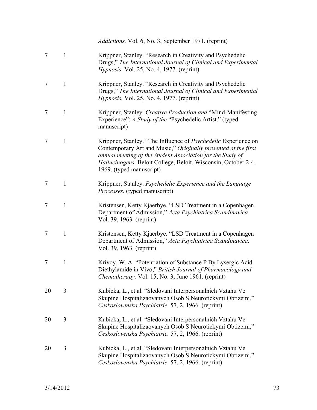|    |              | <i>Addictions.</i> Vol. 6, No. 3, September 1971. (reprint)                                                                                                                                                                                                                                         |
|----|--------------|-----------------------------------------------------------------------------------------------------------------------------------------------------------------------------------------------------------------------------------------------------------------------------------------------------|
| 7  | $\mathbf{1}$ | Krippner, Stanley. "Research in Creativity and Psychedelic<br>Drugs," The International Journal of Clinical and Experimental<br>Hypnosis. Vol. 25, No. 4, 1977. (reprint)                                                                                                                           |
| 7  | $\mathbf{1}$ | Krippner, Stanley. "Research in Creativity and Psychedelic<br>Drugs," The International Journal of Clinical and Experimental<br><i>Hypnosis.</i> Vol. 25, No. 4, 1977. (reprint)                                                                                                                    |
| 7  | $\mathbf{1}$ | Krippner, Stanley. Creative Production and "Mind-Manifesting<br>Experience": A Study of the "Psychedelic Artist." (typed<br>manuscript)                                                                                                                                                             |
| 7  | $\mathbf{1}$ | Krippner, Stanley. "The Influence of <i>Psychedelic</i> Experience on<br>Contemporary Art and Music," Originally presented at the first<br>annual meeting of the Student Association for the Study of<br>Hallucinogens. Beloit College, Beloit, Wisconsin, October 2-4,<br>1969. (typed manuscript) |
| 7  | $\mathbf{1}$ | Krippner, Stanley. Psychedelic Experience and the Language<br><i>Processes.</i> (typed manuscript)                                                                                                                                                                                                  |
| 7  | $\mathbf{1}$ | Kristensen, Ketty Kjaerbye. "LSD Treatment in a Copenhagen<br>Department of Admission," Acta Psychiatrica Scandinavica.<br>Vol. 39, 1963. (reprint)                                                                                                                                                 |
| 7  | $\mathbf{1}$ | Kristensen, Ketty Kjaerbye. "LSD Treatment in a Copenhagen<br>Department of Admission," Acta Psychiatrica Scandinavica.<br>Vol. 39, 1963. (reprint)                                                                                                                                                 |
| 7  | 1            | Krivoy, W. A. "Potentiation of Substance P By Lysergic Acid<br>Diethylamide in Vivo," British Journal of Pharmacology and<br><i>Chemotherapy.</i> Vol. 15, No. 3, June 1961. (reprint)                                                                                                              |
| 20 | 3            | Kubicka, L., et al. "Sledovani Interpersonalnich Vztahu Ve<br>Skupine Hospitalizaovanych Osob S Neurotickymi Obtizemi,"<br>Ceskoslovenska Psychiatrie. 57, 2, 1966. (reprint)                                                                                                                       |
| 20 | 3            | Kubicka, L., et al. "Sledovani Interpersonalnich Vztahu Ve<br>Skupine Hospitalizaovanych Osob S Neurotickymi Obtizemi,"<br>Ceskoslovenska Psychiatrie. 57, 2, 1966. (reprint)                                                                                                                       |
| 20 | 3            | Kubicka, L., et al. "Sledovani Interpersonalnich Vztahu Ve<br>Skupine Hospitalizaovanych Osob S Neurotickymi Obtizemi,"<br>Ceskoslovenska Psychiatrie. 57, 2, 1966. (reprint)                                                                                                                       |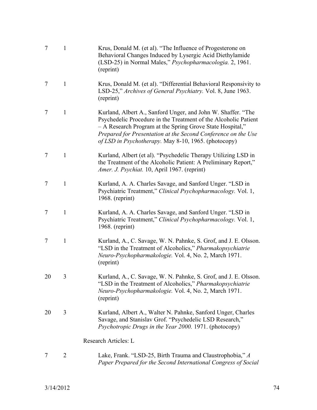| $\tau$ | $\mathbf{1}$ | Krus, Donald M. (et al). "The Influence of Progesterone on<br>Behavioral Changes Induced by Lysergic Acid Diethylamide<br>(LSD-25) in Normal Males," <i>Psychopharmacologia</i> . 2, 1961.<br>(reprint)                                                                                                               |
|--------|--------------|-----------------------------------------------------------------------------------------------------------------------------------------------------------------------------------------------------------------------------------------------------------------------------------------------------------------------|
| 7      | $\mathbf{1}$ | Krus, Donald M. (et al). "Differential Behavioral Responsivity to<br>LSD-25," Archives of General Psychiatry. Vol. 8, June 1963.<br>(reprint)                                                                                                                                                                         |
| 7      | $\mathbf{1}$ | Kurland, Albert A., Sanford Unger, and John W. Shaffer. "The<br>Psychedelic Procedure in the Treatment of the Alcoholic Patient<br>- A Research Program at the Spring Grove State Hospital,"<br>Prepared for Presentation at the Second Conference on the Use<br>of LSD in Psychotherapy. May 8-10, 1965. (photocopy) |
| 7      | $\mathbf{1}$ | Kurland, Albert (et al). "Psychedelic Therapy Utilizing LSD in<br>the Treatment of the Alcoholic Patient: A Preliminary Report,"<br>Amer. J. Psychiat. 10, April 1967. (reprint)                                                                                                                                      |
| 7      | $\mathbf{1}$ | Kurland, A. A. Charles Savage, and Sanford Unger. "LSD in<br>Psychiatric Treatment," Clinical Psychopharmacology. Vol. 1,<br>$1968.$ (reprint)                                                                                                                                                                        |
| 7      | $\mathbf{1}$ | Kurland, A. A. Charles Savage, and Sanford Unger. "LSD in<br>Psychiatric Treatment," Clinical Psychopharmacology. Vol. 1,<br>$1968.$ (reprint)                                                                                                                                                                        |
| 7      | $\mathbf{1}$ | Kurland, A., C. Savage, W. N. Pahnke, S. Grof, and J. E. Olsson.<br>"LSD in the Treatment of Alcoholics," Pharmakopsychiatrie<br>Neuro-Psychopharmakologie. Vol. 4, No. 2, March 1971.<br>(reprint)                                                                                                                   |
| 20     | 3            | Kurland, A., C. Savage, W. N. Pahnke, S. Grof, and J. E. Olsson.<br>"LSD in the Treatment of Alcoholics," Pharmakopsychiatrie<br>Neuro-Psychopharmakologie. Vol. 4, No. 2, March 1971.<br>(reprint)                                                                                                                   |
| 20     | 3            | Kurland, Albert A., Walter N. Pahnke, Sanford Unger, Charles<br>Savage, and Stanislav Grof. "Psychedelic LSD Research,"<br>Psychotropic Drugs in the Year 2000. 1971. (photocopy)                                                                                                                                     |
|        |              | Research Articles: L                                                                                                                                                                                                                                                                                                  |
|        | 2            | Lake, Frank. "LSD-25, Birth Trauma and Claustrophobia," A<br>Paper Prepared for the Second International Congress of Social                                                                                                                                                                                           |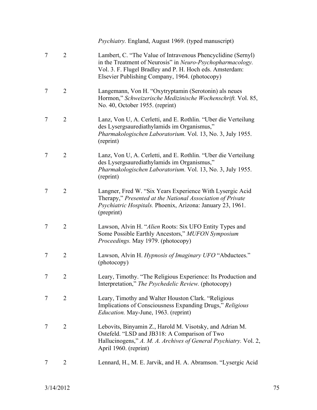|   |                | <i>Psychiatry.</i> England, August 1969. (typed manuscript)                                                                                                                                                                              |
|---|----------------|------------------------------------------------------------------------------------------------------------------------------------------------------------------------------------------------------------------------------------------|
| 7 | $\overline{2}$ | Lambert, C. "The Value of Intravenous Phencyclidine (Sernyl)<br>in the Treatment of Neurosis" in Neuro-Psychopharmacology.<br>Vol. 3. F. Flugel Bradley and P. H. Hoch eds. Amsterdam:<br>Elsevier Publishing Company, 1964. (photocopy) |
| 7 | 2              | Langemann, Von H. "Oxytryptamin (Serotonin) als neues<br>Hormon," Schweizerische Medizinische Wochenschrift. Vol. 85,<br>No. 40, October 1955. (reprint)                                                                                 |
| 7 | $\overline{2}$ | Lanz, Von U, A. Cerletti, and E. Rothlin. "Uber die Verteilung<br>des Lysergsaurediathylamids im Organismus,"<br>Pharmakologischen Laboratorium. Vol. 13, No. 3, July 1955.<br>(reprint)                                                 |
| 7 | $\overline{2}$ | Lanz, Von U, A. Cerletti, and E. Rothlin. "Uber die Verteilung<br>des Lysergsaurediathylamids im Organismus,"<br>Pharmakologischen Laboratorium. Vol. 13, No. 3, July 1955.<br>(reprint)                                                 |
| 7 | $\overline{2}$ | Langner, Fred W. "Six Years Experience With Lysergic Acid<br>Therapy," Presented at the National Association of Private<br>Psychiatric Hospitals. Phoenix, Arizona: January 23, 1961.<br>(preprint)                                      |
| 7 | $\overline{2}$ | Lawson, Alvin H. "Alien Roots: Six UFO Entity Types and<br>Some Possible Earthly Ancestors," MUFON Symposium<br>Proceedings. May 1979. (photocopy)                                                                                       |
| 7 | $\overline{2}$ | Lawson, Alvin H. Hypnosis of Imaginary UFO "Abductees."<br>(photocopy)                                                                                                                                                                   |
| 7 | $\overline{2}$ | Leary, Timothy. "The Religious Experience: Its Production and<br>Interpretation," The Psychedelic Review. (photocopy)                                                                                                                    |
| 7 | $\overline{2}$ | Leary, Timothy and Walter Houston Clark. "Religious<br>Implications of Consciousness Expanding Drugs," Religious<br><i>Education.</i> May-June, 1963. (reprint)                                                                          |
| 7 | $\overline{2}$ | Lebovits, Binyamin Z., Harold M. Visotsky, and Adrian M.<br>Ostefeld. "LSD and JB318: A Comparison of Two<br>Hallucinogens," A. M. A. Archives of General Psychiatry. Vol. 2,<br>April 1960. (reprint)                                   |
| 7 | 2              | Lennard, H., M. E. Jarvik, and H. A. Abramson. "Lysergic Acid                                                                                                                                                                            |
|   |                |                                                                                                                                                                                                                                          |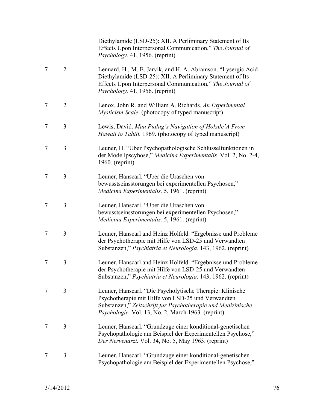|   |                | Diethylamide (LSD-25): XII. A Perliminary Statement of Its<br>Effects Upon Interpersonal Communication," The Journal of<br>Psychology. 41, 1956. (reprint)                                                                            |
|---|----------------|---------------------------------------------------------------------------------------------------------------------------------------------------------------------------------------------------------------------------------------|
| 7 | $\overline{2}$ | Lennard, H., M. E. Jarvik, and H. A. Abramson. "Lysergic Acid<br>Diethylamide (LSD-25): XII. A Perliminary Statement of Its<br>Effects Upon Interpersonal Communication," The Journal of<br>Psychology. 41, 1956. (reprint)           |
| 7 | $\overline{2}$ | Lenox, John R. and William A. Richards. An Experimental<br><i>Mysticism Scale.</i> (photocopy of typed manuscript)                                                                                                                    |
| 7 | 3              | Lewis, David. Mau Pialug's Navigation of Hokule'A From<br>Hawaii to Tahiti. 1969. (photocopy of typed manuscript)                                                                                                                     |
| 7 | 3              | Leuner, H. "Uber Psychopathologische Schlusselfunktionen in<br>der Modellpscyhose," Medicina Experimentalis. Vol. 2, No. 2-4,<br>$1960.$ (reprint)                                                                                    |
| 7 | 3              | Leuner, Hanscarl. "Uber die Uraschen von<br>bewusstseinsstorungen bei experimentellen Psychosen,"<br>Medicina Experimentalis. 5, 1961. (reprint)                                                                                      |
| 7 | 3              | Leuner, Hanscarl. "Uber die Uraschen von<br>bewusstseinsstorungen bei experimentellen Psychosen,"<br>Medicina Experimentalis. 5, 1961. (reprint)                                                                                      |
| 7 | 3              | Leuner, Hanscarl and Heinz Holfeld. "Ergebnisse und Probleme<br>der Psychotherapie mit Hilfe von LSD-25 und Verwandten<br>Substanzen," Psychiatria et Neurologia. 143, 1962. (reprint)                                                |
| 7 | 3              | Leuner, Hanscarl and Heinz Holfeld. "Ergebnisse und Probleme<br>der Psychotherapie mit Hilfe von LSD-25 und Verwandten<br>Substanzen," Psychiatria et Neurologia. 143, 1962. (reprint)                                                |
| 7 | 3              | Leuner, Hanscarl. "Die Psycholytische Therapie: Klinische<br>Psychotherapie mit Hilfe von LSD-25 und Verwandten<br>Substanzen," Zeitschrift fur Psychotherapie und Medizinische<br>Psychologie. Vol. 13, No. 2, March 1963. (reprint) |
| 7 | 3              | Leuner, Hanscarl. "Grundzuge einer konditional-genetischen<br>Psychopathologie am Beispiel der Experimentellen Psychose,"<br>Der Nervenarzt. Vol. 34, No. 5, May 1963. (reprint)                                                      |
| 7 | 3              | Leuner, Hanscarl. "Grundzuge einer konditional-genetischen<br>Psychopathologie am Beispiel der Experimentellen Psychose,"                                                                                                             |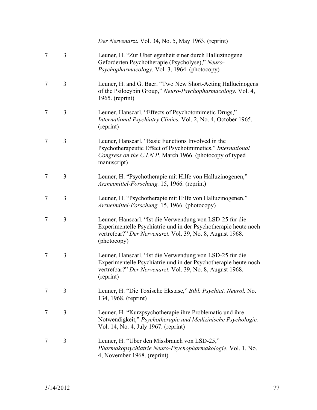|   |   | Der Nervenarzt. Vol. 34, No. 5, May 1963. (reprint)                                                                                                                                                     |
|---|---|---------------------------------------------------------------------------------------------------------------------------------------------------------------------------------------------------------|
| 7 | 3 | Leuner, H. "Zur Uberlegenheit einer durch Halluzinogene<br>Geforderten Psychotherapie (Psycholyse)," Neuro-<br>Psychopharmacology. Vol. 3, 1964. (photocopy)                                            |
| 7 | 3 | Leuner, H. and G. Baer. "Two New Short-Acting Hallucinogens<br>of the Psilocybin Group," Neuro-Psychopharmacology. Vol. 4,<br>1965. (reprint)                                                           |
| 7 | 3 | Leuner, Hanscarl. "Effects of Psychotomimetic Drugs,"<br>International Psychiatry Clinics. Vol. 2, No. 4, October 1965.<br>(reprint)                                                                    |
| 7 | 3 | Leuner, Hanscarl. "Basic Functions Involved in the<br>Psychotherapeutic Effect of Psychotmimetics," International<br>Congress on the C.I.N.P. March 1966. (photocopy of typed<br>manuscript)            |
| 7 | 3 | Leuner, H. "Psychotherapie mit Hilfe von Halluzinogenen,"<br>Arzneimittel-Forschung. 15, 1966. (reprint)                                                                                                |
| 7 | 3 | Leuner, H. "Psychotherapie mit Hilfe von Halluzinogenen,"<br>Arzneimittel-Forschung. 15, 1966. (photocopy)                                                                                              |
| 7 | 3 | Leuner, Hanscarl. "Ist die Verwendung von LSD-25 fur die<br>Experimentelle Psychiatrie und in der Psychotherapie heute noch<br>vertretbar?" Der Nervenarzt. Vol. 39, No. 8, August 1968.<br>(photocopy) |
| 7 | 3 | Leuner, Hanscarl. "Ist die Verwendung von LSD-25 fur die<br>Experimentelle Psychiatrie und in der Psychotherapie heute noch<br>vertretbar?" Der Nervenarzt. Vol. 39, No. 8, August 1968.<br>(reprint)   |
| 7 | 3 | Leuner, H. "Die Toxische Ekstase," Bibl. Psychiat. Neurol. No.<br>134, 1968. (reprint)                                                                                                                  |
| 7 | 3 | Leuner, H. "Kurzpsychotherapie ihre Problematic und ihre<br>Notwendigkeit," Psychotherapie und Medizinische Psychologie.<br>Vol. 14, No. 4, July 1967. (reprint)                                        |
| 7 | 3 | Leuner, H. "Uber den Missbrauch von LSD-25,"<br>Pharmakopsychiatrie Neuro-Psychopharmakologie. Vol. 1, No.<br>4, November 1968. (reprint)                                                               |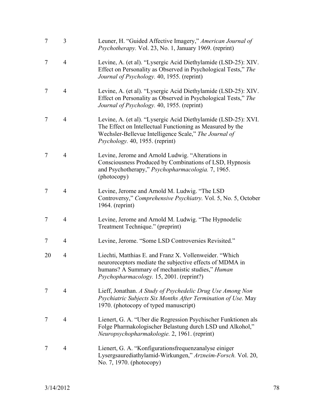| $\overline{7}$ | 3              | Leuner, H. "Guided Affective Imagery," American Journal of<br><i>Psychotherapy.</i> Vol. 23, No. 1, January 1969. (reprint)                                                                                             |
|----------------|----------------|-------------------------------------------------------------------------------------------------------------------------------------------------------------------------------------------------------------------------|
| 7              | $\overline{4}$ | Levine, A. (et al). "Lysergic Acid Diethylamide (LSD-25): XIV.<br>Effect on Personality as Observed in Psychological Tests," The<br>Journal of Psychology. 40, 1955. (reprint)                                          |
| 7              | $\overline{4}$ | Levine, A. (et al). "Lysergic Acid Diethylamide (LSD-25): XIV.<br>Effect on Personality as Observed in Psychological Tests," The<br>Journal of Psychology. 40, 1955. (reprint)                                          |
| 7              | $\overline{4}$ | Levine, A. (et al). "Lysergic Acid Diethylamide (LSD-25): XVI.<br>The Effect on Intellectual Functioning as Measured by the<br>Wechsler-Bellevue Intelligence Scale," The Journal of<br>Psychology. 40, 1955. (reprint) |
| 7              | $\overline{4}$ | Levine, Jerome and Arnold Ludwig. "Alterations in<br>Consciousness Produced by Combinations of LSD, Hypnosis<br>and Psychotherapy," Psychopharmacologia. 7, 1965.<br>(photocopy)                                        |
| 7              | $\overline{4}$ | Levine, Jerome and Arnold M. Ludwig. "The LSD<br>Controversy," Comprehensive Psychiatry. Vol. 5, No. 5, October<br>1964. (reprint)                                                                                      |
| 7              | $\overline{4}$ | Levine, Jerome and Arnold M. Ludwig. "The Hypnodelic<br>Treatment Technique." (preprint)                                                                                                                                |
| 7              | $\overline{4}$ | Levine, Jerome. "Some LSD Controversies Revisited."                                                                                                                                                                     |
| 20             | 4              | Liechti, Matthias E. and Franz X. Vollenweider. "Which<br>neuroreceptors mediate the subjective effects of MDMA in<br>humans? A Summary of mechanistic studies," Human<br>Psychopharmacology. 15, 2001. (reprint?)      |
| 7              | $\overline{4}$ | Lieff, Jonathan. A Study of Psychedelic Drug Use Among Non<br>Psychiatric Subjects Six Months After Termination of Use. May<br>1970. (photocopy of typed manuscript)                                                    |
| 7              | $\overline{4}$ | Lienert, G. A. "Uber die Regression Psychischer Funktionen als<br>Folge Pharmakologischer Belastung durch LSD und Alkohol,"<br>Neuropsychopharmakologie. 2, 1961. (reprint)                                             |
| 7              | $\overline{4}$ | Lienert, G. A. "Konfigurationsfrequenzanalyse einiger<br>Lysergsaurediathylamid-Wirkungen," Arzneim-Forsch. Vol. 20,<br>No. 7, 1970. (photocopy)                                                                        |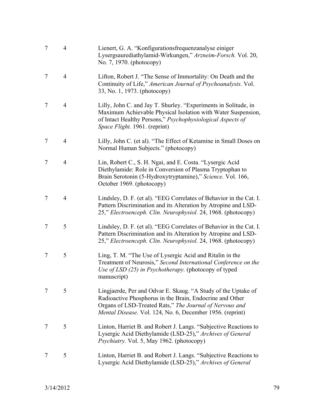| $\overline{7}$ | $\overline{4}$ | Lienert, G. A. "Konfigurationsfrequenzanalyse einiger<br>Lysergsaurediathylamid-Wirkungen," Arzneim-Forsch. Vol. 20,<br>No. 7, 1970. (photocopy)                                                                                                  |
|----------------|----------------|---------------------------------------------------------------------------------------------------------------------------------------------------------------------------------------------------------------------------------------------------|
| 7              | $\overline{4}$ | Lifton, Robert J. "The Sense of Immortality: On Death and the<br>Continuity of Life," American Journal of Psychoanalysis. Vol.<br>33, No. 1, 1973. (photocopy)                                                                                    |
| 7              | 4              | Lilly, John C. and Jay T. Shurley. "Experiments in Solitude, in<br>Maximum Achievable Physical Isolation with Water Suspension,<br>of Intact Healthy Persons," Psychophysiological Aspects of<br>Space Flight. 1961. (reprint)                    |
| 7              | $\overline{4}$ | Lilly, John C. (et al). "The Effect of Ketamine in Small Doses on<br>Normal Human Subjects." (photocopy)                                                                                                                                          |
| $\tau$         | $\overline{4}$ | Lin, Robert C., S. H. Ngai, and E. Costa. "Lysergic Acid<br>Diethylamide: Role in Conversion of Plasma Tryptophan to<br>Brain Serotonin (5-Hydroxytryptamine)," Science. Vol. 166,<br>October 1969. (photocopy)                                   |
| 7              | $\overline{4}$ | Lindsley, D. F. (et al). "EEG Correlates of Behavior in the Cat. I.<br>Pattern Discrimination and its Alteration by Atropine and LSD-<br>25," Electroenceph. Clin. Neurophysiol. 24, 1968. (photocopy)                                            |
| 7              | 5              | Lindsley, D. F. (et al). "EEG Correlates of Behavior in the Cat. I.<br>Pattern Discrimination and its Alteration by Atropine and LSD-<br>25," Electroenceph. Clin. Neurophysiol. 24, 1968. (photocopy)                                            |
| 7              | 5              | Ling, T. M. "The Use of Lysergic Acid and Ritalin in the<br>Treatment of Neurosis," Second International Conference on the<br>Use of LSD (25) in Psychotherapy. (photocopy of typed<br>manuscript)                                                |
| 7              | 5              | Lingjaerde, Per and Odvar E. Skaug. "A Study of the Uptake of<br>Radioactive Phosphorus in the Brain, Endocrine and Other<br>Organs of LSD-Treated Rats," The Journal of Nervous and<br>Mental Disease. Vol. 124, No. 6, December 1956. (reprint) |
| 7              | 5              | Linton, Harriet B. and Robert J. Langs. "Subjective Reactions to<br>Lysergic Acid Diethylamide (LSD-25)," Archives of General<br>Psychiatry. Vol. 5, May 1962. (photocopy)                                                                        |
| 7              | 5              | Linton, Harriet B. and Robert J. Langs. "Subjective Reactions to<br>Lysergic Acid Diethylamide (LSD-25)," Archives of General                                                                                                                     |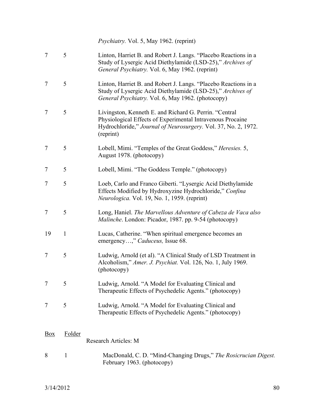*Psychiatry.* Vol. 5, May 1962. (reprint)

- 7 5 Linton, Harriet B. and Robert J. Langs. "Placebo Reactions in a Study of Lysergic Acid Diethylamide (LSD-25)," *Archives of General Psychiatry.* Vol. 6, May 1962. (reprint)
- 7 5 Linton, Harriet B. and Robert J. Langs. "Placebo Reactions in a Study of Lysergic Acid Diethylamide (LSD-25)," *Archives of General Psychiatry.* Vol. 6, May 1962. (photocopy)
- 7 5 Livingston, Kenneth E. and Richard G. Perrin. "Central Physiological Effects of Experimental Intravenous Procaine Hydrochloride," *Journal of Neurosurgery.* Vol. 37, No. 2, 1972. (reprint)
- 7 5 Lobell, Mimi. "Temples of the Great Goddess," *Heresies.* 5, August 1978. (photocopy)
- 7 5 Lobell, Mimi. "The Goddess Temple." (photocopy)
- 7 5 Loeb, Carlo and Franco Giberti. "Lysergic Acid Diethylamide Effects Modified by Hydroxyzine Hydrochloride," *Confina Neurologica.* Vol. 19, No. 1, 1959. (reprint)
- 7 5 Long, Haniel. *The Marvellous Adventure of Cabeza de Vaca also Malinche*. London: Picador, 1987. pp. 9-54 (photocopy)
- 19 1 Lucas, Catherine. "When spiritual emergence becomes an emergency…," *Caduceus,* Issue 68.
- 7 5 Ludwig, Arnold (et al). "A Clinical Study of LSD Treatment in Alcoholism," *Amer. J. Psychiat.* Vol. 126, No. 1, July 1969. (photocopy)
- 7 5 Ludwig, Arnold. "A Model for Evaluating Clinical and Therapeutic Effects of Psychedelic Agents." (photocopy)
- 7 5 Ludwig, Arnold. "A Model for Evaluating Clinical and Therapeutic Effects of Psychedelic Agents." (photocopy)

## Box Folder Research Articles: M

8 1 MacDonald, C. D. "Mind-Changing Drugs," *The Rosicrucian Digest.*  February 1963. (photocopy)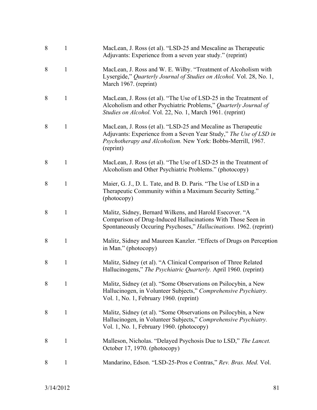| 8 | 1            | MacLean, J. Ross (et al). "LSD-25 and Mescaline as Therapeutic<br>Adjuvants: Experience from a seven year study." (reprint)                                                                                     |
|---|--------------|-----------------------------------------------------------------------------------------------------------------------------------------------------------------------------------------------------------------|
| 8 | 1            | MacLean, J. Ross and W. E. Wilby. "Treatment of Alcoholism with<br>Lysergide," Quarterly Journal of Studies on Alcohol. Vol. 28, No. 1,<br>March 1967. (reprint)                                                |
| 8 | $\mathbf{1}$ | MacLean, J. Ross (et al). "The Use of LSD-25 in the Treatment of<br>Alcoholism and other Psychiatric Problems," Quarterly Journal of<br>Studies on Alcohol. Vol. 22, No. 1, March 1961. (reprint)               |
| 8 | 1            | MacLean, J. Ross (et al). "LSD-25 and Mecaline as Therapeutic<br>Adjuvants: Experience from a Seven Year Study," The Use of LSD in<br>Psychotherapy and Alcoholism. New York: Bobbs-Merrill, 1967.<br>(reprint) |
| 8 | 1            | MacLean, J. Ross (et al). "The Use of LSD-25 in the Treatment of<br>Alcoholism and Other Psychiatric Problems." (photocopy)                                                                                     |
| 8 | $\mathbf{1}$ | Maier, G. J., D. L. Tate, and B. D. Paris. "The Use of LSD in a<br>Therapeutic Community within a Maximum Security Setting."<br>(photocopy)                                                                     |
| 8 | 1            | Malitz, Sidney, Bernard Wilkens, and Harold Esecover. "A<br>Comparison of Drug-Induced Hallucinations With Those Seen in<br>Spontaneously Occuring Psychoses," Hallucinations. 1962. (reprint)                  |
| 8 | 1            | Malitz, Sidney and Maureen Kanzler. "Effects of Drugs on Perception<br>in Man." (photocopy)                                                                                                                     |
| 8 | 1            | Malitz, Sidney (et al). "A Clinical Comparison of Three Related<br>Hallucinogens," The Psychiatric Quarterly. April 1960. (reprint)                                                                             |
| 8 | 1            | Malitz, Sidney (et al). "Some Observations on Psilocybin, a New<br>Hallucinogen, in Volunteer Subjects," Comprehensive Psychiatry.<br>Vol. 1, No. 1, February 1960. (reprint)                                   |
| 8 | $\mathbf{1}$ | Malitz, Sidney (et al). "Some Observations on Psilocybin, a New<br>Hallucinogen, in Volunteer Subjects," Comprehensive Psychiatry.<br>Vol. 1, No. 1, February 1960. (photocopy)                                 |
| 8 | 1            | Malleson, Nicholas. "Delayed Psychosis Due to LSD," The Lancet.<br>October 17, 1970. (photocopy)                                                                                                                |
| 8 | $\mathbf{1}$ | Mandarino, Edson. "LSD-25-Pros e Contras," Rev. Bras. Med. Vol.                                                                                                                                                 |
|   |              |                                                                                                                                                                                                                 |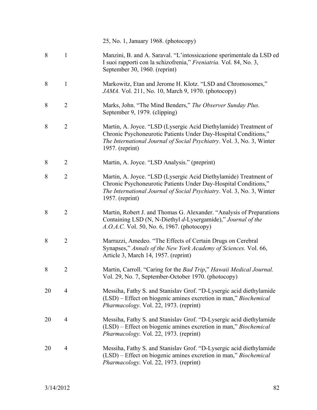25, No. 1, January 1968. (photocopy)

- 8 1 Manzini, B. and A. Saraval. "L'intossicazione sperimentale da LSD ed I suoi rapporti con la schizofrenia," *Freniatria.* Vol. 84, No. 3, September 30, 1960. (reprint)
- 8 1 Markowitz, Etan and Jerome H. Klotz. "LSD and Chromosomes," *JAMA.* Vol. 211, No. 10, March 9, 1970. (photocopy)
- 8 2 Marks, John. "The Mind Benders," *The Observer Sunday Plus.*  September 9, 1979. (clipping)
- 8 2 Martin, A. Joyce. "LSD (Lysergic Acid Diethylamide) Treatment of Chronic Psychoneurotic Patients Under Day-Hospital Conditions," *The International Journal of Social Psychiatry*. Vol. 3, No. 3, Winter 1957. (reprint)
- 8 2 Martin, A. Joyce. "LSD Analysis." (preprint)
- 8 2 Martin, A. Joyce. "LSD (Lysergic Acid Diethylamide) Treatment of Chronic Psychoneurotic Patients Under Day-Hospital Conditions," *The International Journal of Social Psychiatry*. Vol. 3, No. 3, Winter 1957. (reprint)
- 8 2 Martin, Robert J. and Thomas G. Alexander. "Analysis of Preparations" Containing LSD (N, N-Diethyl *d*-Lysergamide)," *Journal of the A.O.A.C.* Vol. 50, No. 6, 1967. (photocopy)
- 8 2 Marrazzi, Amedeo. "The Effects of Certain Drugs on Cerebral Synapses," *Annals of the New York Academy of Sciences.* Vol. 66, Article 3, March 14, 1957. (reprint)
- 8 2 Martin, Carroll. "Caring for the *Bad Trip*," *Hawaii Medical Journal.*  Vol. 29, No. 7, September-October 1970. (photocopy)
- 20 4 Messiha, Fathy S. and Stanislav Grof. "D-Lysergic acid diethylamide (LSD) – Effect on biogenic amines excretion in man," *Biochemical Pharmacology.* Vol. 22, 1973. (reprint)
- 20 4 Messiha, Fathy S. and Stanislav Grof. "D-Lysergic acid diethylamide (LSD) – Effect on biogenic amines excretion in man," *Biochemical Pharmacology.* Vol. 22, 1973. (reprint)
- 20 4 Messiha, Fathy S. and Stanislav Grof. "D-Lysergic acid diethylamide (LSD) – Effect on biogenic amines excretion in man," *Biochemical Pharmacology.* Vol. 22, 1973. (reprint)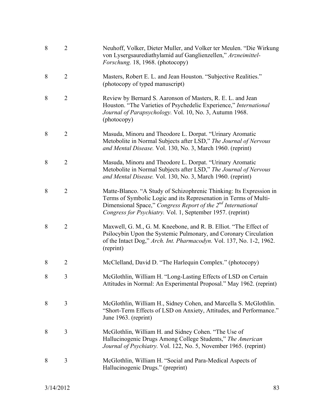| 8 | $\overline{2}$ | Neuhoff, Volker, Dieter Muller, and Volker ter Meulen. "Die Wirkung<br>von Lysergsaurediathylamid auf Ganglienzellen," Arzneimittel-<br>Forschung. 18, 1968. (photocopy)                                                                                                          |
|---|----------------|-----------------------------------------------------------------------------------------------------------------------------------------------------------------------------------------------------------------------------------------------------------------------------------|
| 8 | $\overline{2}$ | Masters, Robert E. L. and Jean Houston. "Subjective Realities."<br>(photocopy of typed manuscript)                                                                                                                                                                                |
| 8 | $\overline{2}$ | Review by Bernard S. Aaronson of Masters, R. E. L. and Jean<br>Houston. "The Varieties of Psychedelic Experience," International<br>Journal of Parapsychology. Vol. 10, No. 3, Autumn 1968.<br>(photocopy)                                                                        |
| 8 | $\overline{2}$ | Masuda, Minoru and Theodore L. Dorpat. "Urinary Aromatic<br>Metobolite in Normal Subjects after LSD," The Journal of Nervous<br>and Mental Disease. Vol. 130, No. 3, March 1960. (reprint)                                                                                        |
| 8 | $\overline{2}$ | Masuda, Minoru and Theodore L. Dorpat. "Urinary Aromatic<br>Metobolite in Normal Subjects after LSD," The Journal of Nervous<br>and Mental Disease. Vol. 130, No. 3, March 1960. (reprint)                                                                                        |
| 8 | $\overline{2}$ | Matte-Blanco. "A Study of Schizophrenic Thinking: Its Expression in<br>Terms of Symbolic Logic and its Represenation in Terms of Multi-<br>Dimensional Space," Congress Report of the 2 <sup>nd</sup> International<br>Congress for Psychiatry. Vol. 1, September 1957. (reprint) |
| 8 | $\overline{2}$ | Maxwell, G. M., G. M. Kneebone, and R. B. Elliot. "The Effect of<br>Psilocybin Upon the Systemic Pulmonary, and Coronary Circulation<br>of the Intact Dog," Arch. Int. Pharmacodyn. Vol. 137, No. 1-2, 1962.<br>(reprint)                                                         |
| 8 | $\overline{2}$ | McClelland, David D. "The Harlequin Complex." (photocopy)                                                                                                                                                                                                                         |
| 8 | 3              | McGlothlin, William H. "Long-Lasting Effects of LSD on Certain<br>Attitudes in Normal: An Experimental Proposal." May 1962. (reprint)                                                                                                                                             |
| 8 | 3              | McGlothlin, William H., Sidney Cohen, and Marcella S. McGlothlin.<br>"Short-Term Effects of LSD on Anxiety, Attitudes, and Performance."<br>June 1963. (reprint)                                                                                                                  |
| 8 | 3              | McGlothlin, William H. and Sidney Cohen. "The Use of<br>Hallucinogenic Drugs Among College Students," The American<br>Journal of Psychiatry. Vol. 122, No. 5, November 1965. (reprint)                                                                                            |
| 8 | 3              | McGlothlin, William H. "Social and Para-Medical Aspects of<br>Hallucinogenic Drugs." (preprint)                                                                                                                                                                                   |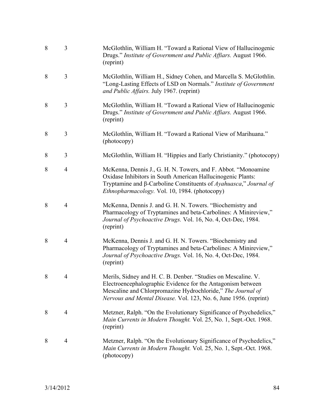| 8 | 3              | McGlothlin, William H. "Toward a Rational View of Hallucinogenic<br>Drugs." Institute of Government and Public Affiars. August 1966.<br>(reprint)                                                                                                                |
|---|----------------|------------------------------------------------------------------------------------------------------------------------------------------------------------------------------------------------------------------------------------------------------------------|
| 8 | 3              | McGlothlin, William H., Sidney Cohen, and Marcella S. McGlothlin.<br>"Long-Lasting Effects of LSD on Normals." Institute of Government<br>and Public Affairs. July 1967. (reprint)                                                                               |
| 8 | 3              | McGlothlin, William H. "Toward a Rational View of Hallucinogenic<br>Drugs." Institute of Government and Public Affiars. August 1966.<br>(reprint)                                                                                                                |
| 8 | 3              | McGlothlin, William H. "Toward a Rational View of Marihuana."<br>(photocopy)                                                                                                                                                                                     |
| 8 | 3              | McGlothlin, William H. "Hippies and Early Christianity." (photocopy)                                                                                                                                                                                             |
| 8 | $\overline{4}$ | McKenna, Dennis J., G. H. N. Towers, and F. Abbot. "Monoamine<br>Oxidase Inhibitors in South American Hallucinogenic Plants:<br>Tryptamine and β-Carboline Constituents of Ayahuasca," Journal of<br>Ethnopharmacology. Vol. 10, 1984. (photocopy)               |
| 8 | $\overline{4}$ | McKenna, Dennis J. and G. H. N. Towers. "Biochemistry and<br>Pharmacology of Tryptamines and beta-Carbolines: A Minireview,"<br>Journal of Psychoactive Drugs. Vol. 16, No. 4, Oct-Dec, 1984.<br>(reprint)                                                       |
| 8 | $\overline{4}$ | McKenna, Dennis J. and G. H. N. Towers. "Biochemistry and<br>Pharmacology of Tryptamines and beta-Carbolines: A Minireview,"<br>Journal of Psychoactive Drugs. Vol. 16, No. 4, Oct-Dec, 1984.<br>(reprint)                                                       |
| 8 | 4              | Merils, Sidney and H. C. B. Denber. "Studies on Mescaline. V.<br>Electroencephalographic Evidence for the Antagonism between<br>Mescaline and Chlorpromazine Hydrochloride," The Journal of<br>Nervous and Mental Disease. Vol. 123, No. 6, June 1956. (reprint) |
| 8 | $\overline{4}$ | Metzner, Ralph. "On the Evolutionary Significance of Psychedelics,"<br>Main Currents in Modern Thought. Vol. 25, No. 1, Sept.-Oct. 1968.<br>(reprint)                                                                                                            |
| 8 | $\overline{4}$ | Metzner, Ralph. "On the Evolutionary Significance of Psychedelics,"<br>Main Currents in Modern Thought. Vol. 25, No. 1, Sept.-Oct. 1968.<br>(photocopy)                                                                                                          |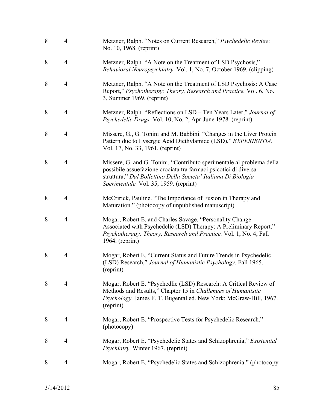| 8 | $\overline{4}$ | Metzner, Ralph. "Notes on Current Research," Psychedelic Review.<br>No. 10, 1968. (reprint)                                                                                                                                                           |
|---|----------------|-------------------------------------------------------------------------------------------------------------------------------------------------------------------------------------------------------------------------------------------------------|
| 8 | 4              | Metzner, Ralph. "A Note on the Treatment of LSD Psychosis,"<br>Behavioral Neuropsychiatry. Vol. 1, No. 7, October 1969. (clipping)                                                                                                                    |
| 8 | $\overline{4}$ | Metzner, Ralph. "A Note on the Treatment of LSD Psychosis: A Case<br>Report," Psychotherapy: Theory, Research and Practice. Vol. 6, No.<br>3, Summer 1969. (reprint)                                                                                  |
| 8 | $\overline{4}$ | Metzner, Ralph. "Reflections on LSD – Ten Years Later," Journal of<br>Psychedelic Drugs. Vol. 10, No. 2, Apr-June 1978. (reprint)                                                                                                                     |
| 8 | $\overline{4}$ | Missere, G., G. Tonini and M. Babbini. "Changes in the Liver Protein<br>Pattern due to Lysergic Acid Diethylamide (LSD)," EXPERIENTIA.<br>Vol. 17, No. 33, 1961. (reprint)                                                                            |
| 8 | $\overline{4}$ | Missere, G. and G. Tonini. "Contributo sperimentale al problema della<br>possibile assuefazione crociata tra farmaci psicotici di diversa<br>struttura," Dal Bollettino Della Societa' Italiana Di Biologia<br>Sperimentale. Vol. 35, 1959. (reprint) |
| 8 | $\overline{4}$ | McCririck, Pauline. "The Importance of Fusion in Therapy and<br>Maturation." (photocopy of unpublished manuscript)                                                                                                                                    |
| 8 | $\overline{4}$ | Mogar, Robert E. and Charles Savage. "Personality Change<br>Associated with Psychedelic (LSD) Therapy: A Preliminary Report,"<br>Psychotherapy: Theory, Research and Practice. Vol. 1, No. 4, Fall<br>$1964.$ (reprint)                               |
| 8 | $\overline{4}$ | Mogar, Robert E. "Current Status and Future Trends in Psychedelic<br>(LSD) Research," Journal of Humanistic Psychology. Fall 1965.<br>(reprint)                                                                                                       |
| 8 | 4              | Mogar, Robert E. "Psychedlic (LSD) Research: A Critical Review of<br>Methods and Results," Chapter 15 in Challenges of Humanistic<br>Psychology. James F. T. Bugental ed. New York: McGraw-Hill, 1967.<br>(reprint)                                   |
| 8 | $\overline{4}$ | Mogar, Robert E. "Prospective Tests for Psychedelic Research."<br>(photocopy)                                                                                                                                                                         |
| 8 | $\overline{4}$ | Mogar, Robert E. "Psychedelic States and Schizophrenia," Existential<br>Psychiatry. Winter 1967. (reprint)                                                                                                                                            |
| 8 | $\overline{4}$ | Mogar, Robert E. "Psychedelic States and Schizophrenia." (photocopy                                                                                                                                                                                   |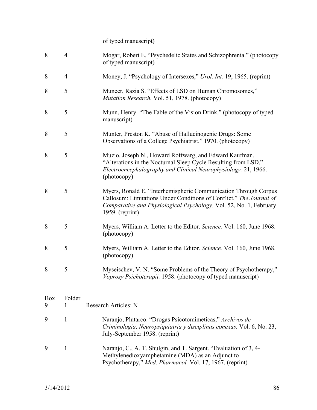of typed manuscript)

| 8              | $\overline{4}$ | Mogar, Robert E. "Psychedelic States and Schizophrenia." (photocopy<br>of typed manuscript)                                                                                                                                     |
|----------------|----------------|---------------------------------------------------------------------------------------------------------------------------------------------------------------------------------------------------------------------------------|
| 8              | $\overline{4}$ | Money, J. "Psychology of Intersexes," <i>Urol. Int.</i> 19, 1965. (reprint)                                                                                                                                                     |
| 8              | 5              | Muneer, Razia S. "Effects of LSD on Human Chromosomes,"<br>Mutation Research. Vol. 51, 1978. (photocopy)                                                                                                                        |
| 8              | 5              | Munn, Henry. "The Fable of the Vision Drink." (photocopy of typed<br>manuscript)                                                                                                                                                |
| 8              | 5              | Munter, Preston K. "Abuse of Hallucinogenic Drugs: Some<br>Observations of a College Psychiatrist." 1970. (photocopy)                                                                                                           |
| 8              | 5              | Muzio, Joseph N., Howard Roffwarg, and Edward Kaufman.<br>"Alterations in the Nocturnal Sleep Cycle Resulting from LSD,"<br>Electroencephalography and Clinical Neurophysiology. 21, 1966.<br>(photocopy)                       |
| 8              | 5              | Myers, Ronald E. "Interhemispheric Communication Through Corpus<br>Callosum: Limitations Under Conditions of Conflict," The Journal of<br>Comparative and Physiological Psychology. Vol. 52, No. 1, February<br>1959. (reprint) |
| 8              | 5              | Myers, William A. Letter to the Editor. Science. Vol. 160, June 1968.<br>(photocopy)                                                                                                                                            |
| 8              | 5              | Myers, William A. Letter to the Editor. Science. Vol. 160, June 1968.<br>(photocopy)                                                                                                                                            |
| 8              | 5              | Myseischev, V. N. "Some Problems of the Theory of Psychotherapy,"<br>Voprosy Psichoterapii. 1958. (photocopy of typed manuscript)                                                                                               |
| $\frac{Box}{}$ | <u>Folder</u>  |                                                                                                                                                                                                                                 |
| 9              |                | <b>Research Articles: N</b>                                                                                                                                                                                                     |
| 9              | 1              | Naranjo, Plutarco. "Drogas Psicotomimeticas," Archivos de<br>Criminologia, Neuropsiquiatria y disciplinas conexas. Vol. 6, No. 23,<br>July-September 1958. (reprint)                                                            |

9 1 Naranjo, C., A. T. Shulgin, and T. Sargent. "Evaluation of 3, 4- Methylenedioxyamphetamine (MDA) as an Adjunct to Psychotherapy," *Med. Pharmacol.* Vol. 17, 1967. (reprint)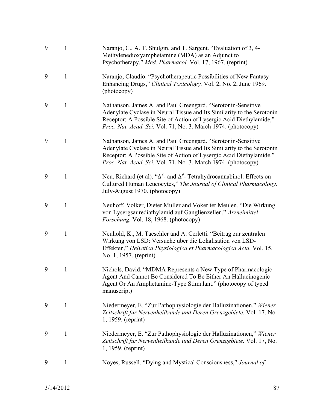| 9 | 1            | Naranjo, C., A. T. Shulgin, and T. Sargent. "Evaluation of 3, 4-<br>Methylenedioxyamphetamine (MDA) as an Adjunct to<br>Psychotherapy," Med. Pharmacol. Vol. 17, 1967. (reprint)                                                                                               |
|---|--------------|--------------------------------------------------------------------------------------------------------------------------------------------------------------------------------------------------------------------------------------------------------------------------------|
| 9 | 1            | Naranjo, Claudio. "Psychotherapeutic Possibilities of New Fantasy-<br>Enhancing Drugs," Clinical Toxicology. Vol. 2, No. 2, June 1969.<br>(photocopy)                                                                                                                          |
| 9 | 1            | Nathanson, James A. and Paul Greengard. "Serotonin-Sensitive<br>Adenylate Cyclase in Neural Tissue and Its Similarity to the Serotonin<br>Receptor: A Possible Site of Action of Lysergic Acid Diethylamide,"<br>Proc. Nat. Acad. Sci. Vol. 71, No. 3, March 1974. (photocopy) |
| 9 | 1            | Nathanson, James A. and Paul Greengard. "Serotonin-Sensitive<br>Adenylate Cyclase in Neural Tissue and Its Similarity to the Serotonin<br>Receptor: A Possible Site of Action of Lysergic Acid Diethylamide,"<br>Proc. Nat. Acad. Sci. Vol. 71, No. 3, March 1974. (photocopy) |
| 9 | 1            | Neu, Richard (et al). " $\Delta^8$ - and $\Delta^9$ - Tetrahydrocannabinol: Effects on<br>Cultured Human Leucocytes," The Journal of Clinical Pharmacology.<br>July-August 1970. (photocopy)                                                                                   |
| 9 | 1            | Neuhoff, Volker, Dieter Muller and Voker ter Meulen. "Die Wirkung<br>von Lysergsaurediathylamid auf Ganglienzellen," Arzneimittel-<br>Forschung. Vol. 18, 1968. (photocopy)                                                                                                    |
| 9 | 1            | Neuhold, K., M. Taeschler and A. Cerletti. "Beitrag zur zentralen<br>Wirkung von LSD: Versuche uber die Lokalisation von LSD-<br>Effekten," Helvetica Physiologica et Pharmacologica Acta. Vol. 15,<br>No. 1, 1957. (reprint)                                                  |
| 9 | 1            | Nichols, David. "MDMA Represents a New Type of Pharmacologic<br>Agent And Cannot Be Considered To Be Either An Hallucinogenic<br>Agent Or An Amphetamine-Type Stimulant." (photocopy of typed<br>manuscript)                                                                   |
| 9 | $\mathbf{1}$ | Niedermeyer, E. "Zur Pathophysiologie der Halluzinationen," Wiener<br>Zeitschrift fur Nervenheilkunde und Deren Grenzgebiete. Vol. 17, No.<br>1, 1959. (reprint)                                                                                                               |
| 9 | 1            | Niedermeyer, E. "Zur Pathophysiologie der Halluzinationen," Wiener<br>Zeitschrift fur Nervenheilkunde und Deren Grenzgebiete. Vol. 17, No.<br>1, 1959. (reprint)                                                                                                               |
| 9 | 1            | Noyes, Russell. "Dying and Mystical Consciousness," Journal of                                                                                                                                                                                                                 |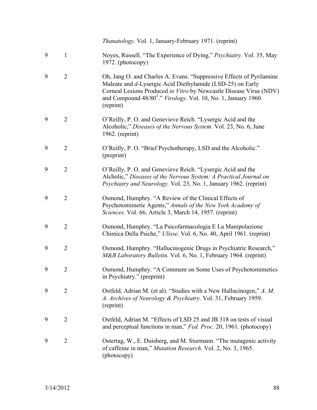*Thanatology.* Vol. 1, January-February 1971. (reprint) 9 1 Noyes, Russell. "The Experience of Dying," *Psychiatry.* Vol. 35, May 1972. (photocopy) 9 2 Oh, Jang O. and Charles A. Evans. "Suppressive Effects of Pyrilamine Maleate and *d*-Lysergic Acid Diethylamide (LSD-25) on Early Corneal Lesions Produced *in Vitro* by Newcastle Disease Virus (NDV) and Compound 48/80<sup>1</sup> ." *Virology.* Vol. 10, No. 1, January 1960. (reprint) 9 2 O'Reilly, P. O. and Genevieve Reich. "Lysergic Acid and the Alcoholic," *Diseases of the Nervous System.* Vol. 23, No. 6, June 1962. (reprint) 9 2 O'Reilly, P. O. "Brief Psychotherapy, LSD and the Alcoholic." (preprint) 9 2 O'Reilly, P. O. and Genevieve Reich. "Lysergic Acid and the Alcholic," *Diseases of the Nervous System: A Practical Journal on Psychiatry and Neurology.* Vol. 23, No. 1, January 1962. (reprint) 9 2 Osmond, Humphry. "A Review of the Clinical Effects of Psychotomimetic Agents," *Annals of the New York Academy of Sciences.* Vol. 66, Article 3, March 14, 1957. (reprint) 9 2 Osmond, Humphry. "La Psicofarmacologia E La Manipolazione Chimica Della Psiche," *Ulisse.* Vol. 6, No. 40, April 1961. (reprint) 9 2 Osmond, Humphry. "Hallucinogenic Drugs in Psychiatric Research," *M&B Laboratory Bulletin.* Vol. 6, No. 1, February 1964. (reprint) 9 2 Osmond, Humphry. "A Comment on Some Uses of Psychotomimetics in Psychiatry." (preprint) 9 2 Ostfeld, Adrian M. (et al). "Studies with a New Hallucinogen," *A. M. A. Archives of Neurology & Psychiatry.* Vol. 31, February 1959. (reprint) 9 2 Ostfeld, Adrian M. "Effects of LSD 25 and JB 318 on tests of visual and perceptual functions in man," *Fed. Proc.* 20, 1961. (photocopy) 9 2 Ostertag, W., E. Duisberg, and M. Sturmann. "The mutagenic activity of caffeine in man," *Mutation Research.* Vol. 2, No. 3, 1965. (photocopy)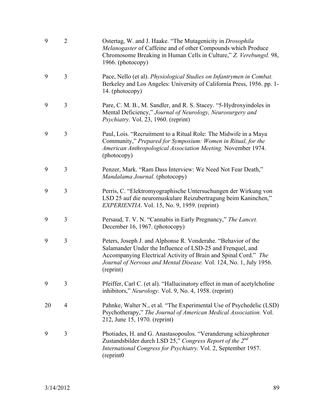| 9  | $\overline{2}$ | Ostertag, W. and J. Haake. "The Mutagenicity in Drosophila<br>Melanogaster of Caffeine and of other Compounds which Produce<br>Chromosome Breaking in Human Cells in Culture," Z. Verebungsl. 98,<br>1966. (photocopy)                                                            |
|----|----------------|-----------------------------------------------------------------------------------------------------------------------------------------------------------------------------------------------------------------------------------------------------------------------------------|
| 9  | 3              | Pace, Nello (et al). Physiological Studies on Infantrymen in Combat.<br>Berkeley and Los Angeles: University of California Press, 1956. pp. 1-<br>14. (photocopy)                                                                                                                 |
| 9  | 3              | Pare, C. M. B., M. Sandler, and R. S. Stacey. "5-Hydroxyindoles in<br>Mental Deficiency," Journal of Neurology, Neurosurgery and<br><i>Psychiatry.</i> Vol. 23, 1960. (reprint)                                                                                                   |
| 9  | 3              | Paul, Lois. "Recruitment to a Ritual Role: The Midwife in a Maya<br>Community," Prepared for Symposium: Women in Ritual, for the<br>American Anthropological Association Meeting. November 1974.<br>(photocopy)                                                                   |
| 9  | 3              | Penzer, Mark. "Ram Dass Interview: We Need Not Fear Death,"<br>Mandalama Journal. (photocopy)                                                                                                                                                                                     |
| 9  | 3              | Perris, C. "Elektromyographische Untersuchungen der Wirkung von<br>LSD 25 auf die neuromuskulare Reizubertragung beim Kaninchen,"<br><i>EXPERIENTIA</i> . Vol. 15, No. 9, 1959. (reprint)                                                                                         |
| 9  | 3              | Persaud, T. V. N. "Cannabis in Early Pregnancy," The Lancet.<br>December 16, 1967. (photocopy)                                                                                                                                                                                    |
| 9  | 3              | Peters, Joseph J. and Alphonse R. Vonderahe. "Behavior of the<br>Salamander Under the Influence of LSD-25 and Frenquel, and<br>Accompanying Electrical Activity of Brain and Spinal Cord." The<br>Journal of Nervous and Mental Disease. Vol. 124, No. 1, July 1956.<br>(reprint) |
| 9  | 3              | Pfeiffer, Carl C. (et al). "Hallucinatory effect in man of acetylcholine<br>inhibitors," Neurology. Vol. 9, No. 4, 1958. (reprint)                                                                                                                                                |
| 20 | 4              | Pahnke, Walter N., et al. "The Experimental Use of Psychedelic (LSD)<br>Psychotherapy," The Journal of American Medical Association. Vol.<br>212, June 15, 1970. (reprint)                                                                                                        |
| 9  | 3              | Photiades, H. and G. Anastasopoulos. "Veranderung schizophrener<br>Zustandsbilder durch LSD 25," Congress Report of the $2^{nd}$<br>International Congress for Psychiatry. Vol. 2, September 1957.<br>(reprint0)                                                                  |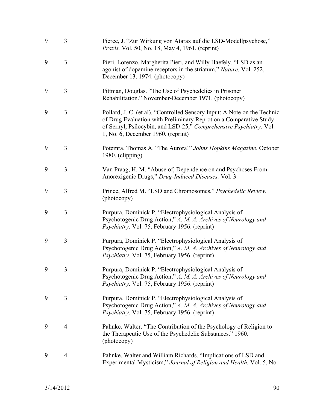| 9 | 3              | Pierce, J. "Zur Wirkung von Atarax auf die LSD-Modellpsychose,"<br><i>Praxis.</i> Vol. 50, No. 18, May 4, 1961. (reprint)                                                                                                                                 |
|---|----------------|-----------------------------------------------------------------------------------------------------------------------------------------------------------------------------------------------------------------------------------------------------------|
| 9 | 3              | Pieri, Lorenzo, Margherita Pieri, and Willy Haefely. "LSD as an<br>agonist of dopamine receptors in the striatum," Nature. Vol. 252,<br>December 13, 1974. (photocopy)                                                                                    |
| 9 | 3              | Pittman, Douglas. "The Use of Psychedelics in Prisoner<br>Rehabilitation." November-December 1971. (photocopy)                                                                                                                                            |
| 9 | 3              | Pollard, J. C. (et al). "Controlled Sensory Input: A Note on the Technic<br>of Drug Evaluation with Preliminary Reprot on a Comparative Study<br>of Sernyl, Psilocybin, and LSD-25," Comprehensive Psychiatry. Vol.<br>1, No. 6, December 1960. (reprint) |
| 9 | 3              | Potemra, Thomas A. "The Aurora!" Johns Hopkins Magazine. October<br>1980. (clipping)                                                                                                                                                                      |
| 9 | 3              | Van Praag, H. M. "Abuse of, Dependence on and Psychoses From<br>Anorexigenic Drugs," Drug-Induced Diseases. Vol. 3.                                                                                                                                       |
| 9 | 3              | Prince, Alfred M. "LSD and Chromosomes," Psychedelic Review.<br>(photocopy)                                                                                                                                                                               |
| 9 | 3              | Purpura, Dominick P. "Electrophysiological Analysis of<br>Psychotogenic Drug Action," A. M. A. Archives of Neurology and<br>Psychiatry. Vol. 75, February 1956. (reprint)                                                                                 |
| 9 | 3              | Purpura, Dominick P. "Electrophysiological Analysis of<br>Psychotogenic Drug Action," A. M. A. Archives of Neurology and<br>Psychiatry. Vol. 75, February 1956. (reprint)                                                                                 |
| 9 | 3              | Purpura, Dominick P. "Electrophysiological Analysis of<br>Psychotogenic Drug Action," A. M. A. Archives of Neurology and<br><i>Psychiatry.</i> Vol. 75, February 1956. (reprint)                                                                          |
| 9 | 3              | Purpura, Dominick P. "Electrophysiological Analysis of<br>Psychotogenic Drug Action," A. M. A. Archives of Neurology and<br>Psychiatry. Vol. 75, February 1956. (reprint)                                                                                 |
| 9 | 4              | Pahnke, Walter. "The Contribution of the Psychology of Religion to<br>the Therapeutic Use of the Psychedelic Substances." 1960.<br>(photocopy)                                                                                                            |
| 9 | $\overline{4}$ | Pahnke, Walter and William Richards. "Implications of LSD and<br>Experimental Mysticism," Journal of Religion and Health. Vol. 5, No.                                                                                                                     |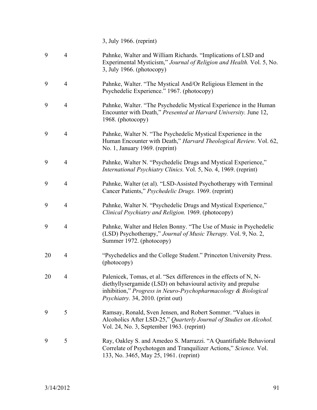3, July 1966. (reprint)

| 9  | $\overline{4}$ | Pahnke, Walter and William Richards. "Implications of LSD and<br>Experimental Mysticism," Journal of Religion and Health. Vol. 5, No.<br>3, July 1966. (photocopy)                                                                           |
|----|----------------|----------------------------------------------------------------------------------------------------------------------------------------------------------------------------------------------------------------------------------------------|
| 9  | $\overline{4}$ | Pahnke, Walter. "The Mystical And/Or Religious Element in the<br>Psychedelic Experience." 1967. (photocopy)                                                                                                                                  |
| 9  | $\overline{4}$ | Pahnke, Walter. "The Psychedelic Mystical Experience in the Human<br>Encounter with Death," Presented at Harvard University. June 12,<br>1968. (photocopy)                                                                                   |
| 9  | $\overline{4}$ | Pahnke, Walter N. "The Psychedelic Mystical Experience in the<br>Human Encounter with Death," Harvard Theological Review. Vol. 62,<br>No. 1, January 1969. (reprint)                                                                         |
| 9  | $\overline{4}$ | Pahnke, Walter N. "Psychedelic Drugs and Mystical Experience,"<br>International Psychiatry Clinics. Vol. 5, No. 4, 1969. (reprint)                                                                                                           |
| 9  | $\overline{4}$ | Pahnke, Walter (et al). "LSD-Assisted Psychotherapy with Terminal<br>Cancer Patients," Psychedelic Drugs. 1969. (reprint)                                                                                                                    |
| 9  | $\overline{4}$ | Pahnke, Walter N. "Psychedelic Drugs and Mystical Experience,"<br>Clinical Psychiatry and Religion. 1969. (photocopy)                                                                                                                        |
| 9  | $\overline{4}$ | Pahnke, Walter and Helen Bonny. "The Use of Music in Psychedelic<br>(LSD) Psychotherapy," Journal of Music Therapy. Vol. 9, No. 2,<br>Summer 1972. (photocopy)                                                                               |
| 20 | $\overline{4}$ | "Psychedelics and the College Student." Princeton University Press.<br>(photocopy)                                                                                                                                                           |
| 20 | $\overline{4}$ | Palenicek, Tomas, et al. "Sex differences in the effects of N, N-<br>diethyllysergamide (LSD) on behavioural activity and prepulse<br>inhibition," Progress in Neuro-Psychopharmacology $\&$ Biological<br>Psychiatry. 34, 2010. (print out) |
| 9  | 5              | Ramsay, Ronald, Sven Jensen, and Robert Sommer. "Values in<br>Alcoholics After LSD-25," Quarterly Journal of Studies on Alcohol.<br>Vol. 24, No. 3, September 1963. (reprint)                                                                |
| 9  | 5              | Ray, Oakley S. and Amedeo S. Marrazzi. "A Quantifiable Behavioral<br>Correlate of Psychotogen and Tranquilizer Actions," Science. Vol.<br>133, No. 3465, May 25, 1961. (reprint)                                                             |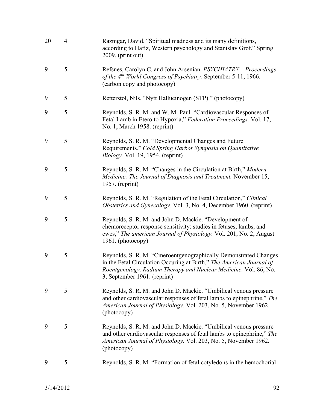| 20 | $\overline{4}$ | Razmgar, David. "Spiritual madness and its many definitions,<br>according to Hafiz, Western psychology and Stanislav Grof." Spring<br>2009. (print out)                                                                                       |
|----|----------------|-----------------------------------------------------------------------------------------------------------------------------------------------------------------------------------------------------------------------------------------------|
| 9  | 5              | Refsnes, Carolyn C. and John Arsenian. PSYCHIATRY - Proceedings<br>of the 4 <sup>th</sup> World Congress of Psychiatry. September 5-11, 1966.<br>(carbon copy and photocopy)                                                                  |
| 9  | 5              | Retterstol, Nils. "Nytt Hallucinogen (STP)." (photocopy)                                                                                                                                                                                      |
| 9  | 5              | Reynolds, S. R. M. and W. M. Paul. "Cardiovascular Responses of<br>Fetal Lamb in Etero to Hypoxia," Federation Proceedings. Vol. 17,<br>No. 1, March 1958. (reprint)                                                                          |
| 9  | 5              | Reynolds, S. R. M. "Developmental Changes and Future<br>Requirements," Cold Spring Harbor Symposia on Quantitative<br><i>Biology.</i> Vol. 19, 1954. (reprint)                                                                                |
| 9  | 5              | Reynolds, S. R. M. "Changes in the Circulation at Birth," Modern<br>Medicine: The Journal of Diagnosis and Treatment. November 15,<br>1957. (reprint)                                                                                         |
| 9  | 5              | Reynolds, S. R. M. "Regulation of the Fetal Circulation," Clinical<br><i>Obstetrics and Gynecology. Vol. 3, No. 4, December 1960. (reprint)</i>                                                                                               |
| 9  | 5              | Reynolds, S. R. M. and John D. Mackie. "Development of<br>chemoreceptor response sensitivity: studies in fetuses, lambs, and<br>ewes," The american Journal of Physiology. Vol. 201, No. 2, August<br>1961. (photocopy)                       |
| 9  | 5              | Reynolds, S. R. M. "Cineroentgenographically Demonstrated Changes<br>in the Fetal Circulation Occuring at Birth," The American Journal of<br>Roentgenology, Radium Therapy and Nuclear Medicine. Vol. 86, No.<br>3, September 1961. (reprint) |
| 9  | 5              | Reynolds, S. R. M. and John D. Mackie. "Umbilical venous pressure<br>and other cardiovascular responses of fetal lambs to epinephrine," The<br>American Journal of Physiology. Vol. 203, No. 5, November 1962.<br>(photocopy)                 |
| 9  | 5              | Reynolds, S. R. M. and John D. Mackie. "Umbilical venous pressure<br>and other cardiovascular responses of fetal lambs to epinephrine," The<br>American Journal of Physiology. Vol. 203, No. 5, November 1962.<br>(photocopy)                 |
| 9  | 5              | Reynolds, S. R. M. "Formation of fetal cotyledons in the hemochorial                                                                                                                                                                          |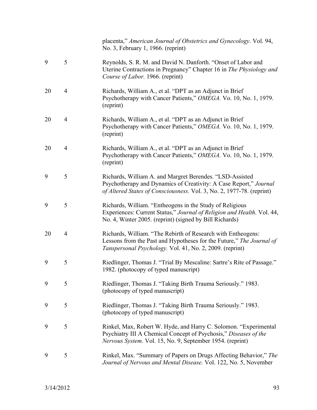|    |                | placenta," American Journal of Obstetrics and Gynecology. Vol. 94,<br>No. 3, February 1, 1966. (reprint)                                                                                               |
|----|----------------|--------------------------------------------------------------------------------------------------------------------------------------------------------------------------------------------------------|
| 9  | 5              | Reynolds, S. R. M. and David N. Danforth. "Onset of Labor and<br>Uterine Contractions in Pregnancy" Chapter 16 in The Physiology and<br>Course of Labor. 1966. (reprint)                               |
| 20 | $\overline{4}$ | Richards, William A., et al. "DPT as an Adjunct in Brief<br>Psychotherapy with Cancer Patients," OMEGA. Vo. 10, No. 1, 1979.<br>(reprint)                                                              |
| 20 | $\overline{4}$ | Richards, William A., et al. "DPT as an Adjunct in Brief<br>Psychotherapy with Cancer Patients," OMEGA. Vo. 10, No. 1, 1979.<br>(reprint)                                                              |
| 20 | $\overline{4}$ | Richards, William A., et al. "DPT as an Adjunct in Brief<br>Psychotherapy with Cancer Patients," OMEGA. Vo. 10, No. 1, 1979.<br>(reprint)                                                              |
| 9  | 5              | Richards, William A. and Margret Berendes. "LSD-Assisted<br>Psychotherapy and Dynamics of Creativity: A Case Report," Journal<br>of Altered States of Consciousness. Vol. 3, No. 2, 1977-78. (reprint) |
| 9  | 5              | Richards, William. "Entheogens in the Study of Religious<br>Experiences: Current Status," Journal of Religion and Health. Vol. 44,<br>No. 4, Winter 2005. (reprint) (signed by Bill Richards)          |
| 20 | $\overline{4}$ | Richards, William. "The Rebirth of Research with Entheogens:<br>Lessons from the Past and Hypotheses for the Future," The Journal of<br>Tanspersonal Psychology. Vol. 41, No. 2, 2009. (reprint)       |
| 9  | 5              | Riedlinger, Thomas J. "Trial By Mescaline: Sartre's Rite of Passage."<br>1982. (photocopy of typed manuscript)                                                                                         |
| 9  | 5              | Riedlinger, Thomas J. "Taking Birth Trauma Seriously." 1983.<br>(photocopy of typed manuscript)                                                                                                        |
| 9  | 5              | Riedlinger, Thomas J. "Taking Birth Trauma Seriously." 1983.<br>(photocopy of typed manuscript)                                                                                                        |
| 9  | 5              | Rinkel, Max, Robert W. Hyde, and Harry C. Solomon. "Experimental<br>Psychiatry III A Chemical Concept of Psychosis," Diseases of the<br>Nervous System. Vol. 15, No. 9, September 1954. (reprint)      |
| 9  | 5              | Rinkel, Max. "Summary of Papers on Drugs Affecting Behavior," The<br>Journal of Nervous and Mental Disease. Vol. 122, No. 5, November                                                                  |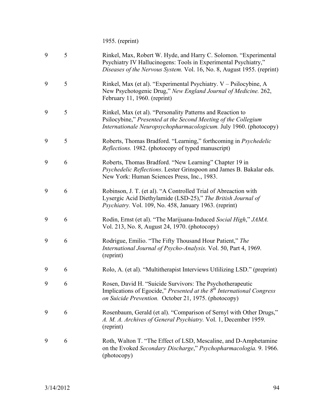1955. (reprint)

| 9 | 5 | Rinkel, Max, Robert W. Hyde, and Harry C. Solomon. "Experimental<br>Psychiatry IV Hallucinogens: Tools in Experimental Psychiatry,"<br>Diseases of the Nervous System. Vol. 16, No. 8, August 1955. (reprint) |
|---|---|---------------------------------------------------------------------------------------------------------------------------------------------------------------------------------------------------------------|
| 9 | 5 | Rinkel, Max (et al). "Experimental Psychiatry. V – Psilocybine, A<br>New Psychotogenic Drug," New England Journal of Medicine. 262,<br>February 11, 1960. (reprint)                                           |
| 9 | 5 | Rinkel, Max (et al). "Personality Patterns and Reaction to<br>Psilocybine," Presented at the Second Meeting of the Collegium<br>Internationale Neuropsychopharmacologicum. July 1960. (photocopy)             |
| 9 | 5 | Roberts, Thomas Bradford. "Learning," forthcoming in <i>Psychedelic</i><br><i>Reflections.</i> 1982. (photocopy of typed manuscript)                                                                          |
| 9 | 6 | Roberts, Thomas Bradford. "New Learning" Chapter 19 in<br>Psychedelic Reflections. Lester Grinspoon and James B. Bakalar eds.<br>New York: Human Sciences Press, Inc., 1983.                                  |
| 9 | 6 | Robinson, J. T. (et al). "A Controlled Trial of Abreaction with<br>Lysergic Acid Diethylamide (LSD-25)," The British Journal of<br>Psychiatry. Vol. 109, No. 458, January 1963. (reprint)                     |
| 9 | 6 | Rodin, Ernst (et al). "The Marijuana-Induced Social High," JAMA.<br>Vol. 213, No. 8, August 24, 1970. (photocopy)                                                                                             |
| 9 | 6 | Rodrigue, Emilio. "The Fifty Thousand Hour Patient," The<br>International Journal of Psycho-Analysis. Vol. 50, Part 4, 1969.<br>(reprint)                                                                     |
| 9 | 6 | Rolo, A. (et al). "Multitherapist Interviews Utilizing LSD." (preprint)                                                                                                                                       |
| 9 | 6 | Rosen, David H. "Suicide Survivors: The Psychotherapeutic<br>Implications of Egocide," Presented at the $8th$ International Congress<br>on Suicide Prevention. October 21, 1975. (photocopy)                  |
| 9 | 6 | Rosenbaum, Gerald (et al). "Comparison of Sernyl with Other Drugs,"<br>A. M. A. Archives of General Psychiatry. Vol. 1, December 1959.<br>(reprint)                                                           |
| 9 | 6 | Roth, Walton T. "The Effect of LSD, Mescaline, and D-Amphetamine<br>on the Evoked Secondary Discharge," Psychopharmacologia. 9. 1966.<br>(photocopy)                                                          |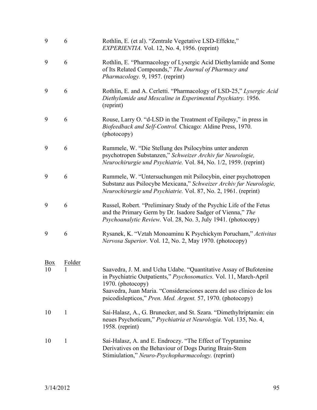| 9                    | 6            | Rothlin, E. (et al). "Zentrale Vegetative LSD-Effekte,"<br>EXPERIENTIA. Vol. 12, No. 4, 1956. (reprint)                                                                                                                                                                                           |
|----------------------|--------------|---------------------------------------------------------------------------------------------------------------------------------------------------------------------------------------------------------------------------------------------------------------------------------------------------|
| 9                    | 6            | Rothlin, E. "Pharmacology of Lysergic Acid Diethylamide and Some<br>of Its Related Compounds," The Journal of Pharmacy and<br>Pharmacology. 9, 1957. (reprint)                                                                                                                                    |
| 9                    | 6            | Rothlin, E. and A. Cerletti. "Pharmacology of LSD-25," Lysergic Acid<br>Diethylamide and Mescaline in Experimental Psychiatry. 1956.<br>(reprint)                                                                                                                                                 |
| 9                    | 6            | Rouse, Larry O. "d-LSD in the Treatment of Epilepsy," in press in<br>Biofeedback and Self-Control. Chicago: Aldine Press, 1970.<br>(photocopy)                                                                                                                                                    |
| 9                    | 6            | Rummele, W. "Die Stellung des Psilocybins unter anderen<br>psychotropen Substanzen," Schweizer Archiv fur Neurologie,<br>Neurochirurgie und Psychiatrie. Vol. 84, No. 1/2, 1959. (reprint)                                                                                                        |
| 9                    | 6            | Rummele, W. "Untersuchungen mit Psilocybin, einer psychotropen<br>Substanz aus Psilocybe Mexicana," Schweizer Archiv fur Neurologie,<br>Neurochirurgie und Psychiatrie. Vol. 87, No. 2, 1961. (reprint)                                                                                           |
| 9                    | 6            | Russel, Robert. "Preliminary Study of the Psychic Life of the Fetus<br>and the Primary Germ by Dr. Isadore Sadger of Vienna," The<br><i>Psychoanalytic Review. Vol. 28, No. 3, July 1941. (photocopy)</i>                                                                                         |
| 9                    | 6            | Rysanek, K. "Vztah Monoaminu K Psychickym Porucham," Activitas<br>Nervosa Superior. Vol. 12, No. 2, May 1970. (photocopy)                                                                                                                                                                         |
|                      | Folder       |                                                                                                                                                                                                                                                                                                   |
| $\frac{Box}{}$<br>10 | $\mathbf{I}$ | Saavedra, J. M. and Ucha Udabe. "Quantitative Assay of Bufotenine<br>in Psychiatric Outpatients," Psychosomatics. Vol. 11, March-April<br>1970. (photocopy)<br>Saavedra, Juan Maria. "Consideraciones acera del uso clinico de los<br>psicodislepticos," Pren. Med. Argent. 57, 1970. (photocopy) |
|                      |              |                                                                                                                                                                                                                                                                                                   |
| 10                   | $\mathbf{1}$ | Sai-Halasz, A., G. Brunecker, and St. Szara. "Dimethyltriptamin: ein<br>neues Psychoticum," Psychiatria et Neurologia. Vol. 135, No. 4,<br>1958. $(reprint)$                                                                                                                                      |
| 10                   | $\mathbf{1}$ | Sai-Halasz, A. and E. Endroczy. "The Effect of Tryptamine"<br>Derivatives on the Behaviour of Dogs During Brain-Stem<br>Stimiulation," Neuro-Psychopharmacology. (reprint)                                                                                                                        |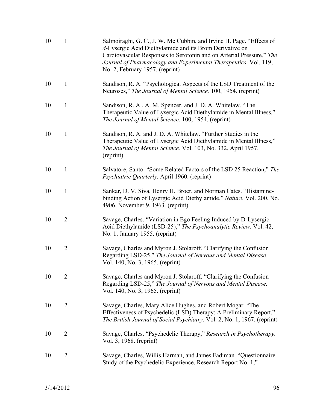| 10 | $\mathbf{1}$   | Salmoiraghi, G. C., J. W. Mc Cubbin, and Irvine H. Page. "Effects of<br>d-Lysergic Acid Diethylamide and its Brom Derivative on<br>Cardiovascular Responses to Serotonin and on Arterial Pressure," The<br>Journal of Pharmacology and Experimental Therapeutics. Vol. 119,<br>No. 2, February 1957. (reprint) |
|----|----------------|----------------------------------------------------------------------------------------------------------------------------------------------------------------------------------------------------------------------------------------------------------------------------------------------------------------|
| 10 | $\mathbf{1}$   | Sandison, R. A. "Psychological Aspects of the LSD Treatment of the<br>Neuroses," The Journal of Mental Science. 100, 1954. (reprint)                                                                                                                                                                           |
| 10 | $\mathbf{1}$   | Sandison, R. A., A. M. Spencer, and J. D. A. Whitelaw. "The<br>Therapeutic Value of Lysergic Acid Diethylamide in Mental Illness,"<br>The Journal of Mental Science. 100, 1954. (reprint)                                                                                                                      |
| 10 | $\mathbf{1}$   | Sandison, R. A. and J. D. A. Whitelaw. "Further Studies in the<br>Therapeutic Value of Lysergic Acid Diethylamide in Mental Illness,"<br>The Journal of Mental Science. Vol. 103, No. 332, April 1957.<br>(reprint)                                                                                            |
| 10 | $\mathbf{1}$   | Salvatore, Santo. "Some Related Factors of the LSD 25 Reaction," The<br><i>Psychiatric Quarterly. April 1960. (reprint)</i>                                                                                                                                                                                    |
| 10 | $\mathbf{1}$   | Sankar, D. V. Siva, Henry H. Broer, and Norman Cates. "Histamine-<br>binding Action of Lysergic Acid Diethylamide," Nature. Vol. 200, No.<br>4906, November 9, 1963. (reprint)                                                                                                                                 |
| 10 | $\overline{2}$ | Savage, Charles. "Variation in Ego Feeling Induced by D-Lysergic<br>Acid Diethylamide (LSD-25)," The Psychoanalytic Review. Vol. 42,<br>No. 1, January 1955. (reprint)                                                                                                                                         |
| 10 | $\overline{2}$ | Savage, Charles and Myron J. Stolaroff. "Clarifying the Confusion<br>Regarding LSD-25," The Journal of Nervous and Mental Disease.<br>Vol. 140, No. 3, 1965. (reprint)                                                                                                                                         |
| 10 | $\overline{2}$ | Savage, Charles and Myron J. Stolaroff. "Clarifying the Confusion<br>Regarding LSD-25," The Journal of Nervous and Mental Disease.<br>Vol. 140, No. 3, 1965. (reprint)                                                                                                                                         |
| 10 | $\overline{2}$ | Savage, Charles, Mary Alice Hughes, and Robert Mogar. "The<br>Effectiveness of Psychedelic (LSD) Therapy: A Preliminary Report,"<br>The British Journal of Social Psychiatry. Vol. 2, No. 1, 1967. (reprint)                                                                                                   |
| 10 | $\overline{2}$ | Savage, Charles. "Psychedelic Therapy," Research in Psychotherapy.<br>Vol. 3, 1968. (reprint)                                                                                                                                                                                                                  |
| 10 | $\overline{2}$ | Savage, Charles, Willis Harman, and James Fadiman. "Questionnaire<br>Study of the Psychedelic Experience, Research Report No. 1,"                                                                                                                                                                              |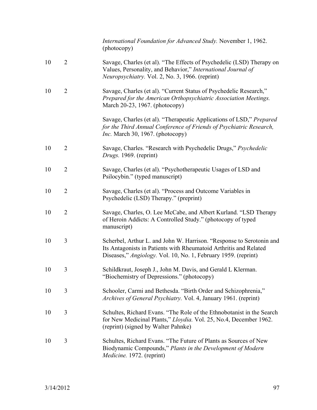|    |                | International Foundation for Advanced Study. November 1, 1962.<br>(photocopy)                                                                                                                               |
|----|----------------|-------------------------------------------------------------------------------------------------------------------------------------------------------------------------------------------------------------|
| 10 | $\overline{2}$ | Savage, Charles (et al). "The Effects of Psychedelic (LSD) Therapy on<br>Values, Personality, and Behavior," International Journal of<br>Neuropsychiatry. Vol. 2, No. 3, 1966. (reprint)                    |
| 10 | $\overline{2}$ | Savage, Charles (et al). "Current Status of Psychedelic Research,"<br>Prepared for the American Orthopsychiatric Association Meetings.<br>March 20-23, 1967. (photocopy)                                    |
|    |                | Savage, Charles (et al). "Therapeutic Applications of LSD," Prepared<br>for the Third Annual Conference of Friends of Psychiatric Research,<br><i>Inc.</i> March 30, 1967. (photocopy)                      |
| 10 | $\overline{2}$ | Savage, Charles. "Research with Psychedelic Drugs," Psychedelic<br>Drugs. 1969. (reprint)                                                                                                                   |
| 10 | $\overline{2}$ | Savage, Charles (et al). "Psychotherapeutic Usages of LSD and<br>Psilocybin." (typed manuscript)                                                                                                            |
| 10 | $\overline{2}$ | Savage, Charles (et al). "Process and Outcome Variables in<br>Psychedelic (LSD) Therapy." (preprint)                                                                                                        |
| 10 | $\overline{2}$ | Savage, Charles, O. Lee McCabe, and Albert Kurland. "LSD Therapy<br>of Heroin Addicts: A Controlled Study." (photocopy of typed<br>manuscript)                                                              |
| 10 | 3              | Scherbel, Arthur L. and John W. Harrison. "Response to Serotonin and<br>Its Antagonists in Patients with Rheumatoid Arthritis and Related<br>Diseases," Angiology. Vol. 10, No. 1, February 1959. (reprint) |
| 10 | 3              | Schildkraut, Joseph J., John M. Davis, and Gerald L Klerman.<br>"Biochemistry of Depressions." (photocopy)                                                                                                  |
| 10 | 3              | Schooler, Carmi and Bethesda. "Birth Order and Schizophrenia,"<br><i>Archives of General Psychiatry.</i> Vol. 4, January 1961. (reprint)                                                                    |
| 10 | 3              | Schultes, Richard Evans. "The Role of the Ethnobotanist in the Search<br>for New Medicinal Plants," Lloydia. Vol. 25, No.4, December 1962.<br>(reprint) (signed by Walter Pahnke)                           |
| 10 | 3              | Schultes, Richard Evans. "The Future of Plants as Sources of New<br>Biodynamic Compounds," Plants in the Development of Modern<br>Medicine. 1972. (reprint)                                                 |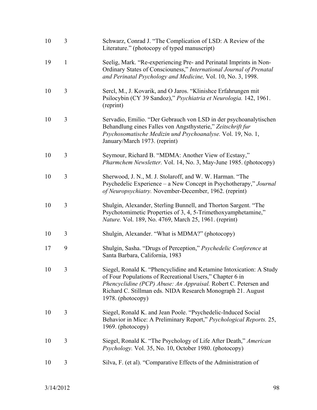| 10 | 3            | Schwarz, Conrad J. "The Complication of LSD: A Review of the<br>Literature." (photocopy of typed manuscript)                                                                                                                                                                           |
|----|--------------|----------------------------------------------------------------------------------------------------------------------------------------------------------------------------------------------------------------------------------------------------------------------------------------|
| 19 | $\mathbf{1}$ | Seelig, Mark. "Re-experiencing Pre- and Perinatal Imprints in Non-<br>Ordinary States of Consciouness," International Journal of Prenatal<br>and Perinatal Psychology and Medicine, Vol. 10, No. 3, 1998.                                                                              |
| 10 | 3            | Sercl, M., J. Kovarik, and O Jaros. "Klinishce Erfahrungen mit<br>Psilocybin (CY 39 Sandoz)," Psychiatria et Neurologia. 142, 1961.<br>(reprint)                                                                                                                                       |
| 10 | 3            | Servadio, Emilio. "Der Gebrauch von LSD in der psychoanalytischen<br>Behandlung eines Falles von Angsthysterie," Zeitschrift fur<br>Psychosomatische Medizin und Psychoanalyse. Vol. 19, No. 1,<br>January/March 1973. (reprint)                                                       |
| 10 | 3            | Seymour, Richard B. "MDMA: Another View of Ecstasy,"<br>Pharmchem Newsletter. Vol. 14, No. 3, May-June 1985. (photocopy)                                                                                                                                                               |
| 10 | 3            | Sherwood, J. N., M. J. Stolaroff, and W. W. Harman. "The<br>Psychedelic Experience – a New Concept in Psychotherapy," Journal<br>of Neuropsychiatry. November-December, 1962. (reprint)                                                                                                |
| 10 | 3            | Shulgin, Alexander, Sterling Bunnell, and Thorton Sargent. "The<br>Psychotomimetic Properties of 3, 4, 5-Trimethoxyamphetamine,"<br>Nature. Vol. 189, No. 4769, March 25, 1961. (reprint)                                                                                              |
| 10 | 3            | Shulgin, Alexander. "What is MDMA?" (photocopy)                                                                                                                                                                                                                                        |
| 17 | 9            | Shulgin, Sasha. "Drugs of Perception," Psychedelic Conference at<br>Santa Barbara, California, 1983                                                                                                                                                                                    |
| 10 | 3            | Siegel, Ronald K. "Phencyclidine and Ketamine Intoxication: A Study<br>of Four Populations of Recreational Users," Chapter 6 in<br>Phencyclidine (PCP) Abuse: An Appraisal. Robert C. Petersen and<br>Richard C. Stillman eds. NIDA Research Monograph 21. August<br>1978. (photocopy) |
| 10 | 3            | Siegel, Ronald K. and Jean Poole. "Psychedelic-Induced Social<br>Behavior in Mice: A Preliminary Report," Psychological Reports. 25,<br>1969. (photocopy)                                                                                                                              |
| 10 | 3            | Siegel, Ronald K. "The Psychology of Life After Death," American<br><i>Psychology.</i> Vol. 35, No. 10, October 1980. (photocopy)                                                                                                                                                      |
| 10 | 3            | Silva, F. (et al). "Comparative Effects of the Administration of                                                                                                                                                                                                                       |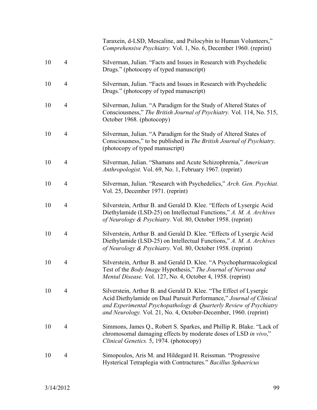|    |                | Taraxein, d-LSD, Mescaline, and Psilocybin to Human Volunteers,"<br>Comprehensive Psychiatry. Vol. 1, No. 6, December 1960. (reprint)                                                                                                                                              |
|----|----------------|------------------------------------------------------------------------------------------------------------------------------------------------------------------------------------------------------------------------------------------------------------------------------------|
| 10 | $\overline{4}$ | Silverman, Julian. "Facts and Issues in Research with Psychedelic<br>Drugs." (photocopy of typed manuscript)                                                                                                                                                                       |
| 10 | 4              | Silverman, Julian. "Facts and Issues in Research with Psychedelic<br>Drugs." (photocopy of typed manuscript)                                                                                                                                                                       |
| 10 | $\overline{4}$ | Silverman, Julian. "A Paradigm for the Study of Altered States of<br>Consciousness," The British Journal of Psychiatry. Vol. 114, No. 515,<br>October 1968. (photocopy)                                                                                                            |
| 10 | 4              | Silverman, Julian. "A Paradigm for the Study of Altered States of<br>Consciousness," to be published in The British Journal of Psychiatry.<br>(photocopy of typed manuscript)                                                                                                      |
| 10 | 4              | Silverman, Julian. "Shamans and Acute Schizophrenia," American<br>Anthropologist. Vol. 69, No. 1, February 1967. (reprint)                                                                                                                                                         |
| 10 | $\overline{4}$ | Silverman, Julian. "Research with Psychedelics," Arch. Gen. Psychiat.<br>Vol. 25, December 1971. (reprint)                                                                                                                                                                         |
| 10 | 4              | Silverstein, Arthur B. and Gerald D. Klee. "Effects of Lysergic Acid<br>Diethylamide (LSD-25) on Intellectual Functions," A. M. A. Archives<br>of Neurology & Psychiatry. Vol. 80, October 1958. (reprint)                                                                         |
| 10 | 4              | Silverstein, Arthur B. and Gerald D. Klee. "Effects of Lysergic Acid<br>Diethylamide (LSD-25) on Intellectual Functions," A. M. A. Archives<br>of Neurology & Psychiatry. Vol. 80, October 1958. (reprint)                                                                         |
| 10 | 4              | Silverstein, Arthur B. and Gerald D. Klee. "A Psychopharmacological<br>Test of the Body Image Hypothesis," The Journal of Nervous and<br>Mental Disease. Vol. 127, No. 4, October 4, 1958. (reprint)                                                                               |
| 10 | 4              | Silverstein, Arthur B. and Gerald D. Klee. "The Effect of Lysergic<br>Acid Diethylamide on Dual Pursuit Performance," Journal of Clinical<br>and Experimental Psychopathology & Quarterly Review of Psychiatry<br>and Neurology. Vol. 21, No. 4, October-December, 1960. (reprint) |
| 10 | 4              | Simmons, James Q., Robert S. Sparkes, and Phillip R. Blake. "Lack of<br>chromosomal damaging effects by moderate doses of LSD in vivo,"<br>Clinical Genetics. 5, 1974. (photocopy)                                                                                                 |
| 10 | 4              | Simopoulos, Aris M. and Hildegard H. Reissman. "Progressive<br>Hysterical Tetraplegia with Contractures." Bacillus Sphaericus                                                                                                                                                      |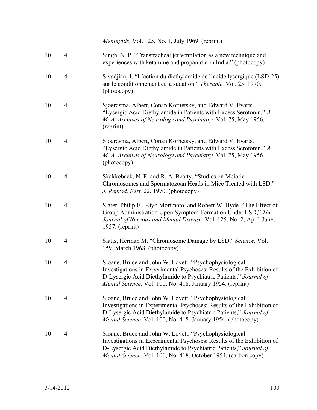|    |                | <i>Meningitis.</i> Vol. 125, No. 1, July 1969. (reprint)                                                                                                                                                                                                                |
|----|----------------|-------------------------------------------------------------------------------------------------------------------------------------------------------------------------------------------------------------------------------------------------------------------------|
| 10 | $\overline{4}$ | Singh, N. P. "Transtracheal jet ventilation as a new technique and<br>experiences with ketamine and propanidid in India." (photocopy)                                                                                                                                   |
| 10 | $\overline{4}$ | Sivadjian, J. "L'action du diethylamide de l'acide lysergique (LSD-25)<br>sur le conditionnement et la sudation," Therapie. Vol. 25, 1970.<br>(photocopy)                                                                                                               |
| 10 | $\overline{4}$ | Sjoerdsma, Albert, Conan Kornetsky, and Edward V. Evarts.<br>"Lysergic Acid Diethylamide in Patients with Excess Serotonin," A.<br>M. A. Archives of Neurology and Psychiatry. Vol. 75, May 1956.<br>(reprint)                                                          |
| 10 | $\overline{4}$ | Sjoerdsma, Albert, Conan Kornetsky, and Edward V. Evarts.<br>"Lysergic Acid Diethylamide in Patients with Excess Serotonin," A.<br>M. A. Archives of Neurology and Psychiatry. Vol. 75, May 1956.<br>(photocopy)                                                        |
| 10 | 4              | Skakkebaek, N. E. and R. A. Beatty. "Studies on Meiotic<br>Chromosomes and Spermatozoan Heads in Mice Treated with LSD,"<br>J. Reprod. Fert. 22, 1970. (photocopy)                                                                                                      |
| 10 | $\overline{4}$ | Slater, Philip E., Kiyo Morimoto, and Robert W. Hyde. "The Effect of<br>Group Administration Upon Symptom Formation Under LSD," The<br>Journal of Nervous and Mental Disease. Vol. 125, No. 2, April-June,<br>$1957.$ (reprint)                                         |
| 10 | 4              | Slatis, Herman M. "Chromosome Damage by LSD," Science. Vol.<br>159, March 1968. (photocopy)                                                                                                                                                                             |
| 10 | 4              | Sloane, Bruce and John W. Lovett. "Psychophysiological<br>Investigations in Experimental Psychoses: Results of the Exhibition of<br>D-Lysergic Acid Diethylamide to Psychiatric Patients," Journal of<br>Mental Science. Vol. 100, No. 418, January 1954. (reprint)     |
| 10 | 4              | Sloane, Bruce and John W. Lovett. "Psychophysiological<br>Investigations in Experimental Psychoses: Results of the Exhibition of<br>D-Lysergic Acid Diethylamide to Psychiatric Patients," Journal of<br>Mental Science. Vol. 100, No. 418, January 1954. (photocopy)   |
| 10 | $\overline{4}$ | Sloane, Bruce and John W. Lovett. "Psychophysiological<br>Investigations in Experimental Psychoses: Results of the Exhibition of<br>D-Lysergic Acid Diethylamide to Psychiatric Patients," Journal of<br>Mental Science. Vol. 100, No. 418, October 1954. (carbon copy) |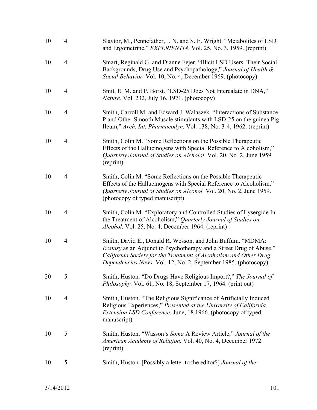| 10 | $\overline{4}$ | Slaytor, M., Pennefather, J. N. and S. E. Wright. "Metabolites of LSD<br>and Ergometrine," <i>EXPERIENTIA</i> . Vol. 25, No. 3, 1959. (reprint)                                                                                                                          |
|----|----------------|--------------------------------------------------------------------------------------------------------------------------------------------------------------------------------------------------------------------------------------------------------------------------|
| 10 | $\overline{4}$ | Smart, Reginald G. and Dianne Fejer. "Illicit LSD Users: Their Social<br>Backgrounds, Drug Use and Psychopathology," Journal of Health &<br>Social Behavior. Vol. 10, No. 4, December 1969. (photocopy)                                                                  |
| 10 | $\overline{4}$ | Smit, E. M. and P. Borst. "LSD-25 Does Not Intercalate in DNA,"<br><i>Nature.</i> Vol. 232, July 16, 1971. (photocopy)                                                                                                                                                   |
| 10 | $\overline{4}$ | Smith, Carroll M. and Edward J. Walaszek. "Interactions of Substance<br>P and Other Smooth Muscle stimulants with LSD-25 on the guinea Pig<br>Ileum," Arch. Int. Pharmacodyn. Vol. 138, No. 3-4, 1962. (reprint)                                                         |
| 10 | $\overline{4}$ | Smith, Colin M. "Some Reflections on the Possible Therapeutic<br>Effects of the Hallucinogens with Special Reference to Alcoholism,"<br>Quarterly Journal of Studies on Alcholol. Vol. 20, No. 2, June 1959.<br>(reprint)                                                |
| 10 | $\overline{4}$ | Smith, Colin M. "Some Reflections on the Possible Therapeutic<br>Effects of the Hallucinogens with Special Reference to Alcoholism,"<br>Quarterly Journal of Studies on Alcohol. Vol. 20, No. 2, June 1959.<br>(photocopy of typed manuscript)                           |
| 10 | $\overline{4}$ | Smith, Colin M. "Exploratory and Controlled Studies of Lysergide In<br>the Treatment of Alcoholism," Quarterly Journal of Studies on<br>Alcohol. Vol. 25, No. 4, December 1964. (reprint)                                                                                |
| 10 | $\overline{4}$ | Smith, David E., Donald R. Wesson, and John Buffum. "MDMA:<br>Ecstasy as an Adjunct to Psychotherapy and a Street Drug of Abuse,"<br>California Society for the Treatment of Alcoholism and Other Drug<br>Dependencies News. Vol. 12, No. 2, September 1985. (photocopy) |
| 20 | 5              | Smith, Huston. "Do Drugs Have Religious Import?," The Journal of<br><i>Philosophy.</i> Vol. 61, No. 18, September 17, 1964. (print out)                                                                                                                                  |
| 10 | $\overline{4}$ | Smith, Huston. "The Religious Significance of Artificially Induced<br>Religious Experiences," Presented at the University of California<br>Extension LSD Conference. June, 18 1966. (photocopy of typed<br>manuscript)                                                   |
| 10 | 5              | Smith, Huston. "Wasson's Soma A Review Article," Journal of the<br>American Academy of Religion. Vol. 40, No. 4, December 1972.<br>(reprint)                                                                                                                             |
| 10 | 5              | Smith, Huston. [Possibly a letter to the editor?] Journal of the                                                                                                                                                                                                         |
|    |                |                                                                                                                                                                                                                                                                          |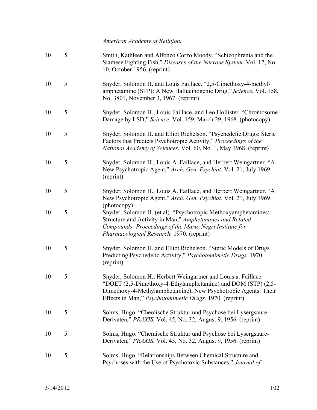*American Academy of Religion.* 

| 10 | 5 | Smith, Kathleen and Alfonzo Corzo Moody. "Schizophrenia and the<br>Siamese Fighting Fish," Diseases of the Nervous System. Vol. 17, No.<br>10, October 1956. (reprint)                                                                                      |
|----|---|-------------------------------------------------------------------------------------------------------------------------------------------------------------------------------------------------------------------------------------------------------------|
| 10 | 5 | Snyder, Solomon H. and Louis Faillace. "2,5-Cimethoxy-4-methyl-<br>amphetamine (STP): A New Hallucinogenic Drug," Science. Vol. 158,<br>No. 3801, November 3, 1967. (reprint)                                                                               |
| 10 | 5 | Snyder, Solomon H., Louis Faillace, and Leo Hollister. "Chromosome<br>Damage by LSD," Science. Vol. 159, March 29, 1968. (photocopy)                                                                                                                        |
| 10 | 5 | Snyder, Solomon H. and Elliot Richelson. "Psychedelic Drugs: Steric<br>Factors that Predicts Psychotropic Activity," Proceedings of the<br>National Academy of Sciences. Vol. 60, No. 1, May 1968. (reprint)                                                |
| 10 | 5 | Snyder, Solomon H., Louis A. Faillace, and Herbert Weingartner. "A<br>New Psychotropic Agent," Arch. Gen. Psychiat. Vol. 21, July 1969.<br>(reprint)                                                                                                        |
| 10 | 5 | Snyder, Solomon H., Louis A. Faillace, and Herbert Weingartner. "A<br>New Psychotropic Agent," Arch. Gen. Psychiat. Vol. 21, July 1969.<br>(photocopy)                                                                                                      |
| 10 | 5 | Snyder, Solomon H. (et al). "Psychotropic Methoxyamphetamines:<br>Structure and Activity in Man," Amphetamines and Related<br>Compounds: Proceedings of the Mario Negri Institute for<br>Pharmacological Research. 1970. (reprint)                          |
| 10 | 5 | Snyder, Solomon H. and Elliot Richelson. "Steric Models of Drugs<br>Predicting Psychedelic Activity," Psychotomimetic Drugs. 1970.<br>(reprint)                                                                                                             |
| 10 | 5 | Snyder, Solomon H., Herbert Weingartner and Louis a. Faillace.<br>"DOET (2,5-Dimethoxy-4-Ethylamphetamine) and DOM (STP) (2,5-<br>Dimethoxy-4-Methylamphetamine), New Psychotropic Agents: Their<br>Effects in Man," Psychotomimetic Drugs. 1970. (reprint) |
| 10 | 5 | Solms, Hugo. "Chemische Struktur und Psychose bei Lysergsaure-<br>Derivaten," PRAXIS. Vol. 45, No. 32, August 9, 1956. (reprint)                                                                                                                            |
| 10 | 5 | Solms, Hugo. "Chemische Struktur und Psychose bei Lysergsaure-<br>Derivaten," PRAXIS. Vol. 45, No. 32, August 9, 1956. (reprint)                                                                                                                            |
| 10 | 5 | Solms, Hugo. "Relationships Between Chemical Structure and<br>Psychoses with the Use of Psychotoxic Substances," Journal of                                                                                                                                 |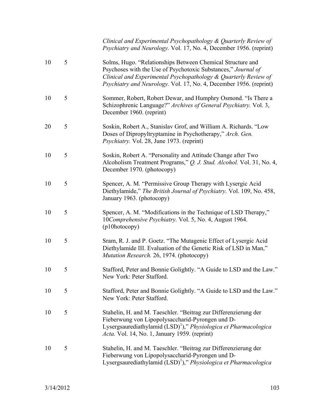*Clinical and Experimental Psychopathology & Quarterly Review of Psychiatry and Neurology.* Vol. 17, No. 4, December 1956. (reprint)

| 10 | 5 | Solms, Hugo. "Relationships Between Chemical Structure and<br>Psychoses with the Use of Psychotoxic Substances," Journal of<br>Clinical and Experimental Psychopathology & Quarterly Review of<br>Psychiatry and Neurology. Vol. 17, No. 4, December 1956. (reprint) |
|----|---|----------------------------------------------------------------------------------------------------------------------------------------------------------------------------------------------------------------------------------------------------------------------|
| 10 | 5 | Sommer, Robert, Robert Dewar, and Humphry Osmond. "Is There a<br>Schizophrenic Language?" Archives of General Psychiatry. Vol. 3,<br>December 1960. (reprint)                                                                                                        |
| 20 | 5 | Soskin, Robert A., Stanislav Grof, and William A. Richards. "Low<br>Doses of Dipropyltryptamine in Psychotherapy," Arch. Gen.<br>Psychiatry. Vol. 28, June 1973. (reprint)                                                                                           |
| 10 | 5 | Soskin, Robert A. "Personality and Attitude Change after Two<br>Alcoholism Treatment Programs," Q. J. Stud. Alcohol. Vol. 31, No. 4,<br>December 1970. (photocopy)                                                                                                   |
| 10 | 5 | Spencer, A. M. "Permissive Group Therapy with Lysergic Acid<br>Diethylamide," The British Journal of Psychiatry. Vol. 109, No. 458,<br>January 1963. (photocopy)                                                                                                     |
| 10 | 5 | Spencer, A. M. "Modifications in the Technique of LSD Therapy,"<br>10Comprehensive Psychiatry. Vol. 5, No. 4, August 1964.<br>(p10hotocopy)                                                                                                                          |
| 10 | 5 | Sram, R. J. and P. Goetz. "The Mutagenic Effect of Lysergic Acid<br>Diethylamide III. Evaluation of the Genetic Risk of LSD in Man,"<br>Mutation Research. 26, 1974. (photocopy)                                                                                     |
| 10 | 5 | Stafford, Peter and Bonnie Golightly. "A Guide to LSD and the Law."<br>New York: Peter Stafford.                                                                                                                                                                     |
| 10 | 5 | Stafford, Peter and Bonnie Golightly. "A Guide to LSD and the Law."<br>New York: Peter Stafford.                                                                                                                                                                     |
| 10 | 5 | Stahelin, H. and M. Taeschler. "Beitrag zur Differenzierung der<br>Fieberwung von Lipopolysaccharid-Pyrongen und D-<br>Lysergsaurediathylamid (LSD) <sup>1</sup> )," Physiologica et Pharmacologica<br>Acta. Vol. 14, No. 1, January 1959. (reprint)                 |
| 10 | 5 | Stahelin, H. and M. Taeschler. "Beitrag zur Differenzierung der<br>Fieberwung von Lipopolysaccharid-Pyrongen und D-<br>Lysergsaurediathylamid (LSD) <sup>1</sup> )," Physiologica et Pharmacologica                                                                  |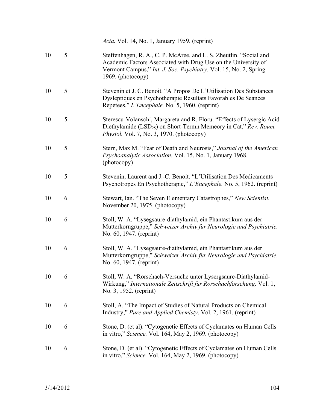|    |   | <i>Acta.</i> Vol. 14, No. 1, January 1959. (reprint)                                                                                                                                                                                 |
|----|---|--------------------------------------------------------------------------------------------------------------------------------------------------------------------------------------------------------------------------------------|
| 10 | 5 | Steffenhagen, R. A., C. P. McAree, and L. S. Zheutlin. "Social and<br>Academic Factors Associated with Drug Use on the University of<br>Vermont Campus," <i>Int. J. Soc. Psychiatry.</i> Vol. 15, No. 2, Spring<br>1969. (photocopy) |
| 10 | 5 | Stevenin et J. C. Benoit. "A Propos De L'Utilisation Des Substances<br>Dysleptiques en Psychotherapie Resultats Favorables De Seances<br>Repetees," L'Encephale. No. 5, 1960. (reprint)                                              |
| 10 | 5 | Sterescu-Volanschi, Margareta and R. Floru. "Effects of Lysergic Acid<br>Diethylamide (LSD <sub>25</sub> ) on Short-Termn Memeory in Cat," Rev. Roum.<br>Physiol. Vol. 7, No. 3, 1970. (photocopy)                                   |
| 10 | 5 | Stern, Max M. "Fear of Death and Neurosis," Journal of the American<br>Psychoanalytic Association. Vol. 15, No. 1, January 1968.<br>(photocopy)                                                                                      |
| 10 | 5 | Stevenin, Laurent and J.-C. Benoit. "L'Utilisation Des Medicaments<br>Psychotropes En Psychotherapie," L'Encephale. No. 5, 1962. (reprint)                                                                                           |
| 10 | 6 | Stewart, Ian. "The Seven Elementary Catastrophes," New Scientist.<br>November 20, 1975. (photocopy)                                                                                                                                  |
| 10 | 6 | Stoll, W. A. "Lysegsaure-diathylamid, ein Phantastikum aus der<br>Mutterkorngruppe," Schweizer Archiv fur Neurologie und Psychiatrie.<br>No. 60, 1947. (reprint)                                                                     |
| 10 | 6 | Stoll, W. A. "Lysegsaure-diathylamid, ein Phantastikum aus der<br>Mutterkorngruppe," Schweizer Archiv fur Neurologie und Psychiatrie.<br>No. 60, 1947. (reprint)                                                                     |
| 10 | 6 | Stoll, W. A. "Rorschach-Versuche unter Lysergsaure-Diathylamid-<br>Wirkung," Internationale Zeitschrift fur Rorschachforschung. Vol. 1,<br>No. 3, 1952. (reprint)                                                                    |
| 10 | 6 | Stoll, A. "The Impact of Studies of Natural Products on Chemical<br>Industry," Pure and Applied Chemisty. Vol. 2, 1961. (reprint)                                                                                                    |
| 10 | 6 | Stone, D. (et al). "Cytogenetic Effects of Cyclamates on Human Cells<br>in vitro," Science. Vol. 164, May 2, 1969. (photocopy)                                                                                                       |
| 10 | 6 | Stone, D. (et al). "Cytogenetic Effects of Cyclamates on Human Cells<br>in vitro," Science. Vol. 164, May 2, 1969. (photocopy)                                                                                                       |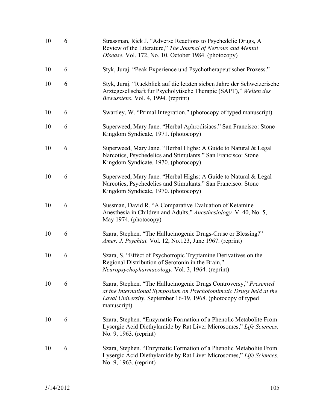| 10 | 6 | Strassman, Rick J. "Adverse Reactions to Psychedelic Drugs, A<br>Review of the Literature," The Journal of Nervous and Mental<br>Disease. Vol. 172, No. 10, October 1984. (photocopy)                                   |
|----|---|-------------------------------------------------------------------------------------------------------------------------------------------------------------------------------------------------------------------------|
| 10 | 6 | Styk, Juraj. "Peak Experience und Psychotherapeutischer Prozess."                                                                                                                                                       |
| 10 | 6 | Styk, Juraj. "Ruckblick auf die letzten sieben Jahre der Schweizerische<br>Arztegesellschaft fur Psycholytische Therapie (SAPT)," Welten des<br><i>Bewusstens.</i> Vol. 4, 1994. (reprint)                              |
| 10 | 6 | Swartley, W. "Primal Integration." (photocopy of typed manuscript)                                                                                                                                                      |
| 10 | 6 | Superweed, Mary Jane. "Herbal Aphrodisiacs." San Francisco: Stone<br>Kingdom Syndicate, 1971. (photocopy)                                                                                                               |
| 10 | 6 | Superweed, Mary Jane. "Herbal Highs: A Guide to Natural & Legal<br>Narcotics, Psychedelics and Stimulants." San Francisco: Stone<br>Kingdom Syndicate, 1970. (photocopy)                                                |
| 10 | 6 | Superweed, Mary Jane. "Herbal Highs: A Guide to Natural & Legal<br>Narcotics, Psychedelics and Stimulants." San Francisco: Stone<br>Kingdom Syndicate, 1970. (photocopy)                                                |
| 10 | 6 | Sussman, David R. "A Comparative Evaluation of Ketamine<br>Anesthesia in Children and Adults," Anesthesiology. V. 40, No. 5,<br>May 1974. (photocopy)                                                                   |
| 10 | 6 | Szara, Stephen. "The Hallucinogenic Drugs-Cruse or Blessing?"<br>Amer. J. Psychiat. Vol. 12, No.123, June 1967. (reprint)                                                                                               |
| 10 | 6 | Szara, S. "Effect of Psychotropic Tryptamine Derivatives on the<br>Regional Distribution of Serotonin in the Brain,"<br>Neuropsychopharmacology. Vol. 3, 1964. (reprint)                                                |
| 10 | 6 | Szara, Stephen. "The Hallucinogenic Drugs Controversy," Presented<br>at the International Symposium on Psychotomimetic Drugs held at the<br>Laval University. September 16-19, 1968. (photocopy of typed<br>manuscript) |
| 10 | 6 | Szara, Stephen. "Enzymatic Formation of a Phenolic Metabolite From<br>Lysergic Acid Diethylamide by Rat Liver Microsomes," Life Sciences.<br>No. 9, 1963. (reprint)                                                     |
| 10 | 6 | Szara, Stephen. "Enzymatic Formation of a Phenolic Metabolite From<br>Lysergic Acid Diethylamide by Rat Liver Microsomes," Life Sciences.<br>No. 9, 1963. (reprint)                                                     |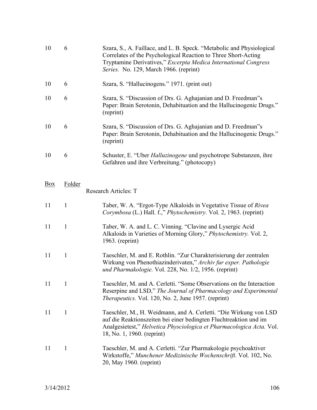| 10         | 6            | Szara, S., A. Faillace, and L. B. Speck. "Metabolic and Physiological<br>Correlates of the Psychological Reaction to Three Short-Acting<br>Tryptamine Derivatives," Excerpta Medica International Congress<br>Series. No. 129, March 1966. (reprint) |
|------------|--------------|------------------------------------------------------------------------------------------------------------------------------------------------------------------------------------------------------------------------------------------------------|
| 10         | 6            | Szara, S. "Hallucinogens." 1971. (print out)                                                                                                                                                                                                         |
| 10         | 6            | Szara, S. "Discussion of Drs. G. Aghajanian and D. Freedman"s<br>Paper: Brain Serotonin, Dehabituation and the Hallucinogenic Drugs."<br>(reprint)                                                                                                   |
| 10         | 6            | Szara, S. "Discussion of Drs. G. Aghajanian and D. Freedman"s<br>Paper: Brain Serotonin, Dehabituation and the Hallucinogenic Drugs."<br>(reprint)                                                                                                   |
| 10         | 6            | Schuster, E. "Uber Halluzinogene und psychotrope Substanzen, ihre<br>Gefahren und ihre Verbreitung." (photocopy)                                                                                                                                     |
| <b>Box</b> | Folder       | Research Articles: T                                                                                                                                                                                                                                 |
| 11         | $\mathbf{1}$ | Taber, W. A. "Ergot-Type Alkaloids in Vegetative Tissue of Rivea<br>Corymbosa (L.) Hall. f.," Phytochemistry. Vol. 2, 1963. (reprint)                                                                                                                |
| 11         | $\mathbf{1}$ | Taber, W. A. and L. C. Vinning. "Clavine and Lysergic Acid<br>Alkaloids in Varieties of Morning Glory," Phytochemistry. Vol. 2,<br>$1963.$ (reprint)                                                                                                 |
| 11         | $\mathbf{1}$ | Taeschler, M. and E. Rothlin. "Zur Charakterisierung der zentralen<br>Wirkung von Phenothiazinderivaten," Archiv fur exper. Pathologie<br>und Pharmakologie. Vol. 228, No. 1/2, 1956. (reprint)                                                      |
| 11         | 1            | Taeschler, M. and A. Cerletti. "Some Observations on the Interaction<br>Reserpine and LSD," The Journal of Pharmacology and Experimental<br><i>Therapeutics.</i> Vol. 120, No. 2, June 1957. (reprint)                                               |
| 11         | $\mathbf{1}$ | Taeschler, M., H. Weidmann, and A. Cerletti. "Die Wirkung von LSD<br>auf die Reaktionszeiten bei einer bedingten Fluchtreaktion und im<br>Analgesietest," Helvetica Physciologica et Pharmacologica Acta. Vol.<br>18, No. 1, 1960. (reprint)         |
| 11         | 1            | Taeschler, M. and A. Cerletti. "Zur Pharmakologie psychoaktiver<br>Wirkstoffe," Munchener Medizinische Wochenschrift. Vol. 102, No.<br>20, May 1960. (reprint)                                                                                       |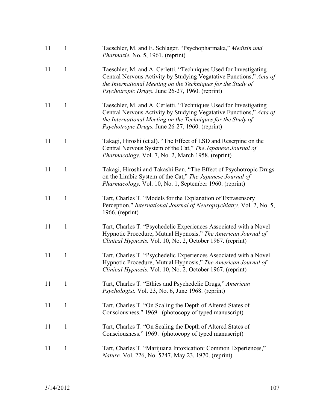| 11 | 1            | Taeschler, M. and E. Schlager. "Psychopharmaka," Medizin und<br><i>Pharmazie.</i> No. 5, 1961. (reprint)                                                                                                                                                    |
|----|--------------|-------------------------------------------------------------------------------------------------------------------------------------------------------------------------------------------------------------------------------------------------------------|
| 11 | $\mathbf{1}$ | Taeschler, M. and A. Cerletti. "Techniques Used for Investigating<br>Central Nervous Activity by Studying Vegatative Functions," Acta of<br>the International Meeting on the Techniques for the Study of<br>Psychotropic Drugs. June 26-27, 1960. (reprint) |
| 11 | $\mathbf{1}$ | Taeschler, M. and A. Cerletti. "Techniques Used for Investigating<br>Central Nervous Activity by Studying Vegatative Functions," Acta of<br>the International Meeting on the Techniques for the Study of<br>Psychotropic Drugs. June 26-27, 1960. (reprint) |
| 11 | $\mathbf{1}$ | Takagi, Hiroshi (et al). "The Effect of LSD and Reserpine on the<br>Central Nervous System of the Cat," The Japanese Journal of<br>Pharmacology. Vol. 7, No. 2, March 1958. (reprint)                                                                       |
| 11 | $\mathbf{1}$ | Takagi, Hiroshi and Takashi Ban. "The Effect of Psychotropic Drugs<br>on the Limbic System of the Cat," The Japanese Journal of<br>Pharmacology. Vol. 10, No. 1, September 1960. (reprint)                                                                  |
| 11 | $\mathbf{1}$ | Tart, Charles T. "Models for the Explanation of Extrasensory<br>Perception," International Journal of Neuropsychiatry. Vol. 2, No. 5,<br>$1966.$ (reprint)                                                                                                  |
| 11 | $\mathbf{1}$ | Tart, Charles T. "Psychedelic Experiences Associated with a Novel<br>Hypnotic Procedure, Mutual Hypnosis," The American Journal of<br>Clinical Hypnosis. Vol. 10, No. 2, October 1967. (reprint)                                                            |
| 11 | $\mathbf{1}$ | Tart, Charles T. "Psychedelic Experiences Associated with a Novel<br>Hypnotic Procedure, Mutual Hypnosis," The American Journal of<br>Clinical Hypnosis. Vol. 10, No. 2, October 1967. (reprint)                                                            |
| 11 | 1            | Tart, Charles T. "Ethics and Psychedelic Drugs," American<br>Psychologist. Vol. 23, No. 6, June 1968. (reprint)                                                                                                                                             |
| 11 | $\mathbf{1}$ | Tart, Charles T. "On Scaling the Depth of Altered States of<br>Consciousness." 1969. (photocopy of typed manuscript)                                                                                                                                        |
| 11 | $\mathbf{1}$ | Tart, Charles T. "On Scaling the Depth of Altered States of<br>Consciousness." 1969. (photocopy of typed manuscript)                                                                                                                                        |
| 11 | $\mathbf{1}$ | Tart, Charles T. "Marijuana Intoxication: Common Experiences,"<br><i>Nature.</i> Vol. 226, No. 5247, May 23, 1970. (reprint)                                                                                                                                |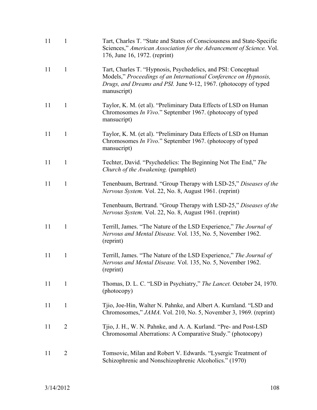| 11 | $\mathbf{1}$   | Tart, Charles T. "State and States of Consciousness and State-Specific<br>Sciences," American Association for the Advancement of Science. Vol.<br>176, June 16, 1972. (reprint)                                     |
|----|----------------|---------------------------------------------------------------------------------------------------------------------------------------------------------------------------------------------------------------------|
| 11 | $\mathbf{1}$   | Tart, Charles T. "Hypnosis, Psychedelics, and PSI: Conceptual<br>Models," Proceedings of an International Conference on Hypnosis,<br>Drugs, and Dreams and PSI. June 9-12, 1967. (photocopy of typed<br>manuscript) |
| 11 | $\mathbf{1}$   | Taylor, K. M. (et al). "Preliminary Data Effects of LSD on Human<br>Chromosomes In Vivo." September 1967. (photocopy of typed<br>mansucript)                                                                        |
| 11 | $\mathbf{1}$   | Taylor, K. M. (et al). "Preliminary Data Effects of LSD on Human<br>Chromosomes <i>In Vivo</i> ." September 1967. (photocopy of typed<br>mansucript)                                                                |
| 11 | $\mathbf{1}$   | Techter, David. "Psychedelics: The Beginning Not The End," The<br>Church of the Awakening. (pamphlet)                                                                                                               |
| 11 | $\mathbf{1}$   | Tenenbaum, Bertrand. "Group Therapy with LSD-25," Diseases of the<br>Nervous System. Vol. 22, No. 8, August 1961. (reprint)                                                                                         |
|    |                | Tenenbaum, Bertrand. "Group Therapy with LSD-25," Diseases of the<br>Nervous System. Vol. 22, No. 8, August 1961. (reprint)                                                                                         |
| 11 | $\mathbf{1}$   | Terrill, James. "The Nature of the LSD Experience," The Journal of<br>Nervous and Mental Disease. Vol. 135, No. 5, November 1962.<br>(reprint)                                                                      |
| 11 | $\mathbf{1}$   | Terrill, James. "The Nature of the LSD Experience," The Journal of<br>Nervous and Mental Disease. Vol. 135, No. 5, November 1962.<br>(reprint)                                                                      |
| 11 | $\mathbf{1}$   | Thomas, D. L. C. "LSD in Psychiatry," The Lancet. October 24, 1970.<br>(photocopy)                                                                                                                                  |
| 11 | $\mathbf{1}$   | Tjio, Joe-Hin, Walter N. Pahnke, and Albert A. Kurnland. "LSD and<br>Chromosomes," <i>JAMA</i> . Vol. 210, No. 5, November 3, 1969. (reprint)                                                                       |
| 11 | $\overline{2}$ | Tijo, J. H., W. N. Pahnke, and A. A. Kurland. "Pre- and Post-LSD<br>Chromosomal Aberrations: A Comparative Study." (photocopy)                                                                                      |
| 11 | $\overline{2}$ | Tomsovic, Milan and Robert V. Edwards. "Lysergic Treatment of<br>Schizophrenic and Nonschizophrenic Alcoholics." (1970)                                                                                             |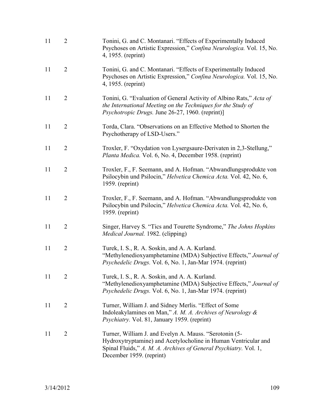| 11 | $\overline{2}$ | Tonini, G. and C. Montanari. "Effects of Experimentally Induced<br>Psychoses on Artistic Expression," Confina Neurologica. Vol. 15, No.<br>4, 1955. (reprint)                                                            |
|----|----------------|--------------------------------------------------------------------------------------------------------------------------------------------------------------------------------------------------------------------------|
| 11 | $\overline{2}$ | Tonini, G. and C. Montanari. "Effects of Experimentally Induced<br>Psychoses on Artistic Expression," Confina Neurologica. Vol. 15, No.<br>4, 1955. (reprint)                                                            |
| 11 | $\overline{2}$ | Tonini, G. "Evaluation of General Activity of Albino Rats," Acta of<br>the International Meeting on the Techniques for the Study of<br>Psychotropic Drugs. June 26-27, 1960. (reprint)]                                  |
| 11 | $\overline{2}$ | Torda, Clara. "Observations on an Effective Method to Shorten the<br>Psychotherapy of LSD-Users."                                                                                                                        |
| 11 | $\overline{2}$ | Troxler, F. "Oxydation von Lysergsaure-Derivaten in 2,3-Stellung,"<br>Planta Medica. Vol. 6, No. 4, December 1958. (reprint)                                                                                             |
| 11 | $\overline{2}$ | Troxler, F., F. Seemann, and A. Hofman. "Abwandlungsprodukte von<br>Psilocybin und Psilocin," Helvetica Chemica Acta. Vol. 42, No. 6,<br>1959. (reprint)                                                                 |
| 11 | $\overline{2}$ | Troxler, F., F. Seemann, and A. Hofman. "Abwandlungsprodukte von<br>Psilocybin und Psilocin," Helvetica Chemica Acta. Vol. 42, No. 6,<br>$1959.$ (reprint)                                                               |
| 11 | $\overline{2}$ | Singer, Harvey S. "Tics and Tourette Syndrome," The Johns Hopkins<br>Medical Journal. 1982. (clipping)                                                                                                                   |
| 11 | $\overline{2}$ | Turek, I. S., R. A. Soskin, and A. A. Kurland.<br>"Methylenedioxyamphetamine (MDA) Subjective Effects," Journal of<br>Psychedelic Drugs. Vol. 6, No. 1, Jan-Mar 1974. (reprint)                                          |
| 11 | $\overline{2}$ | Turek, I. S., R. A. Soskin, and A. A. Kurland.<br>"Methylenedioxyamphetamine (MDA) Subjective Effects," Journal of<br>Psychedelic Drugs. Vol. 6, No. 1, Jan-Mar 1974. (reprint)                                          |
| 11 | $\overline{2}$ | Turner, William J. and Sidney Merlis. "Effect of Some<br>Indoleakylamines on Man," A. M. A. Archives of Neurology $\&$<br>Psychiatry. Vol. 81, January 1959. (reprint)                                                   |
| 11 | $\overline{2}$ | Turner, William J. and Evelyn A. Mauss. "Serotonin (5-<br>Hydroxytryptamine) and Acetylocholine in Human Ventricular and<br>Spinal Fluids," A. M. A. Archives of General Psychiatry. Vol. 1,<br>December 1959. (reprint) |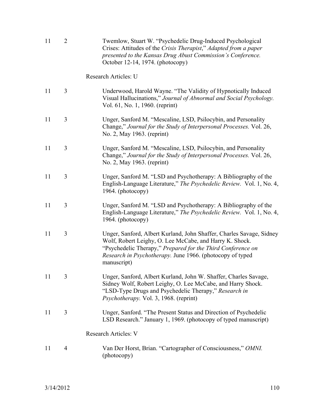| 11 | $\overline{2}$ | Twemlow, Stuart W. "Psychedelic Drug-Induced Psychological<br>Crises: Attitudes of the Crisis Therapist," Adapted from a paper<br>presented to the Kansas Drug Abust Commission's Conference.<br>October 12-14, 1974. (photocopy)                                          |
|----|----------------|----------------------------------------------------------------------------------------------------------------------------------------------------------------------------------------------------------------------------------------------------------------------------|
|    |                | Research Articles: U                                                                                                                                                                                                                                                       |
| 11 | 3              | Underwood, Harold Wayne. "The Validity of Hypnotically Induced<br>Visual Hallucinations," Journal of Abnormal and Social Psychology.<br>Vol. 61, No. 1, 1960. (reprint)                                                                                                    |
| 11 | $\overline{3}$ | Unger, Sanford M. "Mescaline, LSD, Psilocybin, and Personality<br>Change," Journal for the Study of Interpersonal Processes. Vol. 26,<br>No. 2, May 1963. (reprint)                                                                                                        |
| 11 | 3              | Unger, Sanford M. "Mescaline, LSD, Psilocybin, and Personality<br>Change," Journal for the Study of Interpersonal Processes. Vol. 26,<br>No. 2, May 1963. (reprint)                                                                                                        |
| 11 | 3              | Unger, Sanford M. "LSD and Psychotherapy: A Bibliography of the<br>English-Language Literature," The Psychedelic Review. Vol. 1, No. 4,<br>1964. (photocopy)                                                                                                               |
| 11 | 3              | Unger, Sanford M. "LSD and Psychotherapy: A Bibliography of the<br>English-Language Literature," The Psychedelic Review. Vol. 1, No. 4,<br>1964. (photocopy)                                                                                                               |
| 11 | 3              | Unger, Sanford, Albert Kurland, John Shaffer, Charles Savage, Sidney<br>Wolf, Robert Leighy, O. Lee McCabe, and Harry K. Shock.<br>"Psychedelic Therapy," Prepared for the Third Conference on<br>Research in Psychotherapy. June 1966. (photocopy of typed<br>manuscript) |
| 11 | 3              | Unger, Sanford, Albert Kurland, John W. Shaffer, Charles Savage,<br>Sidney Wolf, Robert Leighy, O. Lee McCabe, and Harry Shock.<br>"LSD-Type Drugs and Psychedelic Therapy," Research in<br><i>Psychotherapy.</i> Vol. 3, 1968. (reprint)                                  |
| 11 | 3              | Unger, Sanford. "The Present Status and Direction of Psychedelic<br>LSD Research." January 1, 1969. (photocopy of typed manuscript)                                                                                                                                        |
|    |                | <b>Research Articles: V</b>                                                                                                                                                                                                                                                |
| 11 | 4              | Van Der Horst, Brian. "Cartographer of Consciousness," OMNI.<br>(photocopy)                                                                                                                                                                                                |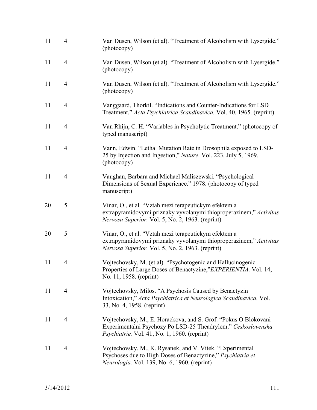| 11 | $\overline{4}$ | Van Dusen, Wilson (et al). "Treatment of Alcoholism with Lysergide."<br>(photocopy)                                                                                              |
|----|----------------|----------------------------------------------------------------------------------------------------------------------------------------------------------------------------------|
| 11 | $\overline{4}$ | Van Dusen, Wilson (et al). "Treatment of Alcoholism with Lysergide."<br>(photocopy)                                                                                              |
| 11 | $\overline{4}$ | Van Dusen, Wilson (et al). "Treatment of Alcoholism with Lysergide."<br>(photocopy)                                                                                              |
| 11 | $\overline{4}$ | Vanggaard, Thorkil. "Indications and Counter-Indications for LSD<br>Treatment," Acta Psychiatrica Scandinavica. Vol. 40, 1965. (reprint)                                         |
| 11 | $\overline{4}$ | Van Rhijn, C. H. "Variables in Psycholytic Treatment." (photocopy of<br>typed manuscript)                                                                                        |
| 11 | $\overline{4}$ | Vann, Edwin. "Lethal Mutation Rate in Drosophila exposed to LSD-<br>25 by Injection and Ingestion," <i>Nature</i> . Vol. 223, July 5, 1969.<br>(photocopy)                       |
| 11 | $\overline{4}$ | Vaughan, Barbara and Michael Maliszewski. "Psychological<br>Dimensions of Sexual Experience." 1978. (photocopy of typed<br>manuscript)                                           |
| 20 | 5              | Vinar, O., et al. "Vztah mezi terapeutickym efektem a<br>extrapyramidovymi priznaky vyvolanymi thioproperazinem," Activitas<br>Nervosa Superior. Vol. 5, No. 2, 1963. (reprint)  |
| 20 | $\mathfrak{S}$ | Vinar, O., et al. "Vztah mezi terapeutickym efektem a<br>extrapyramidovymi priznaky vyvolanymi thioproperazinem," Activitas<br>Nervosa Superior. Vol. 5, No. 2, 1963. (reprint)  |
| 11 | $\overline{4}$ | Vojtechovsky, M. (et al). "Psychotogenic and Hallucinogenic<br>Properties of Large Doses of Benactyzine,"EXPERIENTIA. Vol. 14,<br>No. 11, 1958. (reprint)                        |
| 11 | $\overline{4}$ | Vojtechovsky, Milos. "A Psychosis Caused by Benactyzin<br>Intoxication," Acta Psychiatrica et Neurologica Scandinavica. Vol.<br>33, No. 4, 1958. (reprint)                       |
| 11 | 4              | Vojtechovsky, M., E. Horackova, and S. Grof. "Pokus O Blokovani<br>Experimentalni Psychozy Po LSD-25 Theadrylem," Ceskoslovenska<br>Psychiatrie. Vol. 41, No. 1, 1960. (reprint) |
| 11 | $\overline{4}$ | Vojtechovsky, M., K. Rysanek, and V. Vitek. "Experimental<br>Psychoses due to High Doses of Benactyzine," Psychiatria et<br>Neurologia. Vol. 139, No. 6, 1960. (reprint)         |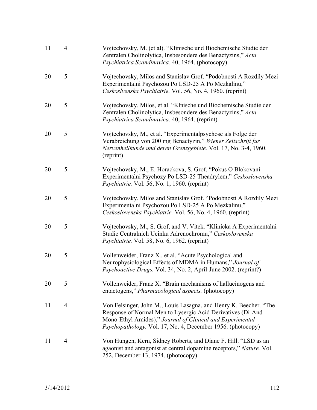| 11 | $\overline{4}$ | Vojtechovsky, M. (et al). "Klinische und Biochemische Studie der<br>Zentralen Cholinolytica, Insbesondere des Benactyzins," Acta<br>Psychiatrica Scandinavica. 40, 1964. (photocopy)                                                                                |
|----|----------------|---------------------------------------------------------------------------------------------------------------------------------------------------------------------------------------------------------------------------------------------------------------------|
| 20 | 5              | Vojtechovsky, Milos and Stanislav Grof. "Podobnosti A Rozdily Mezi<br>Experimentalni Psychozou Po LSD-25 A Po Mezkalinu,"<br>Ceskoslvenska Psychiatrie. Vol. 56, No. 4, 1960. (reprint)                                                                             |
| 20 | 5              | Vojtechovsky, Milos, et al. "Klnische und Biochemische Studie der<br>Zentralen Cholinolytica, Insbesondere des Benactyzins," Acta<br>Psychiatrica Scandinavica. 40, 1964. (reprint)                                                                                 |
| 20 | 5              | Vojtechovsky, M., et al. "Experimentalpsychose als Folge der<br>Verabreichung von 200 mg Benactyzin," Wiener Zeitschrift fur<br>Nervenheilkunde und deren Grenzgebiete. Vol. 17, No. 3-4, 1960.<br>(reprint)                                                        |
| 20 | 5              | Vojtechovsky, M., E. Horackova, S. Grof. "Pokus O Blokovani<br>Experimentalni Psychozy Po LSD-25 Theadrylem," Ceskoslovenska<br>Psychiatrie. Vol. 56, No. 1, 1960. (reprint)                                                                                        |
| 20 | 5              | Vojtechovsky, Milos and Stanislav Grof. "Podobnosti A Rozdily Mezi<br>Experimentalni Psychozou Po LSD-25 A Po Mezkalinu,"<br>Ceskoslovenska Psychiatrie. Vol. 56, No. 4, 1960. (reprint)                                                                            |
| 20 | 5              | Vojtechovsky, M., S. Grof, and V. Vitek. "Klinicka A Experimentalni<br>Studie Centralnich Ucinku Adrenochromu," Ceskoslovenska<br><i>Psychiatrie.</i> Vol. 58, No. 6, 1962. (reprint)                                                                               |
| 20 | 5              | Vollenweider, Franz X., et al. "Acute Psychological and<br>Neurophysiological Effects of MDMA in Humans," Journal of<br>Psychoactive Drugs. Vol. 34, No. 2, April-June 2002. (reprint?)                                                                             |
| 20 | 5              | Vollenweider, Franz X. "Brain mechanisms of hallucinogens and<br>entactogens," Pharmacological aspects. (photocopy)                                                                                                                                                 |
| 11 | $\overline{4}$ | Von Felsinger, John M., Louis Lasagna, and Henry K. Beecher. "The<br>Response of Normal Men to Lysergic Acid Derivatives (Di-And<br>Mono-Ethyl Amides)," Journal of Clinical and Experimental<br><i>Psychopathology.</i> Vol. 17, No. 4, December 1956. (photocopy) |
| 11 | 4              | Von Hungen, Kern, Sidney Roberts, and Diane F. Hill. "LSD as an<br>agaonist and antagonist at central dopamine receptors," Nature. Vol.<br>252, December 13, 1974. (photocopy)                                                                                      |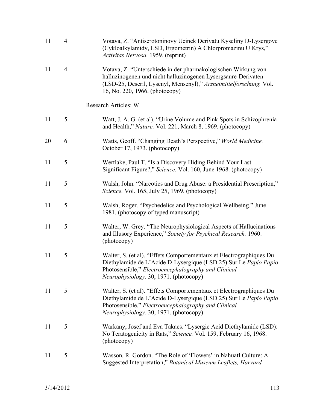| 11 | $\overline{4}$ | Votava, Z. "Antiserotoninovy Ucinek Derivatu Kyseliny D-Lysergove<br>(Cykloalkylamidy, LSD, Ergometrin) A Chlorpromazinu U Krys,"<br>Activitas Nervosa. 1959. (reprint)                                                                  |
|----|----------------|------------------------------------------------------------------------------------------------------------------------------------------------------------------------------------------------------------------------------------------|
| 11 | $\overline{4}$ | Votava, Z. "Unterschiede in der pharmakologischen Wirkung von<br>halluzinogenen und nicht halluzinogenen Lysergsaure-Derivaten<br>(LSD-25, Deseril, Lysenyl, Mensenyl)," Arzneimittelforschung. Vol.<br>16, No. 220, 1966. (photocopy)   |
|    |                | Research Articles: W                                                                                                                                                                                                                     |
| 11 | 5              | Watt, J. A. G. (et al). "Urine Volume and Pink Spots in Schizophrenia<br>and Health," Nature. Vol. 221, March 8, 1969. (photocopy)                                                                                                       |
| 20 | 6              | Watts, Geoff. "Changing Death's Perspective," World Medicine.<br>October 17, 1973. (photocopy)                                                                                                                                           |
| 11 | 5              | Wertlake, Paul T. "Is a Discovery Hiding Behind Your Last<br>Significant Figure?," Science. Vol. 160, June 1968. (photocopy)                                                                                                             |
| 11 | 5              | Walsh, John. "Narcotics and Drug Abuse: a Presidential Prescription,"<br>Science. Vol. 165, July 25, 1969. (photocopy)                                                                                                                   |
| 11 | 5              | Walsh, Roger. "Psychedelics and Psychological Wellbeing." June<br>1981. (photocopy of typed manuscript)                                                                                                                                  |
| 11 | 5              | Walter, W. Grey. "The Neurophysiological Aspects of Hallucinations"<br>and Illusory Experience," Society for Psychical Research. 1960.<br>(photocopy)                                                                                    |
| 11 | 5              | Walter, S. (et al). "Effets Comportementaux et Electrographiques Du<br>Diethylamide de L'Acide D-Lysergique (LSD 25) Sur Le Papio Papio<br>Photosensible," Electroencephalography and Clinical<br>Neurophysiology. 30, 1971. (photocopy) |
| 11 | 5              | Walter, S. (et al). "Effets Comportementaux et Electrographiques Du<br>Diethylamide de L'Acide D-Lysergique (LSD 25) Sur Le Papio Papio<br>Photosensible," Electroencephalography and Clinical<br>Neurophysiology. 30, 1971. (photocopy) |
| 11 | 5              | Warkany, Josef and Eva Takacs. "Lysergic Acid Diethylamide (LSD):<br>No Teratogenicity in Rats," Science. Vol. 159, February 16, 1968.<br>(photocopy)                                                                                    |
| 11 | 5              | Wasson, R. Gordon. "The Role of 'Flowers' in Nahuatl Culture: A<br>Suggested Interpretation," Botanical Museum Leaflets, Harvard                                                                                                         |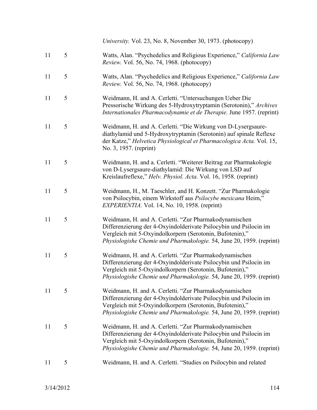11 5 Watts, Alan. "Psychedelics and Religious Experience," *California Law Review.* Vol. 56, No. 74, 1968. (photocopy) 11 5 Watts, Alan. "Psychedelics and Religious Experience," *California Law Review.* Vol. 56, No. 74, 1968. (photocopy) 11 5 Weidmann, H. and A. Cerletti. "Untersuchungen Ueber Die Pressorische Wirkung des 5-Hydroxytryptamin (Serotonin)," *Archives Internationales Pharmacodynamie et de Therapie.* June 1957. (reprint) 11 5 Weidmann, H. and A. Cerletti. "Die Wirkung von D-Lysergsaurediathylamid und 5-Hydroxytryptamin (Serotonin) auf spinale Reflexe der Katze," *Helvetica Physiological et Pharmacologica Acta.* Vol. 15, No. 3, 1957. (reprint) 11 5 Weidmann, H. and a. Cerletti. "Weiterer Beitrag zur Pharmakologie von D-Lysergsaure-diathylamid: Die Wirkung von LSD auf Kreislaufreflexe," *Helv. Physiol. Acta.* Vol. 16, 1958. (reprint) 11 5 Weidmann, H., M. Taeschler, and H. Konzett. "Zur Pharmakologie von Psilocybin, einem Wirkstoff aus *Psilocybe mexicana* Heim," *EXPERIENTIA.* Vol. 14, No. 10, 1958. (reprint) 11 5 Weidmann, H. and A. Cerletti. "Zur Pharmakodynamischen Differenzierung der 4-Oxyindolderivate Psilocybin und Psilocin im Vergleich mit 5-Oxyindolkorpern (Serotonin, Bufotenin)," *Physiologishe Chemie und Pharmakologie.* 54, June 20, 1959. (reprint) 11 5 Weidmann, H. and A. Cerletti. "Zur Pharmakodynamischen Differenzierung der 4-Oxyindolderivate Psilocybin und Psilocin im Vergleich mit 5-Oxyindolkorpern (Serotonin, Bufotenin)," *Physiologishe Chemie und Pharmakologie.* 54, June 20, 1959. (reprint) 11 5 Weidmann, H. and A. Cerletti. "Zur Pharmakodynamischen Differenzierung der 4-Oxyindolderivate Psilocybin und Psilocin im Vergleich mit 5-Oxyindolkorpern (Serotonin, Bufotenin)," *Physiologishe Chemie und Pharmakologie.* 54, June 20, 1959. (reprint) 11 5 Weidmann, H. and A. Cerletti. "Zur Pharmakodynamischen Differenzierung der 4-Oxyindolderivate Psilocybin und Psilocin im Vergleich mit 5-Oxyindolkorpern (Serotonin, Bufotenin)," *Physiologishe Chemie und Pharmakologie.* 54, June 20, 1959. (reprint)

*University.* Vol. 23, No. 8, November 30, 1973. (photocopy)

11 5 Weidmann, H. and A. Cerletti. "Studies on Psilocybin and related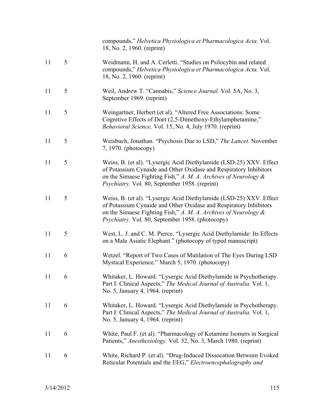|    |   | compounds," Helvetica Physiologica et Pharmacologica Acta. Vol.<br>18, No. 2, 1960. (reprint)                                                                                                                                                                             |
|----|---|---------------------------------------------------------------------------------------------------------------------------------------------------------------------------------------------------------------------------------------------------------------------------|
| 11 | 5 | Weidmann, H. and A. Cerletti. "Studies on Psilocybin and related<br>compounds," Helvetica Physiologica et Pharmacologica Acta. Vol.<br>18, No. 2, 1960. (reprint)                                                                                                         |
| 11 | 5 | Weil, Andrew T. "Cannabis," Science Journal. Vol. 5A, No. 3,<br>September 1969. (reprint)                                                                                                                                                                                 |
| 11 | 5 | Weingartner, Herbert (et al). "Altered Free Associations: Some<br>Cognitive Effects of Doet (2,5-Dimethoxy-Ethylamphetamine,"<br>Behavioral Science. Vol. 15, No. 4, July 1970. (reprint)                                                                                 |
| 11 | 5 | Weisbuch, Jonathan. "Psychosis Due to LSD," The Lancet. November<br>7, 1970. (photocopy)                                                                                                                                                                                  |
| 11 | 5 | Weiss, B. (et al). "Lysergic Acid Diethylamide (LSD-25) XXV. Effect<br>of Potassium Cynaide and Other Oxidase and Respiratory Inhibitors<br>on the Simaese Fighting Fish," $A$ . $M$ . $A$ . Archives of Neurology $\&$<br>Psychiatry. Vol. 80, September 1958. (reprint) |
| 11 | 5 | Weiss, B. (et al). "Lysergic Acid Diethylamide (LSD-25) XXV. Effect<br>of Potassium Cynaide and Other Oxidase and Respiratory Inhibitors<br>on the Simaese Fighting Fish," A. M. A. Archives of Neurology $\&$<br>Psychiatry. Vol. 80, September 1958. (photocopy)        |
| 11 | 5 | West, L. J. and C. M. Pierce. "Lysergic Acid Diethylamide: Its Effects<br>on a Male Asiatic Elephant." (photocopy of typed manuscript)                                                                                                                                    |
| 11 | 6 | Wetzel. "Report of Two Cases of Mutilation of The Eyes During LSD<br>Mystical Experience." March 5, 1970. (photocopy)                                                                                                                                                     |
| 11 | 6 | Whitaker, L. Howard. "Lysergic Acid Diethylamide in Psychotherapy.<br>Part I: Clinical Aspects," The Medical Journal of Australia. Vol. 1,<br>No. 5, January 4, 1964. (reprint)                                                                                           |
| 11 | 6 | Whitaker, L. Howard. "Lysergic Acid Diethylamide in Psychotherapy.<br>Part I: Clinical Aspects," The Medical Journal of Australia. Vol. 1,<br>No. 5, January 4, 1964. (reprint)                                                                                           |
| 11 | 6 | White, Paul F. (et al). "Pharmacology of Ketamine Isomers in Surgical<br>Patients," Anesthesiology. Vol. 52, No. 3, March 1980. (reprint)                                                                                                                                 |
| 11 | 6 | White, Richard P. (et al). "Drug-Induced Dissocation Between Evoked<br>Reticular Potentials and the EEG," Electroencephalography and                                                                                                                                      |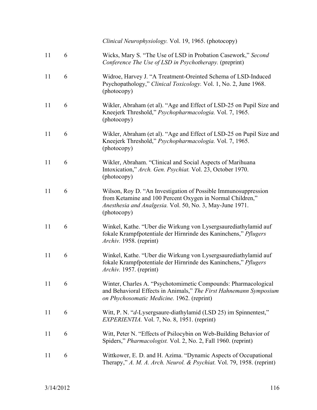*Clinical Neurophysiology.* Vol. 19, 1965. (photocopy)

| 11 | 6 | Wicks, Mary S. "The Use of LSD in Probation Casework," Second<br>Conference The Use of LSD in Psychotherapy. (preprint)                                                                                |
|----|---|--------------------------------------------------------------------------------------------------------------------------------------------------------------------------------------------------------|
| 11 | 6 | Widroe, Harvey J. "A Treatment-Oreinted Schema of LSD-Induced<br>Psychopathology," Clinical Toxicology. Vol. 1, No. 2, June 1968.<br>(photocopy)                                                       |
| 11 | 6 | Wikler, Abraham (et al). "Age and Effect of LSD-25 on Pupil Size and<br>Kneejerk Threshold," Psychopharmacologia. Vol. 7, 1965.<br>(photocopy)                                                         |
| 11 | 6 | Wikler, Abraham (et al). "Age and Effect of LSD-25 on Pupil Size and<br>Kneejerk Threshold," Psychopharmacologia. Vol. 7, 1965.<br>(photocopy)                                                         |
| 11 | 6 | Wikler, Abraham. "Clinical and Social Aspects of Marihuana<br>Intoxication," Arch. Gen. Psychiat. Vol. 23, October 1970.<br>(photocopy)                                                                |
| 11 | 6 | Wilson, Roy D. "An Investigation of Possible Immunosuppression<br>from Ketamine and 100 Percent Oxygen in Normal Children,"<br>Anesthesia and Analgesia. Vol. 50, No. 3, May-June 1971.<br>(photocopy) |
| 11 | 6 | Winkel, Kathe. "Uber die Wirkung von Lysergsaurediathylamid auf<br>fokale Krampfpotentiale der Hirnrinde des Kaninchens," Pflugers<br>Archiv. 1958. (reprint)                                          |
| 11 | 6 | Winkel, Kathe. "Uber die Wirkung von Lysergsaurediathylamid auf<br>fokale Krampfpotentiale der Hirnrinde des Kaninchens," Pflugers<br>Archiv. 1957. (reprint)                                          |
| 11 | 6 | Winter, Charles A. "Psychotomimetic Compounds: Pharmacological<br>and Behavioral Effects in Animals," The First Hahnemann Symposium<br>on Phychosomatic Medicine. 1962. (reprint)                      |
| 11 | 6 | Witt, P. N. "d-Lysergsaure-diathylamid (LSD 25) im Spinnentest,"<br><i>EXPERIENTIA.</i> Vol. 7, No. 8, 1951. (reprint)                                                                                 |
| 11 | 6 | Witt, Peter N. "Effects of Psilocybin on Web-Building Behavior of<br>Spiders," Pharmacologist. Vol. 2, No. 2, Fall 1960. (reprint)                                                                     |
| 11 | 6 | Wittkower, E. D. and H. Azima. "Dynamic Aspects of Occupational<br>Therapy," A. M. A. Arch. Neurol. & Psychiat. Vol. 79, 1958. (reprint)                                                               |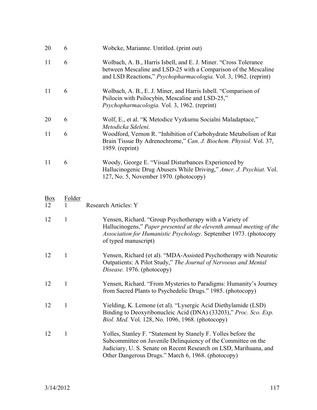| 20 | 6 | Wobcke, Marianne. Untitled. (print out)                                                                                                                                                                 |
|----|---|---------------------------------------------------------------------------------------------------------------------------------------------------------------------------------------------------------|
| 11 | 6 | Wolbach, A. B., Harris Isbell, and E. J. Miner. "Cross Tolerance<br>between Mescaline and LSD-25 with a Comparison of the Mescaline<br>and LSD Reactions," Psychopharmacologia. Vol. 3, 1962. (reprint) |
| 11 | 6 | Wolbach, A. B., E. J. Miner, and Harris Isbell. "Comparison of<br>Psilocin with Psilocybin, Mescaline and LSD-25,"<br>Psychopharmacologia. Vol. 3, 1962. (reprint)                                      |
| 20 | 6 | Wolf, E., et al. "K Metodice Vyzkumu Socialni Maladaptace,"<br>Metodicka Sdeleni.                                                                                                                       |
| 11 | 6 | Woodford, Vernon R. "Inhibition of Carbohydrate Metabolism of Rat<br>Brain Tissue By Adrenochrome," Can. J. Biochem. Physiol. Vol. 37,<br>$1959.$ (reprint)                                             |
| 11 | 6 | Woody, George E. "Visual Disturbances Experienced by<br>Hallucinogenic Drug Abusers While Driving," Amer. J. Psychiat. Vol.<br>127, No. 5, November 1970. (photocopy)                                   |

| Box<br>12 | <u>Folder</u> | <b>Research Articles: Y</b>                                                                                                                                                                                                                               |
|-----------|---------------|-----------------------------------------------------------------------------------------------------------------------------------------------------------------------------------------------------------------------------------------------------------|
| 12        | 1             | Yensen, Richard. "Group Psychotherapy with a Variety of<br>Hallucinogens," Paper presented at the eleventh annual meeting of the<br>Association for Humanistic Psychology. September 1973. (photocopy<br>of typed manuscript)                             |
| 12        | 1             | Yensen, Richard (et al). "MDA-Assisted Psychotherapy with Neurotic<br>Outpatients: A Pilot Study," The Journal of Nervoous and Mental<br>Disease. 1976. (photocopy)                                                                                       |
| 12        | $\mathbf{1}$  | Yensen, Richard. "From Mysteries to Paradigms: Humanity's Journey<br>from Sacred Plants to Psychedelic Drugs." 1985. (photocopy)                                                                                                                          |
| 12        | 1             | Yielding, K. Lemone (et al). "Lysergic Acid Diethylamide (LSD)<br>Binding to Deoxyribonucleic Acid (DNA) (33203)," Proc. Sco. Exp.<br>Biol. Med. Vol. 128, No. 1096, 1968. (photocopy)                                                                    |
| 12        | 1             | Yolles, Stanley F. "Statement by Stanely F. Yolles before the<br>Subcommittee on Juvenile Delinquiency of the Committee on the<br>Judiciary, U. S. Senate on Recent Research on LSD, Marihuana, and<br>Other Dangerous Drugs." March 6, 1968. (photocopy) |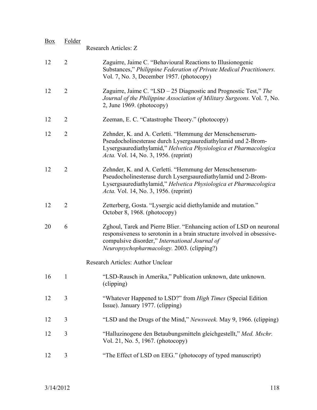| <b>Box</b> | <b>Folder</b>  | Research Articles: Z                                                                                                                                                                                                                                   |
|------------|----------------|--------------------------------------------------------------------------------------------------------------------------------------------------------------------------------------------------------------------------------------------------------|
| 12         | $\overline{2}$ | Zaguirre, Jaime C. "Behavioural Reactions to Illusionogenic<br>Substances," Philippine Federation of Private Medical Practitioners.<br>Vol. 7, No. 3, December 1957. (photocopy)                                                                       |
| 12         | $\overline{2}$ | Zaguirre, Jaime C. "LSD – 25 Diagnostic and Prognostic Test," The<br>Journal of the Philippine Association of Military Surgeons. Vol. 7, No.<br>2, June 1969. (photocopy)                                                                              |
| 12         | $\overline{2}$ | Zeeman, E. C. "Catastrophe Theory." (photocopy)                                                                                                                                                                                                        |
| 12         | $\overline{2}$ | Zehnder, K. and A. Cerletti. "Hemmung der Menschenserum-<br>Pseudocholinesterase durch Lysergsaurediathylamid und 2-Brom-<br>Lysergsaurediathylamid," Helvetica Physiologica et Pharmacologica<br>Acta. Vol. 14, No. 3, 1956. (reprint)                |
| 12         | $\overline{2}$ | Zehnder, K. and A. Cerletti. "Hemmung der Menschenserum-<br>Pseudocholinesterase durch Lysergsaurediathylamid und 2-Brom-<br>Lysergsaurediathylamid," Helvetica Physiologica et Pharmacologica<br><i>Acta.</i> Vol. 14, No. 3, 1956. (reprint)         |
| 12         | $\overline{2}$ | Zetterberg, Gosta. "Lysergic acid diethylamide and mutation."<br>October 8, 1968. (photocopy)                                                                                                                                                          |
| 20         | 6              | Zghoul, Tarek and Pierre Blier. "Enhancing action of LSD on neuronal<br>responsiveness to serotonin in a brain structure involved in obsessive-<br>compulsive disorder," International Journal of<br><i>Neuropsychopharmacology.</i> 2003. (clipping?) |
|            |                | Research Articles: Author Unclear                                                                                                                                                                                                                      |
| 16         | 1              | "LSD-Rausch in Amerika," Publication unknown, date unknown.<br>(clipping)                                                                                                                                                                              |
| 12         | 3              | "Whatever Happened to LSD?" from <i>High Times</i> (Special Edition<br>Issue). January 1977. (clipping)                                                                                                                                                |
| 12         | 3              | "LSD and the Drugs of the Mind," Newsweek. May 9, 1966. (clipping)                                                                                                                                                                                     |
| 12         | 3              | "Halluzinogene den Betaubungsmitteln gleichgestellt," Med. Mschr.<br>Vol. 21, No. 5, 1967. (photocopy)                                                                                                                                                 |
| 12         | 3              | "The Effect of LSD on EEG." (photocopy of typed manuscript)                                                                                                                                                                                            |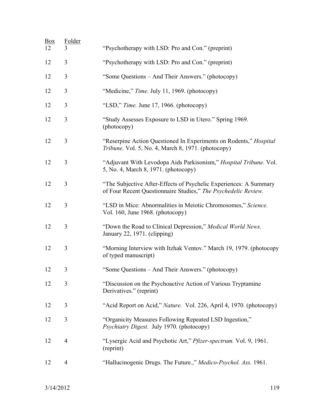| <u>Box</u><br>12 | Folder<br>3    | "Psychotherapy with LSD: Pro and Con." (preprint)                                                                                   |
|------------------|----------------|-------------------------------------------------------------------------------------------------------------------------------------|
| 12               | $\overline{3}$ | "Psychotherapy with LSD: Pro and Con." (preprint)                                                                                   |
| 12               | 3              | "Some Questions - And Their Answers." (photocopy)                                                                                   |
| 12               | 3              | "Medicine," Time. July 11, 1969. (photocopy)                                                                                        |
| 12               | 3              | "LSD," Time. June 17, 1966. (photocopy)                                                                                             |
| 12               | 3              | "Study Assesses Exposure to LSD in Utero." Spring 1969.<br>(photocopy)                                                              |
| 12               | 3              | "Reserpine Action Questioned In Experiments on Rodents," <i>Hospital</i><br>Tribune. Vol. 5, No. 4, March 8, 1971. (photocopy)      |
| 12               | 3              | "Adjuvant With Levodopa Aids Parkisonism," Hospital Tribune. Vol.<br>5, No. 4, March 8, 1971. (photocopy)                           |
| 12               | 3              | "The Subjective After-Effects of Psychelic Experiences: A Summary<br>of Four Recent Questionnaire Studies," The Psychedelic Review. |
| 12               | $\overline{3}$ | "LSD in Mice: Abnormalities in Meiotic Chromosomes," Science.<br>Vol. 160, June 1968. (photocopy)                                   |
| 12               | 3              | "Down the Road to Clinical Depression," Medical World News.<br>January 22, 1971. (clipping)                                         |
| 12               | 3              | "Morning Interview with Itzhak Ventov." March 19, 1979. (photocopy<br>of typed manuscript)                                          |
| 12               | 3              | "Some Questions – And Their Answers." (photocopy)                                                                                   |
| 12               | 3              | "Discussion on the Psychoactive Action of Various Tryptamine"<br>Derivatives." (reprint)                                            |
| 12               | 3              | "Acid Report on Acid," <i>Nature.</i> Vol. 226, April 4, 1970. (photocopy)                                                          |
| 12               | $\overline{3}$ | "Organicity Measures Following Repeated LSD Ingestion,"<br>Psychiatry Digest. July 1970. (photocopy)                                |
| 12               | 4              | "Lysergic Acid and Psychotic Art," Pfizer-spectrum. Vol. 9, 1961.<br>(reprint)                                                      |
| 12               | 4              | "Hallucinogenic Drugs. The Future.," Medico-Psychol. Ass. 1961.                                                                     |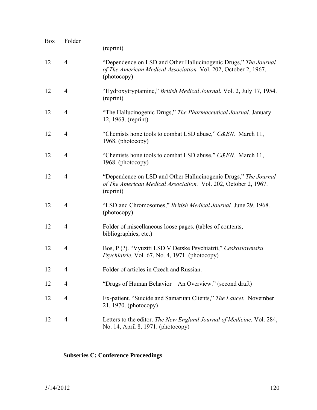| <b>Box</b> | Folder         | (reprint)                                                                                                                                         |
|------------|----------------|---------------------------------------------------------------------------------------------------------------------------------------------------|
| 12         | $\overline{4}$ | "Dependence on LSD and Other Hallucinogenic Drugs," The Journal<br>of The American Medical Association. Vol. 202, October 2, 1967.<br>(photocopy) |
| 12         | $\overline{4}$ | "Hydroxytryptamine," British Medical Journal. Vol. 2, July 17, 1954.<br>(reprint)                                                                 |
| 12         | $\overline{4}$ | "The Hallucinogenic Drugs," The Pharmaceutical Journal. January<br>12, 1963. (reprint)                                                            |
| 12         | $\overline{4}$ | "Chemists hone tools to combat LSD abuse," C&EN. March 11,<br>1968. (photocopy)                                                                   |
| 12         | 4              | "Chemists hone tools to combat LSD abuse," C&EN. March 11,<br>1968. (photocopy)                                                                   |
| 12         | $\overline{4}$ | "Dependence on LSD and Other Hallucinogenic Drugs," The Journal<br>of The American Medical Association. Vol. 202, October 2, 1967.<br>(reprint)   |
| 12         | 4              | "LSD and Chromosomes," British Medical Journal. June 29, 1968.<br>(photocopy)                                                                     |
| 12         | 4              | Folder of miscellaneous loose pages. (tables of contents,<br>bibliographies, etc.)                                                                |
| 12         | 4              | Bos, P(?). "Vyuziti LSD V Detske Psychiatrii," Ceskoslovenska<br>Psychiatrie. Vol. 67, No. 4, 1971. (photocopy)                                   |
| 12         | 4              | Folder of articles in Czech and Russian.                                                                                                          |
| 12         | 4              | "Drugs of Human Behavior – An Overview." (second draft)                                                                                           |
| 12         | $\overline{4}$ | Ex-patient. "Suicide and Samaritan Clients," The Lancet. November<br>21, 1970. (photocopy)                                                        |
| 12         | 4              | Letters to the editor. The New England Journal of Medicine. Vol. 284,<br>No. 14, April 8, 1971. (photocopy)                                       |

## **Subseries C: Conference Proceedings**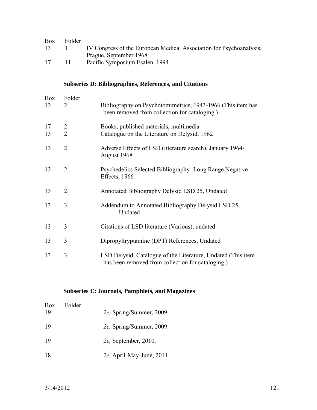| <u>Box</u> | Folder |                                                                     |
|------------|--------|---------------------------------------------------------------------|
| 13         |        | IV Congress of the European Medical Association for Psychoanalysis, |
|            |        | Prague, September 1968                                              |
| 17         |        | Pacific Symposium Esalen, 1994                                      |

### **Subseries D: Bibliographies, References, and Citations**

| <b>Box</b><br>13 | <b>Folder</b><br>$\overline{2}$  | Bibliography on Psychotomimetrics, 1943-1966 (This item has<br>been removed from collection for cataloging.)      |
|------------------|----------------------------------|-------------------------------------------------------------------------------------------------------------------|
| 17<br>13         | $\overline{2}$<br>$\overline{2}$ | Books, published materials, multimedia<br>Catalogue on the Literature on Delysid, 1962                            |
| 13               | $\overline{2}$                   | Adverse Effects of LSD (literature search), January 1964-<br>August 1968                                          |
| 13               | $\overline{2}$                   | Psychedelics Selected Bibliography- Long Range Negative<br>Effects, 1966                                          |
| 13               | $\overline{2}$                   | Annotated Bibliography Delysid LSD 25, Undated                                                                    |
| 13               | 3                                | Addendum to Annotated Bibliography Delysid LSD 25,<br>Undated                                                     |
| 13               | 3                                | Citations of LSD literature (Various), undated                                                                    |
| 13               | 3                                | Dipropyltryptamine (DPT) References, Undated                                                                      |
| 13               | 3                                | LSD Delysid, Catalogue of the Literature, Undated (This item<br>has been removed from collection for cataloging.) |

#### **Subseries E: Journals, Pamphlets, and Magazines**

| Box | Folder |                              |
|-----|--------|------------------------------|
| 19  |        | 2e, Spring/Summer, 2009.     |
| 19  |        | 2e, Spring/Summer, 2009.     |
| 19  |        | <i>2e</i> , September, 2010. |
| 18  |        | 2e, April-May-June, 2011.    |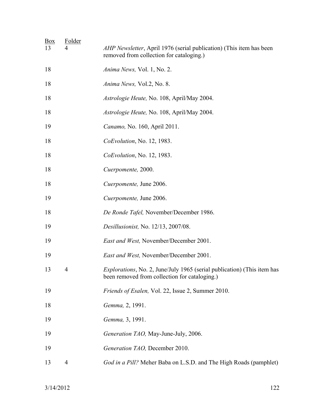| <u>Box</u><br>13 | <b>Folder</b> | AHP Newsletter, April 1976 (serial publication) (This item has been<br>removed from collection for cataloging.)                  |
|------------------|---------------|----------------------------------------------------------------------------------------------------------------------------------|
| 18               |               | Anima News, Vol. 1, No. 2.                                                                                                       |
| 18               |               | Anima News, Vol.2, No. 8.                                                                                                        |
| 18               |               | Astrologie Heute, No. 108, April/May 2004.                                                                                       |
| 18               |               | Astrologie Heute, No. 108, April/May 2004.                                                                                       |
| 19               |               | Canamo, No. 160, April 2011.                                                                                                     |
| 18               |               | CoEvolution, No. 12, 1983.                                                                                                       |
| 18               |               | <i>CoEvolution</i> , No. 12, 1983.                                                                                               |
| 18               |               | Cuerpomente, 2000.                                                                                                               |
| 18               |               | Cuerpomente, June 2006.                                                                                                          |
| 19               |               | Cuerpomente, June 2006.                                                                                                          |
| 18               |               | De Ronde Tafel, November/December 1986.                                                                                          |
| 19               |               | <i>Desillusionist</i> , No. 12/13, 2007/08.                                                                                      |
| 19               |               | East and West, November/December 2001.                                                                                           |
| 19               |               | East and West, November/December 2001.                                                                                           |
| 13               | 4             | <i>Explorations</i> , No. 2, June/July 1965 (serial publication) (This item has<br>been removed from collection for cataloging.) |
| 19               |               | <i>Friends of Esalen, Vol. 22, Issue 2, Summer 2010.</i>                                                                         |
| 18               |               | Gemma, 2, 1991.                                                                                                                  |
| 19               |               | Gemma, 3, 1991.                                                                                                                  |
| 19               |               | Generation TAO, May-June-July, 2006.                                                                                             |
| 19               |               | Generation TAO, December 2010.                                                                                                   |
| 13               | 4             | God in a Pill? Meher Baba on L.S.D. and The High Roads (pamphlet)                                                                |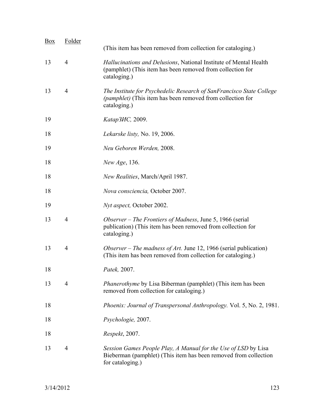| <b>Box</b> | Folder         | (This item has been removed from collection for cataloging.)                                                                                           |
|------------|----------------|--------------------------------------------------------------------------------------------------------------------------------------------------------|
| 13         | $\overline{4}$ | Hallucinations and Delusions, National Institute of Mental Health<br>(pamphlet) (This item has been removed from collection for<br>cataloging.)        |
| 13         | $\overline{4}$ | The Institute for Psychedelic Research of SanFrancisco State College<br>(pamphlet) (This item has been removed from collection for<br>cataloging.)     |
| 19         |                | Katap3 <i>HC</i> , 2009.                                                                                                                               |
| 18         |                | Lekarske listy, No. 19, 2006.                                                                                                                          |
| 19         |                | Neu Geboren Werden, 2008.                                                                                                                              |
| 18         |                | New Age, 136.                                                                                                                                          |
| 18         |                | New Realities, March/April 1987.                                                                                                                       |
| 18         |                | Nova consciencia, October 2007.                                                                                                                        |
| 19         |                | Nyt aspect, October 2002.                                                                                                                              |
| 13         | $\overline{4}$ | Observer – The Frontiers of Madness, June 5, 1966 (serial<br>publication) (This item has been removed from collection for<br>cataloging.)              |
| 13         | $\overline{4}$ | Observer – The madness of Art. June 12, 1966 (serial publication)<br>(This item has been removed from collection for cataloging.)                      |
| 18         |                | Patek, 2007.                                                                                                                                           |
| 13         | $\overline{4}$ | <i>Phanerothyme</i> by Lisa Biberman (pamphlet) (This item has been<br>removed from collection for cataloging.)                                        |
| 18         |                | <i>Phoenix: Journal of Transpersonal Anthropology. Vol. 5, No. 2, 1981.</i>                                                                            |
| 18         |                | Psychologie, 2007.                                                                                                                                     |
| 18         |                | Respekt, 2007.                                                                                                                                         |
| 13         | $\overline{4}$ | Session Games People Play, A Manual for the Use of LSD by Lisa<br>Bieberman (pamphlet) (This item has been removed from collection<br>for cataloging.) |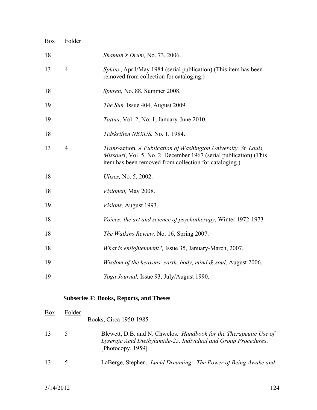| Box | Folder         |                                                                                                                                                                                                 |
|-----|----------------|-------------------------------------------------------------------------------------------------------------------------------------------------------------------------------------------------|
| 18  |                | <i>Shaman's Drum, No. 73, 2006.</i>                                                                                                                                                             |
| 13  | $\overline{4}$ | Sphinx, April/May 1984 (serial publication) (This item has been<br>removed from collection for cataloging.)                                                                                     |
| 18  |                | Spuren, No. 88, Summer 2008.                                                                                                                                                                    |
| 19  |                | <i>The Sun, Issue 404, August 2009.</i>                                                                                                                                                         |
| 19  |                | <i>Tattua</i> , Vol. 2, No. 1, January-June 2010.                                                                                                                                               |
| 18  |                | Tidskriften NEXUS. No. 1, 1984.                                                                                                                                                                 |
| 13  | $\overline{4}$ | Trans-action, A Publication of Washington University, St. Louis,<br>Missouri, Vol. 5, No. 2, December 1967 (serial publication) (This<br>item has been removed from collection for cataloging.) |
| 18  |                | <i>Ulises</i> , No. 5, 2002.                                                                                                                                                                    |
| 18  |                | Visionen, May 2008.                                                                                                                                                                             |
| 19  |                | Visions, August 1993.                                                                                                                                                                           |
| 18  |                | <i>Voices: the art and science of psychotherapy, Winter 1972-1973</i>                                                                                                                           |
| 18  |                | The Watkins Review, No. 16, Spring 2007.                                                                                                                                                        |
| 18  |                | <i>What is enlightenment?</i> , Issue 35, January-March, 2007.                                                                                                                                  |
| 19  |                | Wisdom of the heavens, earth, body, mind $\&$ soul, August 2006.                                                                                                                                |
| 19  |                | Yoga Journal, Issue 93, July/August 1990.                                                                                                                                                       |
|     |                | <b>Subseries F: Books, Reports, and Theses</b>                                                                                                                                                  |
| Box | Folder         | Books, Circa 1950-1985                                                                                                                                                                          |

| Blewett, D.B. and N. Chwelos. <i>Handbook for the Therapeutic Use of</i> |
|--------------------------------------------------------------------------|
| Lysergic Acid Diethylamide-25, Individual and Group Procedures.          |
| [Photocopy, $1959$ ]                                                     |
|                                                                          |

13 5 LaBerge, Stephen. *Lucid Dreaming: The Power of Being Awake and*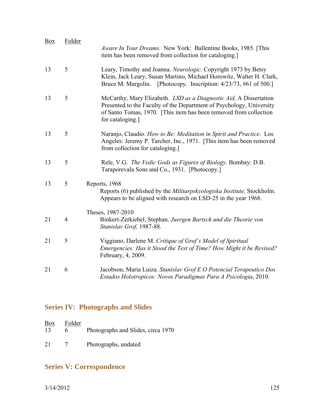| <b>Box</b> | Folder | Aware In Your Dreams. New York: Ballentine Books, 1985. [This<br>item has been removed from collection for cataloging.                                                                                                             |
|------------|--------|------------------------------------------------------------------------------------------------------------------------------------------------------------------------------------------------------------------------------------|
| 13         | 5      | Leary, Timothy and Joanna. Neurologic. Copyright 1973 by Betsy<br>Klein, Jack Leary, Susan Martino, Michael Horowitz, Walter H. Clark,<br>Bruce M. Margolin. [Photocopy. Inscription: 4/23/73, #61 of 500.]                        |
| 13         | 5      | McCarthy, Mary Elizabeth. LSD as a Diagnostic Aid, A Dissertation<br>Presented to the Faculty of the Department of Psychology, University<br>of Santo Tomas, 1970. [This item has been removed from collection<br>for cataloging.] |
| 13         | 5      | Naranjo, Claudio. How to Be: Meditation in Spirit and Practice. Los<br>Angeles: Jeremy P. Tarcher, Inc., 1971. [This item has been removed<br>from collection for cataloging.]                                                     |
| 13         | 5      | Rele, V.G. The Vedic Gods as Figures of Biology. Bombay: D.B.<br>Taraporevala Sons and Co., 1931. [Photocopy.]                                                                                                                     |
| 13         | 5      | Reports, 1968<br>Reports (6) published by the <i>Militarpskyologiska Institute</i> , Stockholm.<br>Appears to be aligned with research on LSD-25 in the year 1968.                                                                 |
|            |        | Theses, 1987-2010                                                                                                                                                                                                                  |
| 21         | 4      | Binkert-Zerkiebel, Stephan. Juergen Bartsch und die Theorie von<br>Stanislav Grof, 1987-88.                                                                                                                                        |
| 21         | 5      | Viggiano, Darlene M. Critique of Grof's Model of Spiritual<br>Emergencies: Has it Stood the Test of Time? How Might it be Revised?<br>February, 4, 2009.                                                                           |
| 21         | 6      | Jacobson, Maria Luiza. Stanislav Grof E O Potencial Terapeutico Dos<br>Estados Holotropicos: Novos Paradigmas Para A Psicologia, 2010.                                                                                             |

## **Series IV: Photographs and Slides**

| Box<br>13 | Folder<br>6. | Photographs and Slides, circa 1970 |
|-----------|--------------|------------------------------------|
| 21        |              | Photographs, undated               |

## **Series V: Correspondence**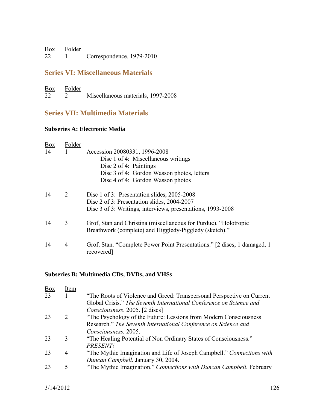| <b>Box</b> | Folder |                           |
|------------|--------|---------------------------|
| 22         |        | Correspondence, 1979-2010 |

### **Series VI: Miscellaneous Materials**

| <b>Box</b> | Folder |                                    |  |
|------------|--------|------------------------------------|--|
| 22         |        | Miscellaneous materials, 1997-2008 |  |

## **Series VII: Multimedia Materials**

### **Subseries A: Electronic Media**

| <b>Box</b> | Folder |                                                                                                                            |
|------------|--------|----------------------------------------------------------------------------------------------------------------------------|
| 14         | 1      | Accession 20080331, 1996-2008                                                                                              |
|            |        | Disc 1 of 4: Miscellaneous writings                                                                                        |
|            |        | Disc $2$ of 4: Paintings                                                                                                   |
|            |        | Disc 3 of 4: Gordon Wasson photos, letters                                                                                 |
|            |        | Disc 4 of 4: Gordon Wasson photos                                                                                          |
| 14         | 2      | Disc 1 of 3: Presentation slides, 2005-2008                                                                                |
|            |        | Disc 2 of 3: Presentation slides, 2004-2007                                                                                |
|            |        | Disc 3 of 3: Writings, interviews, presentations, 1993-2008                                                                |
| 14         | 3      | Grof, Stan and Christina (miscellaneous for Purdue). "Holotropic<br>Breathwork (complete) and Higgledy-Piggledy (sketch)." |
| 14         | 4      | Grof, Stan. "Complete Power Point Presentations." [2 discs; 1 damaged, 1<br>recovered]                                     |

#### **Subseries B: Multimedia CDs, DVDs, and VHSs**

| <b>Box</b> | Item           |                                                                        |
|------------|----------------|------------------------------------------------------------------------|
| 23         |                | "The Roots of Violence and Greed: Transpersonal Perspective on Current |
|            |                | Global Crisis." The Seventh International Conference on Science and    |
|            |                | Consciousness. 2005. [2 discs]                                         |
| 23         | 2              | "The Psychology of the Future: Lessions from Modern Consciousness      |
|            |                | Research." The Seventh International Conference on Science and         |
|            |                | Consciousness. 2005.                                                   |
| 23         | 3              | "The Healing Potential of Non Ordinary States of Consciousness."       |
|            |                | PRESENT!                                                               |
| 23         | $\overline{4}$ | "The Mythic Imagination and Life of Joseph Campbell." Connections with |
|            |                | Duncan Campbell. January 30, 2004.                                     |
| 23         | 5              | "The Mythic Imagination." Connections with Duncan Campbell. February   |
|            |                |                                                                        |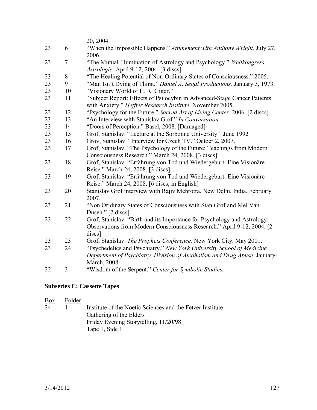|    |                | 20, 2004.                                                                                                                                                           |
|----|----------------|---------------------------------------------------------------------------------------------------------------------------------------------------------------------|
| 23 | 6              | "When the Impossible Happens." Attunement with Anthony Wright. July 27,<br>2006.                                                                                    |
| 23 | $\overline{7}$ | "The Mutual Illumination of Astrology and Psychology." Weltkongress<br>Astrologie. April 9-12, 2004. [3 discs]                                                      |
| 23 | 8              | "The Healing Potential of Non-Ordinary States of Consciousness." 2005.                                                                                              |
| 23 | 9              | "Man Isn't Dying of Thirst." Daniel A. Segal Productions. January 3, 1973.                                                                                          |
| 23 | 10             | "Visionary World of H. R. Giger."                                                                                                                                   |
| 23 | 11             | "Subject Report: Effects of Psilocybin in Advanced-Stage Cancer Patients<br>with Anxiety." Heffter Research Institute. November 2005.                               |
| 23 | 12             | "Psychology for the Future." Sacred Art of Living Center. 2006. [2 discs]                                                                                           |
| 23 | 13             | "An Interview with Stanislay Grof." In Conversation.                                                                                                                |
| 23 | 14             | "Doors of Perception." Basel, 2008. [Damaged]                                                                                                                       |
| 23 | 15             | Grof, Stanislav. "Lecture at the Sorbonne University." June 1992                                                                                                    |
| 23 | 16             | Grov, Stanislav. "Interview for Czech TV." Octoer 2, 2007.                                                                                                          |
| 23 | 17             | Grof, Stanislav. "The Psychology of the Future: Teachings from Modern<br>Consciousness Research." March 24, 2008. [3 discs]                                         |
| 23 | 18             | Grof, Stanislav. "Erfahrung von Tod und Wiedergeburt: Eine Visionäre<br>Reise." March 24, 2008. [3 discs]                                                           |
| 23 | 19             | Grof, Stanislav. "Erfahrung von Tod und Wiedergeburt: Eine Visionäre<br>Reise." March 24, 2008. [6 discs; in English]                                               |
| 23 | 20             | Stanislav Grof interview with Rajiv Mehrotra. New Delhi, India. February<br>2007.                                                                                   |
| 23 | 21             | "Non Oridinary States of Consciousness with Stan Grof and Mel Van<br>Dusen." [2 discs]                                                                              |
| 23 | 22             | Grof, Stanislav. "Birth and its Importance for Psychology and Astrology:<br>Observations from Modern Consciousness Research." April 9-12, 2004. [2<br>discs]        |
| 23 | 23             | Grof, Stanislav. The Prophets Conference. New York City, May 2001.                                                                                                  |
| 23 | 24             | "Psychedelics and Psychiatry." New York University School of Medicine,<br>Department of Psychiatry, Division of Alcoholism and Drug Abuse. January-<br>March, 2008. |
| 22 | 3              | "Wisdom of the Serpent." Center for Symbolic Studies.                                                                                                               |

#### **Subseries C: Cassette Tapes**

| $\frac{Box}{}$<br>24 | Folder | Institute of the Noetic Sciences and the Fetzer Institute<br>Gathering of the Elders<br>Friday Evening Storytelling, 11/20/98 |
|----------------------|--------|-------------------------------------------------------------------------------------------------------------------------------|
|                      |        | Tape 1, Side 1                                                                                                                |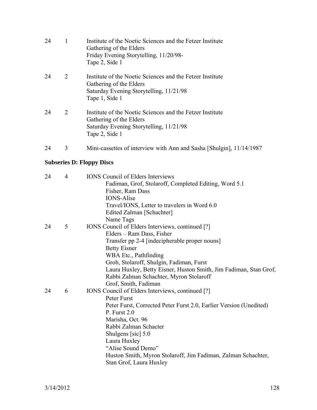| 24 |                             | Institute of the Noetic Sciences and the Fetzer Institute<br>Gathering of the Elders<br>Friday Evening Storytelling, 11/20/98-<br>Tape 2, Side 1  |
|----|-----------------------------|---------------------------------------------------------------------------------------------------------------------------------------------------|
| 24 | $\mathcal{D}_{\mathcal{L}}$ | Institute of the Noetic Sciences and the Fetzer Institute<br>Gathering of the Elders<br>Saturday Evening Storytelling, 11/21/98<br>Tape 1, Side 1 |
| 24 | 2                           | Institute of the Noetic Sciences and the Fetzer Institute<br>Gathering of the Elders<br>Saturday Evening Storytelling, 11/21/98<br>Tape 2, Side 1 |
| 24 | 3                           | Mini-cassettes of interview with Ann and Sasha [Shulgin], 11/14/1987                                                                              |

### **Subseries D: Floppy Discs**

| 24 | $\overline{4}$ | <b>IONS</b> Council of Elders Interviews                           |
|----|----------------|--------------------------------------------------------------------|
|    |                | Fadiman, Grof, Stolaroff, Completed Editing, Word 5.1              |
|    |                | Fisher, Ram Dass                                                   |
|    |                | <b>IONS-Alise</b>                                                  |
|    |                | Travel/IONS, Letter to travelers in Word 6.0                       |
|    |                | Edited Zalman [Schachter]                                          |
|    |                | Name Tags                                                          |
| 24 | 5              | IONS Council of Elders Interviews, continued [?]                   |
|    |                | Elders – Ram Dass, Fisher                                          |
|    |                | Transfer pp 2-4 [indecipherable proper nouns]                      |
|    |                | <b>Betty Eisner</b>                                                |
|    |                | WBA Etc., Pathfinding                                              |
|    |                | Grob, Stolaroff, Shulgin, Fadiman, Furst                           |
|    |                | Laura Huxley, Betty Eisner, Huston Smith, Jim Fadiman, Stan Grof,  |
|    |                | Rabbi Zalman Schachter, Myron Stolaroff                            |
|    |                | Grof, Smith, Fadiman                                               |
| 24 | 6              | IONS Council of Elders Interviews, continued [?]                   |
|    |                | Peter Furst                                                        |
|    |                | Peter Furst, Corrected Peter Furst 2.0, Earlier Version (Unedited) |
|    |                | P. Furst $2.0$                                                     |
|    |                | Marisha, Oct. 96                                                   |
|    |                | Rabbi Zalman Schacter                                              |
|    |                | Shulgens [sic] 5.0                                                 |
|    |                | Laura Huxley                                                       |
|    |                | "Alise Sound Demo"                                                 |
|    |                | Huston Smith, Myron Stolaroff, Jim Fadiman, Zalman Schachter,      |
|    |                | Stan Grof, Laura Huxley                                            |
|    |                |                                                                    |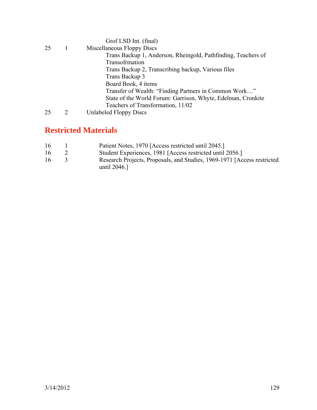|    | Grof LSD Int. (final)                                         |
|----|---------------------------------------------------------------|
| 25 | Miscellaneous Floppy Discs                                    |
|    | Trans Backup 1, Anderson, Rheingold, Pathfinding, Teachers of |
|    | Transofrmation                                                |
|    | Trans Backup 2, Transcribing backup, Various files            |
|    | Trans Backup 3                                                |
|    | Board Book, 4 items                                           |
|    | Transfer of Wealth: "Finding Partners in Common Work"         |
|    | State of the World Forum: Garrison, Whyte, Edelman, Cronkite  |
|    | Teachers of Transformation, 11/02                             |
| 25 | <b>Unlabeled Floppy Discs</b>                                 |

## **Restricted Materials**

| Patient Notes, 1970 [Access restricted until 2045.]<br>16 |  |  |
|-----------------------------------------------------------|--|--|
|-----------------------------------------------------------|--|--|

- 16 2 Student Experiences, 1981 [Access restricted until 2056.]
- 16 3 Research Projects, Proposals, and Studies, 1969-1971 [Access restricted until 2046.]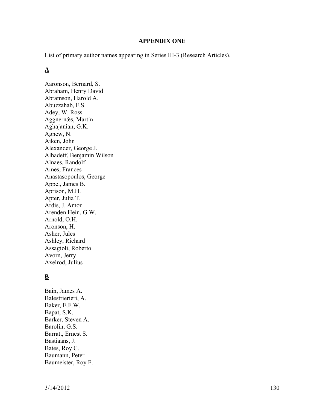#### **APPENDIX ONE**

List of primary author names appearing in Series III-3 (Research Articles).

#### **A**

Aaronson, Bernard, S. Abraham, Henry David Abramson, Harold A. Abuzzahab, F.S. Adey, W. Ross Aggnernǽs, Martin Aghajanian, G.K. Agnew, N. Aiken, John Alexander, George J. Alhadeff, Benjamin Wilson Alnaes, Randolf Ames, Frances Anastasopoulos, George Appel, James B. Aprison, M.H. Apter, Julia T. Ardis, J. Amor Arenden Hein, G.W. Arnold, O.H. Aronson, H. Asher, Jules Ashley, Richard Assagioli, Roberto Avorn, Jerry Axelrod, Julius

#### **B**

Bain, James A. Balestrierieri, A. Baker, E.F.W. Bapat, S.K. Barker, Steven A. Barolin, G.S. Barratt, Ernest S. Bastiaans, J. Bates, Roy C. Baumann, Peter Baumeister, Roy F.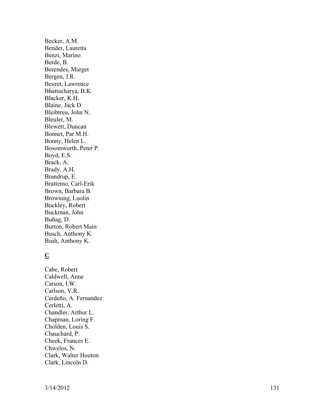Becker, A.M. Bender, Lauretta Benzi, Marino Berde, B. Berendes, Marget Bergen, J.R. Beuret, Lawrence Bhattacharya, B.K. Blacker, K.H. Blaine, Jack D. Bleibtreu, John N. Bleuler, M. Blewett, Duncan Bonnet, Par M.H. Bonny, Helen L. Bosomworth, Peter P. Boyd, E.S. Brack, A. Brady, A.H. Brandrup, E. Brattemo, Carl-Erik Brown, Barbara B. Browning, Luolin Buckley, Robert Buckman, John Buñag, D. Burton, Robert Main Busch, Anthony K. Bush, Anthony K.

### **C**

Cabe, Robert Caldwell, Anne Carson, I.W. Carlson, V.R. Cerdeño, A. Fernandez Cerletti, A. Chandler, Arthur L. Chapman, Loring F. Cholden, Louis S. Chauchard, P. Cheek, Frances E. Chwelos, N. Clark, Walter Houton Clark, Lincoln D.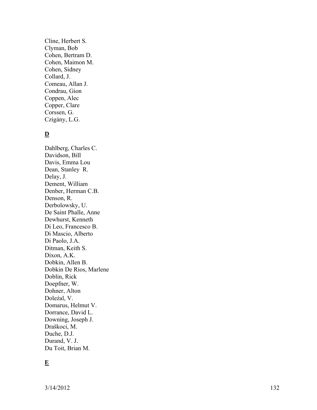Cline, Herbert S. Clyman, Bob Cohen, Bertram D. Cohen, Maimon M. Cohen, Sidney Collard, J. Comeau, Allan J. Condrau, Gion Coppen, Alec Copper, Clare Corssen, G. Czigány, L.G.

### **D**

Dahlberg, Charles C. Davidson, Bill Davis, Emma Lou Dean, Stanley R. Delay, J. Dement, William Denber, Herman C.B. Denson, R. Derbolowsky, U. De Saint Phalle, Anne Dewhurst, Kenneth Di Leo, Francesco B. Di Mascio, Alberto Di Paolo, J.A. Ditman, Keith S. Dixon, A.K. Dobkin, Allen B. Dobkin De Rios, Marlene Doblin, Rick Doepfner, W. Dohner, Alton Doleźal, V. Domarus, Helmut V. Dorrance, David L. Downing, Joseph J. Draškoci, M. Duche, D.J. Durand, V. J. Du Toit, Brian M.

#### **E**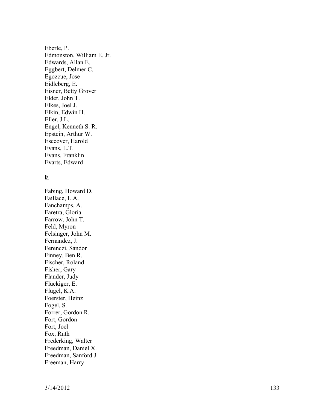Eberle, P. Edmonston, William E. Jr. Edwards, Allan E. Eggbert, Delmer C. Egozcue, Jose Eidleberg, E. Eisner, Betty Grover Elder, John T. Elkes, Joel J. Elkin, Edwin H. Eller, J.L. Engel, Kenneth S. R. Epstein, Arthur W. Esecover, Harold Evans, L.T. Evans, Franklin Evarts, Edward

### **F**

Fabing, Howard D. Faillace, L.A. Fanchamps, A. Faretra, Gloria Farrow, John T. Feld, Myron Felsinger, John M. Fernandez, J. Ferenczi, Sándor Finney, Ben R. Fischer, Roland Fisher, Gary Flander, Judy Flückiger, E. Flügel, K.A. Foerster, Heinz Fogel, S. Forrer, Gordon R. Fort, Gordon Fort, Joel Fox, Ruth Frederking, Walter Freedman, Daniel X. Freedman, Sanford J. Freeman, Harry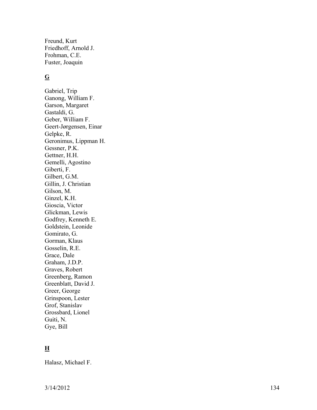Freund, Kurt Friedhoff, Arnold J. Frohman, C.E. Fuster, Joaquin

### **G**

Gabriel, Trip Ganong, William F. Garson, Margaret Gastaldi, G. Geber, William F. Geert-Jørgensen, Einar Gelpke, R. Geronimus, Lippman H. Gessner, P.K. Gettner, H.H. Gemelli, Agostino Giberti, F. Gilbert, G.M. Gillin, J. Christian Gilson, M. Ginzel, K.H. Gioscia, Victor Glickman, Lewis Godfrey, Kenneth E. Goldstein, Leonide Gomirato, G. Gorman, Klaus Gosselin, R.E. Grace, Dale Graham, J.D.P. Graves, Robert Greenberg, Ramon Greenblatt, David J. Greer, George Grinspoon, Lester Grof, Stanislav Grossbard, Lionel Guiti, N. Gye, Bill

### **H**

Halasz, Michael F.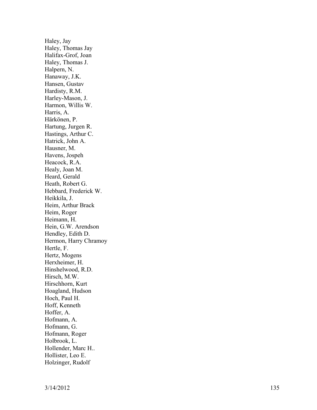Haley, Jay Haley, Thomas Jay Halifax-Grof, Joan Haley, Thomas J. Halpern, N. Hanaway, J.K. Hansen, Gustav Hardisty, R.M. Harley-Mason, J. Harmon, Willis W. Harris, A. Härkönen, P. Hartung, Jurgen R. Hastings, Arthur C. Hatrick, John A. Hausner, M. Havens, Jospeh Heacock, R.A. Healy, Joan M. Heard, Gerald Heath, Robert G. Hebbard, Frederick W. Heikkila, J. Heim, Arthur Brack Heim, Roger Heimann, H. Hein, G.W. Arendson Hendley, Edith D. Hermon, Harry Chramoy Hertle, F. Hertz, Mogens Herxheimer, H. Hinshelwood, R.D. Hirsch, M.W. Hirschhorn, Kurt Hoagland, Hudson Hoch, Paul H. Hoff, Kenneth Hoffer, A. Hofmann, A. Hofmann, G. Hofmann, Roger Holbrook, L. Hollender, Marc H.. Hollister, Leo E. Holzinger, Rudolf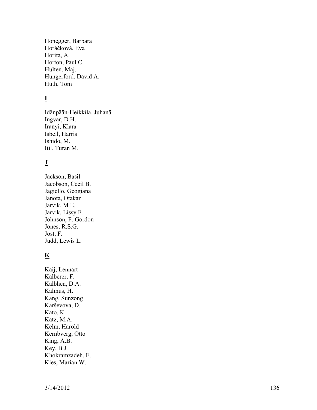Honegger, Barbara Horáčková, Eva Horita, A. Horton, Paul C. Hulten, Maj. Hungerford, David A. Huth, Tom

### **I**

Idänpään-Heikkila, Juhanä Ingvar, D.H. Iranyi, Klara Isbell, Harris Ishido, M. Itil, Turan M.

#### **J**

Jackson, Basil Jacobson, Cecil B. Jagiello, Geogiana Janota, Otakar Jarvik, M.E. Jarvik, Lissy F. Johnson, F. Gordon Jones, R.S.G. Jost, F. Judd, Lewis L.

#### **K**

Kaij, Lennart Kalberer, F. Kalbhen, D.A. Kalmus, H. Kang, Sunzong Karševová, D. Kato, K. Katz, M.A. Kelm, Harold Kernbverg, Otto King, A.B. Key, B.J. Khokramzadeh, E. Kies, Marian W.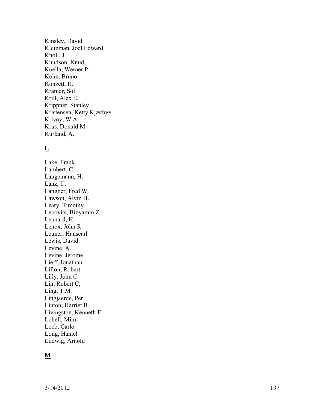Kinsley, David Kleinman, Joel Edward Knoll, J. Knudson, Knud Koella, Werner P. Kohn, Bruno Konzett, H. Kramer, Sol Krill, Alex E. Krippner, Stanley Kristensen, Ketty Kjærbye Krivoy, W.A. Krus, Donald M. Kurland, A.

### **L**

Lake, Frank Lambert, C. Langemann, H. Lanz, U. Langner, Fred W. Lawson, Alvin H. Leary, Timothy Lebovits, Binyamin Z. Lennard, H. Lenox, John R. Leuner, Hanscarl Lewis, David Levine, A. Levine, Jerome Lieff, Jonathan Lifton, Robert Lilly, John C. Lin, Robert C, Ling, T.M. Lingjaerde, Per Linton, Harriet B. Livingston, Kenneth E. Lobell, Mimi Loeb, Carlo Long, Haniel Ludwig, Arnold

### **M**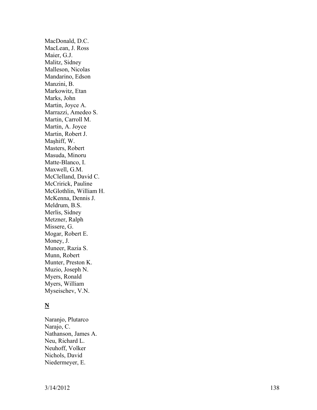MacDonald, D.C. MacLean, J. Ross Maier, G.J. Malitz, Sidney Malleson, Nicolas Mandarino, Edson Manzini, B. Markowitz, Etan Marks, John Martin, Joyce A. Marrazzi, Amedeo S. Martin, Carroll M. Martin, A. Joyce Martin, Robert J. Maşhiff, W. Masters, Robert Masuda, Minoru Matte-Blanco, I. Maxwell, G.M. McClelland, David C. McCririck, Pauline McGlothlin, William H. McKenna, Dennis J. Meldrum, B.S. Merlis, Sidney Metzner, Ralph Missere, G. Mogar, Robert E. Money, J. Muneer, Razia S. Munn, Robert Munter, Preston K. Muzio, Joseph N. Myers, Ronald Myers, William Myseischev, V.N.

### **N**

Naranjo, Plutarco Narajo, C. Nathanson, James A. Neu, Richard L. Neuhoff, Volker Nichols, David Niedermeyer, E.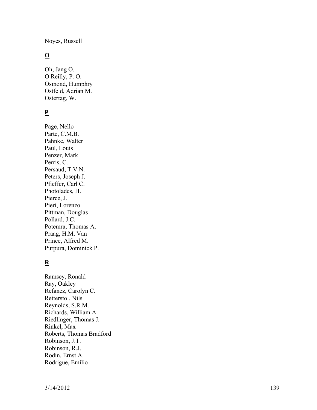Noyes, Russell

### **O**

Oh, Jang O. O Reilly, P. O. Osmond, Humphry Ostfeld, Adrian M. Ostertag, W.

### **P**

Page, Nello Parte, C.M.B. Pahnke, Walter Paul, Louis Penzer, Mark Perris, C. Persaud, T.V.N. Peters, Joseph J. Pfieffer, Carl C. Photolades, H. Pierce, J. Pieri, Lorenzo Pittman, Douglas Pollard, J.C. Potemra, Thomas A. Praag, H.M. Van Prince, Alfred M. Purpura, Dominick P.

### **R**

Ramsey, Ronald Ray, Oakley Refanez, Carolyn C. Retterstol, Nils Reynolds, S.R.M. Richards, William A. Riedlinger, Thomas J. Rinkel, Max Roberts, Thomas Bradford Robinson, J.T. Robinson, R.J. Rodin, Ernst A. Rodrigue, Emilio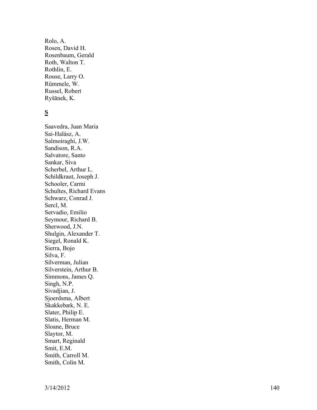Rolo, A. Rosen, David H. Rosenbaum, Gerald Roth, Walton T. Rothlin, E. Rouse, Larry O. Rümmele, W. Russel, Robert Ryšānek, K.

### **S**

Saavedra, Juan Maria Sai-Halász, A. Salmoiraghi, J.W. Sandison, R.A. Salvatore, Santo Sankar, Siva Scherbel, Arthur L. Schildkraut, Joseph J. Schooler, Carmi Schultes, Richard Evans Schwarz, Conrad J. Sercl, M. Servadio, Emilio Seymour, Richard B. Sherwood, J.N. Shulgin, Alexander T. Siegel, Ronald K. Sierra, Bojo Silva, F. Silverman, Julian Silverstein, Arthur B. Simmons, James Q. Singh, N.P. Sivadjian, J. Sjoerdsma, Albert Skakkebæk, N. E. Slater, Philip E. Slatis, Herman M. Sloane, Bruce Slaytor, M. Smart, Reginald Smit, E.M. Smith, Carroll M. Smith, Colin M.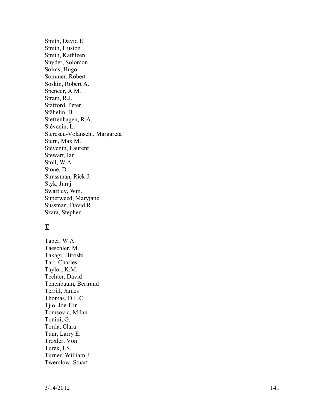Smith, David E. Smith, Huston Smith, Kathleen Snyder, Solomon Solms, Hugo Sommer, Robert Soskin, Robert A. Spencer, A.M. Stram, R.J. Stafford, Peter Stähelin, H. Steffenhagen, R.A. Stévenin, L. Sterescu-Volanschi, Margareta Stern, Max M. Stévenin, Laurent Stewart, Ian Stoll, W.A. Stone, D. Strassman, Rick J. Styk, Juraj Swartley, Wm. Superweed, Maryjane Sussman, David R. Szara, Stephen

### **T**

Taber, W.A. Taeschler, M. Takagi, Hiroshi Tart, Charles Taylor, K.M. Techter, David Tenenbaum, Bertrand Terrill, James Thomas, D.L.C. Tjio, Joe-Hin Tomsovic, Milan Tonini, G. Torda, Clara Tunr, Larry E. Troxler, Von Turek, I.S. Turner, William J. Twemlow, Stuart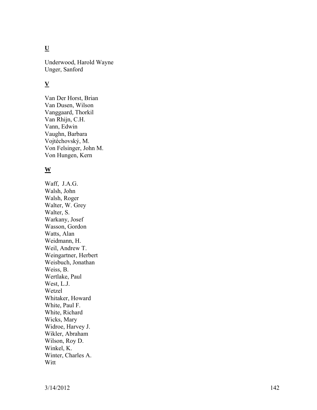## **U**

Underwood, Harold Wayne Unger, Sanford

### **V**

Van Der Horst, Brian Van Dusen, Wilson Vanggaard, Thorkil Van Rhijn, C.H. Vann, Edwin Vaughn, Barbara Vojtéchovský, M. Von Felsinger, John M. Von Hungen, Kern

#### **W**

Waff, J.A.G. Walsh, John Walsh, Roger Walter, W. Grey Walter, S. Warkany, Josef Wasson, Gordon Watts, Alan Weidmann, H. Weil, Andrew T. Weingartner, Herbert Weisbuch, Jonathan Weiss, B. Wertlake, Paul West, L.J. Wetzel Whitaker, Howard White, Paul F. White, Richard Wicks, Mary Widroe, Harvey J. Wikler, Abraham Wilson, Roy D. Winkel, K. Winter, Charles A. Witt